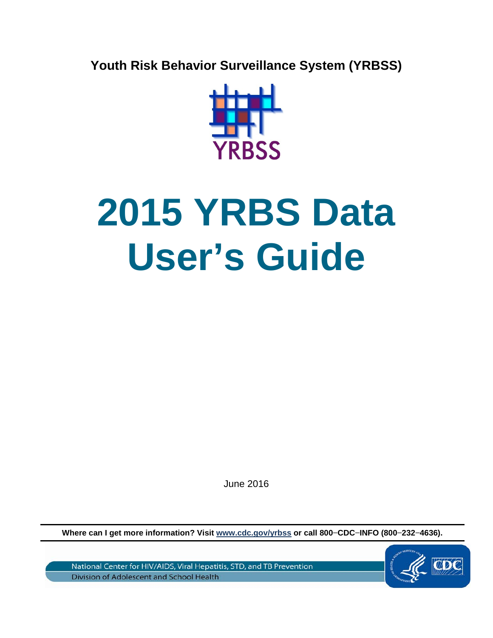**Youth Risk Behavior Surveillance System (YRBSS)** 



# **2015 YRBS Data User's Guide**

June 2016

**Where can I get more information? Visit [www.cdc.gov/yrbss](http://www.cdc.gov/yrbss) or call 800−CDC−INFO (800−232−4636).**

National Center for HIV/AIDS, Viral Hepatitis, STD, and TB Prevention Division of Adolescent and School Health

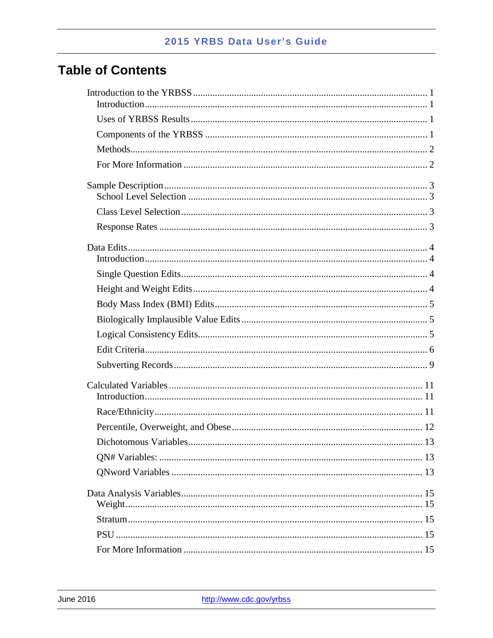## **Table of Contents**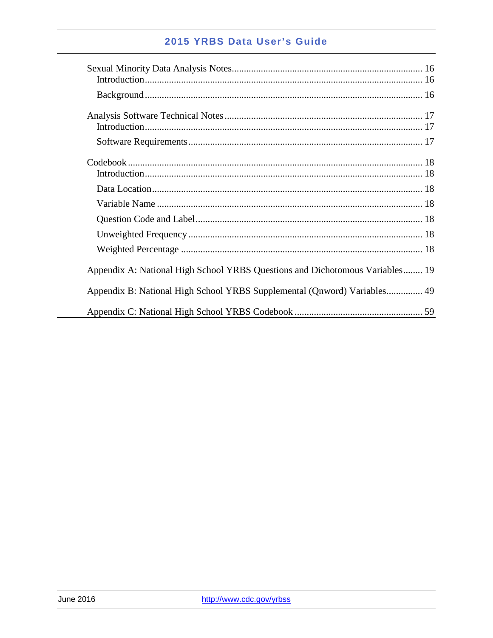| Appendix A: National High School YRBS Questions and Dichotomous Variables 19 |
|------------------------------------------------------------------------------|
| Appendix B: National High School YRBS Supplemental (Qnword) Variables 49     |
|                                                                              |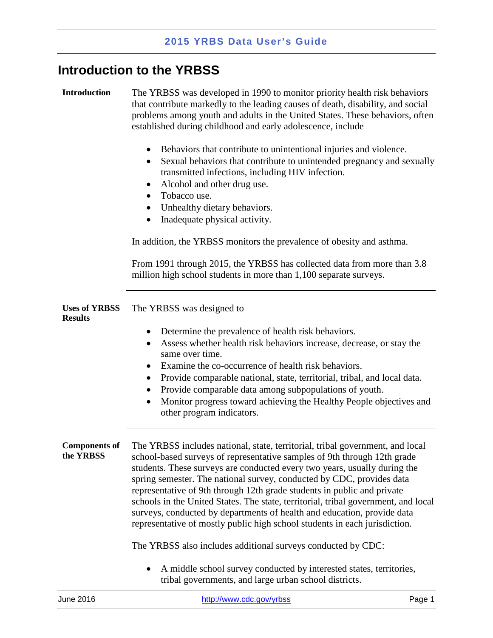## <span id="page-3-0"></span>**Introduction to the YRBSS**

<span id="page-3-1"></span>**Introduction** The YRBSS was developed in 1990 to monitor priority health risk behaviors that contribute markedly to the leading causes of death, disability, and social problems among youth and adults in the United States. These behaviors, often established during childhood and early adolescence, include

- Behaviors that contribute to unintentional injuries and violence.
- Sexual behaviors that contribute to unintended pregnancy and sexually transmitted infections, including HIV infection.
- Alcohol and other drug use.
- Tobacco use.
- Unhealthy dietary behaviors.
- Inadequate physical activity.

In addition, the YRBSS monitors the prevalence of obesity and asthma.

From 1991 through 2015, the YRBSS has collected data from more than 3.8 million high school students in more than 1,100 separate surveys.

<span id="page-3-2"></span>

|                | <b>Uses of YRBSS</b> The YRBSS was designed to |
|----------------|------------------------------------------------|
| <b>Results</b> |                                                |

- Determine the prevalence of health risk behaviors.
- Assess whether health risk behaviors increase, decrease, or stay the same over time.
- Examine the co-occurrence of health risk behaviors.
- Provide comparable national, state, territorial, tribal, and local data.
- Provide comparable data among subpopulations of youth.
- Monitor progress toward achieving the Healthy People objectives and other program indicators.

<span id="page-3-3"></span>**Components of the YRBSS** The YRBSS includes national, state, territorial, tribal government, and local school-based surveys of representative samples of 9th through 12th grade students. These surveys are conducted every two years, usually during the spring semester. The national survey, conducted by CDC, provides data representative of 9th through 12th grade students in public and private schools in the United States. The state, territorial, tribal government, and local surveys, conducted by departments of health and education, provide data representative of mostly public high school students in each jurisdiction.

The YRBSS also includes additional surveys conducted by CDC:

• A middle school survey conducted by interested states, territories, tribal governments, and large urban school districts.

| June 2016 | http://www.cdc.gov/yrbss | Page 1 |
|-----------|--------------------------|--------|
|           |                          |        |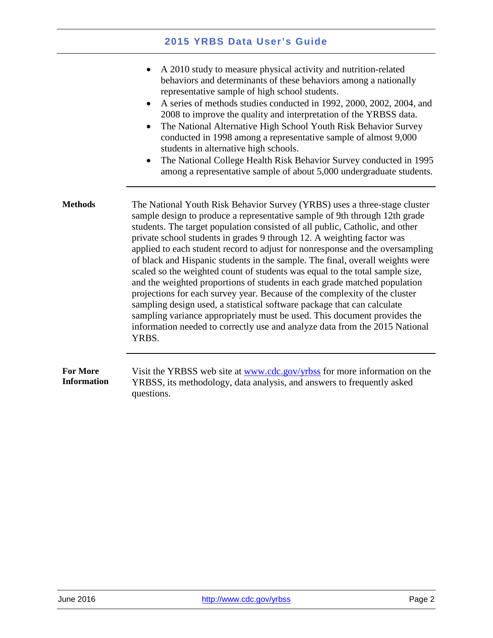<span id="page-4-1"></span><span id="page-4-0"></span>

|                                       | A 2010 study to measure physical activity and nutrition-related<br>behaviors and determinants of these behaviors among a nationally<br>representative sample of high school students.<br>A series of methods studies conducted in 1992, 2000, 2002, 2004, and<br>$\bullet$<br>2008 to improve the quality and interpretation of the YRBSS data.<br>The National Alternative High School Youth Risk Behavior Survey<br>$\bullet$<br>conducted in 1998 among a representative sample of almost 9,000<br>students in alternative high schools.<br>The National College Health Risk Behavior Survey conducted in 1995<br>$\bullet$<br>among a representative sample of about 5,000 undergraduate students.                                                                                                                                                                                                                                                                        |  |
|---------------------------------------|-------------------------------------------------------------------------------------------------------------------------------------------------------------------------------------------------------------------------------------------------------------------------------------------------------------------------------------------------------------------------------------------------------------------------------------------------------------------------------------------------------------------------------------------------------------------------------------------------------------------------------------------------------------------------------------------------------------------------------------------------------------------------------------------------------------------------------------------------------------------------------------------------------------------------------------------------------------------------------|--|
| <b>Methods</b>                        | The National Youth Risk Behavior Survey (YRBS) uses a three-stage cluster<br>sample design to produce a representative sample of 9th through 12th grade<br>students. The target population consisted of all public, Catholic, and other<br>private school students in grades 9 through 12. A weighting factor was<br>applied to each student record to adjust for nonresponse and the oversampling<br>of black and Hispanic students in the sample. The final, overall weights were<br>scaled so the weighted count of students was equal to the total sample size,<br>and the weighted proportions of students in each grade matched population<br>projections for each survey year. Because of the complexity of the cluster<br>sampling design used, a statistical software package that can calculate<br>sampling variance appropriately must be used. This document provides the<br>information needed to correctly use and analyze data from the 2015 National<br>YRBS. |  |
| <b>For More</b><br><b>Information</b> | Visit the YRBSS web site at www.cdc.gov/yrbss for more information on the<br>YRBSS, its methodology, data analysis, and answers to frequently asked<br>questions.                                                                                                                                                                                                                                                                                                                                                                                                                                                                                                                                                                                                                                                                                                                                                                                                             |  |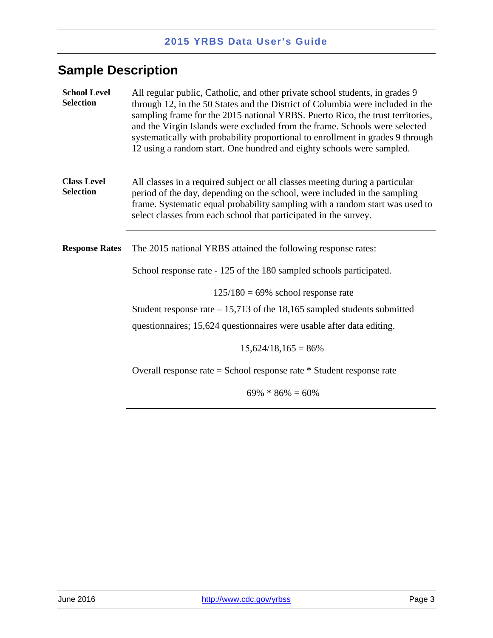## <span id="page-5-0"></span>**Sample Description**

<span id="page-5-3"></span><span id="page-5-2"></span><span id="page-5-1"></span>

| <b>School Level</b><br><b>Selection</b> | All regular public, Catholic, and other private school students, in grades 9<br>through 12, in the 50 States and the District of Columbia were included in the<br>sampling frame for the 2015 national YRBS. Puerto Rico, the trust territories,<br>and the Virgin Islands were excluded from the frame. Schools were selected<br>systematically with probability proportional to enrollment in grades 9 through<br>12 using a random start. One hundred and eighty schools were sampled. |  |  |
|-----------------------------------------|-------------------------------------------------------------------------------------------------------------------------------------------------------------------------------------------------------------------------------------------------------------------------------------------------------------------------------------------------------------------------------------------------------------------------------------------------------------------------------------------|--|--|
| <b>Class Level</b><br><b>Selection</b>  | All classes in a required subject or all classes meeting during a particular<br>period of the day, depending on the school, were included in the sampling<br>frame. Systematic equal probability sampling with a random start was used to<br>select classes from each school that participated in the survey.                                                                                                                                                                             |  |  |
| <b>Response Rates</b>                   | The 2015 national YRBS attained the following response rates:                                                                                                                                                                                                                                                                                                                                                                                                                             |  |  |
|                                         | School response rate - 125 of the 180 sampled schools participated.                                                                                                                                                                                                                                                                                                                                                                                                                       |  |  |
|                                         | $125/180 = 69\%$ school response rate                                                                                                                                                                                                                                                                                                                                                                                                                                                     |  |  |
|                                         | Student response rate $-15,713$ of the 18,165 sampled students submitted                                                                                                                                                                                                                                                                                                                                                                                                                  |  |  |
|                                         | questionnaires; 15,624 questionnaires were usable after data editing.                                                                                                                                                                                                                                                                                                                                                                                                                     |  |  |
|                                         | $15,624/18,165=86\%$                                                                                                                                                                                                                                                                                                                                                                                                                                                                      |  |  |
|                                         | Overall response rate = School response rate $*$ Student response rate                                                                                                                                                                                                                                                                                                                                                                                                                    |  |  |
|                                         | $69\% * 86\% = 60\%$                                                                                                                                                                                                                                                                                                                                                                                                                                                                      |  |  |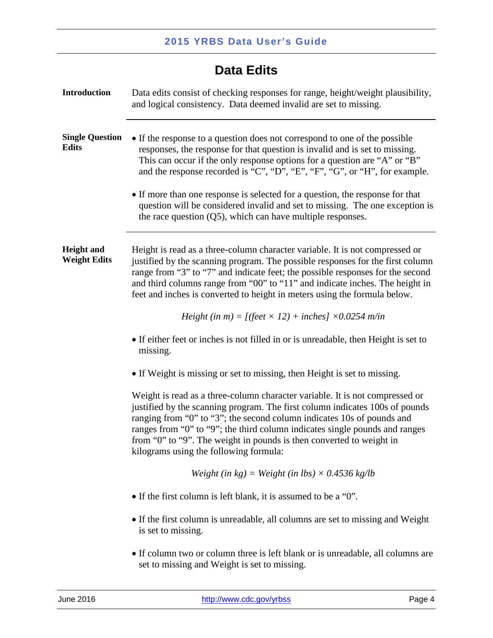## **Data Edits**

<span id="page-6-3"></span><span id="page-6-2"></span><span id="page-6-1"></span><span id="page-6-0"></span>

| <b>Introduction</b>                      | Data edits consist of checking responses for range, height/weight plausibility,<br>and logical consistency. Data deemed invalid are set to missing.                                                                                                                                                                                                                                                                                     |  |  |
|------------------------------------------|-----------------------------------------------------------------------------------------------------------------------------------------------------------------------------------------------------------------------------------------------------------------------------------------------------------------------------------------------------------------------------------------------------------------------------------------|--|--|
| <b>Single Question</b><br><b>Edits</b>   | • If the response to a question does not correspond to one of the possible<br>responses, the response for that question is invalid and is set to missing.<br>This can occur if the only response options for a question are "A" or "B"<br>and the response recorded is "C", "D", "E", "F", "G", or "H", for example.                                                                                                                    |  |  |
|                                          | • If more than one response is selected for a question, the response for that<br>question will be considered invalid and set to missing. The one exception is<br>the race question $(Q5)$ , which can have multiple responses.                                                                                                                                                                                                          |  |  |
| <b>Height</b> and<br><b>Weight Edits</b> | Height is read as a three-column character variable. It is not compressed or<br>justified by the scanning program. The possible responses for the first column<br>range from "3" to "7" and indicate feet; the possible responses for the second<br>and third columns range from "00" to "11" and indicate inches. The height in<br>feet and inches is converted to height in meters using the formula below.                           |  |  |
|                                          | Height (in m) = $[(feet \times 12) + inches] \times 0.0254$ m/in                                                                                                                                                                                                                                                                                                                                                                        |  |  |
|                                          | • If either feet or inches is not filled in or is unreadable, then Height is set to<br>missing.                                                                                                                                                                                                                                                                                                                                         |  |  |
|                                          | • If Weight is missing or set to missing, then Height is set to missing.                                                                                                                                                                                                                                                                                                                                                                |  |  |
|                                          | Weight is read as a three-column character variable. It is not compressed or<br>justified by the scanning program. The first column indicates 100s of pounds<br>ranging from "0" to "3"; the second column indicates 10s of pounds and<br>ranges from "0" to "9"; the third column indicates single pounds and ranges<br>from "0" to "9". The weight in pounds is then converted to weight in<br>kilograms using the following formula: |  |  |
|                                          | Weight (in $kg$ ) = Weight (in lbs) $\times$ 0.4536 kg/lb                                                                                                                                                                                                                                                                                                                                                                               |  |  |
|                                          | • If the first column is left blank, it is assumed to be a "0".                                                                                                                                                                                                                                                                                                                                                                         |  |  |
|                                          | • If the first column is unreadable, all columns are set to missing and Weight<br>is set to missing.                                                                                                                                                                                                                                                                                                                                    |  |  |
|                                          | • If column two or column three is left blank or is unreadable, all columns are<br>set to missing and Weight is set to missing.                                                                                                                                                                                                                                                                                                         |  |  |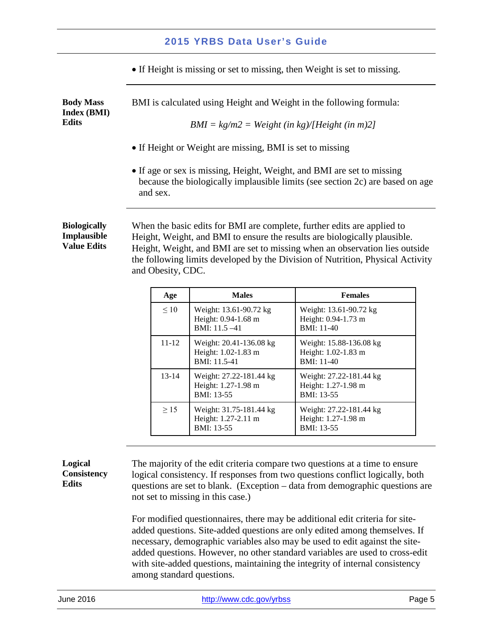• If Height is missing or set to missing, then Weight is set to missing.

<span id="page-7-0"></span>**Body Mass Index (BMI) Edits** BMI is calculated using Height and Weight in the following formula: *BMI = kg/m2 = Weight (in kg)/[Height (in m)2]* 

- If Height or Weight are missing, BMI is set to missing
- If age or sex is missing, Height, Weight, and BMI are set to missing because the biologically implausible limits (see section 2c) are based on age and sex.

#### <span id="page-7-1"></span>**Biologically Implausible Value Edits**

When the basic edits for BMI are complete, further edits are applied to Height, Weight, and BMI to ensure the results are biologically plausible. Height, Weight, and BMI are set to missing when an observation lies outside the following limits developed by the Division of Nutrition, Physical Activity and Obesity, CDC.

| Age       | <b>Males</b>                                                      | <b>Females</b>                                               |
|-----------|-------------------------------------------------------------------|--------------------------------------------------------------|
| $\leq 10$ | Weight: 13.61-90.72 kg<br>Height: 0.94-1.68 m<br>$BMI: 11.5 - 41$ | Weight: 13.61-90.72 kg<br>Height: 0.94-1.73 m<br>BMI: 11-40  |
| $11 - 12$ | Weight: 20.41-136.08 kg<br>Height: 1.02-1.83 m<br>BMI: 11.5-41    | Weight: 15.88-136.08 kg<br>Height: 1.02-1.83 m<br>BMI: 11-40 |
| $13 - 14$ | Weight: 27.22-181.44 kg<br>Height: 1.27-1.98 m<br>BMI: 13-55      | Weight: 27.22-181.44 kg<br>Height: 1.27-1.98 m<br>BMI: 13-55 |
| $\geq$ 15 | Weight: 31.75-181.44 kg<br>Height: 1.27-2.11 m<br>BMI: 13-55      | Weight: 27.22-181.44 kg<br>Height: 1.27-1.98 m<br>BMI: 13-55 |

#### <span id="page-7-2"></span>**Logical Consistency Edits**

The majority of the edit criteria compare two questions at a time to ensure logical consistency. If responses from two questions conflict logically, both questions are set to blank. (Exception – data from demographic questions are not set to missing in this case.)

For modified questionnaires, there may be additional edit criteria for siteadded questions. Site-added questions are only edited among themselves. If necessary, demographic variables also may be used to edit against the siteadded questions. However, no other standard variables are used to cross-edit with site-added questions, maintaining the integrity of internal consistency among standard questions.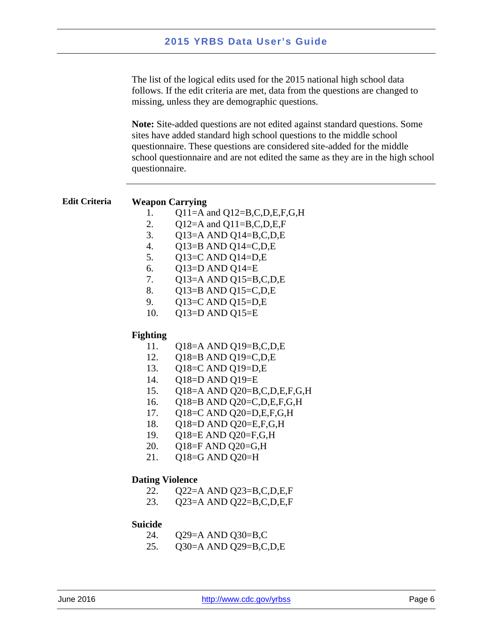The list of the logical edits used for the 2015 national high school data follows. If the edit criteria are met, data from the questions are changed to missing, unless they are demographic questions.

**Note:** Site-added questions are not edited against standard questions. Some sites have added standard high school questions to the middle school questionnaire. These questions are considered site-added for the middle school questionnaire and are not edited the same as they are in the high school questionnaire.

#### <span id="page-8-0"></span>**Edit Criteria Weapon Carrying**

- 1. Q11=A and Q12=B,C,D,E,F,G,H
- 2. Q12=A and Q11=B,C,D,E,F
- 3. Q13=A AND Q14=B,C,D,E
- 4. Q13=B AND Q14=C,D,E
- 5. Q13=C AND Q14=D,E
- 6. Q13=D AND Q14=E
- 7. Q13=A AND Q15=B,C,D,E
- 8. Q13=B AND Q15=C,D,E
- 9. Q13=C AND Q15=D,E
- 10. Q13=D AND Q15=E

#### **Fighting**

- 11. Q18=A AND Q19=B,C,D,E
- 12. Q18=B AND Q19=C,D,E
- 13. Q18=C AND Q19=D,E
- 14. Q18=D AND Q19=E
- 15. Q18=A AND Q20=B,C,D,E,F,G,H
- 16. Q18=B AND Q20=C,D,E,F,G,H
- 17. Q18=C AND Q20=D,E,F,G,H
- 18. Q18=D AND Q20=E,F,G,H
- 19. Q18=E AND Q20=F,G,H
- 20. Q18=F AND Q20=G,H
- 21. Q18=G AND Q20=H
- 

#### **Dating Violence**

- 22. Q22=A AND Q23=B,C,D,E,F
- 23. Q23=A AND Q22=B,C,D,E,F

#### **Suicide**

- 24. Q29=A AND Q30=B,C
- 25. Q30=A AND Q29=B,C,D,E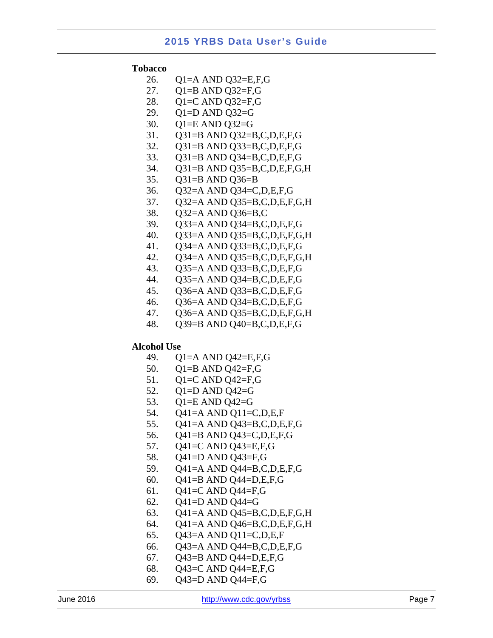#### **Tobacco**

- 26. Q1=A AND Q32=E,F,G
- 27. Q1=B AND Q32=F,G
- 28. Q1=C AND Q32=F,G
- 29. Q1=D AND Q32=G
- 30. Q1=E AND Q32=G
- 31. Q31=B AND Q32=B,C,D,E,F,G
- 32. Q31=B AND Q33=B,C,D,E,F,G
- 33. Q31=B AND Q34=B,C,D,E,F,G
- 34. Q31=B AND Q35=B,C,D,E,F,G,H
- 35. Q31=B AND Q36=B
- 36. Q32=A AND Q34=C,D,E,F,G
- 37. Q32=A AND Q35=B,C,D,E,F,G,H
- 38. Q32=A AND Q36=B,C
- 39. Q33=A AND Q34=B,C,D,E,F,G
- 40. Q33=A AND Q35=B,C,D,E,F,G,H
- 41. Q34=A AND Q33=B,C,D,E,F,G
- 42. Q34=A AND Q35=B,C,D,E,F,G,H
- 43. Q35=A AND Q33=B,C,D,E,F,G
- 44. Q35=A AND Q34=B,C,D,E,F,G
- 45. Q36=A AND Q33=B,C,D,E,F,G
- 46. Q36=A AND Q34=B,C,D,E,F,G
- 47. Q36=A AND Q35=B,C,D,E,F,G,H
- 48. Q39=B AND Q40=B,C,D,E,F,G

#### **Alcohol Use**

- 49. Q1=A AND Q42=E,F,G
- 50. Q1=B AND Q42=F,G
- 51. Q1=C AND Q42=F,G
- 52. Q1=D AND Q42=G
- 53. Q1=E AND Q42=G
- 54. Q41=A AND Q11=C,D,E,F
- 55. Q41=A AND Q43=B,C,D,E,F,G
- 56. Q41=B AND Q43=C,D,E,F,G
- 57. Q41=C AND Q43=E,F,G
- 58. Q41=D AND Q43=F,G
- 59. Q41=A AND Q44=B,C,D,E,F,G
- 60. Q41=B AND Q44=D,E,F,G
- 61. Q41=C AND Q44=F,G
- 62.  $Q41 = D$  AND  $Q44 = G$
- 63. Q41=A AND Q45=B,C,D,E,F,G,H
- 64. Q41=A AND Q46=B,C,D,E,F,G,H
- 65. Q43=A AND Q11=C,D,E,F
- 66. Q43=A AND Q44=B,C,D,E,F,G
- 67. Q43=B AND Q44=D,E,F,G
- 68. Q43=C AND Q44=E,F,G
- 69. Q43=D AND Q44=F,G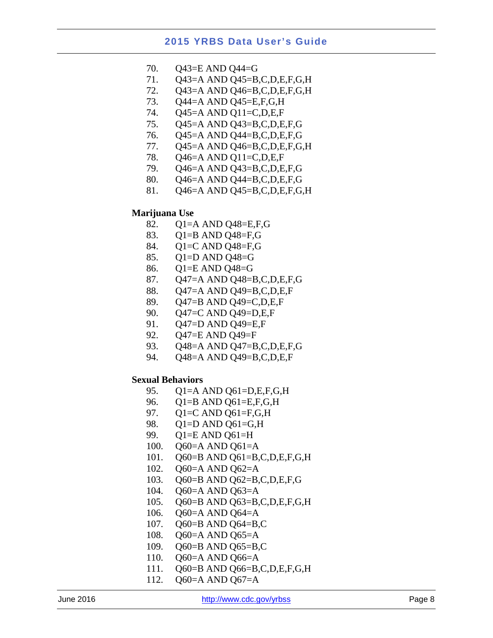- 70. Q43=E AND Q44=G
- 71. Q43=A AND Q45=B,C,D,E,F,G,H
- 72. Q43=A AND Q46=B,C,D,E,F,G,H
- 73. Q44=A AND Q45=E,F,G,H
- 74. Q45=A AND Q11=C,D,E,F
- 75. Q45=A AND Q43=B,C,D,E,F,G
- 76. Q45=A AND Q44=B,C,D,E,F,G
- 77. Q45=A AND Q46=B,C,D,E,F,G,H
- 78. Q46=A AND Q11=C,D,E,F
- 79. Q46=A AND Q43=B,C,D,E,F,G
- 80. Q46=A AND Q44=B,C,D,E,F,G
- 81. Q46=A AND Q45=B,C,D,E,F,G,H

#### **Marijuana Use**

- 82. Q1=A AND Q48=E,F,G
- 83. Q1=B AND Q48=F,G
- 84.  $Q1=C$  AND  $Q48=F,G$
- 85. Q1=D AND Q48=G
- 86. Q1=E AND Q48=G
- 87. Q47=A AND Q48=B,C,D,E,F,G
- 88. Q47=A AND Q49=B,C,D,E,F
- 89. Q47=B AND Q49=C,D,E,F
- 90. Q47=C AND Q49=D,E,F
- 91. Q47=D AND Q49=E,F
- 92. Q47=E AND Q49=F
- 93. Q48=A AND Q47=B,C,D,E,F,G
- 94. Q48=A AND Q49=B,C,D,E,F

#### **Sexual Behaviors**

- 95. Q1=A AND Q61=D,E,F,G,H
- 96. Q1=B AND Q61=E,F,G,H
- 97. Q1=C AND Q61=F,G,H
- 98. Q1=D AND Q61=G,H
- 99. Q1=E AND Q61=H
- 100. Q60=A AND Q61=A
- 101. Q60=B AND Q61=B,C,D,E,F,G,H
- 102. Q60=A AND Q62=A
- 103. Q60=B AND Q62=B,C,D,E,F,G
- 104. Q60=A AND Q63=A
- 105. Q60=B AND Q63=B,C,D,E,F,G,H
- 106. Q60=A AND Q64=A
- 107. Q60=B AND Q64=B,C
- 108. Q60=A AND Q65=A
- 109. Q60=B AND Q65=B,C
- 110. Q60=A AND Q66=A
- 111. Q60=B AND Q66=B,C,D,E,F,G,H
- 112. Q60=A AND Q67=A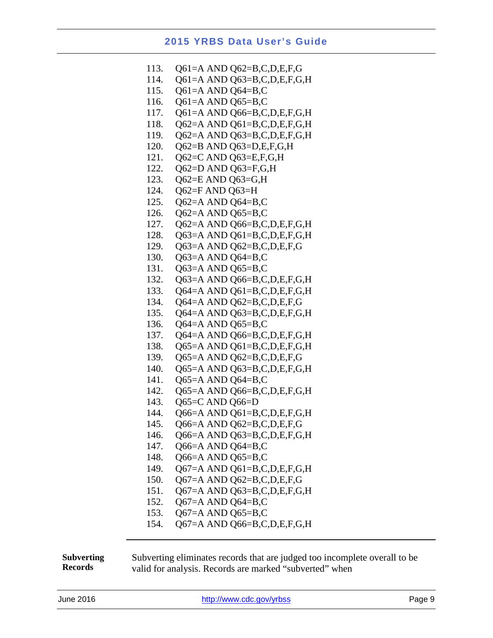| 113. | Q61=A AND Q62=B,C,D,E,F,G   |
|------|-----------------------------|
| 114. | Q61=A AND Q63=B,C,D,E,F,G,H |
| 115. | Q61=A AND Q64=B,C           |
| 116. | Q61=A AND Q65=B,C           |
| 117. | Q61=A AND Q66=B,C,D,E,F,G,H |
| 118. | Q62=A AND Q61=B,C,D,E,F,G,H |
| 119. | Q62=A AND Q63=B,C,D,E,F,G,H |
| 120. | Q62=B AND Q63=D,E,F,G,H     |
| 121. | Q62=C AND Q63=E,F,G,H       |
| 122. | Q62=D AND Q63=F,G,H         |
| 123. | Q62=E AND Q63=G,H           |
| 124. | Q62=F AND Q63=H             |
| 125. | Q62=A AND Q64=B,C           |
| 126. | Q62=A AND Q65=B,C           |
| 127. | Q62=A AND Q66=B,C,D,E,F,G,H |
| 128. | Q63=A AND Q61=B,C,D,E,F,G,H |
| 129. | Q63=A AND Q62=B,C,D,E,F,G   |
| 130. | Q63=A AND Q64=B,C           |
| 131. | Q63=A AND Q65=B,C           |
| 132. | Q63=A AND Q66=B,C,D,E,F,G,H |
| 133. | Q64=A AND Q61=B,C,D,E,F,G,H |
| 134. | Q64=A AND Q62=B,C,D,E,F,G   |
| 135. | Q64=A AND Q63=B,C,D,E,F,G,H |
| 136. | Q64=A AND Q65=B,C           |
| 137. | Q64=A AND Q66=B,C,D,E,F,G,H |
| 138. | Q65=A AND Q61=B,C,D,E,F,G,H |
| 139. | Q65=A AND Q62=B,C,D,E,F,G   |
| 140. | Q65=A AND Q63=B,C,D,E,F,G,H |
| 141. | Q65=A AND Q64=B,C           |
| 142. | Q65=A AND Q66=B,C,D,E,F,G,H |
| 143. | Q65=C AND Q66=D             |
| 144. | Q66=A AND Q61=B,C,D,E,F,G,H |
| 145. | Q66=A AND Q62=B,C,D,E,F,G   |
| 146. | Q66=A AND Q63=B,C,D,E,F,G,H |
| 147. | Q66=A AND Q64=B,C           |
| 148. | Q66=A AND Q65=B,C           |
| 149. | Q67=A AND Q61=B,C,D,E,F,G,H |
| 150. | Q67=A AND Q62=B,C,D,E,F,G   |
| 151. | Q67=A AND Q63=B,C,D,E,F,G,H |
| 152. | Q67=A AND Q64=B,C           |
| 153. | Q67=A AND Q65=B,C           |
| 154. | Q67=A AND Q66=B,C,D,E,F,G,H |

<span id="page-11-0"></span>**Subverting Records** Subverting eliminates records that are judged too incomplete overall to be valid for analysis. Records are marked "subverted" when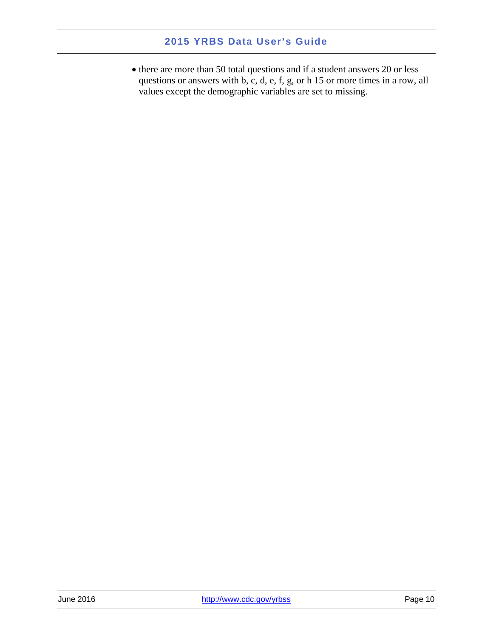• there are more than 50 total questions and if a student answers 20 or less questions or answers with b, c, d, e, f, g, or h 15 or more times in a row, all values except the demographic variables are set to missing.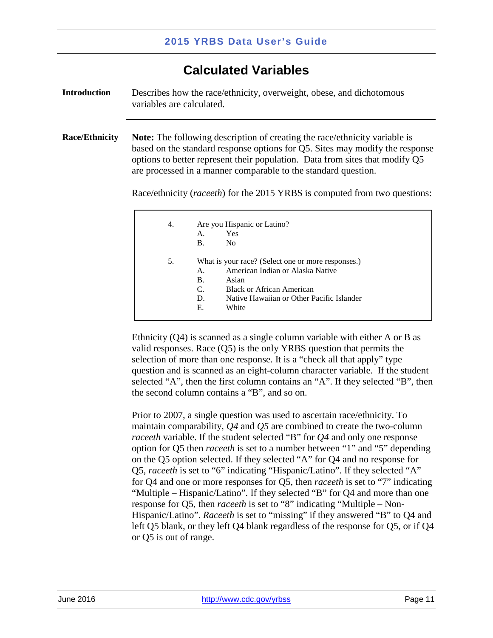## **Calculated Variables**

<span id="page-13-2"></span><span id="page-13-1"></span><span id="page-13-0"></span>

| <b>Introduction</b>   | Describes how the race/ethnicity, overweight, obese, and dichotomous<br>variables are calculated.                                                                                                                                                                                                                   |                                            |                                                                                                                                                                                           |  |
|-----------------------|---------------------------------------------------------------------------------------------------------------------------------------------------------------------------------------------------------------------------------------------------------------------------------------------------------------------|--------------------------------------------|-------------------------------------------------------------------------------------------------------------------------------------------------------------------------------------------|--|
| <b>Race/Ethnicity</b> | <b>Note:</b> The following description of creating the race/ethnicity variable is<br>based on the standard response options for Q5. Sites may modify the response<br>options to better represent their population. Data from sites that modify Q5<br>are processed in a manner comparable to the standard question. |                                            |                                                                                                                                                                                           |  |
|                       |                                                                                                                                                                                                                                                                                                                     |                                            | Race/ethnicity ( <i>raceeth</i> ) for the 2015 YRBS is computed from two questions:                                                                                                       |  |
|                       | 4.                                                                                                                                                                                                                                                                                                                  | Are you Hispanic or Latino?                |                                                                                                                                                                                           |  |
|                       |                                                                                                                                                                                                                                                                                                                     | A.<br><b>B.</b>                            | Yes<br>N <sub>0</sub>                                                                                                                                                                     |  |
|                       | 5.                                                                                                                                                                                                                                                                                                                  | A.<br><b>B.</b><br>$C_{\cdot}$<br>D.<br>Е. | What is your race? (Select one or more responses.)<br>American Indian or Alaska Native<br>Asian<br><b>Black or African American</b><br>Native Hawaiian or Other Pacific Islander<br>White |  |

Ethnicity (Q4) is scanned as a single column variable with either A or B as valid responses. Race (Q5) is the only YRBS question that permits the selection of more than one response. It is a "check all that apply" type question and is scanned as an eight-column character variable. If the student selected "A", then the first column contains an "A". If they selected "B", then the second column contains a "B", and so on.

Prior to 2007, a single question was used to ascertain race/ethnicity. To maintain comparability, *Q4* and *Q5* are combined to create the two-column *raceeth* variable. If the student selected "B" for *Q4* and only one response option for Q5 then *raceeth* is set to a number between "1" and "5" depending on the Q5 option selected. If they selected "A" for Q4 and no response for Q5, *raceeth* is set to "6" indicating "Hispanic/Latino". If they selected "A" for Q4 and one or more responses for Q5, then *raceeth* is set to "7" indicating "Multiple – Hispanic/Latino". If they selected "B" for Q4 and more than one response for Q5, then *raceeth* is set to "8" indicating "Multiple – Non-Hispanic/Latino". *Raceeth* is set to "missing" if they answered "B" to Q4 and left Q5 blank, or they left Q4 blank regardless of the response for Q5, or if Q4 or Q5 is out of range.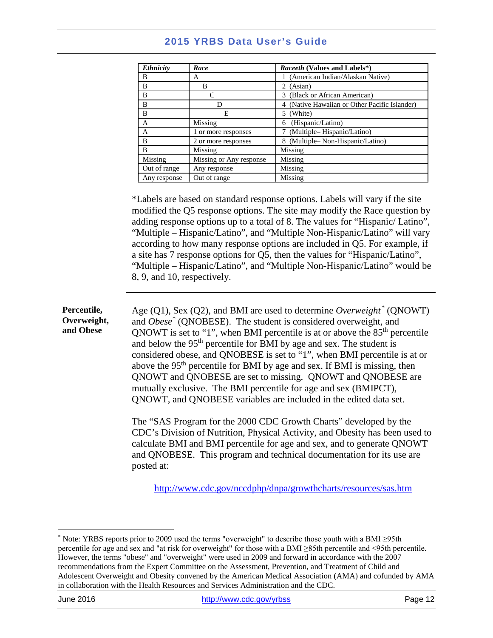| <b>Ethnicity</b> | Race                    | Raceeth (Values and Labels*)                  |
|------------------|-------------------------|-----------------------------------------------|
| B                | A                       | (American Indian/Alaskan Native)              |
| B                | B                       | 2 (Asian)                                     |
| B                | $\subset$               | (Black or African American)<br>3.             |
| B                | Ð                       | 4 (Native Hawaiian or Other Pacific Islander) |
| B                | Е                       | 5 (White)                                     |
| A                | Missing                 | (Hispanic/Latino)<br>6                        |
| А                | 1 or more responses     | (Multiple–Hispanic/Latino)                    |
| B                | 2 or more responses     | 8 (Multiple–Non-Hispanic/Latino)              |
| B                | Missing                 | Missing                                       |
| Missing          | Missing or Any response | Missing                                       |
| Out of range     | Any response            | Missing                                       |
| Any response     | Out of range            | Missing                                       |

\*Labels are based on standard response options. Labels will vary if the site modified the Q5 response options. The site may modify the Race question by adding response options up to a total of 8. The values for "Hispanic/ Latino", "Multiple – Hispanic/Latino", and "Multiple Non-Hispanic/Latino" will vary according to how many response options are included in Q5. For example, if a site has 7 response options for Q5, then the values for "Hispanic/Latino", "Multiple – Hispanic/Latino", and "Multiple Non-Hispanic/Latino" would be 8, 9, and 10, respectively.

<span id="page-14-0"></span>**Percentile, Overweight, and Obese** Age (Q1), Sex (Q2), and BMI are used to determine *Overweight[\\*](#page-14-1)* (QNOWT) and *Obese\** (QNOBESE). The student is considered overweight, and QNOWT is set to "1", when BMI percentile is at or above the  $85<sup>th</sup>$  percentile and below the  $95<sup>th</sup>$  percentile for BMI by age and sex. The student is considered obese, and QNOBESE is set to "1", when BMI percentile is at or above the 95th percentile for BMI by age and sex. If BMI is missing, then QNOWT and QNOBESE are set to missing. QNOWT and QNOBESE are mutually exclusive. The BMI percentile for age and sex (BMIPCT), QNOWT, and QNOBESE variables are included in the edited data set. The "SAS Program for the 2000 CDC Growth Charts" developed by the

CDC's Division of Nutrition, Physical Activity, and Obesity has been used to calculate BMI and BMI percentile for age and sex, and to generate QNOWT and QNOBESE. This program and technical documentation for its use are posted at:

<http://www.cdc.gov/nccdphp/dnpa/growthcharts/resources/sas.htm>

<span id="page-14-1"></span> $\overline{a}$ \* Note: YRBS reports prior to 2009 used the terms "overweight" to describe those youth with a BMI ≥95th percentile for age and sex and "at risk for overweight" for those with a BMI ≥85th percentile and <95th percentile. However, the terms "obese" and "overweight" were used in 2009 and forward in accordance with the 2007 recommendations from the Expert Committee on the Assessment, Prevention, and Treatment of Child and Adolescent Overweight and Obesity convened by the American Medical Association (AMA) and cofunded by AMA in collaboration with the Health Resources and Services Administration and the CDC.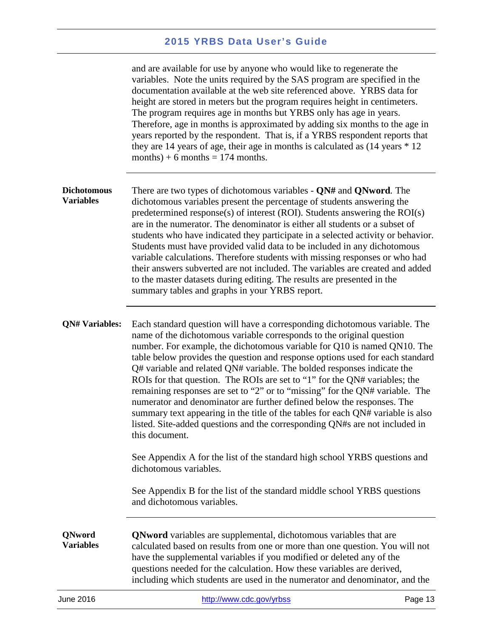<span id="page-15-2"></span><span id="page-15-1"></span><span id="page-15-0"></span>

| June 2016                              | http://www.cdc.gov/yrbss                                                                                                                                                                                                                                                                                                                                                                                                                                                                                                                                                                                                                                                                                                                                                                                                                                                                                  | Page 13 |
|----------------------------------------|-----------------------------------------------------------------------------------------------------------------------------------------------------------------------------------------------------------------------------------------------------------------------------------------------------------------------------------------------------------------------------------------------------------------------------------------------------------------------------------------------------------------------------------------------------------------------------------------------------------------------------------------------------------------------------------------------------------------------------------------------------------------------------------------------------------------------------------------------------------------------------------------------------------|---------|
| QNword<br><b>Variables</b>             | <b>QNword</b> variables are supplemental, dichotomous variables that are<br>calculated based on results from one or more than one question. You will not<br>have the supplemental variables if you modified or deleted any of the<br>questions needed for the calculation. How these variables are derived,<br>including which students are used in the numerator and denominator, and the                                                                                                                                                                                                                                                                                                                                                                                                                                                                                                                |         |
|                                        | dichotomous variables.<br>See Appendix B for the list of the standard middle school YRBS questions<br>and dichotomous variables.                                                                                                                                                                                                                                                                                                                                                                                                                                                                                                                                                                                                                                                                                                                                                                          |         |
| <b>QN# Variables:</b>                  | Each standard question will have a corresponding dichotomous variable. The<br>name of the dichotomous variable corresponds to the original question<br>number. For example, the dichotomous variable for Q10 is named QN10. The<br>table below provides the question and response options used for each standard<br>$Q#$ variable and related $QN#$ variable. The bolded responses indicate the<br>ROIs for that question. The ROIs are set to "1" for the QN# variables; the<br>remaining responses are set to "2" or to "missing" for the QN# variable. The<br>numerator and denominator are further defined below the responses. The<br>summary text appearing in the title of the tables for each QN# variable is also<br>listed. Site-added questions and the corresponding QN#s are not included in<br>this document.<br>See Appendix A for the list of the standard high school YRBS questions and |         |
| <b>Dichotomous</b><br><b>Variables</b> | There are two types of dichotomous variables - QN# and QNword. The<br>dichotomous variables present the percentage of students answering the<br>predetermined response(s) of interest (ROI). Students answering the $ROI(s)$<br>are in the numerator. The denominator is either all students or a subset of<br>students who have indicated they participate in a selected activity or behavior.<br>Students must have provided valid data to be included in any dichotomous<br>variable calculations. Therefore students with missing responses or who had<br>their answers subverted are not included. The variables are created and added<br>to the master datasets during editing. The results are presented in the<br>summary tables and graphs in your YRBS report.                                                                                                                                  |         |
|                                        | and are available for use by anyone who would like to regenerate the<br>variables. Note the units required by the SAS program are specified in the<br>documentation available at the web site referenced above. YRBS data for<br>height are stored in meters but the program requires height in centimeters.<br>The program requires age in months but YRBS only has age in years.<br>Therefore, age in months is approximated by adding six months to the age in<br>years reported by the respondent. That is, if a YRBS respondent reports that<br>they are 14 years of age, their age in months is calculated as $(14 \text{ years} * 12)$<br>months) + 6 months = $174$ months.                                                                                                                                                                                                                       |         |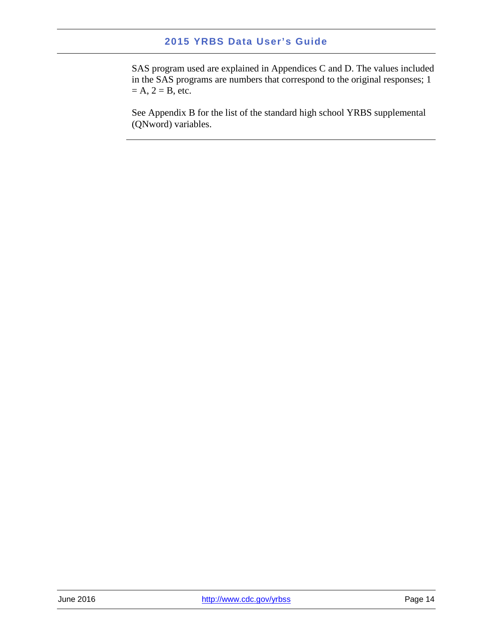SAS program used are explained in Appendices C and D. The values included in the SAS programs are numbers that correspond to the original responses; 1  $= A$ ,  $2 = B$ , etc.

See Appendix B for the list of the standard high school YRBS supplemental (QNword) variables.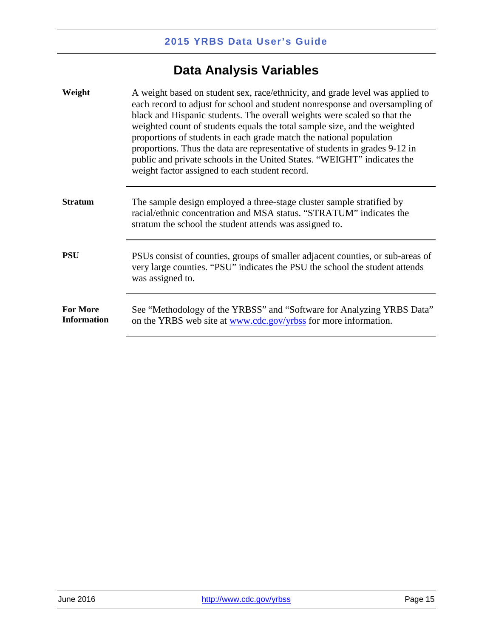## **Data Analysis Variables**

<span id="page-17-4"></span><span id="page-17-3"></span><span id="page-17-2"></span><span id="page-17-1"></span><span id="page-17-0"></span>

| Weight                                | A weight based on student sex, race/ethnicity, and grade level was applied to<br>each record to adjust for school and student nonresponse and oversampling of<br>black and Hispanic students. The overall weights were scaled so that the<br>weighted count of students equals the total sample size, and the weighted<br>proportions of students in each grade match the national population<br>proportions. Thus the data are representative of students in grades 9-12 in<br>public and private schools in the United States. "WEIGHT" indicates the<br>weight factor assigned to each student record. |
|---------------------------------------|-----------------------------------------------------------------------------------------------------------------------------------------------------------------------------------------------------------------------------------------------------------------------------------------------------------------------------------------------------------------------------------------------------------------------------------------------------------------------------------------------------------------------------------------------------------------------------------------------------------|
| <b>Stratum</b>                        | The sample design employed a three-stage cluster sample stratified by<br>racial/ethnic concentration and MSA status. "STRATUM" indicates the<br>stratum the school the student attends was assigned to.                                                                                                                                                                                                                                                                                                                                                                                                   |
| <b>PSU</b>                            | PSUs consist of counties, groups of smaller adjacent counties, or sub-areas of<br>very large counties. "PSU" indicates the PSU the school the student attends<br>was assigned to.                                                                                                                                                                                                                                                                                                                                                                                                                         |
| <b>For More</b><br><b>Information</b> | See "Methodology of the YRBSS" and "Software for Analyzing YRBS Data"<br>on the YRBS web site at www.cdc.gov/yrbss for more information.                                                                                                                                                                                                                                                                                                                                                                                                                                                                  |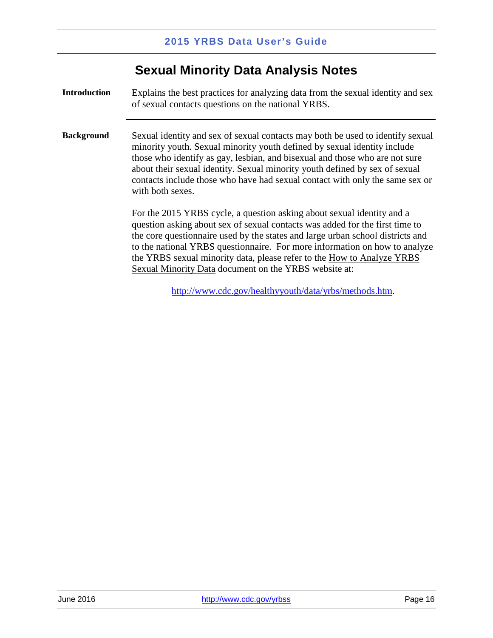## **Sexual Minority Data Analysis Notes**

<span id="page-18-1"></span><span id="page-18-0"></span>**Introduction** Explains the best practices for analyzing data from the sexual identity and sex of sexual contacts questions on the national YRBS.

<span id="page-18-2"></span>**Background** Sexual identity and sex of sexual contacts may both be used to identify sexual minority youth. Sexual minority youth defined by sexual identity include those who identify as gay, lesbian, and bisexual and those who are not sure about their sexual identity. Sexual minority youth defined by sex of sexual contacts include those who have had sexual contact with only the same sex or with both sexes.

> For the 2015 YRBS cycle, a question asking about sexual identity and a question asking about sex of sexual contacts was added for the first time to the core questionnaire used by the states and large urban school districts and to the national YRBS questionnaire. For more information on how to analyze the YRBS sexual minority data, please refer to the How to Analyze YRBS Sexual Minority Data document on the YRBS website at:

> > [http://www.cdc.gov/healthyyouth/data/yrbs/methods.htm.](http://www.cdc.gov/healthyyouth/data/yrbs/methods.htm)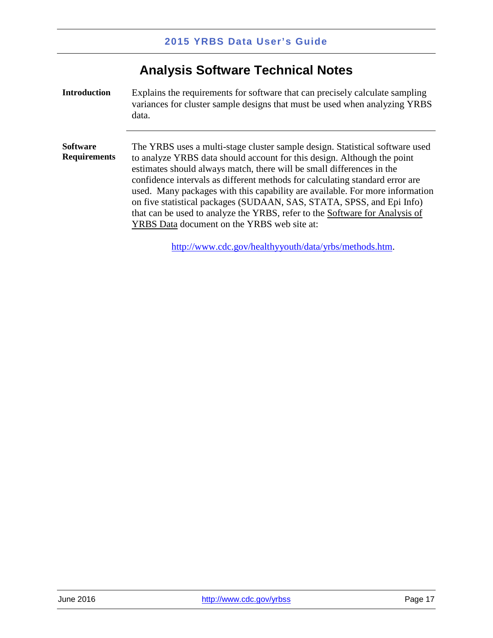## **Analysis Software Technical Notes**

<span id="page-19-2"></span><span id="page-19-1"></span><span id="page-19-0"></span>**Introduction** Explains the requirements for software that can precisely calculate sampling variances for cluster sample designs that must be used when analyzing YRBS data. **Software Requirements**  The YRBS uses a multi-stage cluster sample design. Statistical software used to analyze YRBS data should account for this design. Although the point estimates should always match, there will be small differences in the confidence intervals as different methods for calculating standard error are used. Many packages with this capability are available. For more information on five statistical packages (SUDAAN, SAS, STATA, SPSS, and Epi Info) that can be used to analyze the YRBS, refer to the Software for Analysis of YRBS Data document on the YRBS web site at:

[http://www.cdc.gov/healthyyouth/data/yrbs/methods.htm.](http://www.cdc.gov/healthyyouth/data/yrbs/methods.htm)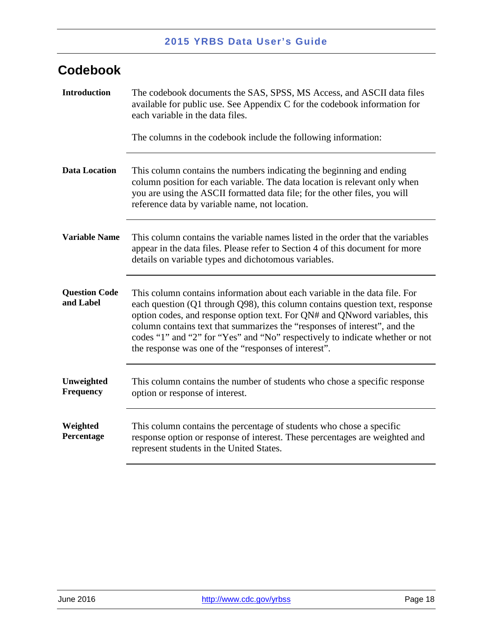## <span id="page-20-0"></span>**Codebook**

<span id="page-20-6"></span><span id="page-20-5"></span><span id="page-20-4"></span><span id="page-20-3"></span><span id="page-20-2"></span><span id="page-20-1"></span>

| <b>Introduction</b>               | The codebook documents the SAS, SPSS, MS Access, and ASCII data files<br>available for public use. See Appendix C for the codebook information for<br>each variable in the data files.<br>The columns in the codebook include the following information:                                                                                                                                                                                                      |
|-----------------------------------|---------------------------------------------------------------------------------------------------------------------------------------------------------------------------------------------------------------------------------------------------------------------------------------------------------------------------------------------------------------------------------------------------------------------------------------------------------------|
| <b>Data Location</b>              | This column contains the numbers indicating the beginning and ending<br>column position for each variable. The data location is relevant only when<br>you are using the ASCII formatted data file; for the other files, you will<br>reference data by variable name, not location.                                                                                                                                                                            |
| <b>Variable Name</b>              | This column contains the variable names listed in the order that the variables<br>appear in the data files. Please refer to Section 4 of this document for more<br>details on variable types and dichotomous variables.                                                                                                                                                                                                                                       |
| <b>Question Code</b><br>and Label | This column contains information about each variable in the data file. For<br>each question (Q1 through Q98), this column contains question text, response<br>option codes, and response option text. For QN# and QNword variables, this<br>column contains text that summarizes the "responses of interest", and the<br>codes "1" and "2" for "Yes" and "No" respectively to indicate whether or not<br>the response was one of the "responses of interest". |
| Unweighted<br><b>Frequency</b>    | This column contains the number of students who chose a specific response<br>option or response of interest.                                                                                                                                                                                                                                                                                                                                                  |
| Weighted<br>Percentage            | This column contains the percentage of students who chose a specific<br>response option or response of interest. These percentages are weighted and<br>represent students in the United States.                                                                                                                                                                                                                                                               |
|                                   |                                                                                                                                                                                                                                                                                                                                                                                                                                                               |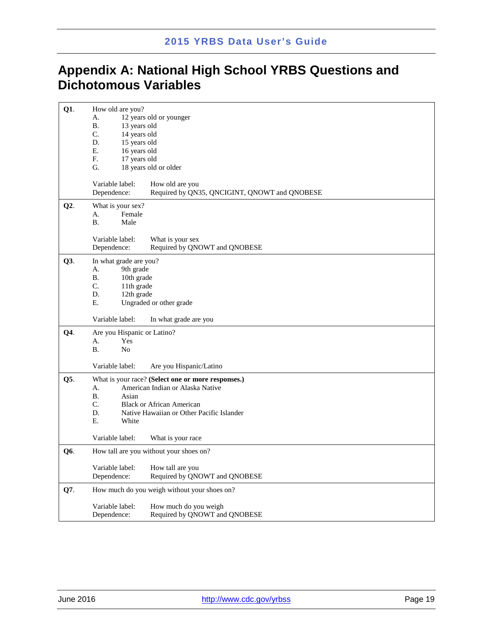## <span id="page-21-0"></span>**Appendix A: National High School YRBS Questions and Dichotomous Variables**

| $Q1$ . | How old are you?<br>A.<br><b>B.</b><br>13 years old<br>C.<br>14 years old<br>D.<br>15 years old<br>Е.<br>16 years old<br>F.<br>17 years old<br>G. | 12 years old or younger<br>18 years old or older                                                                                                                        |
|--------|---------------------------------------------------------------------------------------------------------------------------------------------------|-------------------------------------------------------------------------------------------------------------------------------------------------------------------------|
|        | Variable label:<br>Dependence:                                                                                                                    | How old are you<br>Required by QN35, QNCIGINT, QNOWT and QNOBESE                                                                                                        |
| Q2.    | What is your sex?<br>Female<br>А.<br><b>B.</b><br>Male                                                                                            |                                                                                                                                                                         |
|        | Variable label:<br>Dependence:                                                                                                                    | What is your sex<br>Required by QNOWT and QNOBESE                                                                                                                       |
| Q3.    | In what grade are you?<br>9th grade<br>А.<br><b>B.</b><br>10th grade<br>C.<br>11th grade<br>D.<br>12th grade<br>Ε.                                | Ungraded or other grade                                                                                                                                                 |
|        | Variable label:                                                                                                                                   | In what grade are you                                                                                                                                                   |
| Q4.    | Are you Hispanic or Latino?<br>A.<br>Yes<br><b>B.</b><br>No                                                                                       |                                                                                                                                                                         |
|        | Variable label:                                                                                                                                   | Are you Hispanic/Latino                                                                                                                                                 |
| Q5.    | А.<br><b>B.</b><br>Asian<br>C.<br>D.<br>E.<br>White                                                                                               | What is your race? (Select one or more responses.)<br>American Indian or Alaska Native<br><b>Black or African American</b><br>Native Hawaiian or Other Pacific Islander |
|        | Variable label:                                                                                                                                   | What is your race                                                                                                                                                       |
| Q6.    |                                                                                                                                                   | How tall are you without your shoes on?                                                                                                                                 |
|        | Variable label:<br>Dependence:                                                                                                                    | How tall are you<br>Required by QNOWT and QNOBESE                                                                                                                       |
| Q7.    |                                                                                                                                                   | How much do you weigh without your shoes on?                                                                                                                            |
|        | Variable label:<br>Dependence:                                                                                                                    | How much do you weigh<br>Required by QNOWT and QNOBESE                                                                                                                  |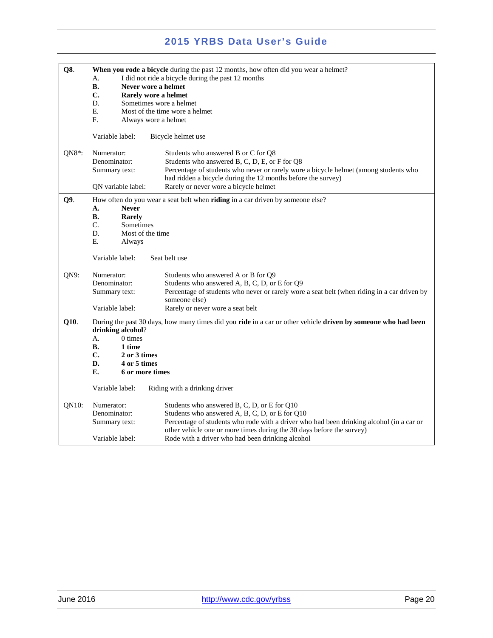| Q8.      | When you rode a bicycle during the past 12 months, how often did you wear a helmet?                                                |                                                                                             |  |
|----------|------------------------------------------------------------------------------------------------------------------------------------|---------------------------------------------------------------------------------------------|--|
|          | I did not ride a bicycle during the past 12 months<br>А.                                                                           |                                                                                             |  |
|          | <b>B.</b><br>Never wore a helmet                                                                                                   |                                                                                             |  |
|          |                                                                                                                                    |                                                                                             |  |
|          | C.                                                                                                                                 | Rarely wore a helmet                                                                        |  |
|          | D.                                                                                                                                 | Sometimes wore a helmet                                                                     |  |
|          | Е.                                                                                                                                 | Most of the time wore a helmet                                                              |  |
|          | F.<br>Always wore a helmet                                                                                                         |                                                                                             |  |
|          |                                                                                                                                    |                                                                                             |  |
|          | Variable label:                                                                                                                    | Bicycle helmet use                                                                          |  |
|          |                                                                                                                                    |                                                                                             |  |
| $QN8$ *: | Numerator:                                                                                                                         | Students who answered B or C for Q8                                                         |  |
|          | Denominator:                                                                                                                       | Students who answered B, C, D, E, or F for Q8                                               |  |
|          | Summary text:                                                                                                                      | Percentage of students who never or rarely wore a bicycle helmet (among students who        |  |
|          |                                                                                                                                    | had ridden a bicycle during the 12 months before the survey)                                |  |
|          |                                                                                                                                    |                                                                                             |  |
|          | QN variable label:                                                                                                                 | Rarely or never wore a bicycle helmet                                                       |  |
| Q9.      |                                                                                                                                    | How often do you wear a seat belt when riding in a car driven by someone else?              |  |
|          | A.<br><b>Never</b>                                                                                                                 |                                                                                             |  |
|          | <b>B.</b><br>Rarely                                                                                                                |                                                                                             |  |
|          | C.<br>Sometimes                                                                                                                    |                                                                                             |  |
|          | D.                                                                                                                                 |                                                                                             |  |
|          | Most of the time                                                                                                                   |                                                                                             |  |
|          | Е.<br>Always                                                                                                                       |                                                                                             |  |
|          | Variable label:                                                                                                                    | Seat belt use                                                                               |  |
| QN9:     | Numerator:                                                                                                                         | Students who answered A or B for Q9                                                         |  |
|          |                                                                                                                                    |                                                                                             |  |
|          | Denominator:                                                                                                                       | Students who answered A, B, C, D, or E for Q9                                               |  |
|          | Summary text:                                                                                                                      | Percentage of students who never or rarely wore a seat belt (when riding in a car driven by |  |
|          |                                                                                                                                    | someone else)                                                                               |  |
|          | Variable label:                                                                                                                    | Rarely or never wore a seat belt                                                            |  |
| Q10.     | During the past 30 days, how many times did you ride in a car or other vehicle driven by someone who had been<br>drinking alcohol? |                                                                                             |  |
|          | 0 times<br>А.                                                                                                                      |                                                                                             |  |
|          | <b>B.</b><br>1 time                                                                                                                |                                                                                             |  |
|          | C.<br>2 or 3 times                                                                                                                 |                                                                                             |  |
|          | D.<br>4 or 5 times                                                                                                                 |                                                                                             |  |
|          | Е.<br>6 or more times                                                                                                              |                                                                                             |  |
|          |                                                                                                                                    |                                                                                             |  |
|          | Variable label:                                                                                                                    | Riding with a drinking driver                                                               |  |
| QN10:    | Numerator:                                                                                                                         | Students who answered B, C, D, or E for Q10                                                 |  |
|          | Denominator:                                                                                                                       | Students who answered A, B, C, D, or E for Q10                                              |  |
|          | Summary text:                                                                                                                      | Percentage of students who rode with a driver who had been drinking alcohol (in a car or    |  |
|          |                                                                                                                                    |                                                                                             |  |
|          |                                                                                                                                    | other vehicle one or more times during the 30 days before the survey)                       |  |
|          | Variable label:                                                                                                                    | Rode with a driver who had been drinking alcohol                                            |  |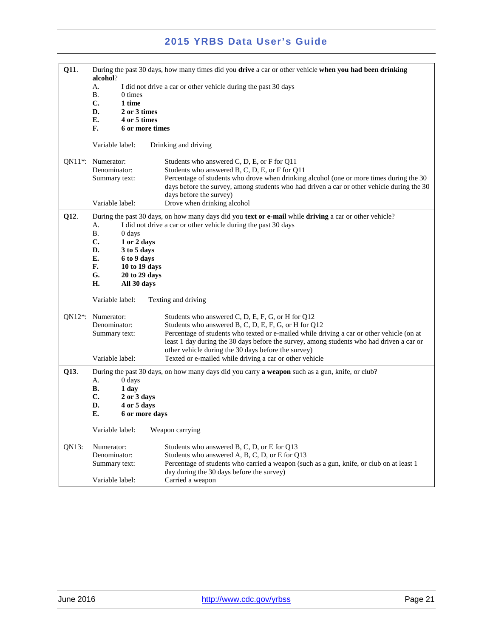| Q11.                  | During the past 30 days, how many times did you drive a car or other vehicle when you had been drinking<br>alcohol? |                              |                                                                                                                                                                          |
|-----------------------|---------------------------------------------------------------------------------------------------------------------|------------------------------|--------------------------------------------------------------------------------------------------------------------------------------------------------------------------|
|                       | А.                                                                                                                  |                              | I did not drive a car or other vehicle during the past 30 days                                                                                                           |
|                       | <b>B.</b>                                                                                                           | 0 times                      |                                                                                                                                                                          |
|                       | $\mathbf{C}$ .<br>D.                                                                                                | 1 time<br>2 or 3 times       |                                                                                                                                                                          |
|                       | E.                                                                                                                  | 4 or 5 times                 |                                                                                                                                                                          |
|                       | F.                                                                                                                  | 6 or more times              |                                                                                                                                                                          |
|                       | Variable label:                                                                                                     |                              | Drinking and driving                                                                                                                                                     |
|                       | QN11 <sup>*</sup> : Numerator:                                                                                      |                              | Students who answered C, D, E, or F for Q11                                                                                                                              |
|                       | Denominator:                                                                                                        |                              | Students who answered B, C, D, E, or F for Q11                                                                                                                           |
|                       | Summary text:                                                                                                       |                              | Percentage of students who drove when drinking alcohol (one or more times during the 30                                                                                  |
|                       |                                                                                                                     |                              | days before the survey, among students who had driven a car or other vehicle during the 30<br>days before the survey)                                                    |
|                       | Variable label:                                                                                                     |                              | Drove when drinking alcohol                                                                                                                                              |
|                       |                                                                                                                     |                              |                                                                                                                                                                          |
| Q12.                  | А.                                                                                                                  |                              | During the past 30 days, on how many days did you text or e-mail while driving a car or other vehicle?<br>I did not drive a car or other vehicle during the past 30 days |
|                       | <b>B.</b>                                                                                                           | 0 days                       |                                                                                                                                                                          |
|                       | $\mathbf{C}$ .                                                                                                      | 1 or 2 days                  |                                                                                                                                                                          |
|                       | D.                                                                                                                  | 3 to 5 days                  |                                                                                                                                                                          |
|                       | Е.                                                                                                                  | 6 to 9 days                  |                                                                                                                                                                          |
|                       | F.                                                                                                                  | 10 to 19 days                |                                                                                                                                                                          |
|                       | G.<br>H.                                                                                                            | 20 to 29 days<br>All 30 days |                                                                                                                                                                          |
|                       |                                                                                                                     |                              |                                                                                                                                                                          |
|                       | Variable label:                                                                                                     |                              | Texting and driving                                                                                                                                                      |
| $ON12$ <sup>*</sup> : | Numerator:                                                                                                          |                              | Students who answered C, D, E, F, G, or H for Q12                                                                                                                        |
|                       | Denominator:                                                                                                        |                              | Students who answered B, C, D, E, F, G, or H for Q12                                                                                                                     |
|                       | Summary text:                                                                                                       |                              | Percentage of students who texted or e-mailed while driving a car or other vehicle (on at                                                                                |
|                       |                                                                                                                     |                              | least 1 day during the 30 days before the survey, among students who had driven a car or<br>other vehicle during the 30 days before the survey)                          |
|                       | Variable label:                                                                                                     |                              | Texted or e-mailed while driving a car or other vehicle                                                                                                                  |
| Q13.                  |                                                                                                                     |                              | During the past 30 days, on how many days did you carry <b>a weapon</b> such as a gun, knife, or club?                                                                   |
|                       | А.                                                                                                                  | 0 days                       |                                                                                                                                                                          |
|                       | В.                                                                                                                  | 1 day                        |                                                                                                                                                                          |
|                       | $\mathbf{C}$ .                                                                                                      | 2 or 3 days                  |                                                                                                                                                                          |
|                       | D.                                                                                                                  | 4 or 5 days                  |                                                                                                                                                                          |
|                       | Е.                                                                                                                  | 6 or more days               |                                                                                                                                                                          |
|                       | Variable label:                                                                                                     |                              | Weapon carrying                                                                                                                                                          |
| QN13:                 | Numerator:                                                                                                          |                              | Students who answered B, C, D, or E for Q13                                                                                                                              |
|                       | Denominator:                                                                                                        |                              | Students who answered A, B, C, D, or E for Q13                                                                                                                           |
|                       | Summary text:                                                                                                       |                              | Percentage of students who carried a weapon (such as a gun, knife, or club on at least 1                                                                                 |
|                       | Variable label:                                                                                                     |                              | day during the 30 days before the survey)<br>Carried a weapon                                                                                                            |
|                       |                                                                                                                     |                              |                                                                                                                                                                          |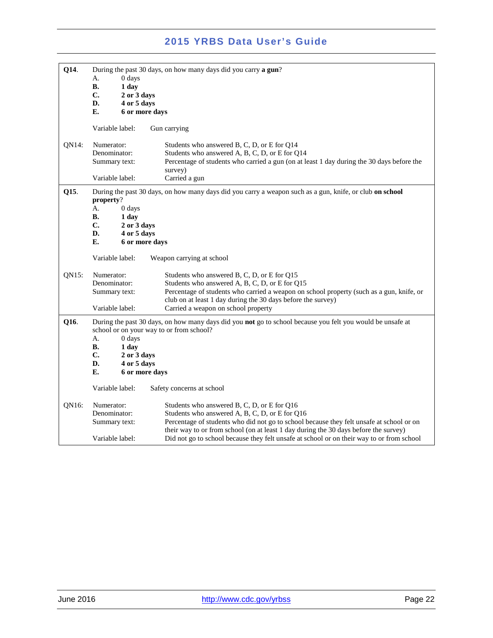| Q14.  | During the past 30 days, on how many days did you carry a gun?                                                                                         |                                                                                                          |
|-------|--------------------------------------------------------------------------------------------------------------------------------------------------------|----------------------------------------------------------------------------------------------------------|
|       | А.                                                                                                                                                     |                                                                                                          |
|       | 0 days                                                                                                                                                 |                                                                                                          |
|       | <b>B.</b><br>1 day                                                                                                                                     |                                                                                                          |
|       | C.<br>2 or 3 days                                                                                                                                      |                                                                                                          |
|       | D.<br>4 or 5 days                                                                                                                                      |                                                                                                          |
|       | Е.<br>6 or more days                                                                                                                                   |                                                                                                          |
|       |                                                                                                                                                        |                                                                                                          |
|       | Variable label:                                                                                                                                        | Gun carrying                                                                                             |
| QN14: | Numerator:                                                                                                                                             | Students who answered B, C, D, or E for Q14                                                              |
|       | Denominator:                                                                                                                                           | Students who answered A, B, C, D, or E for Q14                                                           |
|       |                                                                                                                                                        |                                                                                                          |
|       | Summary text:                                                                                                                                          | Percentage of students who carried a gun (on at least 1 day during the 30 days before the                |
|       |                                                                                                                                                        | survey)                                                                                                  |
|       | Variable label:                                                                                                                                        | Carried a gun                                                                                            |
| Q15.  | property?                                                                                                                                              | During the past 30 days, on how many days did you carry a weapon such as a gun, knife, or club on school |
|       | A.<br>0 days                                                                                                                                           |                                                                                                          |
|       | В.<br>1 day                                                                                                                                            |                                                                                                          |
|       |                                                                                                                                                        |                                                                                                          |
|       | C.<br>2 or 3 days                                                                                                                                      |                                                                                                          |
|       | D.<br>4 or 5 days                                                                                                                                      |                                                                                                          |
|       | Е.<br>6 or more days                                                                                                                                   |                                                                                                          |
|       | Variable label:                                                                                                                                        | Weapon carrying at school                                                                                |
| QN15: | Numerator:                                                                                                                                             | Students who answered B, C, D, or E for Q15                                                              |
|       |                                                                                                                                                        |                                                                                                          |
|       | Denominator:                                                                                                                                           | Students who answered A, B, C, D, or E for Q15                                                           |
|       | Summary text:                                                                                                                                          | Percentage of students who carried a weapon on school property (such as a gun, knife, or                 |
|       |                                                                                                                                                        | club on at least 1 day during the 30 days before the survey)                                             |
|       | Variable label:                                                                                                                                        | Carried a weapon on school property                                                                      |
| Q16.  | During the past 30 days, on how many days did you not go to school because you felt you would be unsafe at<br>school or on your way to or from school? |                                                                                                          |
|       | А.<br>0 days                                                                                                                                           |                                                                                                          |
|       | В.<br>1 day                                                                                                                                            |                                                                                                          |
|       | C.<br>2 or 3 days                                                                                                                                      |                                                                                                          |
|       | D.<br>4 or 5 days                                                                                                                                      |                                                                                                          |
|       | Е.                                                                                                                                                     |                                                                                                          |
|       | 6 or more days                                                                                                                                         |                                                                                                          |
|       | Variable label:                                                                                                                                        | Safety concerns at school                                                                                |
| QN16: | Numerator:                                                                                                                                             | Students who answered B, C, D, or E for Q16                                                              |
|       | Denominator:                                                                                                                                           | Students who answered A, B, C, D, or E for Q16                                                           |
|       |                                                                                                                                                        |                                                                                                          |
|       | Summary text:                                                                                                                                          | Percentage of students who did not go to school because they felt unsafe at school or on                 |
|       |                                                                                                                                                        | their way to or from school (on at least 1 day during the 30 days before the survey)                     |
|       | Variable label:                                                                                                                                        | Did not go to school because they felt unsafe at school or on their way to or from school                |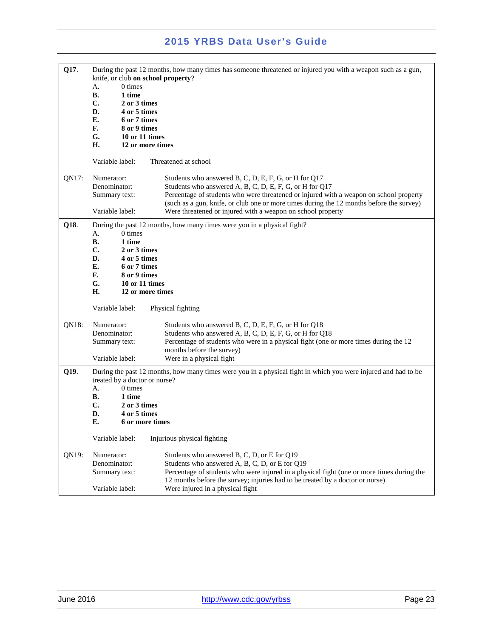| Q17.  | knife, or club on school property?<br>$0 \times$<br>А.<br><b>B.</b><br>1 time<br>C.<br>2 or 3 times<br>D.<br>4 or 5 times<br>E.<br>6 or 7 times<br>F.<br>8 or 9 times<br>G.<br>10 or 11 times<br>H.<br>12 or more times                                                           | During the past 12 months, how many times has someone threatened or injured you with a weapon such as a gun,                                                                                                                                                                                                                                                         |
|-------|-----------------------------------------------------------------------------------------------------------------------------------------------------------------------------------------------------------------------------------------------------------------------------------|----------------------------------------------------------------------------------------------------------------------------------------------------------------------------------------------------------------------------------------------------------------------------------------------------------------------------------------------------------------------|
|       | Variable label:                                                                                                                                                                                                                                                                   | Threatened at school                                                                                                                                                                                                                                                                                                                                                 |
| QN17: | Numerator:<br>Denominator:<br>Summary text:<br>Variable label:                                                                                                                                                                                                                    | Students who answered B, C, D, E, F, G, or H for Q17<br>Students who answered A, B, C, D, E, F, G, or H for Q17<br>Percentage of students who were threatened or injured with a weapon on school property<br>(such as a gun, knife, or club one or more times during the 12 months before the survey)<br>Were threatened or injured with a weapon on school property |
| Q18.  | 0 times<br>А.<br><b>B.</b><br>1 time<br>C.<br>2 or 3 times<br>D.<br>4 or 5 times<br>E.<br>6 or 7 times<br>F.<br>8 or 9 times<br>G.<br>10 or 11 times<br>Н.<br>12 or more times                                                                                                    | During the past 12 months, how many times were you in a physical fight?                                                                                                                                                                                                                                                                                              |
|       | Variable label:                                                                                                                                                                                                                                                                   | Physical fighting                                                                                                                                                                                                                                                                                                                                                    |
| QN18: | Numerator:<br>Denominator:<br>Summary text:<br>Variable label:                                                                                                                                                                                                                    | Students who answered B, C, D, E, F, G, or H for Q18<br>Students who answered A, B, C, D, E, F, G, or H for Q18<br>Percentage of students who were in a physical fight (one or more times during the 12<br>months before the survey)                                                                                                                                 |
| Q19.  | Were in a physical fight<br>During the past 12 months, how many times were you in a physical fight in which you were injured and had to be<br>treated by a doctor or nurse?<br>0 times<br>A.<br>В.<br>1 time<br>C.<br>2 or 3 times<br>D.<br>4 or 5 times<br>Е.<br>6 or more times |                                                                                                                                                                                                                                                                                                                                                                      |
|       | Variable label:                                                                                                                                                                                                                                                                   | Injurious physical fighting                                                                                                                                                                                                                                                                                                                                          |
| QN19: | Numerator:<br>Denominator:<br>Summary text:                                                                                                                                                                                                                                       | Students who answered B, C, D, or E for Q19<br>Students who answered A, B, C, D, or E for Q19<br>Percentage of students who were injured in a physical fight (one or more times during the<br>12 months before the survey; injuries had to be treated by a doctor or nurse)                                                                                          |
|       | Variable label:                                                                                                                                                                                                                                                                   | Were injured in a physical fight                                                                                                                                                                                                                                                                                                                                     |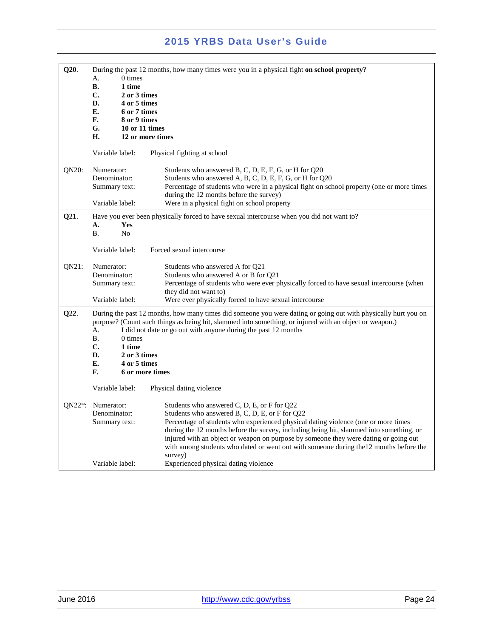| Q20.                  | $0 \times$<br>А.<br><b>B.</b><br>1 time<br>C.<br>2 or 3 times<br>D.<br>4 or 5 times<br>E.<br>6 or 7 times<br>F.<br>8 or 9 times<br>G.<br>10 or 11 times<br>Н.<br>12 or more times | During the past 12 months, how many times were you in a physical fight on school property?                                                                                                                                                                                                                                                                                                                                                                                                                          |
|-----------------------|-----------------------------------------------------------------------------------------------------------------------------------------------------------------------------------|---------------------------------------------------------------------------------------------------------------------------------------------------------------------------------------------------------------------------------------------------------------------------------------------------------------------------------------------------------------------------------------------------------------------------------------------------------------------------------------------------------------------|
|                       | Variable label:                                                                                                                                                                   | Physical fighting at school                                                                                                                                                                                                                                                                                                                                                                                                                                                                                         |
| QN20:                 | Numerator:<br>Denominator:<br>Summary text:<br>Variable label:                                                                                                                    | Students who answered B, C, D, E, F, G, or H for Q20<br>Students who answered A, B, C, D, E, F, G, or H for Q20<br>Percentage of students who were in a physical fight on school property (one or more times<br>during the 12 months before the survey)<br>Were in a physical fight on school property                                                                                                                                                                                                              |
| Q21.                  | А.<br>Yes<br><b>B.</b><br>N <sub>o</sub>                                                                                                                                          | Have you ever been physically forced to have sexual intercourse when you did not want to?                                                                                                                                                                                                                                                                                                                                                                                                                           |
|                       | Variable label:                                                                                                                                                                   | Forced sexual intercourse                                                                                                                                                                                                                                                                                                                                                                                                                                                                                           |
| QN21:                 | Numerator:<br>Denominator:<br>Summary text:<br>Variable label:                                                                                                                    | Students who answered A for Q21<br>Students who answered A or B for Q21<br>Percentage of students who were ever physically forced to have sexual intercourse (when<br>they did not want to)<br>Were ever physically forced to have sexual intercourse                                                                                                                                                                                                                                                               |
| Q22.                  | A.<br><b>B.</b><br>0 times<br>C.<br>1 time<br>D.<br>2 or 3 times<br>E.<br>4 or 5 times<br>F.<br>6 or more times<br>Variable label:                                                | During the past 12 months, how many times did someone you were dating or going out with physically hurt you on<br>purpose? (Count such things as being hit, slammed into something, or injured with an object or weapon.)<br>I did not date or go out with anyone during the past 12 months<br>Physical dating violence                                                                                                                                                                                             |
| $ON22$ <sup>*</sup> : | Numerator:<br>Denominator:<br>Summary text:<br>Variable label:                                                                                                                    | Students who answered C, D, E, or F for Q22<br>Students who answered B, C, D, E, or F for Q22<br>Percentage of students who experienced physical dating violence (one or more times<br>during the 12 months before the survey, including being hit, slammed into something, or<br>injured with an object or weapon on purpose by someone they were dating or going out<br>with among students who dated or went out with someone during the 12 months before the<br>survey)<br>Experienced physical dating violence |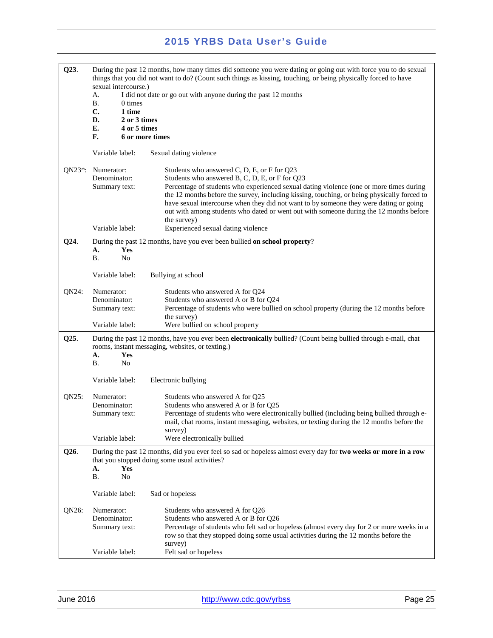| Q23.                  | sexual intercourse.)<br>А.<br><b>B.</b><br>0 times<br>C.<br>1 time<br>D.<br>2 or 3 times<br>E.<br>F. | During the past 12 months, how many times did someone you were dating or going out with force you to do sexual<br>things that you did not want to do? (Count such things as kissing, touching, or being physically forced to have<br>I did not date or go out with anyone during the past 12 months<br>4 or 5 times<br>6 or more times                                                                                                                                                     |
|-----------------------|------------------------------------------------------------------------------------------------------|--------------------------------------------------------------------------------------------------------------------------------------------------------------------------------------------------------------------------------------------------------------------------------------------------------------------------------------------------------------------------------------------------------------------------------------------------------------------------------------------|
|                       | Variable label:                                                                                      | Sexual dating violence                                                                                                                                                                                                                                                                                                                                                                                                                                                                     |
| $ON23$ <sup>*</sup> : | Numerator:<br>Denominator:<br>Summary text:                                                          | Students who answered C, D, E, or F for Q23<br>Students who answered B, C, D, E, or F for Q23<br>Percentage of students who experienced sexual dating violence (one or more times during<br>the 12 months before the survey, including kissing, touching, or being physically forced to<br>have sexual intercourse when they did not want to by someone they were dating or going<br>out with among students who dated or went out with someone during the 12 months before<br>the survey) |
|                       | Variable label:                                                                                      | Experienced sexual dating violence                                                                                                                                                                                                                                                                                                                                                                                                                                                         |
| Q24.                  | A.<br>Yes<br>В.<br>No                                                                                | During the past 12 months, have you ever been bullied on school property?                                                                                                                                                                                                                                                                                                                                                                                                                  |
|                       | Variable label:                                                                                      | Bullying at school                                                                                                                                                                                                                                                                                                                                                                                                                                                                         |
| QN24:                 | Numerator:<br>Denominator:<br>Summary text:                                                          | Students who answered A for Q24<br>Students who answered A or B for Q24<br>Percentage of students who were bullied on school property (during the 12 months before<br>the survey)                                                                                                                                                                                                                                                                                                          |
|                       | Variable label:                                                                                      | Were bullied on school property                                                                                                                                                                                                                                                                                                                                                                                                                                                            |
| Q25.                  | A.<br>Yes<br><b>B.</b><br>N <sub>o</sub>                                                             | During the past 12 months, have you ever been <b>electronically</b> bullied? (Count being bullied through e-mail, chat<br>rooms, instant messaging, websites, or texting.)                                                                                                                                                                                                                                                                                                                 |
|                       | Variable label:                                                                                      | Electronic bullying                                                                                                                                                                                                                                                                                                                                                                                                                                                                        |
| QN25:                 | Numerator:<br>Denominator:<br>Summary text:<br>Variable label:                                       | Students who answered A for Q25<br>Students who answered A or B for Q25<br>Percentage of students who were electronically bullied (including being bullied through e-<br>mail, chat rooms, instant messaging, websites, or texting during the 12 months before the<br>survey)<br>Were electronically bullied                                                                                                                                                                               |
| Q26.                  | A.<br>Yes<br><b>B.</b><br>N <sub>o</sub>                                                             | During the past 12 months, did you ever feel so sad or hopeless almost every day for two weeks or more in a row<br>that you stopped doing some usual activities?                                                                                                                                                                                                                                                                                                                           |
|                       | Variable label:                                                                                      | Sad or hopeless                                                                                                                                                                                                                                                                                                                                                                                                                                                                            |
| QN26:                 | Numerator:<br>Denominator:<br>Summary text:                                                          | Students who answered A for Q26<br>Students who answered A or B for Q26<br>Percentage of students who felt sad or hopeless (almost every day for 2 or more weeks in a<br>row so that they stopped doing some usual activities during the 12 months before the<br>survey)                                                                                                                                                                                                                   |
|                       | Variable label:                                                                                      | Felt sad or hopeless                                                                                                                                                                                                                                                                                                                                                                                                                                                                       |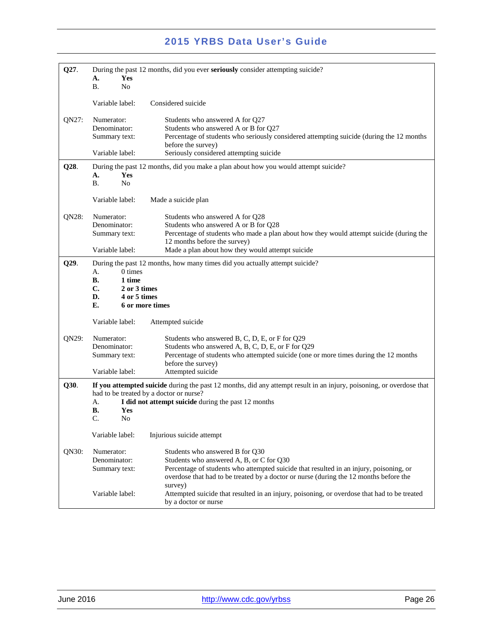| Q27.  | During the past 12 months, did you ever seriously consider attempting suicide?                     |                                                                                                                                                                                                                                                                           |
|-------|----------------------------------------------------------------------------------------------------|---------------------------------------------------------------------------------------------------------------------------------------------------------------------------------------------------------------------------------------------------------------------------|
|       | Yes<br>A.<br><b>B.</b><br>N <sub>0</sub>                                                           |                                                                                                                                                                                                                                                                           |
|       | Variable label:                                                                                    | Considered suicide                                                                                                                                                                                                                                                        |
| QN27: | Numerator:<br>Denominator:<br>Summary text:                                                        | Students who answered A for Q27<br>Students who answered A or B for Q27<br>Percentage of students who seriously considered attempting suicide (during the 12 months<br>before the survey)                                                                                 |
|       | Variable label:                                                                                    | Seriously considered attempting suicide                                                                                                                                                                                                                                   |
| Q28.  | Yes<br>A.<br>Β.<br>N <sub>o</sub>                                                                  | During the past 12 months, did you make a plan about how you would attempt suicide?                                                                                                                                                                                       |
|       | Variable label:                                                                                    | Made a suicide plan                                                                                                                                                                                                                                                       |
| QN28: | Numerator:<br>Denominator:<br>Summary text:                                                        | Students who answered A for Q28<br>Students who answered A or B for Q28<br>Percentage of students who made a plan about how they would attempt suicide (during the<br>12 months before the survey)                                                                        |
|       | Variable label:                                                                                    | Made a plan about how they would attempt suicide                                                                                                                                                                                                                          |
| Q29.  | 0 times<br>А.<br>В.<br>1 time<br>C.<br>2 or 3 times<br>4 or 5 times<br>D.<br>E.<br>6 or more times | During the past 12 months, how many times did you actually attempt suicide?                                                                                                                                                                                               |
|       | Variable label:                                                                                    | Attempted suicide                                                                                                                                                                                                                                                         |
| QN29: | Numerator:<br>Denominator:<br>Summary text:<br>Variable label:                                     | Students who answered B, C, D, E, or F for Q29<br>Students who answered A, B, C, D, E, or F for Q29<br>Percentage of students who attempted suicide (one or more times during the 12 months<br>before the survey)<br>Attempted suicide                                    |
| Q30.  | A.<br>В.<br>Yes<br>C.<br>No                                                                        | If you attempted suicide during the past 12 months, did any attempt result in an injury, poisoning, or overdose that<br>had to be treated by a doctor or nurse?<br>I did not attempt suicide during the past 12 months                                                    |
|       | Variable label:                                                                                    | Injurious suicide attempt                                                                                                                                                                                                                                                 |
| QN30: | Numerator:<br>Denominator:<br>Summary text:                                                        | Students who answered B for Q30<br>Students who answered A, B, or C for Q30<br>Percentage of students who attempted suicide that resulted in an injury, poisoning, or<br>overdose that had to be treated by a doctor or nurse (during the 12 months before the<br>survey) |
|       | Variable label:                                                                                    | Attempted suicide that resulted in an injury, poisoning, or overdose that had to be treated<br>by a doctor or nurse                                                                                                                                                       |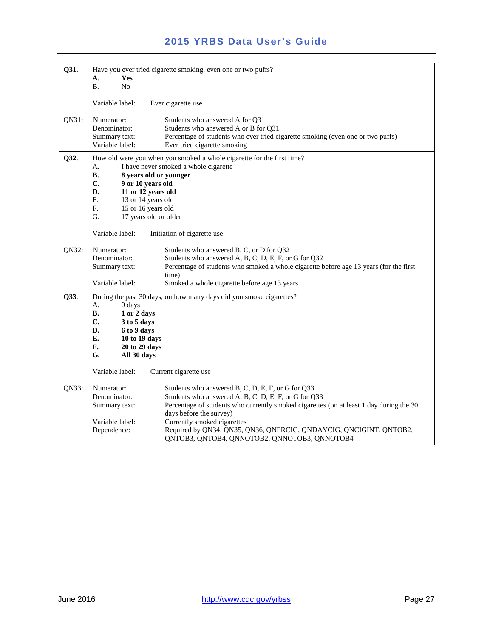| Q31.  | Have you ever tried cigarette smoking, even one or two puffs?<br>Yes<br>А.<br><b>B.</b><br>N <sub>o</sub>                                                                        |                                                                                                                                                                                                                                 |  |
|-------|----------------------------------------------------------------------------------------------------------------------------------------------------------------------------------|---------------------------------------------------------------------------------------------------------------------------------------------------------------------------------------------------------------------------------|--|
|       | Variable label:                                                                                                                                                                  | Ever cigarette use                                                                                                                                                                                                              |  |
| QN31: | Numerator:<br>Denominator:<br>Summary text:<br>Variable label:                                                                                                                   | Students who answered A for Q31<br>Students who answered A or B for Q31<br>Percentage of students who ever tried cigarette smoking (even one or two puffs)<br>Ever tried cigarette smoking                                      |  |
| Q32.  | А.<br>В.<br>8 years old or younger<br>C.<br>9 or 10 years old<br>D.<br>11 or 12 years old<br>Е.<br>13 or 14 years old<br>F.<br>15 or 16 years old<br>G.<br>17 years old or older | How old were you when you smoked a whole cigarette for the first time?<br>I have never smoked a whole cigarette                                                                                                                 |  |
| QN32: | Variable label:<br>Numerator:<br>Denominator:                                                                                                                                    | Initiation of cigarette use<br>Students who answered B, C, or D for Q32<br>Students who answered A, B, C, D, E, F, or G for Q32                                                                                                 |  |
|       | Summary text:<br>Variable label:                                                                                                                                                 | Percentage of students who smoked a whole cigarette before age 13 years (for the first<br>time)<br>Smoked a whole cigarette before age 13 years                                                                                 |  |
| Q33.  | 0 days<br>А.<br>В.<br>1 or 2 days<br>C.<br>3 to 5 days<br>D.<br>6 to 9 days<br>Е.<br>10 to 19 days<br>F.<br>20 to 29 days<br>G.<br>All 30 days                                   | During the past 30 days, on how many days did you smoke cigarettes?                                                                                                                                                             |  |
|       | Variable label:                                                                                                                                                                  | Current cigarette use                                                                                                                                                                                                           |  |
| QN33: | Numerator:<br>Denominator:<br>Summary text:                                                                                                                                      | Students who answered B, C, D, E, F, or G for Q33<br>Students who answered A, B, C, D, E, F, or G for Q33<br>Percentage of students who currently smoked cigarettes (on at least 1 day during the 30<br>days before the survey) |  |
|       | Variable label:<br>Dependence:                                                                                                                                                   | Currently smoked cigarettes<br>Required by QN34. QN35, QN36, QNFRCIG, QNDAYCIG, QNCIGINT, QNTOB2,<br>QNTOB3, QNTOB4, QNNOTOB2, QNNOTOB3, QNNOTOB4                                                                               |  |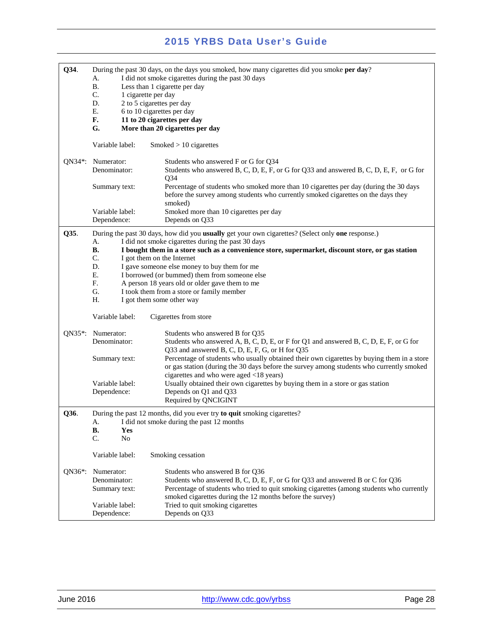| Q34.                | During the past 30 days, on the days you smoked, how many cigarettes did you smoke per day? |                                                                                                                                                                                       |  |  |
|---------------------|---------------------------------------------------------------------------------------------|---------------------------------------------------------------------------------------------------------------------------------------------------------------------------------------|--|--|
|                     | I did not smoke cigarettes during the past 30 days<br>A.                                    |                                                                                                                                                                                       |  |  |
|                     | <b>B.</b><br>Less than 1 cigarette per day                                                  |                                                                                                                                                                                       |  |  |
|                     | C.                                                                                          | 1 cigarette per day                                                                                                                                                                   |  |  |
|                     | D.                                                                                          | 2 to 5 cigarettes per day                                                                                                                                                             |  |  |
|                     | Ε.                                                                                          | 6 to 10 cigarettes per day                                                                                                                                                            |  |  |
|                     | F.                                                                                          | 11 to 20 cigarettes per day                                                                                                                                                           |  |  |
|                     | G.                                                                                          | More than 20 cigarettes per day                                                                                                                                                       |  |  |
|                     | Variable label:                                                                             | Smoked $> 10$ cigarettes                                                                                                                                                              |  |  |
|                     |                                                                                             |                                                                                                                                                                                       |  |  |
|                     | QN34*: Numerator:<br>Denominator:                                                           | Students who answered F or G for Q34<br>Students who answered B, C, D, E, F, or G for Q33 and answered B, C, D, E, F, or G for<br>Q <sub>34</sub>                                     |  |  |
|                     | Summary text:                                                                               | Percentage of students who smoked more than 10 cigarettes per day (during the 30 days<br>before the survey among students who currently smoked cigarettes on the days they<br>smoked) |  |  |
|                     | Variable label:                                                                             | Smoked more than 10 cigarettes per day                                                                                                                                                |  |  |
|                     | Dependence:                                                                                 | Depends on Q33                                                                                                                                                                        |  |  |
| Q35.                |                                                                                             | During the past 30 days, how did you usually get your own cigarettes? (Select only one response.)                                                                                     |  |  |
|                     | А.                                                                                          | I did not smoke cigarettes during the past 30 days                                                                                                                                    |  |  |
|                     | В.                                                                                          | I bought them in a store such as a convenience store, supermarket, discount store, or gas station                                                                                     |  |  |
|                     | C.                                                                                          | I got them on the Internet                                                                                                                                                            |  |  |
|                     | D.                                                                                          | I gave someone else money to buy them for me                                                                                                                                          |  |  |
|                     | Ε.                                                                                          | I borrowed (or bummed) them from someone else                                                                                                                                         |  |  |
|                     | F <sub>r</sub>                                                                              | A person 18 years old or older gave them to me                                                                                                                                        |  |  |
|                     | G.                                                                                          | I took them from a store or family member                                                                                                                                             |  |  |
|                     | Н.                                                                                          | I got them some other way                                                                                                                                                             |  |  |
|                     | Variable label:                                                                             | Cigarettes from store                                                                                                                                                                 |  |  |
| $QN35$ *:           | Numerator:                                                                                  | Students who answered B for Q35                                                                                                                                                       |  |  |
|                     | Denominator:                                                                                | Students who answered A, B, C, D, E, or F for Q1 and answered B, C, D, E, F, or G for                                                                                                 |  |  |
|                     |                                                                                             | Q33 and answered B, C, D, E, F, G, or H for Q35                                                                                                                                       |  |  |
|                     | Summary text:                                                                               | Percentage of students who usually obtained their own cigarettes by buying them in a store                                                                                            |  |  |
|                     |                                                                                             | or gas station (during the 30 days before the survey among students who currently smoked                                                                                              |  |  |
|                     |                                                                                             | cigarettes and who were aged <18 years)                                                                                                                                               |  |  |
|                     | Variable label:                                                                             | Usually obtained their own cigarettes by buying them in a store or gas station                                                                                                        |  |  |
|                     | Dependence:                                                                                 | Depends on Q1 and Q33                                                                                                                                                                 |  |  |
|                     |                                                                                             | Required by QNCIGINT                                                                                                                                                                  |  |  |
| Q36.                |                                                                                             | During the past 12 months, did you ever try to quit smoking cigarettes?                                                                                                               |  |  |
|                     |                                                                                             | A. I did not smoke during the past 12 months                                                                                                                                          |  |  |
|                     | <b>B.</b><br>Yes                                                                            |                                                                                                                                                                                       |  |  |
|                     | $\mathcal{C}$ .<br>N <sub>o</sub>                                                           |                                                                                                                                                                                       |  |  |
|                     | Variable label:                                                                             | Smoking cessation                                                                                                                                                                     |  |  |
| QN36 <sup>*</sup> : | Numerator:                                                                                  | Students who answered B for Q36                                                                                                                                                       |  |  |
|                     | Denominator:                                                                                | Students who answered B, C, D, E, F, or G for Q33 and answered B or C for Q36                                                                                                         |  |  |
|                     | Summary text:                                                                               | Percentage of students who tried to quit smoking cigarettes (among students who currently                                                                                             |  |  |
|                     |                                                                                             | smoked cigarettes during the 12 months before the survey)                                                                                                                             |  |  |
|                     |                                                                                             |                                                                                                                                                                                       |  |  |
|                     | Variable label:                                                                             | Tried to quit smoking cigarettes                                                                                                                                                      |  |  |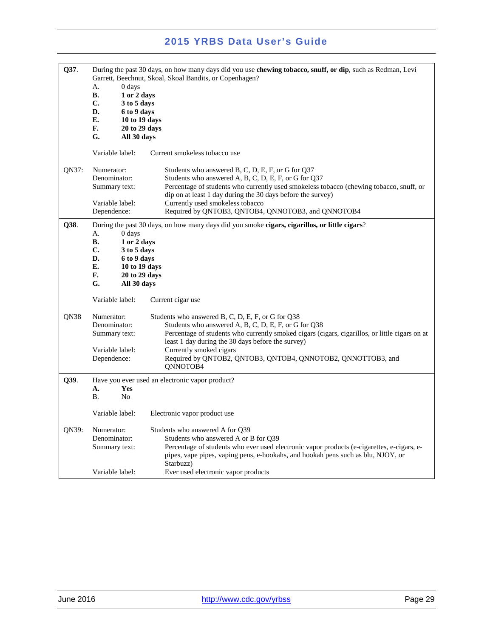| Q37.  | A.<br>0 days<br><b>B.</b><br>1 or 2 days<br>C.<br>3 to 5 days<br>D.<br>6 to 9 days<br>Е.<br>10 to 19 days<br>F.<br>20 to 29 days<br>G.<br>All 30 days<br>Variable label: | During the past 30 days, on how many days did you use chewing tobacco, snuff, or dip, such as Redman, Levi<br>Garrett, Beechnut, Skoal, Skoal Bandits, or Copenhagen?<br>Current smokeless tobacco use                                                                                                                                                                  |
|-------|--------------------------------------------------------------------------------------------------------------------------------------------------------------------------|-------------------------------------------------------------------------------------------------------------------------------------------------------------------------------------------------------------------------------------------------------------------------------------------------------------------------------------------------------------------------|
| QN37: | Numerator:<br>Denominator:<br>Summary text:<br>Variable label:<br>Dependence:                                                                                            | Students who answered B, C, D, E, F, or G for Q37<br>Students who answered A, B, C, D, E, F, or G for Q37<br>Percentage of students who currently used smokeless tobacco (chewing tobacco, snuff, or<br>dip on at least 1 day during the 30 days before the survey)<br>Currently used smokeless tobacco<br>Required by QNTOB3, QNTOB4, QNNOTOB3, and QNNOTOB4           |
| Q38.  | 0 days<br>А.<br>В.<br>1 or 2 days<br>C.<br>3 to 5 days<br>D.<br>6 to 9 days<br>E.<br>10 to 19 days<br>F.<br>20 to 29 days<br>G.<br>All 30 days<br>Variable label:        | During the past 30 days, on how many days did you smoke cigars, cigarillos, or little cigars?<br>Current cigar use                                                                                                                                                                                                                                                      |
| QN38  | Numerator:<br>Denominator:<br>Summary text:<br>Variable label:<br>Dependence:                                                                                            | Students who answered B, C, D, E, F, or G for Q38<br>Students who answered A, B, C, D, E, F, or G for Q38<br>Percentage of students who currently smoked cigars (cigars, cigarillos, or little cigars on at<br>least 1 day during the 30 days before the survey)<br>Currently smoked cigars<br>Required by QNTOB2, QNTOB3, QNTOB4, QNNOTOB2, QNNOTTOB3, and<br>ONNOTOB4 |
| Q39.  | A.<br>Yes<br><b>B.</b><br>N <sub>0</sub>                                                                                                                                 | Have you ever used an electronic vapor product?                                                                                                                                                                                                                                                                                                                         |
| QN39: | Variable label:<br>Numerator:<br>Denominator:<br>Summary text:<br>Variable label:                                                                                        | Electronic vapor product use<br>Students who answered A for Q39<br>Students who answered A or B for Q39<br>Percentage of students who ever used electronic vapor products (e-cigarettes, e-cigars, e-<br>pipes, vape pipes, vaping pens, e-hookahs, and hookah pens such as blu, NJOY, or<br>Starbuzz)<br>Ever used electronic vapor products                           |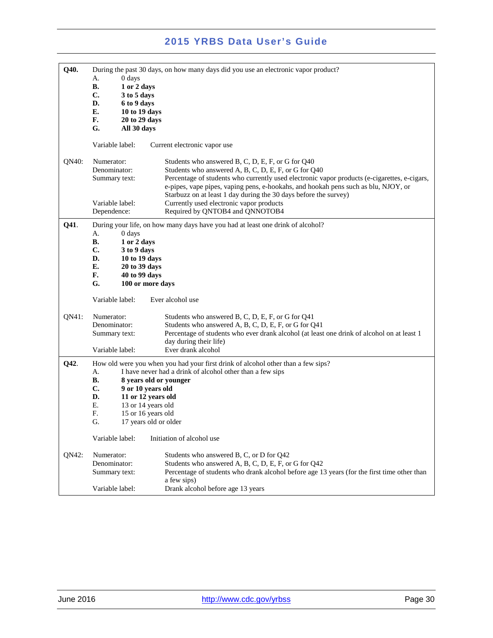| Q40.  | During the past 30 days, on how many days did you use an electronic vapor product? |                                                                                              |  |  |  |
|-------|------------------------------------------------------------------------------------|----------------------------------------------------------------------------------------------|--|--|--|
|       | $0$ days<br>А.<br>В.<br>1 or 2 days                                                |                                                                                              |  |  |  |
|       |                                                                                    |                                                                                              |  |  |  |
|       |                                                                                    |                                                                                              |  |  |  |
|       | C.<br>3 to 5 days                                                                  |                                                                                              |  |  |  |
|       | D.<br>6 to 9 days                                                                  |                                                                                              |  |  |  |
|       | Е.                                                                                 | 10 to 19 days                                                                                |  |  |  |
|       | F.                                                                                 | 20 to 29 days                                                                                |  |  |  |
|       | G.<br>All 30 days                                                                  |                                                                                              |  |  |  |
|       |                                                                                    |                                                                                              |  |  |  |
|       | Variable label:                                                                    | Current electronic vapor use                                                                 |  |  |  |
|       |                                                                                    |                                                                                              |  |  |  |
|       |                                                                                    |                                                                                              |  |  |  |
| QN40: | Numerator:                                                                         | Students who answered B, C, D, E, F, or G for Q40                                            |  |  |  |
|       | Denominator:                                                                       | Students who answered A, B, C, D, E, F, or G for Q40                                         |  |  |  |
|       | Summary text:                                                                      | Percentage of students who currently used electronic vapor products (e-cigarettes, e-cigars, |  |  |  |
|       |                                                                                    | e-pipes, vape pipes, vaping pens, e-hookahs, and hookah pens such as blu, NJOY, or           |  |  |  |
|       |                                                                                    | Starbuzz on at least 1 day during the 30 days before the survey)                             |  |  |  |
|       | Variable label:                                                                    | Currently used electronic vapor products                                                     |  |  |  |
|       | Dependence:                                                                        | Required by QNTOB4 and QNNOTOB4                                                              |  |  |  |
|       |                                                                                    |                                                                                              |  |  |  |
| Q41.  |                                                                                    | During your life, on how many days have you had at least one drink of alcohol?               |  |  |  |
|       | 0 days<br>А.                                                                       |                                                                                              |  |  |  |
|       | В.<br>1 or 2 days                                                                  |                                                                                              |  |  |  |
|       | C.<br>3 to 9 days                                                                  |                                                                                              |  |  |  |
|       | D.                                                                                 | 10 to 19 days                                                                                |  |  |  |
|       | Е.                                                                                 | 20 to 39 days                                                                                |  |  |  |
|       | F.                                                                                 | 40 to 99 days                                                                                |  |  |  |
|       | G.                                                                                 |                                                                                              |  |  |  |
|       | 100 or more days                                                                   |                                                                                              |  |  |  |
|       | Variable label:                                                                    | Ever alcohol use                                                                             |  |  |  |
| QN41: | Numerator:                                                                         | Students who answered B, C, D, E, F, or G for Q41                                            |  |  |  |
|       | Denominator:                                                                       | Students who answered A, B, C, D, E, F, or G for Q41                                         |  |  |  |
|       |                                                                                    |                                                                                              |  |  |  |
|       | Summary text:                                                                      | Percentage of students who ever drank alcohol (at least one drink of alcohol on at least 1   |  |  |  |
|       |                                                                                    | day during their life)                                                                       |  |  |  |
|       | Variable label:                                                                    | Ever drank alcohol                                                                           |  |  |  |
| Q42.  |                                                                                    | How old were you when you had your first drink of alcohol other than a few sips?             |  |  |  |
|       | А.                                                                                 |                                                                                              |  |  |  |
|       | I have never had a drink of alcohol other than a few sips                          |                                                                                              |  |  |  |
|       | В.<br>8 years old or younger                                                       |                                                                                              |  |  |  |
|       | C.<br>9 or 10 years old                                                            |                                                                                              |  |  |  |
|       | D.                                                                                 | 11 or 12 years old                                                                           |  |  |  |
|       | Ε.                                                                                 | 13 or 14 years old                                                                           |  |  |  |
|       | F.                                                                                 | 15 or 16 years old                                                                           |  |  |  |
|       | G.<br>17 years old or older                                                        |                                                                                              |  |  |  |
|       | Variable label:<br>Initiation of alcohol use                                       |                                                                                              |  |  |  |
|       |                                                                                    |                                                                                              |  |  |  |
| QN42: | Numerator:                                                                         | Students who answered B, C, or D for Q42                                                     |  |  |  |
|       | Denominator:                                                                       | Students who answered A, B, C, D, E, F, or G for Q42                                         |  |  |  |
|       | Summary text:                                                                      | Percentage of students who drank alcohol before age 13 years (for the first time other than  |  |  |  |
|       |                                                                                    |                                                                                              |  |  |  |
|       |                                                                                    | a few sips)                                                                                  |  |  |  |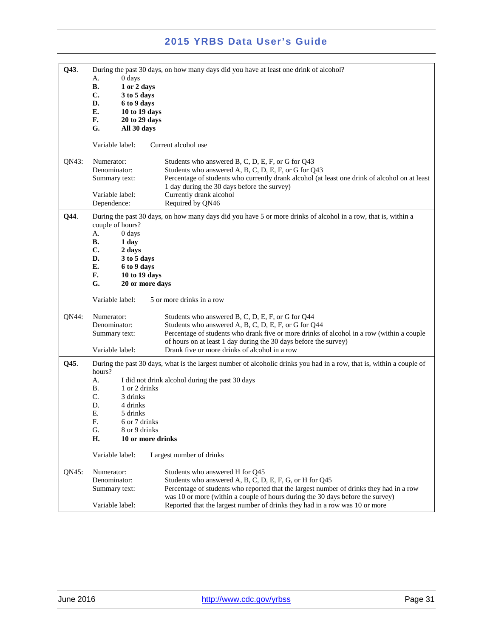| Q43.  | 0 days<br>А.<br>В.<br>1 or 2 days<br>C.<br>3 to 5 days<br>D.<br>6 to 9 days<br>E.<br>10 to 19 days<br>F.<br>20 to 29 days<br>G.                                                              | During the past 30 days, on how many days did you have at least one drink of alcohol?                                                                                                                                                                                                                                                                  |
|-------|----------------------------------------------------------------------------------------------------------------------------------------------------------------------------------------------|--------------------------------------------------------------------------------------------------------------------------------------------------------------------------------------------------------------------------------------------------------------------------------------------------------------------------------------------------------|
|       | All 30 days                                                                                                                                                                                  |                                                                                                                                                                                                                                                                                                                                                        |
|       | Variable label:                                                                                                                                                                              | Current alcohol use                                                                                                                                                                                                                                                                                                                                    |
| QN43: | Numerator:<br>Denominator:<br>Summary text:<br>Variable label:<br>Dependence:                                                                                                                | Students who answered B, C, D, E, F, or G for Q43<br>Students who answered A, B, C, D, E, F, or G for Q43<br>Percentage of students who currently drank alcohol (at least one drink of alcohol on at least<br>1 day during the 30 days before the survey)<br>Currently drank alcohol<br>Required by QN46                                               |
| Q44.  | couple of hours?<br>А.<br>0 days<br>В.<br>1 day<br>C.<br>2 days<br>D.<br>3 to 5 days<br>E.<br>6 to 9 days<br>F.<br>10 to 19 days<br>G.<br>20 or more days                                    | During the past 30 days, on how many days did you have 5 or more drinks of alcohol in a row, that is, within a                                                                                                                                                                                                                                         |
|       | Variable label:                                                                                                                                                                              | 5 or more drinks in a row                                                                                                                                                                                                                                                                                                                              |
| QN44: | Numerator:<br>Denominator:<br>Summary text:                                                                                                                                                  | Students who answered B, C, D, E, F, or G for Q44<br>Students who answered A, B, C, D, E, F, or G for Q44<br>Percentage of students who drank five or more drinks of alcohol in a row (within a couple<br>of hours on at least 1 day during the 30 days before the survey)                                                                             |
|       | Variable label:                                                                                                                                                                              | Drank five or more drinks of alcohol in a row                                                                                                                                                                                                                                                                                                          |
| Q45.  | hours?<br>А.<br><b>B.</b><br>1 or 2 drinks<br>C.<br>3 drinks<br>D.<br>4 drinks<br>Ε.<br>5 drinks<br>F.<br>6 or 7 drinks<br>G.<br>8 or 9 drinks<br>Н.<br>10 or more drinks<br>Variable label: | During the past 30 days, what is the largest number of alcoholic drinks you had in a row, that is, within a couple of<br>I did not drink alcohol during the past 30 days<br>Largest number of drinks                                                                                                                                                   |
| QN45: | Numerator:<br>Denominator:<br>Summary text:<br>Variable label:                                                                                                                               | Students who answered H for Q45<br>Students who answered A, B, C, D, E, F, G, or H for Q45<br>Percentage of students who reported that the largest number of drinks they had in a row<br>was 10 or more (within a couple of hours during the 30 days before the survey)<br>Reported that the largest number of drinks they had in a row was 10 or more |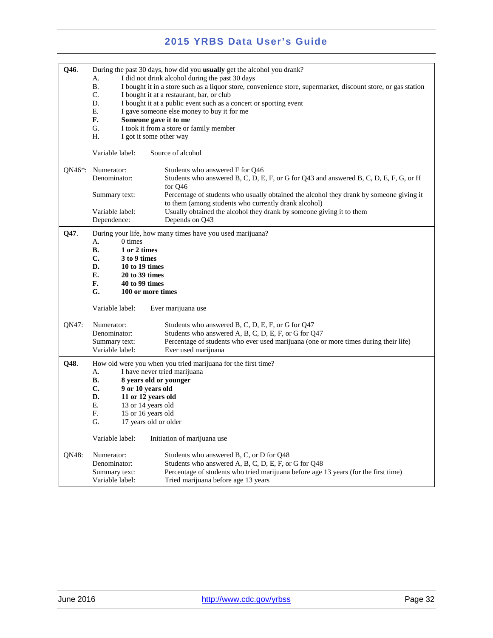| Q46.                 | During the past 30 days, how did you usually get the alcohol you drank? |                                                                                                               |  |
|----------------------|-------------------------------------------------------------------------|---------------------------------------------------------------------------------------------------------------|--|
|                      | A.                                                                      | I did not drink alcohol during the past 30 days                                                               |  |
|                      | <b>B.</b>                                                               | I bought it in a store such as a liquor store, convenience store, supermarket, discount store, or gas station |  |
|                      | C.                                                                      | I bought it at a restaurant, bar, or club                                                                     |  |
|                      | D.                                                                      | I bought it at a public event such as a concert or sporting event                                             |  |
|                      | Е.<br>F.                                                                | I gave someone else money to buy it for me                                                                    |  |
|                      | G.                                                                      | Someone gave it to me                                                                                         |  |
|                      | Н.                                                                      | I took it from a store or family member                                                                       |  |
|                      |                                                                         | I got it some other way                                                                                       |  |
|                      | Variable label:                                                         | Source of alcohol                                                                                             |  |
| QN46*:               | Numerator:                                                              | Students who answered F for Q46                                                                               |  |
|                      | Denominator:                                                            | Students who answered B, C, D, E, F, or G for Q43 and answered B, C, D, E, F, G, or H<br>for Q46              |  |
|                      | Summary text:                                                           | Percentage of students who usually obtained the alcohol they drank by someone giving it                       |  |
|                      |                                                                         | to them (among students who currently drank alcohol)                                                          |  |
|                      | Variable label:                                                         | Usually obtained the alcohol they drank by someone giving it to them                                          |  |
|                      | Dependence:                                                             | Depends on Q43                                                                                                |  |
| Q47.                 | During your life, how many times have you used marijuana?               |                                                                                                               |  |
|                      | 0 times<br>А.                                                           |                                                                                                               |  |
|                      | 1 or 2 times<br>В.                                                      |                                                                                                               |  |
|                      | C.<br>3 to 9 times                                                      |                                                                                                               |  |
|                      | D.<br>10 to 19 times                                                    |                                                                                                               |  |
| E.<br>20 to 39 times |                                                                         |                                                                                                               |  |
|                      | F.<br>40 to 99 times                                                    |                                                                                                               |  |
|                      | G.<br>100 or more times                                                 |                                                                                                               |  |
|                      | Variable label:                                                         | Ever marijuana use                                                                                            |  |
| QN47:                | Numerator:                                                              | Students who answered B, C, D, E, F, or G for Q47                                                             |  |
|                      | Denominator:                                                            | Students who answered A, B, C, D, E, F, or G for Q47                                                          |  |
|                      | Summary text:                                                           | Percentage of students who ever used marijuana (one or more times during their life)                          |  |
|                      | Variable label:                                                         | Ever used marijuana                                                                                           |  |
| Q48.                 |                                                                         | How old were you when you tried marijuana for the first time?                                                 |  |
|                      | A.                                                                      | I have never tried marijuana                                                                                  |  |
|                      | В.                                                                      | 8 years old or younger                                                                                        |  |
|                      | $\mathbf{C}$ .<br>9 or 10 years old                                     |                                                                                                               |  |
|                      | D.                                                                      | 11 or 12 years old                                                                                            |  |
|                      | Е.                                                                      | 13 or 14 years old                                                                                            |  |
|                      | F.                                                                      | 15 or 16 years old                                                                                            |  |
|                      | G.<br>17 years old or older                                             |                                                                                                               |  |
|                      | Variable label:                                                         | Initiation of marijuana use                                                                                   |  |
| QN48:                | Numerator:                                                              | Students who answered B, C, or D for Q48                                                                      |  |
|                      | Denominator:                                                            | Students who answered A, B, C, D, E, F, or G for Q48                                                          |  |
|                      | Summary text:                                                           | Percentage of students who tried marijuana before age 13 years (for the first time)                           |  |
|                      | Variable label:                                                         | Tried marijuana before age 13 years                                                                           |  |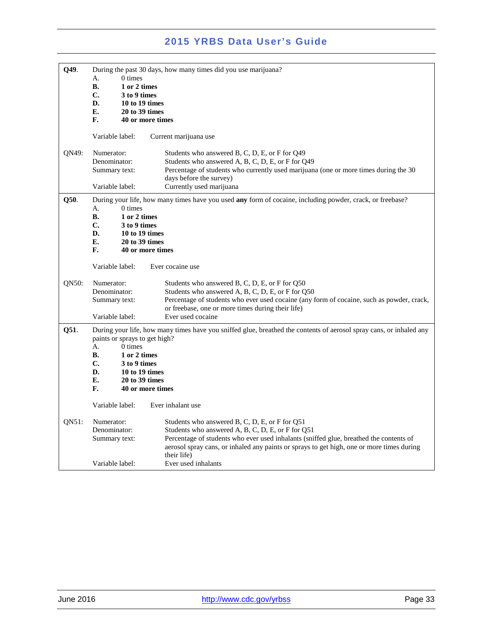| Q49.  | During the past 30 days, how many times did you use marijuana?                                                                                       |                                                                                                           |  |  |
|-------|------------------------------------------------------------------------------------------------------------------------------------------------------|-----------------------------------------------------------------------------------------------------------|--|--|
|       | $0 \times$<br>А.                                                                                                                                     |                                                                                                           |  |  |
|       | <b>B.</b><br>1 or 2 times                                                                                                                            |                                                                                                           |  |  |
|       | C.<br>3 to 9 times                                                                                                                                   |                                                                                                           |  |  |
|       | D.<br>10 to 19 times                                                                                                                                 |                                                                                                           |  |  |
|       | E.<br>20 to 39 times                                                                                                                                 |                                                                                                           |  |  |
|       | F.<br>40 or more times                                                                                                                               |                                                                                                           |  |  |
|       |                                                                                                                                                      |                                                                                                           |  |  |
|       | Variable label:                                                                                                                                      | Current marijuana use                                                                                     |  |  |
| QN49: | Numerator:                                                                                                                                           | Students who answered B, C, D, E, or F for Q49                                                            |  |  |
|       | Denominator:                                                                                                                                         | Students who answered A, B, C, D, E, or F for Q49                                                         |  |  |
|       | Summary text:                                                                                                                                        | Percentage of students who currently used marijuana (one or more times during the 30                      |  |  |
|       |                                                                                                                                                      | days before the survey)                                                                                   |  |  |
|       | Variable label:                                                                                                                                      | Currently used marijuana                                                                                  |  |  |
| Q50.  |                                                                                                                                                      | During your life, how many times have you used any form of cocaine, including powder, crack, or freebase? |  |  |
|       | A.<br>0 times                                                                                                                                        |                                                                                                           |  |  |
|       | <b>B.</b><br>1 or 2 times                                                                                                                            |                                                                                                           |  |  |
|       | C.<br>3 to 9 times                                                                                                                                   |                                                                                                           |  |  |
|       | D.<br>10 to 19 times                                                                                                                                 |                                                                                                           |  |  |
|       | E.<br>20 to 39 times                                                                                                                                 |                                                                                                           |  |  |
|       | F.                                                                                                                                                   |                                                                                                           |  |  |
|       | 40 or more times                                                                                                                                     |                                                                                                           |  |  |
|       | Variable label:                                                                                                                                      | Ever cocaine use                                                                                          |  |  |
| QN50: | Numerator:                                                                                                                                           | Students who answered B, C, D, E, or F for Q50                                                            |  |  |
|       | Denominator:                                                                                                                                         | Students who answered A, B, C, D, E, or F for Q50                                                         |  |  |
|       | Summary text:                                                                                                                                        | Percentage of students who ever used cocaine (any form of cocaine, such as powder, crack,                 |  |  |
|       |                                                                                                                                                      | or freebase, one or more times during their life)                                                         |  |  |
|       | Variable label:                                                                                                                                      | Ever used cocaine                                                                                         |  |  |
| Q51.  | During your life, how many times have you sniffed glue, breathed the contents of aerosol spray cans, or inhaled any<br>paints or sprays to get high? |                                                                                                           |  |  |
|       | $0 \times$<br>A.                                                                                                                                     |                                                                                                           |  |  |
|       | <b>B.</b><br>1 or 2 times                                                                                                                            |                                                                                                           |  |  |
|       | $\mathbf{C}$ .<br>3 to 9 times                                                                                                                       |                                                                                                           |  |  |
|       | D.<br>10 to 19 times                                                                                                                                 |                                                                                                           |  |  |
|       | E.<br>20 to 39 times                                                                                                                                 |                                                                                                           |  |  |
|       | F.<br>40 or more times                                                                                                                               |                                                                                                           |  |  |
|       |                                                                                                                                                      |                                                                                                           |  |  |
|       | Variable label:                                                                                                                                      | Ever inhalant use                                                                                         |  |  |
| QN51: | Numerator:                                                                                                                                           | Students who answered B, C, D, E, or F for Q51                                                            |  |  |
|       | Denominator:                                                                                                                                         | Students who answered A, B, C, D, E, or F for Q51                                                         |  |  |
|       | Summary text:                                                                                                                                        | Percentage of students who ever used inhalants (sniffed glue, breathed the contents of                    |  |  |
|       |                                                                                                                                                      | aerosol spray cans, or inhaled any paints or sprays to get high, one or more times during                 |  |  |
|       |                                                                                                                                                      | their life)                                                                                               |  |  |
|       | Variable label:                                                                                                                                      | Ever used inhalants                                                                                       |  |  |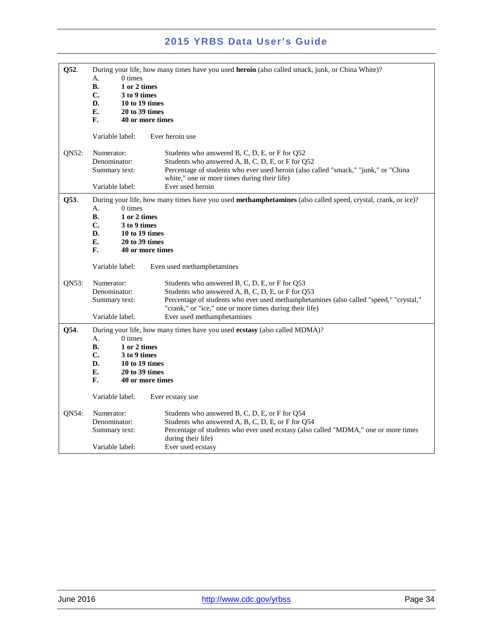| Q52.  | During your life, how many times have you used <b>heroin</b> (also called smack, junk, or China White)?<br>$0 \times$<br>А.                              |                                                                                                                                                                                                                                                          |
|-------|----------------------------------------------------------------------------------------------------------------------------------------------------------|----------------------------------------------------------------------------------------------------------------------------------------------------------------------------------------------------------------------------------------------------------|
|       | <b>B.</b><br>1 or 2 times<br>$\mathbf{C}$ .<br>3 to 9 times                                                                                              |                                                                                                                                                                                                                                                          |
|       | D.<br>10 to 19 times                                                                                                                                     |                                                                                                                                                                                                                                                          |
|       | Е.<br>20 to 39 times<br>F.<br>40 or more times                                                                                                           |                                                                                                                                                                                                                                                          |
|       | Variable label:                                                                                                                                          | Ever heroin use                                                                                                                                                                                                                                          |
| ON52: | Numerator:<br>Denominator:<br>Summary text:                                                                                                              | Students who answered B, C, D, E, or F for Q52<br>Students who answered A, B, C, D, E, or F for Q52<br>Percentage of students who ever used heroin (also called "smack," "junk," or "China<br>white," one or more times during their life)               |
|       | Variable label:                                                                                                                                          | Ever used heroin                                                                                                                                                                                                                                         |
| Q53.  | А.<br>0 times<br><b>B.</b><br>1 or 2 times<br>C.<br>3 to 9 times<br>D.<br>10 to 19 times<br>E.<br>20 to 39 times<br>F.<br>40 or more times               | During your life, how many times have you used methamphetamines (also called speed, crystal, crank, or ice)?                                                                                                                                             |
|       | Variable label:                                                                                                                                          | Even used methamphetamines                                                                                                                                                                                                                               |
| QN53: | Numerator:<br>Denominator:<br>Summary text:                                                                                                              | Students who answered B, C, D, E, or F for Q53<br>Students who answered A, B, C, D, E, or F for Q53<br>Percentage of students who ever used methamphetamines (also called "speed," "crystal,"<br>"crank," or "ice," one or more times during their life) |
|       | Variable label:                                                                                                                                          | Ever used methamphetamines                                                                                                                                                                                                                               |
| Q54.  | A.<br>$0 \times$<br><b>B.</b><br>1 or 2 times<br>$C_{\bullet}$<br>3 to 9 times<br>D.<br>10 to 19 times<br>Е.<br>20 to 39 times<br>F.<br>40 or more times | During your life, how many times have you used ecstasy (also called MDMA)?                                                                                                                                                                               |
|       | Variable label:                                                                                                                                          | Ever ecstasy use                                                                                                                                                                                                                                         |
| QN54: | Numerator:<br>Denominator:<br>Summary text:                                                                                                              | Students who answered B, C, D, E, or F for Q54<br>Students who answered A, B, C, D, E, or F for Q54<br>Percentage of students who ever used ecstasy (also called "MDMA," one or more times<br>during their life)                                         |
|       | Variable label:                                                                                                                                          | Ever used ecstasy                                                                                                                                                                                                                                        |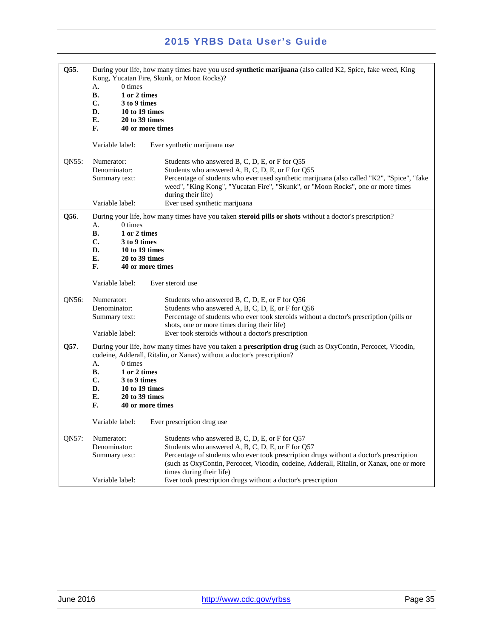| Q55.  | During your life, how many times have you used <b>synthetic marijuana</b> (also called K2, Spice, fake weed, King<br>Kong, Yucatan Fire, Skunk, or Moon Rocks)?<br>0 times<br>А.<br><b>B.</b><br>1 or 2 times<br>C.<br>3 to 9 times<br>D.<br>10 to 19 times                                                                                                           |
|-------|-----------------------------------------------------------------------------------------------------------------------------------------------------------------------------------------------------------------------------------------------------------------------------------------------------------------------------------------------------------------------|
|       | E.<br>20 to 39 times<br>F.<br>40 or more times                                                                                                                                                                                                                                                                                                                        |
|       | Variable label:<br>Ever synthetic marijuana use                                                                                                                                                                                                                                                                                                                       |
| ON55: | Numerator:<br>Students who answered B, C, D, E, or F for Q55<br>Denominator:<br>Students who answered A, B, C, D, E, or F for Q55<br>Percentage of students who ever used synthetic marijuana (also called "K2", "Spice", "fake<br>Summary text:<br>weed", "King Kong", "Yucatan Fire", "Skunk", or "Moon Rocks", one or more times<br>during their life)             |
|       | Ever used synthetic marijuana<br>Variable label:                                                                                                                                                                                                                                                                                                                      |
| Q56.  | During your life, how many times have you taken steroid pills or shots without a doctor's prescription?<br>$0 \times$<br>А.<br>В.<br>1 or 2 times<br>C.<br>3 to 9 times<br>D.<br>10 to 19 times<br>E.<br>20 to 39 times<br>F.<br>40 or more times                                                                                                                     |
|       | Variable label:<br>Ever steroid use                                                                                                                                                                                                                                                                                                                                   |
| QN56: | Numerator:<br>Students who answered B, C, D, E, or F for Q56<br>Denominator:<br>Students who answered A, B, C, D, E, or F for Q56<br>Percentage of students who ever took steroids without a doctor's prescription (pills or<br>Summary text:<br>shots, one or more times during their life)                                                                          |
|       | Variable label:<br>Ever took steroids without a doctor's prescription                                                                                                                                                                                                                                                                                                 |
| Q57.  | During your life, how many times have you taken a <b>prescription drug</b> (such as OxyContin, Percocet, Vicodin,<br>codeine, Adderall, Ritalin, or Xanax) without a doctor's prescription?<br>0 times<br>А.<br>В.<br>1 or 2 times<br>C.<br>3 to 9 times<br>D.<br>10 to 19 times<br>E.<br>20 to 39 times                                                              |
|       | F.<br>40 or more times                                                                                                                                                                                                                                                                                                                                                |
|       | Variable label:<br>Ever prescription drug use                                                                                                                                                                                                                                                                                                                         |
| QN57: | Students who answered B, C, D, E, or F for Q57<br>Numerator:<br>Students who answered A, B, C, D, E, or F for Q57<br>Denominator:<br>Percentage of students who ever took prescription drugs without a doctor's prescription<br>Summary text:<br>(such as OxyContin, Percocet, Vicodin, codeine, Adderall, Ritalin, or Xanax, one or more<br>times during their life) |
|       | Ever took prescription drugs without a doctor's prescription<br>Variable label:                                                                                                                                                                                                                                                                                       |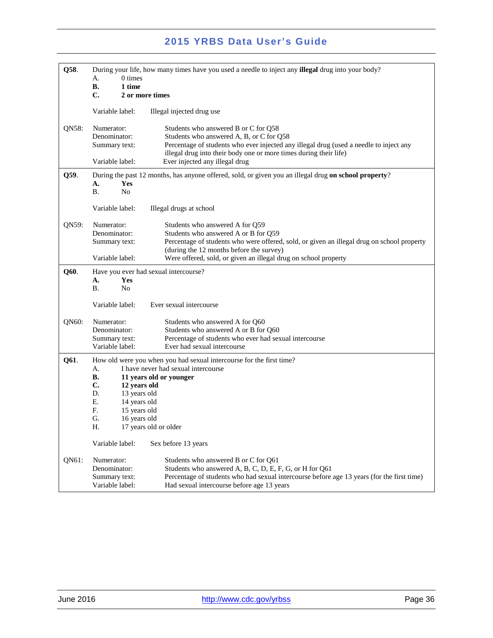| Q58.                                                       | During your life, how many times have you used a needle to inject any <b>illegal</b> drug into your body? |                                                                                                                                                             |
|------------------------------------------------------------|-----------------------------------------------------------------------------------------------------------|-------------------------------------------------------------------------------------------------------------------------------------------------------------|
|                                                            | 0 times<br>А.<br>1 time                                                                                   |                                                                                                                                                             |
|                                                            | В.<br>C.                                                                                                  | 2 or more times                                                                                                                                             |
|                                                            |                                                                                                           |                                                                                                                                                             |
|                                                            | Variable label:                                                                                           | Illegal injected drug use                                                                                                                                   |
| QN58:                                                      | Numerator:                                                                                                | Students who answered B or C for Q58                                                                                                                        |
|                                                            | Denominator:                                                                                              | Students who answered A, B, or C for Q58                                                                                                                    |
|                                                            | Summary text:                                                                                             | Percentage of students who ever injected any illegal drug (used a needle to inject any<br>illegal drug into their body one or more times during their life) |
|                                                            | Variable label:                                                                                           | Ever injected any illegal drug                                                                                                                              |
| Q59.                                                       | During the past 12 months, has anyone offered, sold, or given you an illegal drug on school property?     |                                                                                                                                                             |
|                                                            | А.<br>Yes                                                                                                 |                                                                                                                                                             |
|                                                            | Β.<br>N <sub>0</sub>                                                                                      |                                                                                                                                                             |
|                                                            | Variable label:                                                                                           | Illegal drugs at school                                                                                                                                     |
|                                                            |                                                                                                           |                                                                                                                                                             |
| QN59:                                                      | Numerator:                                                                                                | Students who answered A for Q59                                                                                                                             |
|                                                            | Denominator:                                                                                              | Students who answered A or B for Q59                                                                                                                        |
|                                                            | Summary text:                                                                                             | Percentage of students who were offered, sold, or given an illegal drug on school property<br>(during the 12 months before the survey)                      |
|                                                            | Variable label:                                                                                           | Were offered, sold, or given an illegal drug on school property                                                                                             |
|                                                            |                                                                                                           |                                                                                                                                                             |
| Q60.<br>Have you ever had sexual intercourse?<br>Yes<br>A. |                                                                                                           |                                                                                                                                                             |
|                                                            | Β.<br>N <sub>o</sub>                                                                                      |                                                                                                                                                             |
|                                                            |                                                                                                           |                                                                                                                                                             |
|                                                            | Variable label:                                                                                           | Ever sexual intercourse                                                                                                                                     |
| QN60:                                                      | Numerator:                                                                                                | Students who answered A for Q60                                                                                                                             |
|                                                            | Denominator:                                                                                              | Students who answered A or B for Q60                                                                                                                        |
|                                                            | Summary text:                                                                                             | Percentage of students who ever had sexual intercourse                                                                                                      |
|                                                            | Variable label:                                                                                           | Ever had sexual intercourse                                                                                                                                 |
| Q61.                                                       |                                                                                                           | How old were you when you had sexual intercourse for the first time?                                                                                        |
|                                                            | А.                                                                                                        | I have never had sexual intercourse                                                                                                                         |
|                                                            | В.<br>C.<br>12 years old                                                                                  | 11 years old or younger                                                                                                                                     |
|                                                            | D.<br>13 years old                                                                                        |                                                                                                                                                             |
|                                                            | Е.<br>14 years old                                                                                        |                                                                                                                                                             |
|                                                            | F.<br>15 years old                                                                                        |                                                                                                                                                             |
|                                                            | G.<br>16 years old                                                                                        |                                                                                                                                                             |
|                                                            | Η.                                                                                                        | 17 years old or older                                                                                                                                       |
|                                                            | Variable label:                                                                                           | Sex before 13 years                                                                                                                                         |
| QN61:                                                      | Numerator:                                                                                                | Students who answered B or C for Q61                                                                                                                        |
|                                                            | Denominator:                                                                                              | Students who answered A, B, C, D, E, F, G, or H for Q61                                                                                                     |
|                                                            | Summary text:                                                                                             | Percentage of students who had sexual intercourse before age 13 years (for the first time)                                                                  |
|                                                            | Variable label:                                                                                           | Had sexual intercourse before age 13 years                                                                                                                  |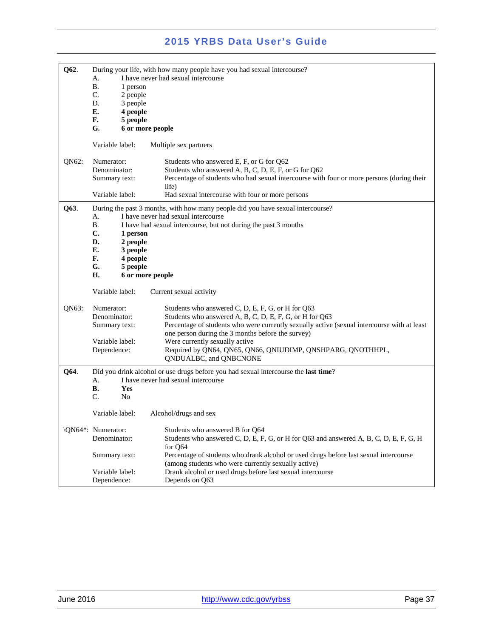| Q62.  | А.<br><b>B.</b><br>1 person<br>C.<br>2 people<br>D.<br>3 people<br>Е.<br>4 people<br>F.<br>5 people<br>G.<br>6 or more people                   | During your life, with how many people have you had sexual intercourse?<br>I have never had sexual intercourse                                                                                                                                                                                                                                                                              |
|-------|-------------------------------------------------------------------------------------------------------------------------------------------------|---------------------------------------------------------------------------------------------------------------------------------------------------------------------------------------------------------------------------------------------------------------------------------------------------------------------------------------------------------------------------------------------|
|       | Variable label:                                                                                                                                 | Multiple sex partners                                                                                                                                                                                                                                                                                                                                                                       |
| QN62: | Numerator:<br>Denominator:<br>Summary text:                                                                                                     | Students who answered E, F, or G for Q62<br>Students who answered A, B, C, D, E, F, or G for Q62<br>Percentage of students who had sexual intercourse with four or more persons (during their<br>life)                                                                                                                                                                                      |
|       | Variable label:                                                                                                                                 | Had sexual intercourse with four or more persons                                                                                                                                                                                                                                                                                                                                            |
| Q63.  | А.<br><b>B.</b><br>$\mathbf{C}$ .<br>1 person<br>2 people<br>D.<br>E.<br>3 people<br>F.<br>4 people<br>G.<br>5 people<br>Н.<br>6 or more people | During the past 3 months, with how many people did you have sexual intercourse?<br>I have never had sexual intercourse<br>I have had sexual intercourse, but not during the past 3 months                                                                                                                                                                                                   |
|       | Variable label:                                                                                                                                 | Current sexual activity                                                                                                                                                                                                                                                                                                                                                                     |
| QN63: | Numerator:<br>Denominator:<br>Summary text:<br>Variable label:<br>Dependence:                                                                   | Students who answered C, D, E, F, G, or H for Q63<br>Students who answered A, B, C, D, E, F, G, or H for Q63<br>Percentage of students who were currently sexually active (sexual intercourse with at least<br>one person during the 3 months before the survey)<br>Were currently sexually active<br>Required by QN64, QN65, QN66, QNIUDIMP, QNSHPARG, QNOTHHPL,<br>QNDUALBC, and QNBCNONE |
| Q64.  | А.<br>В.<br>Yes<br>C.<br>N <sub>0</sub>                                                                                                         | Did you drink alcohol or use drugs before you had sexual intercourse the last time?<br>I have never had sexual intercourse                                                                                                                                                                                                                                                                  |
|       | Variable label:                                                                                                                                 | Alcohol/drugs and sex                                                                                                                                                                                                                                                                                                                                                                       |
|       | \QN64*: Numerator:<br>Denominator:                                                                                                              | Students who answered B for Q64<br>Students who answered C, D, E, F, G, or H for Q63 and answered A, B, C, D, E, F, G, H<br>for Q64                                                                                                                                                                                                                                                         |
|       | Summary text:                                                                                                                                   | Percentage of students who drank alcohol or used drugs before last sexual intercourse<br>(among students who were currently sexually active)                                                                                                                                                                                                                                                |
|       | Variable label:<br>Dependence:                                                                                                                  | Drank alcohol or used drugs before last sexual intercourse<br>Depends on Q63                                                                                                                                                                                                                                                                                                                |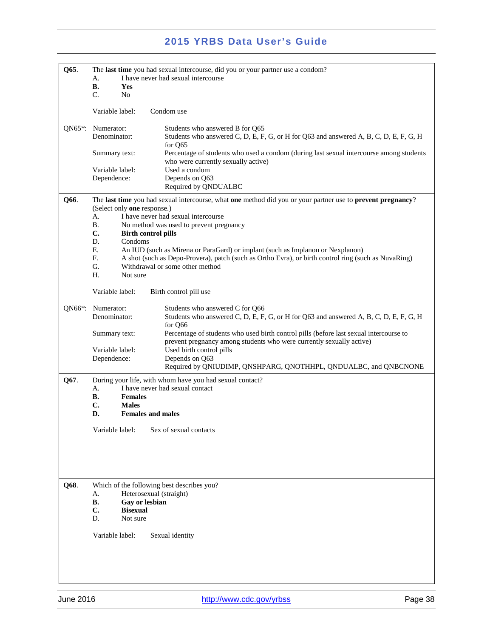| Q65.      | The last time you had sexual intercourse, did you or your partner use a condom?                                                                                                 |  |
|-----------|---------------------------------------------------------------------------------------------------------------------------------------------------------------------------------|--|
|           | I have never had sexual intercourse<br>А.                                                                                                                                       |  |
|           | В.<br>Yes<br>C.                                                                                                                                                                 |  |
|           | N <sub>0</sub>                                                                                                                                                                  |  |
|           | Variable label:<br>Condom use                                                                                                                                                   |  |
| $QN65$ *: | Numerator:<br>Students who answered B for Q65                                                                                                                                   |  |
|           | Denominator:<br>Students who answered C, D, E, F, G, or H for Q63 and answered A, B, C, D, E, F, G, H<br>for Q65                                                                |  |
|           | Percentage of students who used a condom (during last sexual intercourse among students<br>Summary text:<br>who were currently sexually active)                                 |  |
|           | Variable label:<br>Used a condom                                                                                                                                                |  |
|           | Depends on Q63<br>Dependence:                                                                                                                                                   |  |
|           | Required by QNDUALBC                                                                                                                                                            |  |
| Q66.      | The last time you had sexual intercourse, what one method did you or your partner use to prevent pregnancy?                                                                     |  |
|           | (Select only one response.)                                                                                                                                                     |  |
|           | I have never had sexual intercourse<br>А.<br>Β.<br>No method was used to prevent pregnancy                                                                                      |  |
|           | C.<br><b>Birth control pills</b>                                                                                                                                                |  |
|           | D.<br>Condoms                                                                                                                                                                   |  |
|           | Е.<br>An IUD (such as Mirena or ParaGard) or implant (such as Implanon or Nexplanon)                                                                                            |  |
|           | F.<br>A shot (such as Depo-Provera), patch (such as Ortho Evra), or birth control ring (such as NuvaRing)                                                                       |  |
|           | G.<br>Withdrawal or some other method                                                                                                                                           |  |
|           | Н.<br>Not sure                                                                                                                                                                  |  |
|           | Variable label:<br>Birth control pill use                                                                                                                                       |  |
| QN66*:    | Numerator:<br>Students who answered C for Q66                                                                                                                                   |  |
|           | Denominator:<br>Students who answered C, D, E, F, G, or H for Q63 and answered A, B, C, D, E, F, G, H<br>for Q66                                                                |  |
|           | Percentage of students who used birth control pills (before last sexual intercourse to<br>Summary text:<br>prevent pregnancy among students who were currently sexually active) |  |
|           | Used birth control pills<br>Variable label:                                                                                                                                     |  |
|           | Dependence:<br>Depends on Q63<br>Required by QNIUDIMP, QNSHPARG, QNOTHHPL, QNDUALBC, and QNBCNONE                                                                               |  |
|           |                                                                                                                                                                                 |  |
| Q67.      | During your life, with whom have you had sexual contact?                                                                                                                        |  |
|           | I have never had sexual contact<br>А.<br>В.<br><b>Females</b>                                                                                                                   |  |
|           | C.<br><b>Males</b>                                                                                                                                                              |  |
|           | <b>Females and males</b><br>D.                                                                                                                                                  |  |
|           |                                                                                                                                                                                 |  |
|           | Variable label:<br>Sex of sexual contacts                                                                                                                                       |  |
|           |                                                                                                                                                                                 |  |
|           |                                                                                                                                                                                 |  |
|           |                                                                                                                                                                                 |  |
|           |                                                                                                                                                                                 |  |
| Q68.      | Which of the following best describes you?                                                                                                                                      |  |
|           | Heterosexual (straight)<br>А.                                                                                                                                                   |  |
|           | В.<br>Gay or lesbian                                                                                                                                                            |  |
|           | C.<br><b>Bisexual</b><br>Not sure<br>D.                                                                                                                                         |  |
|           | Variable label:<br>Sexual identity                                                                                                                                              |  |
|           |                                                                                                                                                                                 |  |
|           |                                                                                                                                                                                 |  |
|           |                                                                                                                                                                                 |  |
|           |                                                                                                                                                                                 |  |
|           |                                                                                                                                                                                 |  |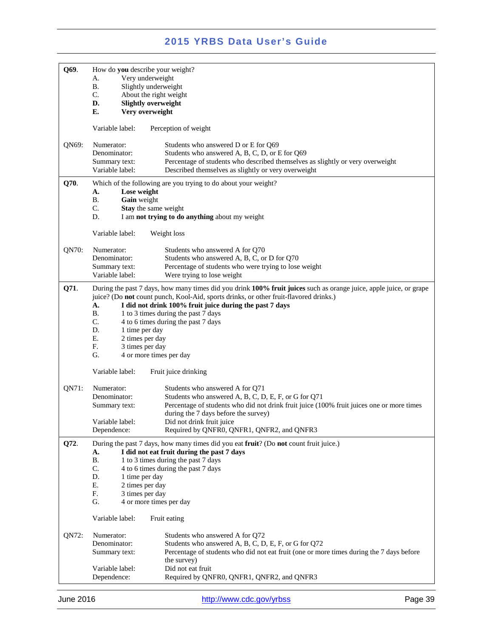| Q69.  | How do you describe your weight?<br>Very underweight<br>A.<br>Slightly underweight<br>В.<br>C.<br>About the right weight<br>D.<br><b>Slightly overweight</b><br>E.<br>Very overweight                                                                                                                                                                                                                                                                                                                                        |  |
|-------|------------------------------------------------------------------------------------------------------------------------------------------------------------------------------------------------------------------------------------------------------------------------------------------------------------------------------------------------------------------------------------------------------------------------------------------------------------------------------------------------------------------------------|--|
|       | Variable label:<br>Perception of weight                                                                                                                                                                                                                                                                                                                                                                                                                                                                                      |  |
| QN69: | Numerator:<br>Students who answered D or E for Q69<br>Denominator:<br>Students who answered A, B, C, D, or E for Q69<br>Percentage of students who described themselves as slightly or very overweight<br>Summary text:<br>Variable label:<br>Described themselves as slightly or very overweight                                                                                                                                                                                                                            |  |
| Q70.  | Which of the following are you trying to do about your weight?<br>Lose weight<br>A.<br><b>B.</b><br>Gain weight<br>C.<br>Stay the same weight<br>D.<br>I am not trying to do anything about my weight<br>Variable label:<br>Weight loss                                                                                                                                                                                                                                                                                      |  |
| QN70: | Numerator:<br>Students who answered A for Q70<br>Students who answered A, B, C, or D for Q70<br>Denominator:<br>Percentage of students who were trying to lose weight<br>Summary text:<br>Variable label:<br>Were trying to lose weight                                                                                                                                                                                                                                                                                      |  |
| Q71.  | During the past 7 days, how many times did you drink 100% fruit juices such as orange juice, apple juice, or grape<br>juice? (Do not count punch, Kool-Aid, sports drinks, or other fruit-flavored drinks.)<br>A.<br>I did not drink 100% fruit juice during the past 7 days<br>В.<br>1 to 3 times during the past 7 days<br>C.<br>4 to 6 times during the past 7 days<br>D.<br>1 time per day<br>Ε.<br>2 times per day<br>F.<br>3 times per day<br>G.<br>4 or more times per day<br>Variable label:<br>Fruit juice drinking |  |
| QN71: | Numerator:<br>Students who answered A for Q71<br>Denominator:<br>Students who answered A, B, C, D, E, F, or G for Q71<br>Percentage of students who did not drink fruit juice (100% fruit juices one or more times<br>Summary text:<br>during the 7 days before the survey)<br>Did not drink fruit juice<br>Variable label:<br>Required by QNFR0, QNFR1, QNFR2, and QNFR3<br>Dependence:                                                                                                                                     |  |
| Q72.  | During the past 7 days, how many times did you eat fruit? (Do not count fruit juice.)<br>I did not eat fruit during the past 7 days<br>A.<br><b>B.</b><br>1 to 3 times during the past 7 days<br>C.<br>4 to 6 times during the past 7 days<br>D.<br>1 time per day<br>E.<br>2 times per day<br>F.<br>3 times per day<br>G.<br>4 or more times per day<br>Variable label:<br>Fruit eating                                                                                                                                     |  |
| QN72: | Numerator:<br>Students who answered A for Q72<br>Students who answered A, B, C, D, E, F, or G for Q72<br>Denominator:<br>Percentage of students who did not eat fruit (one or more times during the 7 days before<br>Summary text:<br>the survey)<br>Did not eat fruit<br>Variable label:<br>Dependence:<br>Required by QNFR0, QNFR1, QNFR2, and QNFR3                                                                                                                                                                       |  |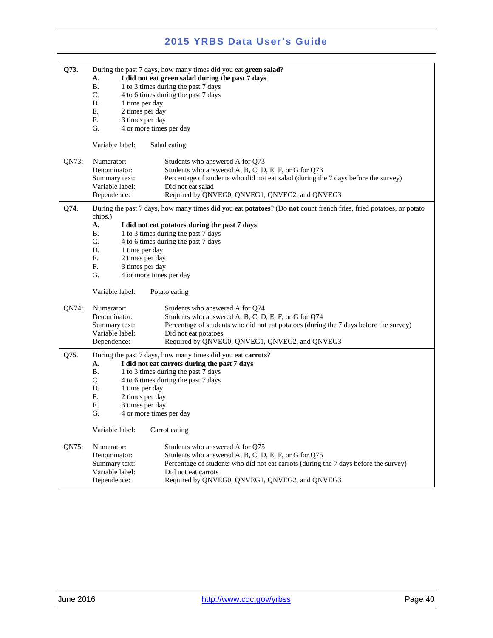| Q73.  | During the past 7 days, how many times did you eat green salad?<br>I did not eat green salad during the past 7 days<br>А.<br><b>B.</b><br>1 to 3 times during the past 7 days<br>C.<br>4 to 6 times during the past 7 days<br>D.<br>1 time per day<br>Ε.<br>2 times per day<br>F.<br>3 times per day<br>G.<br>4 or more times per day                                                                           |
|-------|-----------------------------------------------------------------------------------------------------------------------------------------------------------------------------------------------------------------------------------------------------------------------------------------------------------------------------------------------------------------------------------------------------------------|
|       | Variable label:<br>Salad eating                                                                                                                                                                                                                                                                                                                                                                                 |
| QN73: | Numerator:<br>Students who answered A for Q73<br>Students who answered A, B, C, D, E, F, or G for Q73<br>Denominator:<br>Percentage of students who did not eat salad (during the 7 days before the survey)<br>Summary text:<br>Variable label:<br>Did not eat salad<br>Dependence:<br>Required by QNVEG0, QNVEG1, QNVEG2, and QNVEG3                                                                           |
| Q74.  | During the past 7 days, how many times did you eat <b>potatoes</b> ? (Do <b>not</b> count french fries, fried potatoes, or potato<br>chips.)<br>A.<br>I did not eat potatoes during the past 7 days<br><b>B.</b><br>1 to 3 times during the past 7 days<br>C.<br>4 to 6 times during the past 7 days<br>D.<br>1 time per day<br>Е.<br>2 times per day<br>F.<br>3 times per day<br>G.<br>4 or more times per day |
|       | Variable label:<br>Potato eating                                                                                                                                                                                                                                                                                                                                                                                |
| QN74: | Numerator:<br>Students who answered A for Q74<br>Students who answered A, B, C, D, E, F, or G for Q74<br>Denominator:<br>Percentage of students who did not eat potatoes (during the 7 days before the survey)<br>Summary text:<br>Variable label:<br>Did not eat potatoes<br>Required by QNVEG0, QNVEG1, QNVEG2, and QNVEG3<br>Dependence:                                                                     |
| Q75.  | During the past 7 days, how many times did you eat carrots?<br>A.<br>I did not eat carrots during the past 7 days<br><b>B.</b><br>1 to 3 times during the past 7 days<br>C.<br>4 to 6 times during the past 7 days<br>D.<br>1 time per day<br>Ε.<br>2 times per day<br>F.<br>3 times per day<br>G.<br>4 or more times per day<br>Variable label:<br>Carrot eating                                               |
| QN75: | Numerator:<br>Students who answered A for Q75<br>Students who answered A, B, C, D, E, F, or G for Q75<br>Denominator:<br>Percentage of students who did not eat carrots (during the 7 days before the survey)<br>Summary text:<br>Variable label:<br>Did not eat carrots<br>Dependence:<br>Required by QNVEG0, QNVEG1, QNVEG2, and QNVEG3                                                                       |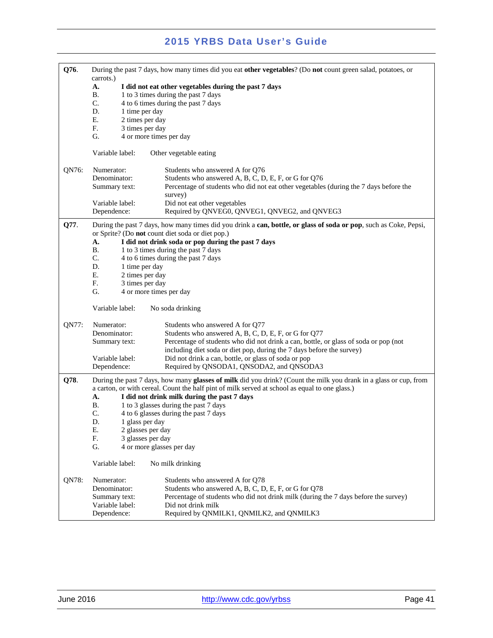| Q76.  | During the past 7 days, how many times did you eat other vegetables? (Do not count green salad, potatoes, or<br>carrots.) |                                                                                                                   |  |
|-------|---------------------------------------------------------------------------------------------------------------------------|-------------------------------------------------------------------------------------------------------------------|--|
|       | A.<br>I did not eat other vegetables during the past 7 days                                                               |                                                                                                                   |  |
|       | <b>B.</b>                                                                                                                 | 1 to 3 times during the past 7 days                                                                               |  |
|       | C.                                                                                                                        | 4 to 6 times during the past 7 days                                                                               |  |
|       | D.<br>1 time per day<br>Ε.<br>2 times per day                                                                             |                                                                                                                   |  |
|       | F.<br>3 times per day                                                                                                     |                                                                                                                   |  |
|       | G.                                                                                                                        | 4 or more times per day                                                                                           |  |
|       | Variable label:                                                                                                           | Other vegetable eating                                                                                            |  |
| QN76: | Numerator:                                                                                                                | Students who answered A for Q76                                                                                   |  |
|       | Denominator:                                                                                                              | Students who answered A, B, C, D, E, F, or G for Q76                                                              |  |
|       | Summary text:                                                                                                             | Percentage of students who did not eat other vegetables (during the 7 days before the<br>survey)                  |  |
|       | Variable label:                                                                                                           | Did not eat other vegetables                                                                                      |  |
|       | Dependence:                                                                                                               | Required by QNVEG0, QNVEG1, QNVEG2, and QNVEG3                                                                    |  |
| Q77.  |                                                                                                                           | During the past 7 days, how many times did you drink a can, bottle, or glass of soda or pop, such as Coke, Pepsi, |  |
|       | A.                                                                                                                        | or Sprite? (Do not count diet soda or diet pop.)<br>I did not drink soda or pop during the past 7 days            |  |
|       | <b>B.</b>                                                                                                                 | 1 to 3 times during the past 7 days                                                                               |  |
|       | C.                                                                                                                        | 4 to 6 times during the past 7 days                                                                               |  |
|       | D.<br>1 time per day                                                                                                      |                                                                                                                   |  |
|       | Ε.<br>2 times per day                                                                                                     |                                                                                                                   |  |
|       | F.<br>3 times per day                                                                                                     |                                                                                                                   |  |
|       | G.                                                                                                                        | 4 or more times per day                                                                                           |  |
|       | Variable label:                                                                                                           | No soda drinking                                                                                                  |  |
| QN77: | Numerator:                                                                                                                | Students who answered A for Q77                                                                                   |  |
|       | Denominator:                                                                                                              | Students who answered A, B, C, D, E, F, or G for Q77                                                              |  |
|       | Summary text:                                                                                                             | Percentage of students who did not drink a can, bottle, or glass of soda or pop (not                              |  |
|       |                                                                                                                           | including diet soda or diet pop, during the 7 days before the survey)                                             |  |
|       | Variable label:<br>Dependence:                                                                                            | Did not drink a can, bottle, or glass of soda or pop<br>Required by QNSODA1, QNSODA2, and QNSODA3                 |  |
| Q78.  |                                                                                                                           | During the past 7 days, how many glasses of milk did you drink? (Count the milk you drank in a glass or cup, from |  |
|       |                                                                                                                           | a carton, or with cereal. Count the half pint of milk served at school as equal to one glass.)                    |  |
|       | А.                                                                                                                        | I did not drink milk during the past 7 days                                                                       |  |
|       | Β.                                                                                                                        | 1 to 3 glasses during the past 7 days                                                                             |  |
|       | C.                                                                                                                        | 4 to 6 glasses during the past 7 days                                                                             |  |
|       | D.<br>1 glass per day                                                                                                     |                                                                                                                   |  |
|       | Е.<br>2 glasses per day<br>F.<br>3 glasses per day                                                                        |                                                                                                                   |  |
|       | G.                                                                                                                        | 4 or more glasses per day                                                                                         |  |
|       | Variable label:                                                                                                           | No milk drinking                                                                                                  |  |
| QN78: | Numerator:                                                                                                                | Students who answered A for Q78                                                                                   |  |
|       | Denominator:                                                                                                              | Students who answered A, B, C, D, E, F, or G for Q78                                                              |  |
|       | Summary text:                                                                                                             | Percentage of students who did not drink milk (during the 7 days before the survey)                               |  |
|       | Variable label:                                                                                                           | Did not drink milk                                                                                                |  |
|       | Dependence:                                                                                                               | Required by QNMILK1, QNMILK2, and QNMILK3                                                                         |  |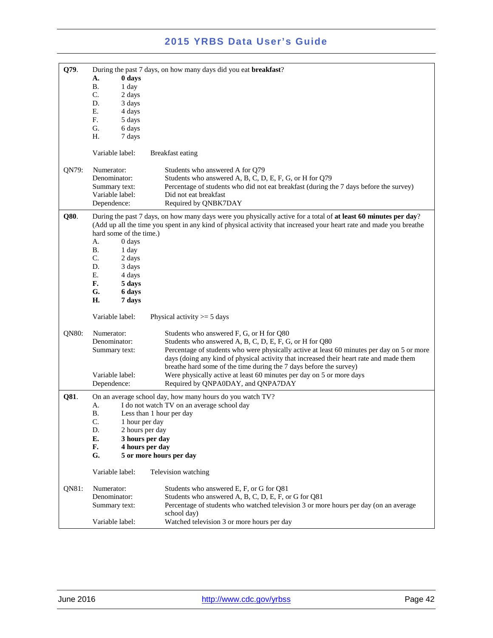| Q79.  | During the past 7 days, on how many days did you eat breakfast? |                                                                                                                     |
|-------|-----------------------------------------------------------------|---------------------------------------------------------------------------------------------------------------------|
|       | 0 days<br>А.                                                    |                                                                                                                     |
|       | В.<br>1 day                                                     |                                                                                                                     |
|       | C.<br>2 days                                                    |                                                                                                                     |
|       | D.<br>3 days                                                    |                                                                                                                     |
|       | Е.<br>4 days                                                    |                                                                                                                     |
|       | F.<br>5 days                                                    |                                                                                                                     |
|       | G.<br>6 days                                                    |                                                                                                                     |
|       | Н.                                                              |                                                                                                                     |
|       | 7 days                                                          |                                                                                                                     |
|       | Variable label:                                                 | <b>Breakfast eating</b>                                                                                             |
|       |                                                                 |                                                                                                                     |
| QN79: | Numerator:                                                      | Students who answered A for Q79                                                                                     |
|       | Denominator:                                                    | Students who answered A, B, C, D, E, F, G, or H for Q79                                                             |
|       | Summary text:                                                   | Percentage of students who did not eat breakfast (during the 7 days before the survey)                              |
|       | Variable label:                                                 | Did not eat breakfast                                                                                               |
|       | Dependence:                                                     | Required by QNBK7DAY                                                                                                |
| Q80.  |                                                                 | During the past 7 days, on how many days were you physically active for a total of at least 60 minutes per day?     |
|       |                                                                 | (Add up all the time you spent in any kind of physical activity that increased your heart rate and made you breathe |
|       | hard some of the time.)                                         |                                                                                                                     |
|       | А.<br>0 days                                                    |                                                                                                                     |
|       | Β.                                                              |                                                                                                                     |
|       | 1 day                                                           |                                                                                                                     |
|       | $C_{\cdot}$<br>2 days                                           |                                                                                                                     |
|       | D.<br>3 days                                                    |                                                                                                                     |
|       | Е.<br>4 days                                                    |                                                                                                                     |
|       | F.<br>5 days                                                    |                                                                                                                     |
|       | G.<br>6 days                                                    |                                                                                                                     |
|       | H.<br>7 days                                                    |                                                                                                                     |
|       | Variable label:                                                 | Physical activity $>=$ 5 days                                                                                       |
| QN80: | Numerator:                                                      |                                                                                                                     |
|       | Denominator:                                                    | Students who answered F, G, or H for Q80                                                                            |
|       |                                                                 | Students who answered A, B, C, D, E, F, G, or H for Q80                                                             |
|       | Summary text:                                                   | Percentage of students who were physically active at least 60 minutes per day on 5 or more                          |
|       |                                                                 | days (doing any kind of physical activity that increased their heart rate and made them                             |
|       |                                                                 | breathe hard some of the time during the 7 days before the survey)                                                  |
|       | Variable label:                                                 | Were physically active at least 60 minutes per day on 5 or more days                                                |
|       | Dependence:                                                     | Required by QNPA0DAY, and QNPA7DAY                                                                                  |
| Q81.  |                                                                 | On an average school day, how many hours do you watch TV?                                                           |
|       | А.                                                              | I do not watch TV on an average school day                                                                          |
|       | <b>B.</b>                                                       | Less than 1 hour per day                                                                                            |
|       | C.                                                              | 1 hour per day                                                                                                      |
|       | D.                                                              | 2 hours per day                                                                                                     |
|       | Е.                                                              | 3 hours per day                                                                                                     |
|       |                                                                 |                                                                                                                     |
|       | F.                                                              | 4 hours per day                                                                                                     |
|       | G.                                                              | 5 or more hours per day                                                                                             |
|       | Variable label:                                                 | Television watching                                                                                                 |
| QN81: | Numerator:                                                      | Students who answered E, F, or G for Q81                                                                            |
|       | Denominator:                                                    | Students who answered A, B, C, D, E, F, or G for Q81                                                                |
|       | Summary text:                                                   | Percentage of students who watched television 3 or more hours per day (on an average                                |
|       |                                                                 | school day)                                                                                                         |
|       | Variable label:                                                 | Watched television 3 or more hours per day                                                                          |
|       |                                                                 |                                                                                                                     |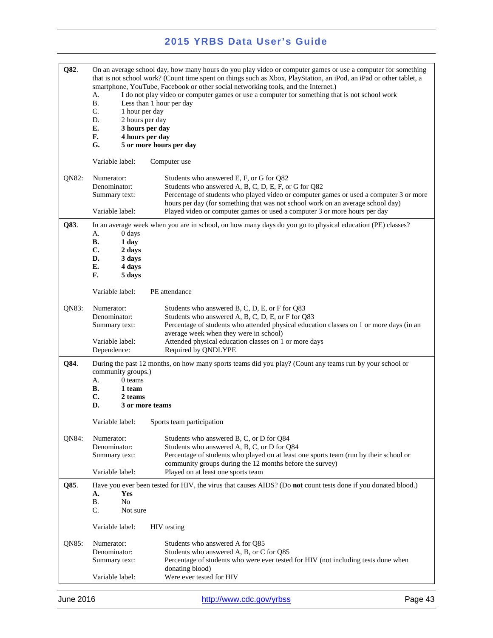| Q82.  | On an average school day, how many hours do you play video or computer games or use a computer for something<br>that is not school work? (Count time spent on things such as Xbox, PlayStation, an iPod, an iPad or other tablet, a<br>smartphone, YouTube, Facebook or other social networking tools, and the Internet.)<br>I do not play video or computer games or use a computer for something that is not school work<br>А.<br><b>B.</b><br>Less than 1 hour per day<br>C.<br>1 hour per day<br>D.<br>2 hours per day<br>E.<br>3 hours per day<br>F.<br>4 hours per day<br>G.<br>5 or more hours per day |                                                                                                                                                                                                                                                                                                                                                            |
|-------|---------------------------------------------------------------------------------------------------------------------------------------------------------------------------------------------------------------------------------------------------------------------------------------------------------------------------------------------------------------------------------------------------------------------------------------------------------------------------------------------------------------------------------------------------------------------------------------------------------------|------------------------------------------------------------------------------------------------------------------------------------------------------------------------------------------------------------------------------------------------------------------------------------------------------------------------------------------------------------|
|       | Variable label:                                                                                                                                                                                                                                                                                                                                                                                                                                                                                                                                                                                               | Computer use                                                                                                                                                                                                                                                                                                                                               |
| QN82: | Numerator:<br>Denominator:<br>Summary text:<br>Variable label:                                                                                                                                                                                                                                                                                                                                                                                                                                                                                                                                                | Students who answered E, F, or G for Q82<br>Students who answered A, B, C, D, E, F, or G for Q82<br>Percentage of students who played video or computer games or used a computer 3 or more<br>hours per day (for something that was not school work on an average school day)<br>Played video or computer games or used a computer 3 or more hours per day |
| Q83.  | 0 days<br>А.<br>В.<br>1 day<br>C.<br>2 days<br>D.<br>3 days<br>E.<br>4 days<br>F.<br>5 days<br>Variable label:                                                                                                                                                                                                                                                                                                                                                                                                                                                                                                | In an average week when you are in school, on how many days do you go to physical education (PE) classes?<br>PE attendance                                                                                                                                                                                                                                 |
|       |                                                                                                                                                                                                                                                                                                                                                                                                                                                                                                                                                                                                               |                                                                                                                                                                                                                                                                                                                                                            |
| QN83: | Numerator:<br>Denominator:<br>Summary text:<br>Variable label:                                                                                                                                                                                                                                                                                                                                                                                                                                                                                                                                                | Students who answered B, C, D, E, or F for Q83<br>Students who answered A, B, C, D, E, or F for Q83<br>Percentage of students who attended physical education classes on 1 or more days (in an<br>average week when they were in school)                                                                                                                   |
|       | Dependence:                                                                                                                                                                                                                                                                                                                                                                                                                                                                                                                                                                                                   | Attended physical education classes on 1 or more days<br>Required by QNDLYPE                                                                                                                                                                                                                                                                               |
| Q84.  | community groups.)<br>А.<br>0 teams<br>В.<br>1 team<br>C.<br>2 teams<br>D.                                                                                                                                                                                                                                                                                                                                                                                                                                                                                                                                    | During the past 12 months, on how many sports teams did you play? (Count any teams run by your school or<br>3 or more teams                                                                                                                                                                                                                                |
|       | Variable label:                                                                                                                                                                                                                                                                                                                                                                                                                                                                                                                                                                                               | Sports team participation                                                                                                                                                                                                                                                                                                                                  |
| QN84: | Numerator:<br>Denominator:<br>Summary text:                                                                                                                                                                                                                                                                                                                                                                                                                                                                                                                                                                   | Students who answered B, C, or D for Q84<br>Students who answered A, B, C, or D for Q84<br>Percentage of students who played on at least one sports team (run by their school or<br>community groups during the 12 months before the survey)                                                                                                               |
|       | Variable label:                                                                                                                                                                                                                                                                                                                                                                                                                                                                                                                                                                                               | Played on at least one sports team                                                                                                                                                                                                                                                                                                                         |
| Q85.  | Yes<br>А.<br>N <sub>0</sub><br>В.<br>C.<br>Not sure                                                                                                                                                                                                                                                                                                                                                                                                                                                                                                                                                           | Have you ever been tested for HIV, the virus that causes AIDS? (Do not count tests done if you donated blood.)                                                                                                                                                                                                                                             |
|       | Variable label:                                                                                                                                                                                                                                                                                                                                                                                                                                                                                                                                                                                               | <b>HIV</b> testing                                                                                                                                                                                                                                                                                                                                         |
| QN85: | Numerator:<br>Denominator:<br>Summary text:                                                                                                                                                                                                                                                                                                                                                                                                                                                                                                                                                                   | Students who answered A for Q85<br>Students who answered A, B, or C for Q85<br>Percentage of students who were ever tested for HIV (not including tests done when                                                                                                                                                                                          |
|       | Variable label:                                                                                                                                                                                                                                                                                                                                                                                                                                                                                                                                                                                               | donating blood)<br>Were ever tested for HIV                                                                                                                                                                                                                                                                                                                |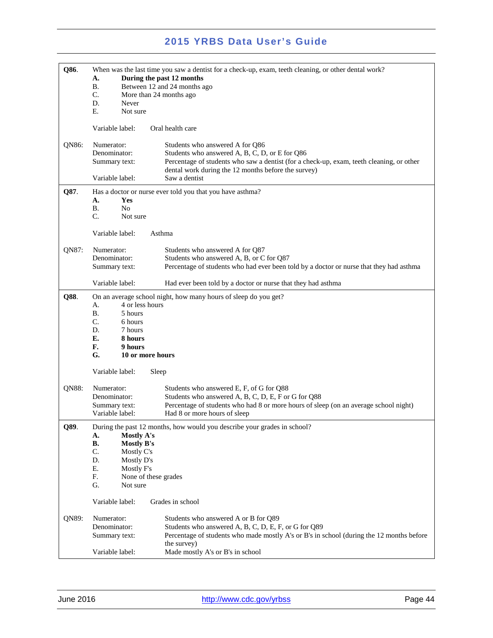| Q86.                                                                         | When was the last time you saw a dentist for a check-up, exam, teeth cleaning, or other dental work? |                                                                                          |
|------------------------------------------------------------------------------|------------------------------------------------------------------------------------------------------|------------------------------------------------------------------------------------------|
| During the past 12 months<br>A.<br><b>B.</b><br>Between 12 and 24 months ago |                                                                                                      |                                                                                          |
|                                                                              | C.<br>More than 24 months ago                                                                        |                                                                                          |
|                                                                              | D.<br>Never                                                                                          |                                                                                          |
|                                                                              | E.<br>Not sure                                                                                       |                                                                                          |
|                                                                              | Variable label:                                                                                      | Oral health care                                                                         |
| QN86:                                                                        | Numerator:                                                                                           | Students who answered A for Q86                                                          |
|                                                                              | Denominator:                                                                                         | Students who answered A, B, C, D, or E for Q86                                           |
|                                                                              | Summary text:                                                                                        | Percentage of students who saw a dentist (for a check-up, exam, teeth cleaning, or other |
|                                                                              | Variable label:                                                                                      | dental work during the 12 months before the survey)<br>Saw a dentist                     |
| Q87.                                                                         |                                                                                                      | Has a doctor or nurse ever told you that you have asthma?                                |
|                                                                              | A.<br>Yes                                                                                            |                                                                                          |
|                                                                              | <b>B.</b><br>N <sub>0</sub>                                                                          |                                                                                          |
|                                                                              | $C_{\cdot}$<br>Not sure                                                                              |                                                                                          |
|                                                                              | Variable label:                                                                                      | Asthma                                                                                   |
| QN87:                                                                        | Numerator:                                                                                           | Students who answered A for O87                                                          |
|                                                                              | Denominator:                                                                                         | Students who answered A, B, or C for Q87                                                 |
|                                                                              | Summary text:                                                                                        | Percentage of students who had ever been told by a doctor or nurse that they had asthma  |
|                                                                              | Variable label:                                                                                      | Had ever been told by a doctor or nurse that they had asthma                             |
| Q88.                                                                         |                                                                                                      | On an average school night, how many hours of sleep do you get?                          |
|                                                                              | 4 or less hours<br>А.                                                                                |                                                                                          |
|                                                                              | <b>B.</b><br>5 hours<br>$C_{\cdot}$                                                                  |                                                                                          |
|                                                                              | 6 hours<br>D.<br>7 hours                                                                             |                                                                                          |
|                                                                              | E.<br>8 hours                                                                                        |                                                                                          |
|                                                                              | F.<br>9 hours                                                                                        |                                                                                          |
|                                                                              | G.<br>10 or more hours                                                                               |                                                                                          |
|                                                                              | Variable label:<br>Sleep                                                                             |                                                                                          |
| QN88:                                                                        | Numerator:                                                                                           | Students who answered E, F, of G for Q88                                                 |
|                                                                              | Denominator:                                                                                         | Students who answered A, B, C, D, E, F or G for Q88                                      |
|                                                                              | Summary text:                                                                                        | Percentage of students who had 8 or more hours of sleep (on an average school night)     |
|                                                                              | Variable label:                                                                                      | Had 8 or more hours of sleep                                                             |
| Q89.                                                                         | During the past 12 months, how would you describe your grades in school?                             |                                                                                          |
|                                                                              | Mostly A's<br>А.<br>В.                                                                               |                                                                                          |
|                                                                              | <b>Mostly B's</b><br>C.<br>Mostly C's                                                                |                                                                                          |
|                                                                              | D.<br>Mostly D's                                                                                     |                                                                                          |
|                                                                              | Ε.<br>Mostly F's                                                                                     |                                                                                          |
|                                                                              | F.<br>None of these grades                                                                           |                                                                                          |
|                                                                              | G.<br>Not sure                                                                                       |                                                                                          |
|                                                                              | Variable label:                                                                                      | Grades in school                                                                         |
| QN89:                                                                        | Numerator:                                                                                           | Students who answered A or B for Q89                                                     |
|                                                                              | Denominator:                                                                                         | Students who answered A, B, C, D, E, F, or G for Q89                                     |
|                                                                              | Summary text:                                                                                        | Percentage of students who made mostly A's or B's in school (during the 12 months before |
|                                                                              |                                                                                                      | the survey)                                                                              |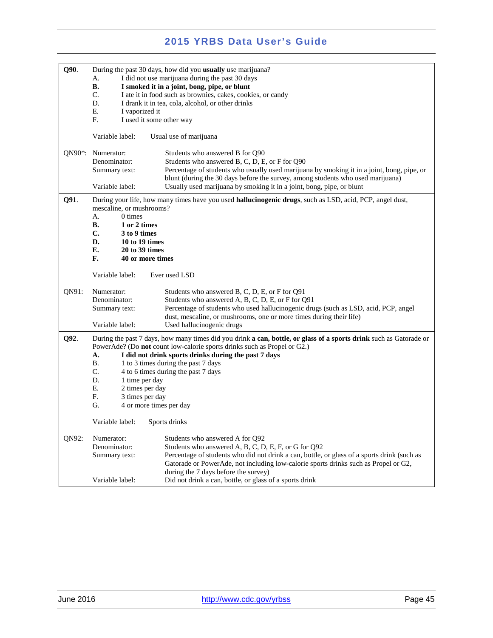| Q90.                | During the past 30 days, how did you usually use marijuana?                                                                                  |                                                                                                             |
|---------------------|----------------------------------------------------------------------------------------------------------------------------------------------|-------------------------------------------------------------------------------------------------------------|
|                     | А.                                                                                                                                           | I did not use marijuana during the past 30 days                                                             |
|                     | <b>B.</b><br>C.                                                                                                                              | I smoked it in a joint, bong, pipe, or blunt<br>I ate it in food such as brownies, cakes, cookies, or candy |
|                     | D.                                                                                                                                           | I drank it in tea, cola, alcohol, or other drinks                                                           |
|                     | E.<br>I vaporized it                                                                                                                         |                                                                                                             |
|                     | F.<br>I used it some other way                                                                                                               |                                                                                                             |
|                     |                                                                                                                                              |                                                                                                             |
|                     | Variable label:                                                                                                                              | Usual use of marijuana                                                                                      |
| QN90 <sup>*</sup> : | Numerator:                                                                                                                                   | Students who answered B for Q90                                                                             |
|                     | Denominator:                                                                                                                                 | Students who answered B, C, D, E, or F for Q90                                                              |
|                     | Summary text:                                                                                                                                | Percentage of students who usually used marijuana by smoking it in a joint, bong, pipe, or                  |
|                     |                                                                                                                                              | blunt (during the 30 days before the survey, among students who used marijuana)                             |
|                     | Variable label:                                                                                                                              | Usually used marijuana by smoking it in a joint, bong, pipe, or blunt                                       |
| Q91.                | During your life, how many times have you used <b>hallucinogenic drugs</b> , such as LSD, acid, PCP, angel dust,<br>mescaline, or mushrooms? |                                                                                                             |
|                     | 0 times<br>А.                                                                                                                                |                                                                                                             |
|                     | В.<br>1 or 2 times                                                                                                                           |                                                                                                             |
|                     | $\mathbf{C}$ .<br>3 to 9 times                                                                                                               |                                                                                                             |
|                     | D.<br>10 to 19 times                                                                                                                         |                                                                                                             |
|                     | E.<br>20 to 39 times                                                                                                                         |                                                                                                             |
|                     | F.<br>40 or more times                                                                                                                       |                                                                                                             |
|                     | Variable label:                                                                                                                              | Ever used LSD                                                                                               |
| ON91:               | Numerator:                                                                                                                                   | Students who answered B, C, D, E, or F for Q91                                                              |
|                     | Denominator:                                                                                                                                 | Students who answered A, B, C, D, E, or F for Q91                                                           |
|                     | Summary text:                                                                                                                                | Percentage of students who used hallucinogenic drugs (such as LSD, acid, PCP, angel                         |
|                     |                                                                                                                                              | dust, mescaline, or mushrooms, one or more times during their life)                                         |
|                     | Variable label:                                                                                                                              | Used hallucinogenic drugs                                                                                   |
| Q92.                | During the past 7 days, how many times did you drink a can, bottle, or glass of a sports drink such as Gatorade or                           |                                                                                                             |
|                     |                                                                                                                                              | PowerAde? (Do not count low-calorie sports drinks such as Propel or G2.)                                    |
|                     | A.                                                                                                                                           | I did not drink sports drinks during the past 7 days                                                        |
|                     | <b>B.</b>                                                                                                                                    | 1 to 3 times during the past 7 days                                                                         |
|                     | C.                                                                                                                                           | 4 to 6 times during the past 7 days                                                                         |
|                     | D.<br>1 time per day                                                                                                                         |                                                                                                             |
|                     | E.<br>2 times per day                                                                                                                        |                                                                                                             |
|                     | F.<br>3 times per day                                                                                                                        |                                                                                                             |
|                     | G.<br>4 or more times per day                                                                                                                |                                                                                                             |
|                     | Variable label:                                                                                                                              | Sports drinks                                                                                               |
| QN92:               | Numerator:                                                                                                                                   | Students who answered A for Q92                                                                             |
|                     | Denominator:                                                                                                                                 | Students who answered A, B, C, D, E, F, or G for Q92                                                        |
|                     | Summary text:                                                                                                                                | Percentage of students who did not drink a can, bottle, or glass of a sports drink (such as                 |
|                     |                                                                                                                                              | Gatorade or PowerAde, not including low-calorie sports drinks such as Propel or G2,                         |
|                     |                                                                                                                                              | during the 7 days before the survey)                                                                        |
|                     | Variable label:                                                                                                                              | Did not drink a can, bottle, or glass of a sports drink                                                     |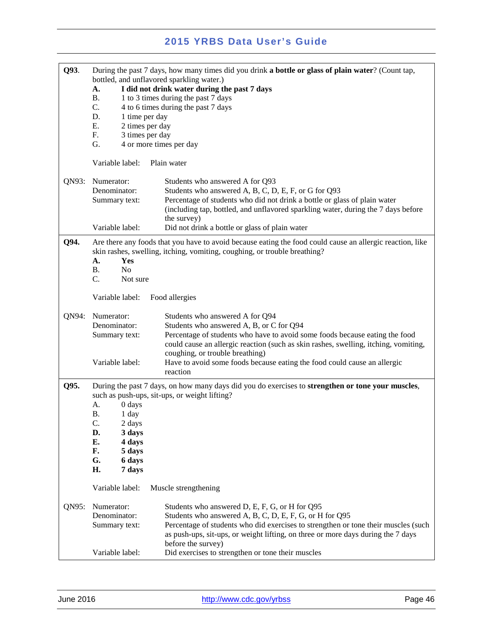| Q93.  | А.<br><b>B.</b><br>C.<br>D.<br>1 time per day<br>E.<br>2 times per day<br>F.<br>3 times per day<br>G. | During the past 7 days, how many times did you drink a bottle or glass of plain water? (Count tap,<br>bottled, and unflavored sparkling water.)<br>I did not drink water during the past 7 days<br>1 to 3 times during the past 7 days<br>4 to 6 times during the past 7 days<br>4 or more times per day                                                                     |
|-------|-------------------------------------------------------------------------------------------------------|------------------------------------------------------------------------------------------------------------------------------------------------------------------------------------------------------------------------------------------------------------------------------------------------------------------------------------------------------------------------------|
|       | Variable label:                                                                                       | Plain water                                                                                                                                                                                                                                                                                                                                                                  |
| QN93: | Numerator:<br>Denominator:<br>Summary text:                                                           | Students who answered A for Q93<br>Students who answered A, B, C, D, E, F, or G for Q93<br>Percentage of students who did not drink a bottle or glass of plain water<br>(including tap, bottled, and unflavored sparkling water, during the 7 days before<br>the survey)                                                                                                     |
|       | Variable label:                                                                                       | Did not drink a bottle or glass of plain water                                                                                                                                                                                                                                                                                                                               |
| Q94.  | А.<br>Yes<br><b>B.</b><br>N <sub>o</sub><br>C.<br>Not sure                                            | Are there any foods that you have to avoid because eating the food could cause an allergic reaction, like<br>skin rashes, swelling, itching, vomiting, coughing, or trouble breathing?                                                                                                                                                                                       |
|       | Variable label:                                                                                       | Food allergies                                                                                                                                                                                                                                                                                                                                                               |
| QN94: | Numerator:<br>Denominator:<br>Summary text:<br>Variable label:                                        | Students who answered A for Q94<br>Students who answered A, B, or C for Q94<br>Percentage of students who have to avoid some foods because eating the food<br>could cause an allergic reaction (such as skin rashes, swelling, itching, vomiting,<br>coughing, or trouble breathing)<br>Have to avoid some foods because eating the food could cause an allergic<br>reaction |
| Q95.  | During the past 7 days, on how many days did you do exercises to strengthen or tone your muscles,     |                                                                                                                                                                                                                                                                                                                                                                              |
|       |                                                                                                       | such as push-ups, sit-ups, or weight lifting?                                                                                                                                                                                                                                                                                                                                |
|       | A.<br>0 days<br><b>B.</b><br>1 day<br>C.<br>$2\;{\rm days}$<br>D.<br>3 days<br>E.<br>4 days           |                                                                                                                                                                                                                                                                                                                                                                              |
|       | F.<br>5 days                                                                                          |                                                                                                                                                                                                                                                                                                                                                                              |
|       | G.<br>6 days<br>H.<br>7 days                                                                          |                                                                                                                                                                                                                                                                                                                                                                              |
|       | Variable label:                                                                                       | Muscle strengthening                                                                                                                                                                                                                                                                                                                                                         |
| QN95: | Numerator:<br>Denominator:<br>Summary text:                                                           | Students who answered D, E, F, G, or H for Q95<br>Students who answered A, B, C, D, E, F, G, or H for Q95<br>Percentage of students who did exercises to strengthen or tone their muscles (such<br>as push-ups, sit-ups, or weight lifting, on three or more days during the 7 days                                                                                          |
|       | Variable label:                                                                                       | before the survey)<br>Did exercises to strengthen or tone their muscles                                                                                                                                                                                                                                                                                                      |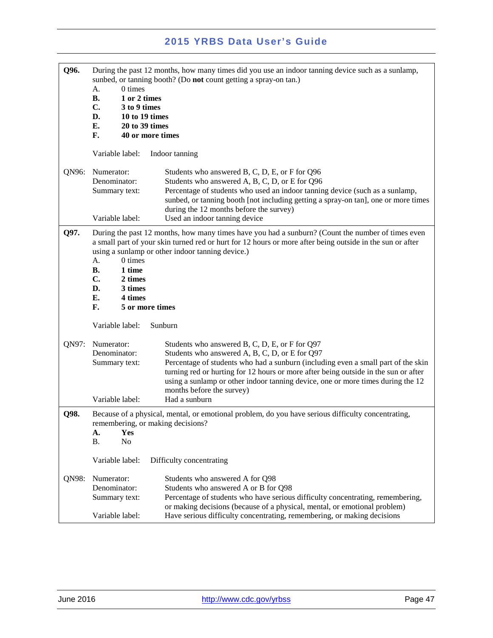| Q96.  | During the past 12 months, how many times did you use an indoor tanning device such as a sunlamp,<br>sunbed, or tanning booth? (Do not count getting a spray-on tan.)                                                                                                               |                                                                                                                                                                                                               |
|-------|-------------------------------------------------------------------------------------------------------------------------------------------------------------------------------------------------------------------------------------------------------------------------------------|---------------------------------------------------------------------------------------------------------------------------------------------------------------------------------------------------------------|
|       | $0 \times$<br>А.                                                                                                                                                                                                                                                                    |                                                                                                                                                                                                               |
|       | 1 or 2 times<br><b>B.</b><br>C.<br>3 to 9 times                                                                                                                                                                                                                                     |                                                                                                                                                                                                               |
|       | D.<br>10 to 19 times                                                                                                                                                                                                                                                                |                                                                                                                                                                                                               |
|       | E.<br>20 to 39 times                                                                                                                                                                                                                                                                |                                                                                                                                                                                                               |
|       | F.<br>40 or more times                                                                                                                                                                                                                                                              |                                                                                                                                                                                                               |
|       | Variable label:                                                                                                                                                                                                                                                                     | Indoor tanning                                                                                                                                                                                                |
| QN96: | Numerator:                                                                                                                                                                                                                                                                          | Students who answered B, C, D, E, or F for Q96                                                                                                                                                                |
|       | Denominator:                                                                                                                                                                                                                                                                        | Students who answered A, B, C, D, or E for Q96                                                                                                                                                                |
|       | Summary text:                                                                                                                                                                                                                                                                       | Percentage of students who used an indoor tanning device (such as a sunlamp,<br>sunbed, or tanning booth [not including getting a spray-on tan], one or more times<br>during the 12 months before the survey) |
|       | Variable label:                                                                                                                                                                                                                                                                     | Used an indoor tanning device                                                                                                                                                                                 |
| Q97.  | During the past 12 months, how many times have you had a sunburn? (Count the number of times even<br>a small part of your skin turned red or hurt for 12 hours or more after being outside in the sun or after<br>using a sunlamp or other indoor tanning device.)<br>А.<br>0 times |                                                                                                                                                                                                               |
|       | <b>B.</b><br>1 time<br>C.<br>2 times                                                                                                                                                                                                                                                |                                                                                                                                                                                                               |
|       | D.<br>3 times                                                                                                                                                                                                                                                                       |                                                                                                                                                                                                               |
|       | E.<br>4 times                                                                                                                                                                                                                                                                       |                                                                                                                                                                                                               |
|       | F.<br>5 or more times                                                                                                                                                                                                                                                               |                                                                                                                                                                                                               |
|       | Variable label:                                                                                                                                                                                                                                                                     | Sunburn                                                                                                                                                                                                       |
| QN97: | Numerator:                                                                                                                                                                                                                                                                          | Students who answered B, C, D, E, or F for Q97                                                                                                                                                                |
|       | Denominator:                                                                                                                                                                                                                                                                        | Students who answered A, B, C, D, or E for Q97                                                                                                                                                                |
|       | Summary text:                                                                                                                                                                                                                                                                       | Percentage of students who had a sunburn (including even a small part of the skin                                                                                                                             |
|       |                                                                                                                                                                                                                                                                                     | turning red or hurting for 12 hours or more after being outside in the sun or after                                                                                                                           |
|       |                                                                                                                                                                                                                                                                                     | using a sunlamp or other indoor tanning device, one or more times during the 12                                                                                                                               |
|       |                                                                                                                                                                                                                                                                                     | months before the survey)                                                                                                                                                                                     |
|       | Variable label:                                                                                                                                                                                                                                                                     | Had a sunburn                                                                                                                                                                                                 |
| Q98.  | remembering, or making decisions?<br>Yes<br>A.<br><b>B.</b><br>N <sub>0</sub>                                                                                                                                                                                                       | Because of a physical, mental, or emotional problem, do you have serious difficulty concentrating,                                                                                                            |
|       |                                                                                                                                                                                                                                                                                     |                                                                                                                                                                                                               |
|       | Variable label:                                                                                                                                                                                                                                                                     | Difficulty concentrating                                                                                                                                                                                      |
| QN98: | Numerator:                                                                                                                                                                                                                                                                          | Students who answered A for Q98                                                                                                                                                                               |
|       | Denominator:                                                                                                                                                                                                                                                                        | Students who answered A or B for Q98                                                                                                                                                                          |
|       | Summary text:                                                                                                                                                                                                                                                                       | Percentage of students who have serious difficulty concentrating, remembering,                                                                                                                                |
|       |                                                                                                                                                                                                                                                                                     | or making decisions (because of a physical, mental, or emotional problem)                                                                                                                                     |
|       | Variable label:                                                                                                                                                                                                                                                                     | Have serious difficulty concentrating, remembering, or making decisions                                                                                                                                       |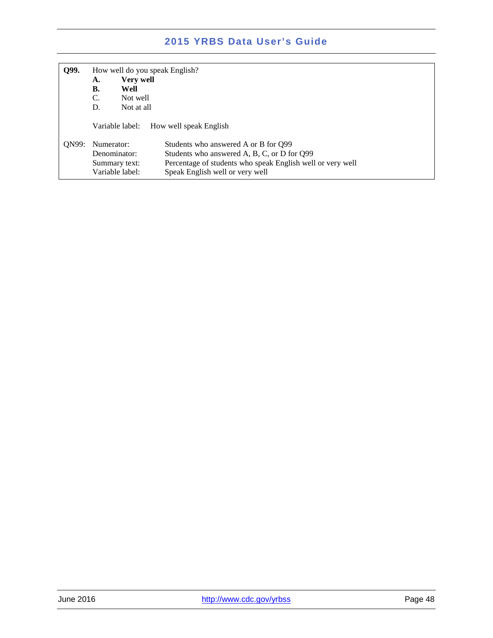| Q99.  | How well do you speak English? |                                                                             |  |
|-------|--------------------------------|-----------------------------------------------------------------------------|--|
|       | A.                             | Very well                                                                   |  |
|       | В.                             | Well                                                                        |  |
|       | C.                             | Not well                                                                    |  |
|       | D.                             | Not at all                                                                  |  |
|       |                                | Variable label:<br>How well speak English                                   |  |
| ON99: | Numerator:                     | Students who answered A or B for O99                                        |  |
|       | Denominator:                   | Students who answered A, B, C, or D for Q99                                 |  |
|       |                                | Percentage of students who speak English well or very well<br>Summary text: |  |
|       |                                | Variable label:<br>Speak English well or very well                          |  |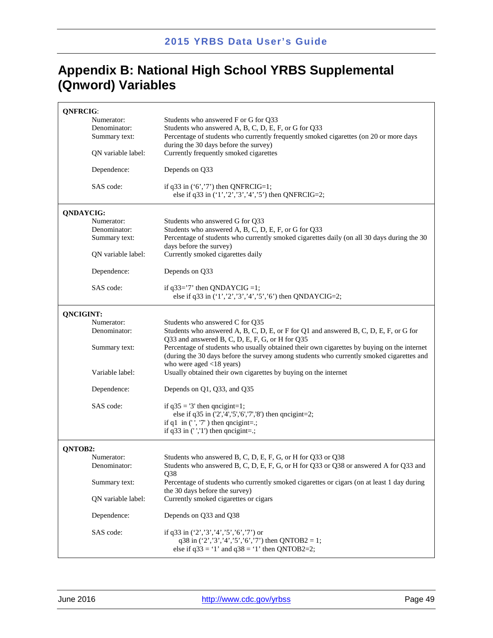## **Appendix B: National High School YRBS Supplemental (Qnword) Variables**

| <b>QNFRCIG:</b>    |                                                                                                                                                  |  |  |
|--------------------|--------------------------------------------------------------------------------------------------------------------------------------------------|--|--|
| Numerator:         | Students who answered F or G for Q33                                                                                                             |  |  |
| Denominator:       | Students who answered A, B, C, D, E, F, or G for Q33                                                                                             |  |  |
| Summary text:      | Percentage of students who currently frequently smoked cigarettes (on 20 or more days<br>during the 30 days before the survey)                   |  |  |
| QN variable label: | Currently frequently smoked cigarettes                                                                                                           |  |  |
| Dependence:        | Depends on Q33                                                                                                                                   |  |  |
| SAS code:          | if $q33$ in $('6', '7')$ then QNFRCIG=1;<br>else if q33 in $(1', 2', 3', 4', 5')$ then QNFRCIG=2;                                                |  |  |
| <b>QNDAYCIG:</b>   |                                                                                                                                                  |  |  |
| Numerator:         | Students who answered G for Q33                                                                                                                  |  |  |
| Denominator:       | Students who answered A, B, C, D, E, F, or G for Q33                                                                                             |  |  |
| Summary text:      | Percentage of students who currently smoked cigarettes daily (on all 30 days during the 30<br>days before the survey)                            |  |  |
| QN variable label: | Currently smoked cigarettes daily                                                                                                                |  |  |
| Dependence:        | Depends on Q33                                                                                                                                   |  |  |
| SAS code:          | if $q33=7$ ' then QNDAYCIG =1;<br>else if q33 in $(1', 2', 3', 4', 5', 6')$ then QNDAYCIG=2;                                                     |  |  |
| <b>QNCIGINT:</b>   |                                                                                                                                                  |  |  |
| Numerator:         | Students who answered C for Q35                                                                                                                  |  |  |
| Denominator:       | Students who answered A, B, C, D, E, or F for Q1 and answered B, C, D, E, F, or G for                                                            |  |  |
|                    | Q33 and answered B, C, D, E, F, G, or H for Q35<br>Percentage of students who usually obtained their own cigarettes by buying on the internet    |  |  |
| Summary text:      | (during the 30 days before the survey among students who currently smoked cigarettes and                                                         |  |  |
|                    | who were aged $<$ 18 years)                                                                                                                      |  |  |
| Variable label:    | Usually obtained their own cigarettes by buying on the internet                                                                                  |  |  |
| Dependence:        | Depends on Q1, Q33, and Q35                                                                                                                      |  |  |
| SAS code:          | if $q35 = 3'$ then qncigint=1;<br>else if $q35$ in $(2', 4', 5', 6', 7', 8')$ then qncigint=2;                                                   |  |  |
|                    | if q1 in $(', 7')$ then qncigint=.;                                                                                                              |  |  |
|                    | if $q33$ in $(','1')$ then qncigint=.;                                                                                                           |  |  |
| QNTOB2:            |                                                                                                                                                  |  |  |
| Numerator:         | Students who answered B, C, D, E, F, G, or H for Q33 or Q38                                                                                      |  |  |
| Denominator:       | Students who answered B, C, D, E, F, G, or H for Q33 or Q38 or answered A for Q33 and                                                            |  |  |
| Summary text:      | Q38<br>Percentage of students who currently smoked cigarettes or cigars (on at least 1 day during                                                |  |  |
|                    | the 30 days before the survey)                                                                                                                   |  |  |
| QN variable label: | Currently smoked cigarettes or cigars                                                                                                            |  |  |
| Dependence:        | Depends on Q33 and Q38                                                                                                                           |  |  |
| SAS code:          | if q33 in $(2', 3', 4', 5', 6', 7')$ or<br>q38 in $(2', 3', 4', 5', 6', 7)$ then QNTOB2 = 1;<br>else if $q33 = 1'$ and $q38 = 1'$ then QNTOB2=2; |  |  |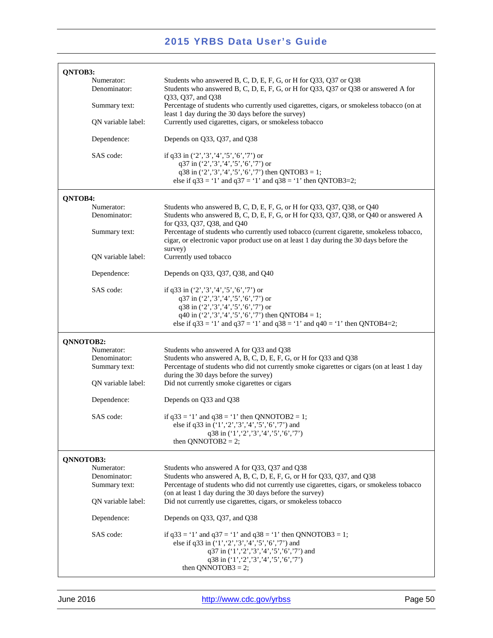| QNTOB3:                                     |                                                                                                                                                                                                                                                                     |
|---------------------------------------------|---------------------------------------------------------------------------------------------------------------------------------------------------------------------------------------------------------------------------------------------------------------------|
| Numerator:<br>Denominator:                  | Students who answered B, C, D, E, F, G, or H for Q33, Q37 or Q38<br>Students who answered B, C, D, E, F, G, or H for Q33, Q37 or Q38 or answered A for<br>Q33, Q37, and Q38                                                                                         |
| Summary text:                               | Percentage of students who currently used cigarettes, cigars, or smokeless tobacco (on at<br>least 1 day during the 30 days before the survey)                                                                                                                      |
| QN variable label:                          | Currently used cigarettes, cigars, or smokeless tobacco                                                                                                                                                                                                             |
| Dependence:                                 | Depends on Q33, Q37, and Q38                                                                                                                                                                                                                                        |
| SAS code:                                   | if q33 in $(2', 3', 4', 5', 6', 7')$ or<br>q37 in $(2', 3', 4', 5', 6', 7')$ or<br>q38 in $(2', 3', 4', 5', 6', 7)$ then QNTOB3 = 1;<br>else if $q33 = 1'$ and $q37 = 1'$ and $q38 = 1'$ then QNTOB3=2;                                                             |
| QNTOB4:                                     |                                                                                                                                                                                                                                                                     |
| Numerator:<br>Denominator:                  | Students who answered B, C, D, E, F, G, or H for Q33, Q37, Q38, or Q40<br>Students who answered B, C, D, E, F, G, or H for Q33, Q37, Q38, or Q40 or answered A<br>for Q33, Q37, Q38, and Q40                                                                        |
| Summary text:                               | Percentage of students who currently used tobacco (current cigarette, smokeless tobacco,<br>cigar, or electronic vapor product use on at least 1 day during the 30 days before the<br>survey)                                                                       |
| ON variable label:                          | Currently used tobacco                                                                                                                                                                                                                                              |
| Dependence:                                 | Depends on Q33, Q37, Q38, and Q40                                                                                                                                                                                                                                   |
| SAS code:                                   | if q33 in $(2', 3', 4', 5', 6', 7')$ or<br>q37 in ('2','3','4','5','6','7') or<br>q38 in ('2','3','4','5','6','7') or<br>q40 in $('2', '3', '4', '5', '6', '7')$ then QNTOB4 = 1;<br>else if $q33 = 1'$ and $q37 = 1'$ and $q38 = 1'$ and $q40 = 1'$ then QNTOB4=2; |
| QNNOTOB2:                                   |                                                                                                                                                                                                                                                                     |
| Numerator:<br>Denominator:<br>Summary text: | Students who answered A for Q33 and Q38<br>Students who answered A, B, C, D, E, F, G, or H for Q33 and Q38<br>Percentage of students who did not currently smoke cigarettes or cigars (on at least 1 day<br>during the 30 days before the survey)                   |
| QN variable label:                          | Did not currently smoke cigarettes or cigars                                                                                                                                                                                                                        |
| Dependence:                                 | Depends on Q33 and Q38                                                                                                                                                                                                                                              |
| SAS code:                                   | if $q33 = 1'$ and $q38 = 1'$ then QNNOTOB2 = 1;<br>else if q33 in $(1', 2', 3', 4', 5', 6', 7')$ and<br>q38 in ('1', '2', '3', '4', '5', '6', '7')<br>then QNNOTOB2 = 2;                                                                                            |
| QNNOTOB3:                                   |                                                                                                                                                                                                                                                                     |
| Numerator:<br>Denominator:<br>Summary text: | Students who answered A for Q33, Q37 and Q38<br>Students who answered A, B, C, D, E, F, G, or H for Q33, Q37, and Q38<br>Percentage of students who did not currently use cigarettes, cigars, or smokeless tobacco                                                  |
| QN variable label:                          | (on at least 1 day during the 30 days before the survey)<br>Did not currently use cigarettes, cigars, or smokeless tobacco                                                                                                                                          |
| Dependence:                                 | Depends on Q33, Q37, and Q38                                                                                                                                                                                                                                        |
| SAS code:                                   | if $q33 = 1'$ and $q37 = 1'$ and $q38 = 1'$ then QNNOTOB3 = 1;<br>else if q33 in $(1', 2', 3', 4', 5', 6', 7')$ and<br>q37 in ('1', '2', '3', '4', '5', '6', '7') and<br>q38 in ('1', '2', '3', '4', '5', '6', '7')<br>then QNNOTOB3 = 2;                           |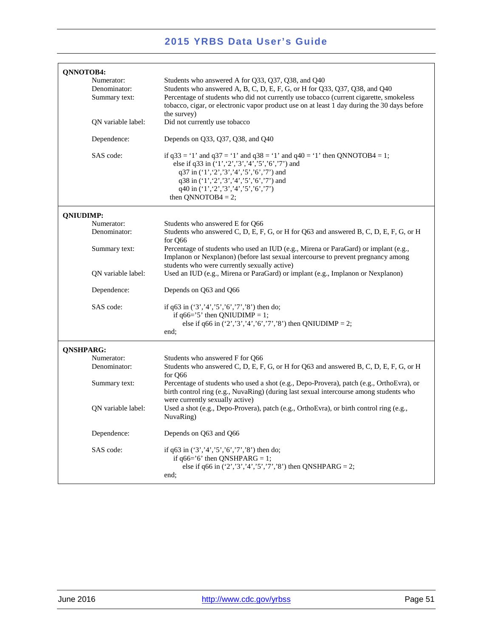| QNNOTOB4:        |                                                                   |                                                                                                                                                                                                                                                                                                                                                                           |
|------------------|-------------------------------------------------------------------|---------------------------------------------------------------------------------------------------------------------------------------------------------------------------------------------------------------------------------------------------------------------------------------------------------------------------------------------------------------------------|
|                  | Numerator:<br>Denominator:<br>Summary text:<br>QN variable label: | Students who answered A for Q33, Q37, Q38, and Q40<br>Students who answered A, B, C, D, E, F, G, or H for Q33, Q37, Q38, and Q40<br>Percentage of students who did not currently use tobacco (current cigarette, smokeless<br>tobacco, cigar, or electronic vapor product use on at least 1 day during the 30 days before<br>the survey)<br>Did not currently use tobacco |
|                  |                                                                   |                                                                                                                                                                                                                                                                                                                                                                           |
|                  | Dependence:                                                       | Depends on Q33, Q37, Q38, and Q40                                                                                                                                                                                                                                                                                                                                         |
|                  | SAS code:                                                         | if $q33 = 1'$ and $q37 = 1'$ and $q38 = 1'$ and $q40 = 1'$ then QNNOTOB4 = 1;<br>else if q33 in ('1','2','3','4','5','6','7') and<br>q37 in ('1', '2', '3', '4', '5', '6', '7') and<br>q38 in ('1', '2', '3', '4', '5', '6', '7') and<br>q40 in $(1', 2', 3', 4', 5', 6', 7')$<br>then QNNOTOB4 = 2;                                                                      |
| <b>QNIUDIMP:</b> |                                                                   |                                                                                                                                                                                                                                                                                                                                                                           |
|                  | Numerator:<br>Denominator:                                        | Students who answered E for O66<br>Students who answered C, D, E, F, G, or H for Q63 and answered B, C, D, E, F, G, or H<br>for O66                                                                                                                                                                                                                                       |
|                  | Summary text:                                                     | Percentage of students who used an IUD (e.g., Mirena or ParaGard) or implant (e.g.,<br>Implanon or Nexplanon) (before last sexual intercourse to prevent pregnancy among<br>students who were currently sexually active)                                                                                                                                                  |
|                  | QN variable label:                                                | Used an IUD (e.g., Mirena or ParaGard) or implant (e.g., Implanon or Nexplanon)                                                                                                                                                                                                                                                                                           |
|                  | Dependence:                                                       | Depends on Q63 and Q66                                                                                                                                                                                                                                                                                                                                                    |
|                  | SAS code:                                                         | if q63 in $(3', 4', 5', 6', 7', 8')$ then do;<br>if $q66 = '5'$ then QNIUDIMP = 1;<br>else if q66 in $(2', 3', 4', 6', 7', 8')$ then QNIUDIMP = 2;<br>end;                                                                                                                                                                                                                |
| <b>QNSHPARG:</b> |                                                                   |                                                                                                                                                                                                                                                                                                                                                                           |
|                  | Numerator:<br>Denominator:                                        | Students who answered F for Q66<br>Students who answered C, D, E, F, G, or H for Q63 and answered B, C, D, E, F, G, or H<br>for Q66                                                                                                                                                                                                                                       |
|                  | Summary text:                                                     | Percentage of students who used a shot (e.g., Depo-Provera), patch (e.g., OrthoEvra), or<br>birth control ring (e.g., NuvaRing) (during last sexual intercourse among students who<br>were currently sexually active)                                                                                                                                                     |
|                  | QN variable label:                                                | Used a shot (e.g., Depo-Provera), patch (e.g., OrthoEvra), or birth control ring (e.g.,<br>NuvaRing)                                                                                                                                                                                                                                                                      |
|                  | Dependence:                                                       | Depends on Q63 and Q66                                                                                                                                                                                                                                                                                                                                                    |
|                  | SAS code:                                                         | if $q63$ in $('3', '4', '5', '6', '7', '8')$ then do;<br>if $q66=$ '6' then QNSHPARG = 1;<br>else if q66 in $(2', 3', 4', 5', 7', 8')$ then QNSHPARG = 2;<br>end;                                                                                                                                                                                                         |
|                  |                                                                   |                                                                                                                                                                                                                                                                                                                                                                           |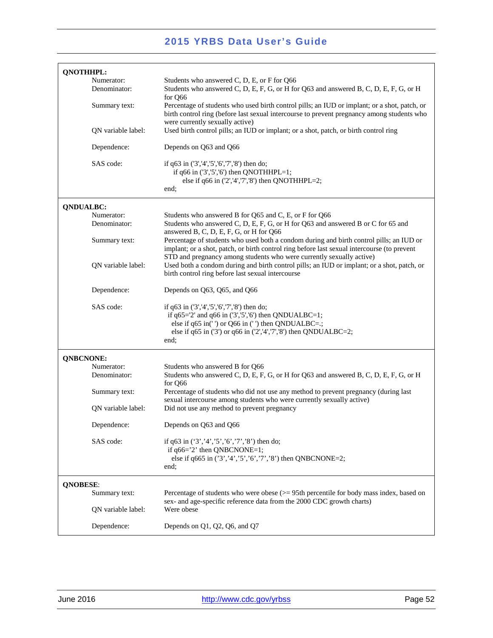| <b>QNOTHHPL:</b>                 |                                                                                                                                                                                                                                                                |
|----------------------------------|----------------------------------------------------------------------------------------------------------------------------------------------------------------------------------------------------------------------------------------------------------------|
| Numerator:                       | Students who answered C, D, E, or F for Q66                                                                                                                                                                                                                    |
| Denominator:                     | Students who answered C, D, E, F, G, or H for Q63 and answered B, C, D, E, F, G, or H<br>for Q66                                                                                                                                                               |
| Summary text:                    | Percentage of students who used birth control pills; an IUD or implant; or a shot, patch, or<br>birth control ring (before last sexual intercourse to prevent pregnancy among students who<br>were currently sexually active)                                  |
| QN variable label:               | Used birth control pills; an IUD or implant; or a shot, patch, or birth control ring                                                                                                                                                                           |
| Dependence:                      | Depends on Q63 and Q66                                                                                                                                                                                                                                         |
| SAS code:                        | if q63 in ('3','4','5','6','7','8') then do;<br>if $q66$ in $(3', 5', 6')$ then QNOTHHPL=1;<br>else if $q66$ in $(2', 4', 7', 8')$ then QNOTHHPL=2;<br>end;                                                                                                    |
|                                  |                                                                                                                                                                                                                                                                |
| <b>QNDUALBC:</b>                 |                                                                                                                                                                                                                                                                |
| Numerator:<br>Denominator:       | Students who answered B for Q65 and C, E, or F for Q66<br>Students who answered C, D, E, F, G, or H for Q63 and answered B or C for 65 and<br>answered B, C, D, E, F, G, or H for Q66                                                                          |
| Summary text:                    | Percentage of students who used both a condom during and birth control pills; an IUD or<br>implant; or a shot, patch, or birth control ring before last sexual intercourse (to prevent<br>STD and pregnancy among students who were currently sexually active) |
| QN variable label:               | Used both a condom during and birth control pills; an IUD or implant; or a shot, patch, or<br>birth control ring before last sexual intercourse                                                                                                                |
| Dependence:                      | Depends on Q63, Q65, and Q66                                                                                                                                                                                                                                   |
| SAS code:                        | if $q63$ in $(3', 4', 5', 6', 7', 8')$ then do;<br>if $q65=2'$ and $q66$ in $('3', '5', '6')$ then QNDUALBC=1;<br>else if $q65$ in(') or Q66 in (') then QNDUALBC= $\therefore$<br>else if q65 in $(3')$ or q66 in $(2',4',7',8')$ then QNDUALBC=2;<br>end;    |
| <b>QNBCNONE:</b>                 |                                                                                                                                                                                                                                                                |
| Numerator:                       | Students who answered B for Q66                                                                                                                                                                                                                                |
| Denominator:                     | Students who answered C, D, E, F, G, or H for Q63 and answered B, C, D, E, F, G, or H<br>for Q66                                                                                                                                                               |
| Summary text:                    | Percentage of students who did not use any method to prevent pregnancy (during last<br>sexual intercourse among students who were currently sexually active)                                                                                                   |
| ON variable label:               | Did not use any method to prevent pregnancy                                                                                                                                                                                                                    |
| Dependence:                      | Depends on Q63 and Q66                                                                                                                                                                                                                                         |
| SAS code:                        | if q63 in $(3', 4', 5', 6', 7', 8')$ then do;<br>if $q66 = '2'$ then QNBCNONE=1;<br>else if $q665$ in $(3', 4', 5', 6', 7', 8')$ then QNBCNONE=2;<br>end;                                                                                                      |
|                                  |                                                                                                                                                                                                                                                                |
| <b>QNOBESE:</b><br>Summary text: | Percentage of students who were obese $(>= 95$ th percentile for body mass index, based on                                                                                                                                                                     |
| QN variable label:               | sex- and age-specific reference data from the 2000 CDC growth charts)<br>Were obese                                                                                                                                                                            |
| Dependence:                      | Depends on Q1, Q2, Q6, and Q7                                                                                                                                                                                                                                  |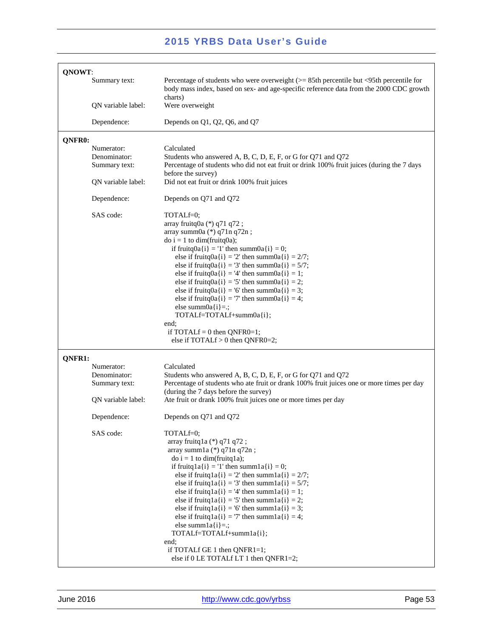| QNOWT:                                      |                                                                                                                                                                                                                                                                                                                                                                                                                                                                                                                                                                                                                                                                |  |
|---------------------------------------------|----------------------------------------------------------------------------------------------------------------------------------------------------------------------------------------------------------------------------------------------------------------------------------------------------------------------------------------------------------------------------------------------------------------------------------------------------------------------------------------------------------------------------------------------------------------------------------------------------------------------------------------------------------------|--|
| Summary text:                               | Percentage of students who were overweight $(>= 85$ th percentile but <95th percentile for<br>body mass index, based on sex- and age-specific reference data from the 2000 CDC growth<br>charts)                                                                                                                                                                                                                                                                                                                                                                                                                                                               |  |
| QN variable label:                          | Were overweight                                                                                                                                                                                                                                                                                                                                                                                                                                                                                                                                                                                                                                                |  |
| Dependence:                                 | Depends on Q1, Q2, Q6, and Q7                                                                                                                                                                                                                                                                                                                                                                                                                                                                                                                                                                                                                                  |  |
| QNFR0:                                      |                                                                                                                                                                                                                                                                                                                                                                                                                                                                                                                                                                                                                                                                |  |
| Numerator:<br>Denominator:<br>Summary text: | Calculated<br>Students who answered A, B, C, D, E, F, or G for Q71 and Q72<br>Percentage of students who did not eat fruit or drink 100% fruit juices (during the 7 days<br>before the survey)                                                                                                                                                                                                                                                                                                                                                                                                                                                                 |  |
| QN variable label:                          | Did not eat fruit or drink 100% fruit juices                                                                                                                                                                                                                                                                                                                                                                                                                                                                                                                                                                                                                   |  |
| Dependence:                                 | Depends on Q71 and Q72                                                                                                                                                                                                                                                                                                                                                                                                                                                                                                                                                                                                                                         |  |
| SAS code:                                   | TOTALf=0;<br>array fruitq0a (*) q71 q72;<br>array summ0a (*) q71n q72n;<br>$\text{do } i = 1 \text{ to } \text{dim}(\text{fruitq0a});$<br>if fruitq0a{i} = '1' then summ0a{i} = 0;<br>else if fruitq0a{i} = '2' then summ0a{i} = $2/7$ ;<br>else if fruitq0a{i} = '3' then summ0a{i} = $5/7$ ;<br>else if fruitq0a{i} = '4' then summ0a{i} = 1;<br>else if fruitq0a{i} = '5' then summ0a{i} = 2;<br>else if fruitq $0a[i] = 6'$ then summ $0a[i] = 3$ ;<br>else if fruitq0a{i} = '7' then summ0a{i} = 4;<br>else summ $0a[i]=$ .;<br>TOTALf=TOTALf+summ0a{i};<br>end;<br>if TOTAL $f = 0$ then QNFR0=1;<br>else if $TOTALf > 0$ then $QNFR0=2$ ;               |  |
| QNFR1:                                      |                                                                                                                                                                                                                                                                                                                                                                                                                                                                                                                                                                                                                                                                |  |
| Numerator:<br>Denominator:                  | Calculated<br>Students who answered A, B, C, D, E, F, or G for Q71 and Q72                                                                                                                                                                                                                                                                                                                                                                                                                                                                                                                                                                                     |  |
| Summary text:                               | Percentage of students who ate fruit or drank 100% fruit juices one or more times per day<br>(during the 7 days before the survey)                                                                                                                                                                                                                                                                                                                                                                                                                                                                                                                             |  |
| QN variable label:                          | Ate fruit or drank 100% fruit juices one or more times per day                                                                                                                                                                                                                                                                                                                                                                                                                                                                                                                                                                                                 |  |
| Dependence:                                 | Depends on Q71 and Q72                                                                                                                                                                                                                                                                                                                                                                                                                                                                                                                                                                                                                                         |  |
| SAS code:                                   | TOTALf=0;<br>array fruitq $1a$ (*) q $71$ q $72$ ;<br>array summ $1a$ (*) $q71n$ $q72n$ ;<br>$\phi$ i = 1 to dim(fruitq1a);<br>if fruitq $a[i] = '1'$ then summ $a[i] = 0;$<br>else if fruitq $a[i] = '2'$ then summ $a[i] = 2/7$ ;<br>else if fruitq $a[i] = '3'$ then summ $a[i] = 5/7$ ;<br>else if fruitq $a[i] = 4$ ' then summ $a[i] = 1$ ;<br>else if fruitq $a[i] = 5$ ' then summ $1a[i] = 2$ ;<br>else if fruitq $a[i] = 6$ ' then summ $a[i] = 3$ ;<br>else if fruitq $a[i] = 7$ ' then summ $a[i] = 4$ ;<br>else summ $1a[i]=$ .;<br>TOTALf=TOTALf+summ1a{i};<br>end;<br>if TOTALf GE 1 then $QNFR1=1$ ;<br>else if 0 LE TOTALf LT 1 then QNFR1=2; |  |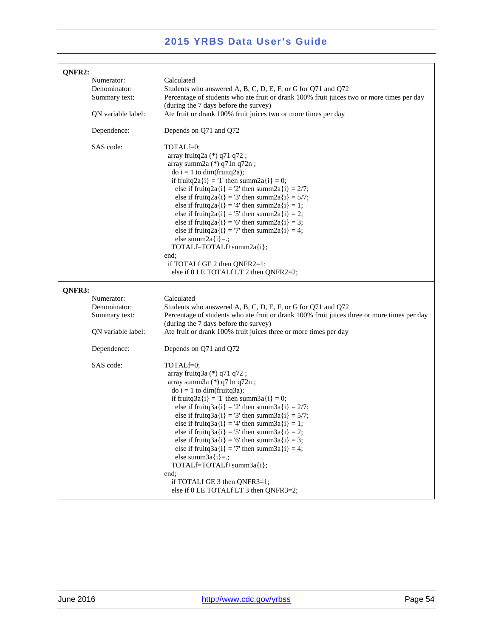| QNFR2: |                                             |                                                                                                                                                                                                                                                                                                                                                                                                                                                                                                                                                                                                                     |
|--------|---------------------------------------------|---------------------------------------------------------------------------------------------------------------------------------------------------------------------------------------------------------------------------------------------------------------------------------------------------------------------------------------------------------------------------------------------------------------------------------------------------------------------------------------------------------------------------------------------------------------------------------------------------------------------|
|        | Numerator:<br>Denominator:<br>Summary text: | Calculated<br>Students who answered A, B, C, D, E, F, or G for Q71 and Q72<br>Percentage of students who ate fruit or drank 100% fruit juices two or more times per day<br>(during the 7 days before the survey)                                                                                                                                                                                                                                                                                                                                                                                                    |
|        | QN variable label:                          | Ate fruit or drank 100% fruit juices two or more times per day                                                                                                                                                                                                                                                                                                                                                                                                                                                                                                                                                      |
|        | Dependence:                                 | Depends on Q71 and Q72                                                                                                                                                                                                                                                                                                                                                                                                                                                                                                                                                                                              |
|        | SAS code:                                   | TOTALf=0;<br>array fruitq2a (*) q71 q72;<br>array summ $2a$ (*) $q71n$ $q72n$ ;<br>$\phi$ i = 1 to dim(fruitq2a);<br>if fruitq2a{i} = '1' then summ2a{i} = 0;<br>else if fruitq2a{i} = '2' then summ2a{i} = $2/7$ ;<br>else if fruitq2a{i} = '3' then summ2a{i} = $5/7$ ;<br>else if fruitq2a{i} = '4' then summ2a{i} = 1;<br>else if fruitq2a{i} = '5' then summ2a{i} = 2;<br>else if fruitq2a{i} = '6' then summ2a{i} = 3;<br>else if fruitq2a{i} = '7' then summ2a{i} = 4;<br>else summ $2a[i]=$ :<br>TOTALf=TOTALf+summ2a{i};<br>end;<br>if TOTALf GE 2 then QNFR2=1;<br>else if 0 LE TOTALf LT 2 then QNFR2=2; |
| QNFR3: |                                             |                                                                                                                                                                                                                                                                                                                                                                                                                                                                                                                                                                                                                     |
|        | Numerator:<br>Denominator:<br>Summary text: | Calculated<br>Students who answered A, B, C, D, E, F, or G for Q71 and Q72<br>Percentage of students who ate fruit or drank 100% fruit juices three or more times per day<br>(during the 7 days before the survey)                                                                                                                                                                                                                                                                                                                                                                                                  |
|        | QN variable label:                          | Ate fruit or drank 100% fruit juices three or more times per day                                                                                                                                                                                                                                                                                                                                                                                                                                                                                                                                                    |
|        | Dependence:                                 | Depends on Q71 and Q72                                                                                                                                                                                                                                                                                                                                                                                                                                                                                                                                                                                              |
|        | SAS code:                                   | TOTALf=0;<br>array fruitq3a (*) q71 q72;<br>array summ $3a$ (*) $q71n$ $q72n$ ;<br>$\phi$ i = 1 to dim(fruitq3a);<br>if fruitq3a{i} = '1' then summ3a{i} = 0;<br>else if fruitq3a{i} = '2' then summ3a{i} = $2/7$ ;<br>else if fruitq $3a(i) = 3'$ then summ $3a(i) = 5/7$ ;<br>else if fruitq $3a(i) = 4$ ' then summ $3a(i) = 1$ ;<br>else if fruitq $3a(i) = 5$ ' then summ $3a(i) = 2$ ;<br>else if fruitq $3a(i) = 6'$ then summ $3a(i) = 3$ ;<br>else if fruitq $3a(i) = 7$ ' then summ $3a(i) = 4$ ;<br>else summ $3a(i)=$ :<br>TOTALf=TOTALf+summ3a{i};                                                     |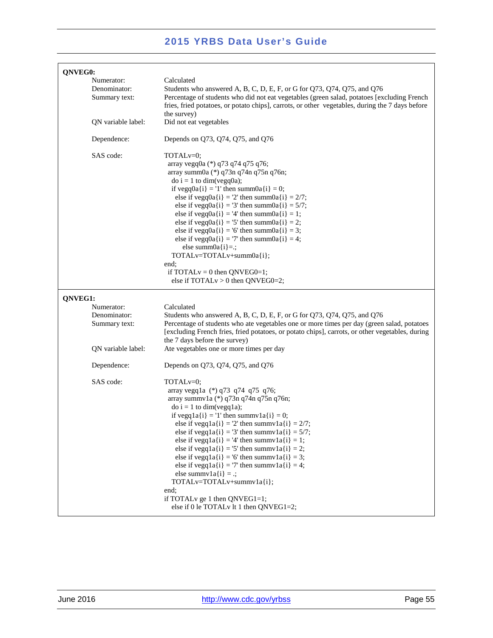| QNVEG0:                                     |                                                                                                                                                                                                                                                                                                                                                                                                                                                                                                                                                                                                                                                                                     |
|---------------------------------------------|-------------------------------------------------------------------------------------------------------------------------------------------------------------------------------------------------------------------------------------------------------------------------------------------------------------------------------------------------------------------------------------------------------------------------------------------------------------------------------------------------------------------------------------------------------------------------------------------------------------------------------------------------------------------------------------|
| Numerator:<br>Denominator:<br>Summary text: | Calculated<br>Students who answered A, B, C, D, E, F, or G for Q73, Q74, Q75, and Q76<br>Percentage of students who did not eat vegetables (green salad, potatoes [excluding French<br>fries, fried potatoes, or potato chips], carrots, or other vegetables, during the 7 days before<br>the survey)                                                                                                                                                                                                                                                                                                                                                                               |
| QN variable label:                          | Did not eat vegetables                                                                                                                                                                                                                                                                                                                                                                                                                                                                                                                                                                                                                                                              |
| Dependence:                                 | Depends on Q73, Q74, Q75, and Q76                                                                                                                                                                                                                                                                                                                                                                                                                                                                                                                                                                                                                                                   |
| SAS code:                                   | TOTAL <sub>v=0</sub> ;<br>array vegq0a (*) q73 q74 q75 q76;<br>array summ0a (*) q73n q74n q75n q76n;<br>$\text{do } i = 1 \text{ to } \text{dim}(\text{veg0a});$<br>if vegq0a{i} = '1' then summ0a{i} = 0;<br>else if vegq0a{i} = '2' then summ0a{i} = 2/7;<br>else if vegq0a{i} = '3' then summ0a{i} = $5/7$ ;<br>else if vegq $0a(i) = 4$ ' then summ $0a(i) = 1$ ;<br>else if vegq0a{i} = '5' then summ0a{i} = 2;<br>else if vegq0a{i} = '6' then summ0a{i} = 3;<br>else if vegq0a{i} = '7' then summ0a{i} = 4;<br>else summ $0a[i]=$ .;<br>$TOTALv=TOTALv+summ0a(i);$<br>end;<br>if TOTAL $v = 0$ then QNVEG0=1;<br>else if $TOTALv > 0$ then $QNVEG0=2$ ;                      |
| QNVEG1:                                     |                                                                                                                                                                                                                                                                                                                                                                                                                                                                                                                                                                                                                                                                                     |
| Numerator:                                  | Calculated                                                                                                                                                                                                                                                                                                                                                                                                                                                                                                                                                                                                                                                                          |
| Denominator:<br>Summary text:               | Students who answered A, B, C, D, E, F, or G for Q73, Q74, Q75, and Q76<br>Percentage of students who ate vegetables one or more times per day (green salad, potatoes<br>[excluding French fries, fried potatoes, or potato chips], carrots, or other vegetables, during<br>the 7 days before the survey)                                                                                                                                                                                                                                                                                                                                                                           |
| QN variable label:                          | Ate vegetables one or more times per day                                                                                                                                                                                                                                                                                                                                                                                                                                                                                                                                                                                                                                            |
| Dependence:                                 | Depends on Q73, Q74, Q75, and Q76                                                                                                                                                                                                                                                                                                                                                                                                                                                                                                                                                                                                                                                   |
| SAS code:                                   | TOTAL <sub>v=0</sub> ;<br>array vegq1a (*) q73 q74 q75 q76;<br>array summv1a (*) q73n q74n q75n q76n;<br>$\phi$ i = 1 to dim(vegq1a);<br>if vegq $a[i] = '1'$ then summv $a[i] = 0;$<br>else if vegq $1a(i) = 2'$ then summv $1a(i) = 2/7$ ;<br>else if vegq $a[i] = '3'$ then summv $a[i] = 5/7$ ;<br>else if vegq $1a(i) = 4$ ' then summv $1a(i) = 1$ ;<br>else if vegq $a[i] = 5$ ' then summv $a[i] = 2$ ;<br>else if vegq $1a(i) = 6'$ then summv $1a(i) = 3$ ;<br>else if vegq $a[i] = 7$ ' then summv $a[i] = 4$ ;<br>else summv $1a(i) =$ .;<br>TOTALv=TOTALv+summv1a{i};<br>end:<br>if TOTAL <sub>v</sub> ge 1 then QNVEG1=1;<br>else if 0 le TOTAL v lt 1 then QNVEG1=2; |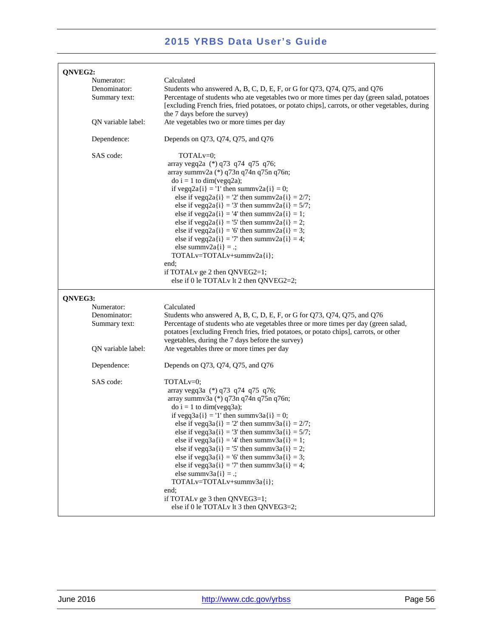| QNVEG2:                                     |                                                                                                                                                                                                                                                                                                                                                                                                                                                                                                                                                                                                                                                                                      |
|---------------------------------------------|--------------------------------------------------------------------------------------------------------------------------------------------------------------------------------------------------------------------------------------------------------------------------------------------------------------------------------------------------------------------------------------------------------------------------------------------------------------------------------------------------------------------------------------------------------------------------------------------------------------------------------------------------------------------------------------|
| Numerator:<br>Denominator:<br>Summary text: | Calculated<br>Students who answered A, B, C, D, E, F, or G for Q73, Q74, Q75, and Q76<br>Percentage of students who ate vegetables two or more times per day (green salad, potatoes<br>[excluding French fries, fried potatoes, or potato chips], carrots, or other vegetables, during<br>the 7 days before the survey)                                                                                                                                                                                                                                                                                                                                                              |
| QN variable label:                          | Ate vegetables two or more times per day                                                                                                                                                                                                                                                                                                                                                                                                                                                                                                                                                                                                                                             |
| Dependence:                                 | Depends on Q73, Q74, Q75, and Q76                                                                                                                                                                                                                                                                                                                                                                                                                                                                                                                                                                                                                                                    |
| SAS code:                                   | TOTAL <sub>v=0</sub> ;<br>array vegq2a (*) q73 q74 q75 q76;<br>array summv2a (*) q73n q74n q75n q76n;<br>$\phi$ i = 1 to dim(vegq2a);<br>if vegq2a{i} = '1' then summv2a{i} = 0;<br>else if vegq2a{i} = '2' then summv2a{i} = $2/7$ ;<br>else if vegq2a{i} = '3' then summv2a{i} = $5/7$ ;<br>else if vegq2a{i} = '4' then summv2a{i} = 1;<br>else if vegq2a{i} = '5' then summv2a{i} = 2;<br>else if vegq2a{i} = '6' then summv2a{i} = 3;<br>else if vegq2a{i} = '7' then summv2a{i} = 4;<br>else summv $2a(i) =$ .;<br>TOTALv=TOTALv+summv2a{i};<br>end;<br>if TOTALv ge 2 then QNVEG2=1;<br>else if 0 le TOTALv lt 2 then QNVEG2=2;                                               |
| QNVEG3:                                     |                                                                                                                                                                                                                                                                                                                                                                                                                                                                                                                                                                                                                                                                                      |
| Numerator:<br>Denominator:<br>Summary text: | Calculated<br>Students who answered A, B, C, D, E, F, or G for Q73, Q74, Q75, and Q76<br>Percentage of students who ate vegetables three or more times per day (green salad,<br>potatoes [excluding French fries, fried potatoes, or potato chips], carrots, or other<br>vegetables, during the 7 days before the survey)                                                                                                                                                                                                                                                                                                                                                            |
| QN variable label:                          | Ate vegetables three or more times per day                                                                                                                                                                                                                                                                                                                                                                                                                                                                                                                                                                                                                                           |
| Dependence:                                 | Depends on Q73, Q74, Q75, and Q76                                                                                                                                                                                                                                                                                                                                                                                                                                                                                                                                                                                                                                                    |
| SAS code:                                   | TOTAL <sub>v=0</sub> ;<br>array vegq3a (*) q73 q74 q75 q76;<br>array summv3a (*) q73n q74n q75n q76n;<br>$\phi$ i = 1 to dim(vegq3a);<br>if vegq $3a(i) = 1$ ' then summv $3a(i) = 0$ ;<br>else if vegq $3a(i) = 2$ ' then summv $3a(i) = 2/7$ ;<br>else if vegq3a{i} = '3' then summv3a{i} = $5/7$ ;<br>else if vegq $3a(i) = 4$ ' then summv $3a(i) = 1$ ;<br>else if vegq $3a(i) = 5$ ' then summv $3a(i) = 2$ ;<br>else if vegq $3a(i) = 6$ ' then summv $3a(i) = 3$ ;<br>else if vegq $3a(i) = 7$ ' then summv $3a(i) = 4$ ;<br>else summv $3a(i) = .$ ;<br>TOTALv=TOTALv+summv3a{i};<br>end;<br>if TOTAL v ge 3 then QNVEG3=1;<br>else if 0 le TOTAL $\nu$ lt 3 then QNVEG3=2; |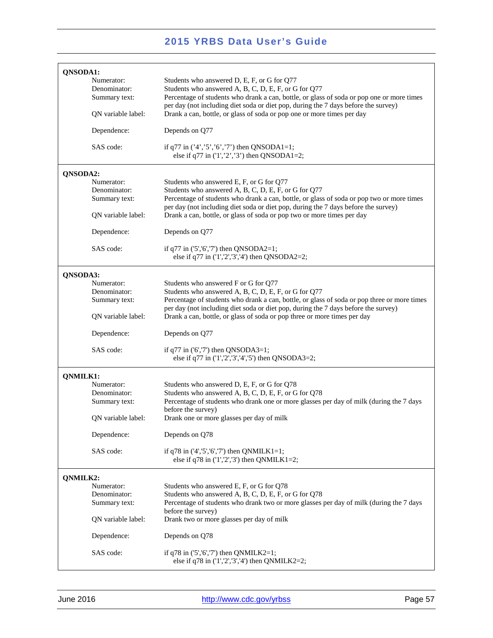| QNSODA1:           |                                                                                                                                                                                   |
|--------------------|-----------------------------------------------------------------------------------------------------------------------------------------------------------------------------------|
| Numerator:         | Students who answered D, E, F, or G for Q77                                                                                                                                       |
| Denominator:       | Students who answered A, B, C, D, E, F, or G for Q77                                                                                                                              |
| Summary text:      | Percentage of students who drank a can, bottle, or glass of soda or pop one or more times<br>per day (not including diet soda or diet pop, during the 7 days before the survey)   |
| QN variable label: | Drank a can, bottle, or glass of soda or pop one or more times per day                                                                                                            |
| Dependence:        | Depends on Q77                                                                                                                                                                    |
| SAS code:          | if q77 in $(3, 5, 5, 6, 7)$ then QNSODA1=1;<br>else if q77 in $(1', 2', 3')$ then QNSODA1=2;                                                                                      |
| QNSODA2:           |                                                                                                                                                                                   |
| Numerator:         | Students who answered E, F, or G for Q77                                                                                                                                          |
| Denominator:       | Students who answered A, B, C, D, E, F, or G for Q77                                                                                                                              |
| Summary text:      | Percentage of students who drank a can, bottle, or glass of soda or pop two or more times                                                                                         |
| QN variable label: | per day (not including diet soda or diet pop, during the 7 days before the survey)<br>Drank a can, bottle, or glass of soda or pop two or more times per day                      |
| Dependence:        | Depends on Q77                                                                                                                                                                    |
| SAS code:          | if $q77$ in $(5', 6', 7')$ then QNSODA2=1;<br>else if q77 in $(1', 2', 3', 4')$ then QNSODA2=2;                                                                                   |
| QNSODA3:           |                                                                                                                                                                                   |
| Numerator:         | Students who answered F or G for Q77                                                                                                                                              |
| Denominator:       | Students who answered A, B, C, D, E, F, or G for Q77                                                                                                                              |
| Summary text:      | Percentage of students who drank a can, bottle, or glass of soda or pop three or more times<br>per day (not including diet soda or diet pop, during the 7 days before the survey) |
| QN variable label: | Drank a can, bottle, or glass of soda or pop three or more times per day                                                                                                          |
| Dependence:        | Depends on Q77                                                                                                                                                                    |
| SAS code:          | if $q77$ in ('6','7') then QNSODA3=1;<br>else if q77 in $(1', 2', 3', 4', 5')$ then QNSODA3=2;                                                                                    |
| QNMILK1:           |                                                                                                                                                                                   |
| Numerator:         | Students who answered D, E, F, or G for Q78                                                                                                                                       |
| Denominator:       | Students who answered A, B, C, D, E, F, or G for Q78                                                                                                                              |
| Summary text:      | Percentage of students who drank one or more glasses per day of milk (during the 7 days                                                                                           |
|                    | before the survey)                                                                                                                                                                |
| QN variable label: | Drank one or more glasses per day of milk                                                                                                                                         |
| Dependence:        | Depends on Q78                                                                                                                                                                    |
| SAS code:          | if $q78$ in $(4', 5', 6', 7')$ then QNMILK1=1;<br>else if q78 in $(1', 2', 3')$ then QNMILK1=2;                                                                                   |
| QNMILK2:           |                                                                                                                                                                                   |
| Numerator:         | Students who answered E, F, or G for Q78                                                                                                                                          |
| Denominator:       | Students who answered A, B, C, D, E, F, or G for Q78                                                                                                                              |
| Summary text:      | Percentage of students who drank two or more glasses per day of milk (during the 7 days                                                                                           |
|                    | before the survey)                                                                                                                                                                |
| QN variable label: | Drank two or more glasses per day of milk                                                                                                                                         |
| Dependence:        | Depends on Q78                                                                                                                                                                    |
| SAS code:          | if $q78$ in $(5', 6', 7')$ then QNMILK2=1;<br>else if q78 in $(1', 2', 3', 4')$ then QNMILK2=2;                                                                                   |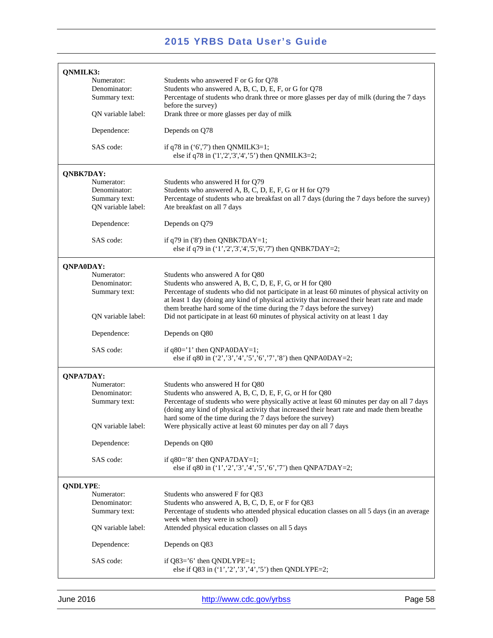| QNMILK3:         |                    |                                                                                                                                                          |
|------------------|--------------------|----------------------------------------------------------------------------------------------------------------------------------------------------------|
|                  | Numerator:         | Students who answered F or G for Q78                                                                                                                     |
|                  | Denominator:       | Students who answered A, B, C, D, E, F, or G for Q78                                                                                                     |
|                  | Summary text:      | Percentage of students who drank three or more glasses per day of milk (during the 7 days                                                                |
|                  |                    | before the survey)                                                                                                                                       |
|                  | QN variable label: | Drank three or more glasses per day of milk                                                                                                              |
|                  | Dependence:        | Depends on Q78                                                                                                                                           |
|                  | SAS code:          | if $q78$ in $('6', 7')$ then QNMILK3=1;<br>else if q78 in ('1','2','3','4','5') then QNMILK3=2;                                                          |
| QNBK7DAY:        |                    |                                                                                                                                                          |
|                  | Numerator:         | Students who answered H for Q79                                                                                                                          |
|                  | Denominator:       | Students who answered A, B, C, D, E, F, G or H for Q79                                                                                                   |
|                  | Summary text:      | Percentage of students who ate breakfast on all 7 days (during the 7 days before the survey)                                                             |
|                  | QN variable label: | Ate breakfast on all 7 days                                                                                                                              |
|                  | Dependence:        | Depends on Q79                                                                                                                                           |
|                  | SAS code:          | if $q79$ in ('8') then QNBK7DAY=1;                                                                                                                       |
|                  |                    | else if q79 in ('1','2','3','4','5','6','7') then QNBK7DAY=2;                                                                                            |
| <b>QNPA0DAY:</b> |                    |                                                                                                                                                          |
|                  | Numerator:         | Students who answered A for Q80                                                                                                                          |
|                  | Denominator:       | Students who answered A, B, C, D, E, F, G, or H for Q80                                                                                                  |
|                  | Summary text:      | Percentage of students who did not participate in at least 60 minutes of physical activity on                                                            |
|                  |                    | at least 1 day (doing any kind of physical activity that increased their heart rate and made                                                             |
|                  |                    | them breathe hard some of the time during the 7 days before the survey)                                                                                  |
|                  | QN variable label: | Did not participate in at least 60 minutes of physical activity on at least 1 day                                                                        |
|                  | Dependence:        | Depends on Q80                                                                                                                                           |
|                  | SAS code:          | if $q80=1$ ' then QNPA0DAY=1;<br>else if q80 in $(2', 3', 4', 5', 6', 7', 8')$ then QNPA0DAY=2;                                                          |
| <b>QNPA7DAY:</b> |                    |                                                                                                                                                          |
|                  | Numerator:         | Students who answered H for Q80                                                                                                                          |
|                  | Denominator:       | Students who answered A, B, C, D, E, F, G, or H for Q80                                                                                                  |
|                  | Summary text:      | Percentage of students who were physically active at least 60 minutes per day on all 7 days                                                              |
|                  |                    | (doing any kind of physical activity that increased their heart rate and made them breathe<br>hard some of the time during the 7 days before the survey) |
|                  | QN variable label: | Were physically active at least 60 minutes per day on all 7 days                                                                                         |
|                  | Dependence:        | Depends on Q80                                                                                                                                           |
|                  | SAS code:          | if $q80=$ '8' then QNPA7DAY=1;                                                                                                                           |
|                  |                    | else if q80 in $(1', 2', 3', 4', 5', 6', 7')$ then QNPA7DAY=2;                                                                                           |
| <b>QNDLYPE:</b>  |                    |                                                                                                                                                          |
|                  | Numerator:         | Students who answered F for Q83                                                                                                                          |
|                  | Denominator:       | Students who answered A, B, C, D, E, or F for Q83                                                                                                        |
|                  | Summary text:      | Percentage of students who attended physical education classes on all 5 days (in an average                                                              |
|                  |                    | week when they were in school)                                                                                                                           |
|                  | QN variable label: | Attended physical education classes on all 5 days                                                                                                        |
|                  | Dependence:        | Depends on Q83                                                                                                                                           |
|                  | SAS code:          | if $Q83='6'$ then $QNDLYPE=1$ ;                                                                                                                          |
|                  |                    | else if Q83 in $(1', 2', 3', 4', 5')$ then QNDLYPE=2;                                                                                                    |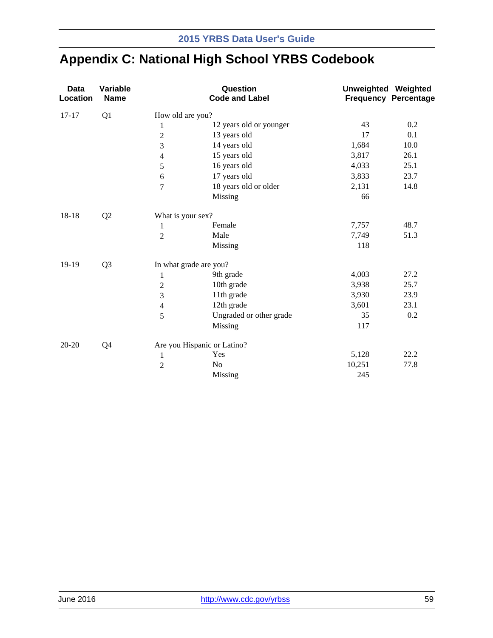# **Appendix C: National High School YRBS Codebook**

| <b>Data</b><br>Location | Variable<br><b>Name</b> |                   | Question<br><b>Code and Label</b> | <b>Unweighted Weighted</b> | <b>Frequency Percentage</b> |
|-------------------------|-------------------------|-------------------|-----------------------------------|----------------------------|-----------------------------|
| $17 - 17$               | Q1                      | How old are you?  |                                   |                            |                             |
|                         |                         | $\mathbf{1}$      | 12 years old or younger           | 43                         | 0.2                         |
|                         |                         | $\mathbf{2}$      | 13 years old                      | 17                         | 0.1                         |
|                         |                         | 3                 | 14 years old                      | 1,684                      | 10.0                        |
|                         |                         | 4                 | 15 years old                      | 3,817                      | 26.1                        |
|                         |                         | 5                 | 16 years old                      | 4,033                      | 25.1                        |
|                         |                         | 6                 | 17 years old                      | 3,833                      | 23.7                        |
|                         |                         | $\overline{7}$    | 18 years old or older             | 2,131                      | 14.8                        |
|                         |                         |                   | Missing                           | 66                         |                             |
| 18-18                   | Q2                      | What is your sex? |                                   |                            |                             |
|                         |                         | 1                 | Female                            | 7,757                      | 48.7                        |
|                         |                         | $\overline{2}$    | Male                              | 7,749                      | 51.3                        |
|                         |                         |                   | Missing                           | 118                        |                             |
| 19-19                   | Q <sub>3</sub>          |                   | In what grade are you?            |                            |                             |
|                         |                         | $\mathbf{1}$      | 9th grade                         | 4,003                      | 27.2                        |
|                         |                         | $\mathbf{2}$      | 10th grade                        | 3,938                      | 25.7                        |
|                         |                         | 3                 | 11th grade                        | 3,930                      | 23.9                        |
|                         |                         | $\overline{4}$    | 12th grade                        | 3,601                      | 23.1                        |
|                         |                         | 5                 | Ungraded or other grade           | 35                         | 0.2                         |
|                         |                         |                   | Missing                           | 117                        |                             |
| $20 - 20$               | Q4                      |                   | Are you Hispanic or Latino?       |                            |                             |
|                         |                         | $\mathbf{1}$      | Yes                               | 5,128                      | 22.2                        |
|                         |                         | $\overline{c}$    | N <sub>o</sub>                    | 10,251                     | 77.8                        |
|                         |                         |                   | Missing                           | 245                        |                             |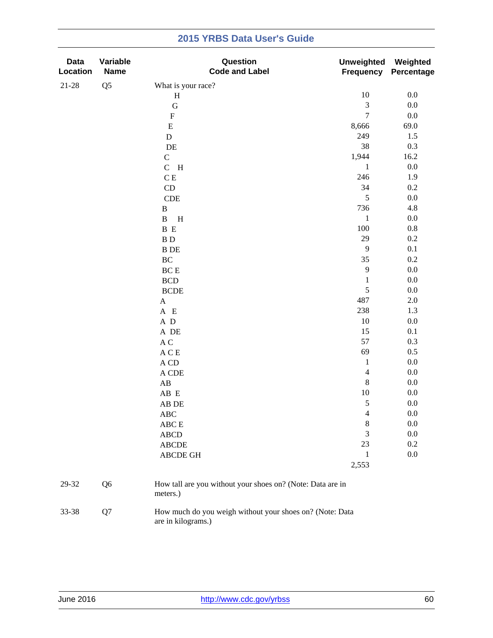| <b>Data</b><br>Location | Variable<br><b>Name</b> | Question<br><b>Code and Label</b>                                              | <b>Unweighted</b><br><b>Frequency</b> | Weighted<br>Percentage |
|-------------------------|-------------------------|--------------------------------------------------------------------------------|---------------------------------------|------------------------|
| 21-28                   | Q <sub>5</sub>          | What is your race?                                                             |                                       |                        |
|                         |                         | $\, {\rm H}$                                                                   | 10                                    | $0.0\,$                |
|                         |                         | $\mathbf G$                                                                    | $\sqrt{3}$                            | $0.0\,$                |
|                         |                         | ${\bf F}$                                                                      | $\overline{7}$                        | $0.0\,$                |
|                         |                         | ${\bf E}$                                                                      | 8,666                                 | 69.0                   |
|                         |                         | $\mathbf D$                                                                    | 249                                   | 1.5                    |
|                         |                         | DE                                                                             | 38                                    | 0.3                    |
|                         |                         | $\mathbf C$                                                                    | 1,944                                 | 16.2                   |
|                         |                         | $C$ H                                                                          | $\mathbf{1}$                          | $0.0\,$                |
|                         |                         | $\mathbf C$ E                                                                  | 246                                   | 1.9                    |
|                         |                         | CD                                                                             | 34                                    | 0.2                    |
|                         |                         | $\ensuremath{\mathsf{CDE}}$                                                    | 5                                     | $0.0\,$                |
|                         |                         | $\, {\bf B}$                                                                   | 736                                   | 4.8                    |
|                         |                         | $\, {\bf B}$<br>$\, {\rm H}$                                                   | $\,1\,$                               | $0.0\,$                |
|                         |                         | B E                                                                            | 100                                   | $0.8\,$                |
|                         |                         | $\, {\bf B} \,$ D                                                              | 29                                    | $0.2\,$                |
|                         |                         | <b>B</b> DE                                                                    | 9                                     | 0.1                    |
|                         |                         | $\rm BC$                                                                       | 35                                    | $0.2\,$                |
|                         |                         | $\operatorname{BC}$ E                                                          | 9                                     | $0.0\,$                |
|                         |                         | $\operatorname{BCD}$                                                           | $\mathbf{1}$                          | $0.0\,$                |
|                         |                         | <b>BCDE</b>                                                                    | 5                                     | $0.0\,$                |
|                         |                         | $\mathbf A$                                                                    | 487                                   | $2.0\,$                |
|                         |                         | A E                                                                            | 238                                   | 1.3                    |
|                         |                         | $\,$ A $\,$ D                                                                  | $10\,$                                | $0.0\,$                |
|                         |                         | A DE                                                                           | 15                                    | 0.1                    |
|                         |                         | $\mathbf A$ C                                                                  | 57                                    | 0.3                    |
|                         |                         | A C E                                                                          | 69                                    | 0.5                    |
|                         |                         | A CD                                                                           | $\mathbf{1}$                          | $0.0\,$                |
|                         |                         | A CDE                                                                          | $\overline{4}$                        | $0.0\,$                |
|                         |                         | $\mathbf{A}\mathbf{B}$                                                         | 8                                     | $0.0\,$                |
|                         |                         | AB E                                                                           | 10                                    | $0.0\,$                |
|                         |                         | AB DE                                                                          | 5                                     | 0.0                    |
|                         |                         | <b>ABC</b>                                                                     | $\overline{4}$                        | 0.0                    |
|                         |                         | ABC E                                                                          | 8                                     | $0.0\,$                |
|                         |                         | <b>ABCD</b>                                                                    | 3                                     | $0.0\,$                |
|                         |                         | <b>ABCDE</b>                                                                   | 23                                    | $0.2\,$                |
|                         |                         | ABCDE GH                                                                       | 1                                     | $0.0\,$                |
|                         |                         |                                                                                | 2,553                                 |                        |
| 29-32                   | Q <sub>6</sub>          | How tall are you without your shoes on? (Note: Data are in<br>meters.)         |                                       |                        |
| 33-38                   | Q7                      | How much do you weigh without your shoes on? (Note: Data<br>are in kilograms.) |                                       |                        |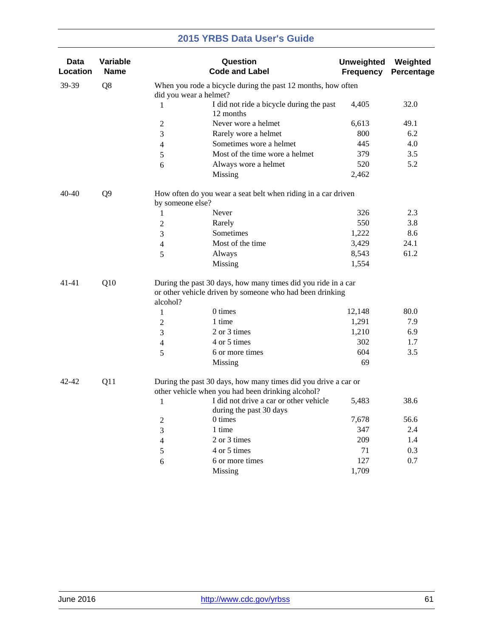| Data<br>Location | Variable<br><b>Name</b> |                        | Question<br><b>Code and Label</b>                                                                                         | <b>Unweighted</b><br><b>Frequency</b> | Weighted<br>Percentage |
|------------------|-------------------------|------------------------|---------------------------------------------------------------------------------------------------------------------------|---------------------------------------|------------------------|
| 39-39            | Q8                      | did you wear a helmet? | When you rode a bicycle during the past 12 months, how often                                                              |                                       |                        |
|                  |                         | 1                      | I did not ride a bicycle during the past<br>12 months                                                                     | 4,405                                 | 32.0                   |
|                  |                         | $\overline{c}$         | Never wore a helmet                                                                                                       | 6,613                                 | 49.1                   |
|                  |                         | 3                      | Rarely wore a helmet                                                                                                      | 800                                   | 6.2                    |
|                  |                         | 4                      | Sometimes wore a helmet                                                                                                   | 445                                   | 4.0                    |
|                  |                         | 5                      | Most of the time wore a helmet                                                                                            | 379                                   | 3.5                    |
|                  |                         | 6                      | Always wore a helmet                                                                                                      | 520                                   | 5.2                    |
|                  |                         |                        | Missing                                                                                                                   | 2,462                                 |                        |
| $40 - 40$        | Q <sub>9</sub>          | by someone else?       | How often do you wear a seat belt when riding in a car driven                                                             |                                       |                        |
|                  |                         | 1                      | Never                                                                                                                     | 326                                   | 2.3                    |
|                  |                         | $\overline{2}$         | Rarely                                                                                                                    | 550                                   | 3.8                    |
|                  |                         | 3                      | Sometimes                                                                                                                 | 1,222                                 | 8.6                    |
|                  |                         | 4                      | Most of the time                                                                                                          | 3,429                                 | 24.1                   |
|                  |                         | 5                      | Always                                                                                                                    | 8,543                                 | 61.2                   |
|                  |                         |                        | Missing                                                                                                                   | 1,554                                 |                        |
| $41 - 41$        | Q10                     | alcohol?               | During the past 30 days, how many times did you ride in a car<br>or other vehicle driven by someone who had been drinking |                                       |                        |
|                  |                         | 1                      | 0 times                                                                                                                   | 12,148                                | 80.0                   |
|                  |                         | $\overline{2}$         | 1 time                                                                                                                    | 1,291                                 | 7.9                    |
|                  |                         | 3                      | 2 or 3 times                                                                                                              | 1,210                                 | 6.9                    |
|                  |                         | 4                      | 4 or 5 times                                                                                                              | 302                                   | 1.7                    |
|                  |                         | 5                      | 6 or more times                                                                                                           | 604                                   | 3.5                    |
|                  |                         |                        | Missing                                                                                                                   | 69                                    |                        |
| 42-42            | Q11                     |                        | During the past 30 days, how many times did you drive a car or<br>other vehicle when you had been drinking alcohol?       |                                       |                        |
|                  |                         | $\mathbf{1}$           | I did not drive a car or other vehicle<br>during the past 30 days                                                         | 5,483                                 | 38.6                   |
|                  |                         | 2                      | 0 times                                                                                                                   | 7,678                                 | 56.6                   |
|                  |                         | 3                      | 1 time                                                                                                                    | 347                                   | 2.4                    |
|                  |                         | 4                      | 2 or 3 times                                                                                                              | 209                                   | 1.4                    |
|                  |                         | 5                      | 4 or 5 times                                                                                                              | 71                                    | 0.3                    |
|                  |                         | 6                      | 6 or more times                                                                                                           | 127                                   | 0.7                    |
|                  |                         |                        | Missing                                                                                                                   | 1,709                                 |                        |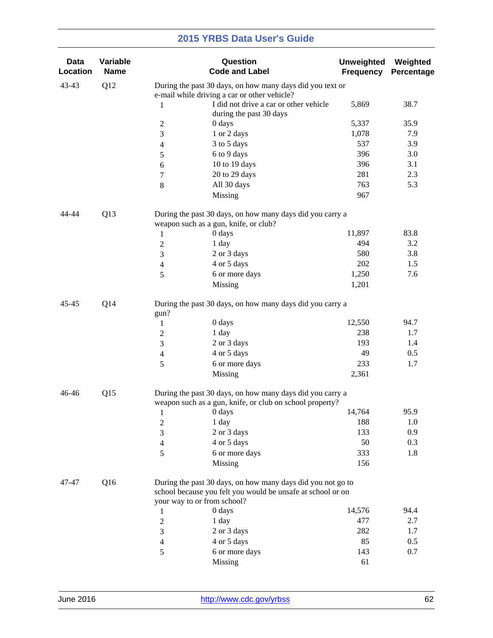| <b>Data</b><br>Location | Variable<br><b>Name</b> |                                              | Question<br><b>Code and Label</b>                                                                                          | <b>Unweighted</b><br><b>Frequency</b> | Weighted<br>Percentage |  |  |
|-------------------------|-------------------------|----------------------------------------------|----------------------------------------------------------------------------------------------------------------------------|---------------------------------------|------------------------|--|--|
| 43-43                   | Q12                     | e-mail while driving a car or other vehicle? | During the past 30 days, on how many days did you text or                                                                  |                                       |                        |  |  |
|                         |                         | 1                                            | I did not drive a car or other vehicle<br>during the past 30 days                                                          | 5,869                                 | 38.7                   |  |  |
|                         |                         | $\boldsymbol{2}$<br>0 days                   |                                                                                                                            | 5,337                                 | 35.9                   |  |  |
|                         |                         | 3                                            | 1 or 2 days                                                                                                                | 1,078                                 | 7.9                    |  |  |
|                         |                         | $\overline{4}$                               | 3 to 5 days                                                                                                                | 537                                   | 3.9                    |  |  |
|                         |                         | $\sqrt{5}$                                   | 6 to 9 days                                                                                                                | 396                                   | 3.0                    |  |  |
|                         |                         | 6                                            | 10 to 19 days                                                                                                              | 396                                   | 3.1                    |  |  |
|                         |                         | $\tau$                                       | 20 to 29 days                                                                                                              | 281                                   | 2.3                    |  |  |
|                         |                         | $\,8\,$                                      | All 30 days                                                                                                                | 763                                   | 5.3                    |  |  |
|                         |                         | Missing                                      |                                                                                                                            | 967                                   |                        |  |  |
| 44-44                   | Q13                     | weapon such as a gun, knife, or club?        | During the past 30 days, on how many days did you carry a                                                                  |                                       |                        |  |  |
|                         |                         | 0 days<br>1                                  |                                                                                                                            | 11,897                                | 83.8                   |  |  |
|                         |                         | 1 day<br>$\boldsymbol{2}$                    |                                                                                                                            | 494                                   | 3.2                    |  |  |
|                         |                         | 3                                            | 2 or 3 days                                                                                                                | 580                                   | 3.8                    |  |  |
|                         |                         | $\overline{4}$                               | 4 or 5 days                                                                                                                | 202                                   | 1.5                    |  |  |
|                         |                         | 5                                            | 6 or more days                                                                                                             | 1,250                                 | 7.6                    |  |  |
|                         |                         | Missing                                      |                                                                                                                            | 1,201                                 |                        |  |  |
| 45-45                   | Q14                     | gun?                                         | During the past 30 days, on how many days did you carry a                                                                  |                                       |                        |  |  |
|                         |                         | 0 days<br>1                                  |                                                                                                                            | 12,550                                | 94.7                   |  |  |
|                         |                         | 1 day<br>$\boldsymbol{2}$                    |                                                                                                                            | 238                                   | 1.7                    |  |  |
|                         |                         | $\mathfrak{Z}$                               | 2 or 3 days                                                                                                                | 193                                   | 1.4                    |  |  |
|                         |                         | $\overline{4}$                               | 4 or 5 days                                                                                                                | 49                                    | 0.5                    |  |  |
|                         |                         | 5                                            | 6 or more days                                                                                                             | 233                                   | 1.7                    |  |  |
|                         |                         | Missing                                      |                                                                                                                            | 2,361                                 |                        |  |  |
| 46-46                   | Q15                     |                                              | During the past 30 days, on how many days did you carry a<br>weapon such as a gun, knife, or club on school property?      |                                       |                        |  |  |
|                         |                         | 0 days<br>$\mathbf{1}$                       |                                                                                                                            | 14,764                                | 95.9                   |  |  |
|                         |                         | 1 day<br>$\boldsymbol{2}$                    |                                                                                                                            | 188                                   | 1.0                    |  |  |
|                         |                         | 3                                            | 2 or 3 days                                                                                                                | 133                                   | 0.9                    |  |  |
|                         |                         | $\overline{4}$                               | 4 or 5 days                                                                                                                | 50                                    | 0.3                    |  |  |
|                         |                         | 5                                            | 6 or more days                                                                                                             | 333                                   | 1.8                    |  |  |
|                         |                         | Missing                                      |                                                                                                                            | 156                                   |                        |  |  |
| 47-47                   | Q16                     |                                              | During the past 30 days, on how many days did you not go to<br>school because you felt you would be unsafe at school or on |                                       |                        |  |  |
|                         |                         | your way to or from school?                  |                                                                                                                            |                                       |                        |  |  |
|                         |                         | 0 days<br>1                                  |                                                                                                                            | 14,576                                | 94.4                   |  |  |
|                         |                         | $\boldsymbol{2}$<br>1 day                    |                                                                                                                            | 477                                   | 2.7                    |  |  |
|                         |                         | $\mathfrak{Z}$                               | 2 or 3 days                                                                                                                | 282                                   | 1.7                    |  |  |
|                         |                         | $\overline{4}$                               | 4 or 5 days                                                                                                                | 85                                    | 0.5                    |  |  |
|                         |                         | 5                                            | 6 or more days                                                                                                             | 143                                   | 0.7                    |  |  |
|                         |                         | Missing                                      |                                                                                                                            | 61                                    |                        |  |  |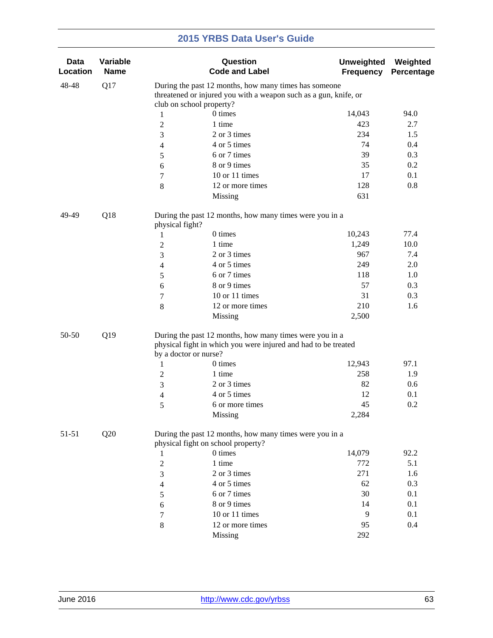| <b>Data</b><br>Location | Variable<br><b>Name</b> |                 | Question<br><b>Code and Label</b>                                                                                                                  | <b>Unweighted</b><br><b>Frequency</b> | Weighted<br>Percentage |
|-------------------------|-------------------------|-----------------|----------------------------------------------------------------------------------------------------------------------------------------------------|---------------------------------------|------------------------|
| 48-48                   | Q17                     |                 | During the past 12 months, how many times has someone                                                                                              |                                       |                        |
|                         |                         |                 | threatened or injured you with a weapon such as a gun, knife, or                                                                                   |                                       |                        |
|                         |                         |                 | club on school property?                                                                                                                           |                                       |                        |
|                         |                         | $\mathbf{1}$    | 0 times                                                                                                                                            | 14,043                                | 94.0                   |
|                         |                         | $\overline{c}$  | 1 time                                                                                                                                             | 423                                   | 2.7                    |
|                         |                         | 3               | 2 or 3 times                                                                                                                                       | 234                                   | 1.5                    |
|                         |                         | 4               | 4 or 5 times                                                                                                                                       | 74                                    | 0.4                    |
|                         |                         | 5               | 6 or 7 times                                                                                                                                       | 39                                    | 0.3                    |
|                         |                         | 6               | 8 or 9 times                                                                                                                                       | 35                                    | 0.2                    |
|                         |                         | 7               | 10 or 11 times                                                                                                                                     | 17                                    | 0.1                    |
|                         |                         | $\,8\,$         | 12 or more times                                                                                                                                   | 128                                   | 0.8                    |
|                         |                         |                 | Missing                                                                                                                                            | 631                                   |                        |
| 49-49                   | Q18                     | physical fight? | During the past 12 months, how many times were you in a                                                                                            |                                       |                        |
|                         |                         | 1               | 0 times                                                                                                                                            | 10,243                                | 77.4                   |
|                         |                         | $\overline{c}$  | 1 time                                                                                                                                             | 1,249                                 | 10.0                   |
|                         |                         | 3               | 2 or 3 times                                                                                                                                       | 967                                   | 7.4                    |
|                         |                         | 4               | 4 or 5 times                                                                                                                                       | 249                                   | 2.0                    |
|                         |                         | 5               | 6 or 7 times                                                                                                                                       | 118                                   | 1.0                    |
|                         |                         | 6               | 8 or 9 times                                                                                                                                       | 57                                    | 0.3                    |
|                         |                         | 7               | 10 or 11 times                                                                                                                                     | 31                                    | 0.3                    |
|                         |                         | $\,8\,$         | 12 or more times                                                                                                                                   | 210                                   | 1.6                    |
|                         |                         |                 | Missing                                                                                                                                            | 2,500                                 |                        |
| 50-50                   | Q19                     |                 | During the past 12 months, how many times were you in a<br>physical fight in which you were injured and had to be treated<br>by a doctor or nurse? |                                       |                        |
|                         |                         | 1               | 0 times                                                                                                                                            | 12,943                                | 97.1                   |
|                         |                         | $\overline{c}$  | 1 time                                                                                                                                             | 258                                   | 1.9                    |
|                         |                         | 3               | 2 or 3 times                                                                                                                                       | 82                                    | 0.6                    |
|                         |                         | 4               | 4 or 5 times                                                                                                                                       | 12                                    | 0.1                    |
|                         |                         | 5               | 6 or more times                                                                                                                                    | 45                                    | 0.2                    |
|                         |                         |                 | Missing                                                                                                                                            | 2,284                                 |                        |
| 51-51                   | Q20                     |                 | During the past 12 months, how many times were you in a<br>physical fight on school property?                                                      |                                       |                        |
|                         |                         | 1               | 0 times                                                                                                                                            | 14,079                                | 92.2                   |
|                         |                         | $\sqrt{2}$      | 1 time                                                                                                                                             | 772                                   | 5.1                    |
|                         |                         | 3               | 2 or 3 times                                                                                                                                       | 271                                   | 1.6                    |
|                         |                         | $\overline{4}$  | 4 or 5 times                                                                                                                                       | 62                                    | 0.3                    |
|                         |                         | 5               | 6 or 7 times                                                                                                                                       | 30                                    | 0.1                    |
|                         |                         | 6               | 8 or 9 times                                                                                                                                       | 14                                    | 0.1                    |
|                         |                         | 7               | 10 or 11 times                                                                                                                                     | 9                                     | 0.1                    |
|                         |                         | $\,8$           | 12 or more times                                                                                                                                   | 95                                    | 0.4                    |
|                         |                         |                 | Missing                                                                                                                                            | 292                                   |                        |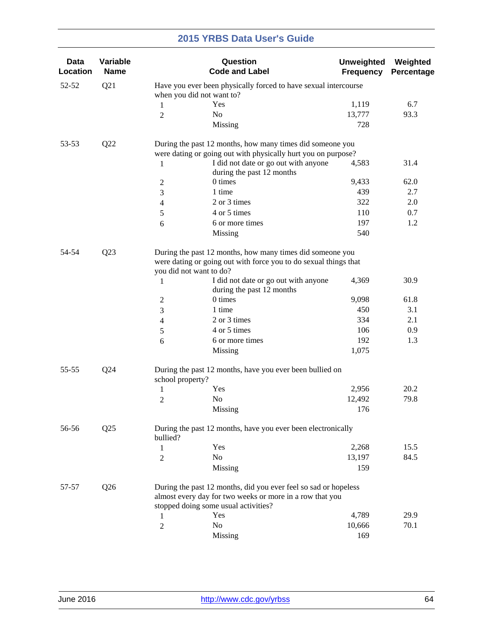| Data<br>Location | Variable<br><b>Name</b> |                         | Question<br><b>Code and Label</b>                                                                                             | <b>Unweighted</b><br><b>Frequency</b> | Weighted<br>Percentage |
|------------------|-------------------------|-------------------------|-------------------------------------------------------------------------------------------------------------------------------|---------------------------------------|------------------------|
| 52-52            | Q21                     |                         | Have you ever been physically forced to have sexual intercourse<br>when you did not want to?                                  |                                       |                        |
|                  |                         | $\mathbf{1}$            | Yes                                                                                                                           | 1,119                                 | 6.7                    |
|                  |                         | $\overline{2}$          | No                                                                                                                            | 13,777                                | 93.3                   |
|                  |                         |                         | Missing                                                                                                                       | 728                                   |                        |
| 53-53            | Q22                     |                         | During the past 12 months, how many times did someone you<br>were dating or going out with physically hurt you on purpose?    |                                       |                        |
|                  |                         | 1                       | I did not date or go out with anyone<br>during the past 12 months                                                             | 4,583                                 | 31.4                   |
|                  |                         | 2                       | 0 times                                                                                                                       | 9,433                                 | 62.0                   |
|                  |                         | 3                       | 1 time                                                                                                                        | 439                                   | 2.7                    |
|                  |                         | 4                       | 2 or 3 times                                                                                                                  | 322                                   | 2.0                    |
|                  |                         | 5                       | 4 or 5 times                                                                                                                  | 110                                   | 0.7                    |
|                  |                         | 6                       | 6 or more times                                                                                                               | 197                                   | 1.2                    |
|                  |                         |                         | Missing                                                                                                                       | 540                                   |                        |
|                  |                         |                         |                                                                                                                               |                                       |                        |
| 54-54            | Q23                     | you did not want to do? | During the past 12 months, how many times did someone you<br>were dating or going out with force you to do sexual things that |                                       |                        |
|                  |                         | 1                       | I did not date or go out with anyone<br>during the past 12 months                                                             | 4,369                                 | 30.9                   |
|                  |                         | $\overline{c}$          | 0 times                                                                                                                       | 9,098                                 | 61.8                   |
|                  |                         | 3                       | 1 time                                                                                                                        | 450                                   | 3.1                    |
|                  |                         | 4                       | 2 or 3 times                                                                                                                  | 334                                   | 2.1                    |
|                  |                         | 5                       | 4 or 5 times                                                                                                                  | 106                                   | 0.9                    |
|                  |                         | 6                       | 6 or more times                                                                                                               | 192                                   | 1.3                    |
|                  |                         |                         | Missing                                                                                                                       | 1,075                                 |                        |
| 55-55            | Q24                     | school property?        | During the past 12 months, have you ever been bullied on                                                                      |                                       |                        |
|                  |                         | 1                       | Yes                                                                                                                           | 2,956                                 | 20.2                   |
|                  |                         | 2                       | No                                                                                                                            | 12,492                                | 79.8                   |
|                  |                         |                         | Missing                                                                                                                       | 176                                   |                        |
| 56-56            | Q25                     | bullied?                | During the past 12 months, have you ever been electronically                                                                  |                                       |                        |
|                  |                         | 1                       | Yes                                                                                                                           | 2,268                                 | 15.5                   |
|                  |                         | 2                       | No                                                                                                                            | 13,197                                | 84.5                   |
|                  |                         |                         | Missing                                                                                                                       | 159                                   |                        |
| 57-57            | Q26                     |                         | During the past 12 months, did you ever feel so sad or hopeless<br>almost every day for two weeks or more in a row that you   |                                       |                        |
|                  |                         |                         | stopped doing some usual activities?                                                                                          |                                       |                        |
|                  |                         | 1                       | Yes                                                                                                                           | 4,789                                 | 29.9                   |
|                  |                         | 2                       | No                                                                                                                            | 10,666                                | 70.1                   |
|                  |                         |                         | Missing                                                                                                                       | 169                                   |                        |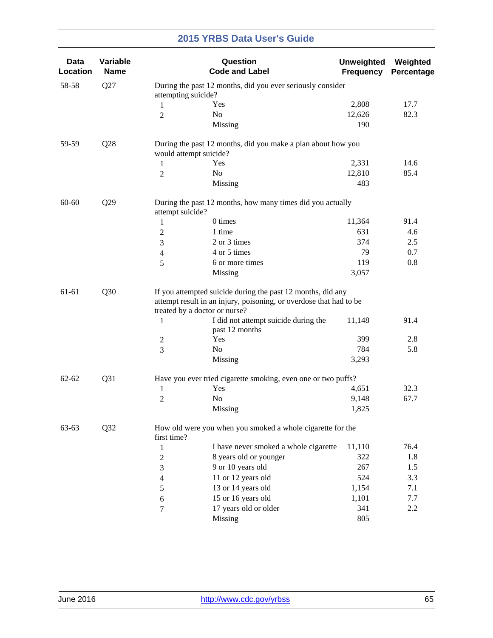| <b>Data</b><br>Location | Variable<br><b>Name</b> |                                                                                                                                                                    | Question<br><b>Code and Label</b>                             | <b>Unweighted</b><br><b>Frequency</b> | Weighted<br>Percentage |  |  |
|-------------------------|-------------------------|--------------------------------------------------------------------------------------------------------------------------------------------------------------------|---------------------------------------------------------------|---------------------------------------|------------------------|--|--|
| 58-58                   | Q27                     | attempting suicide?                                                                                                                                                | During the past 12 months, did you ever seriously consider    |                                       |                        |  |  |
|                         |                         | Yes<br>1                                                                                                                                                           |                                                               | 2,808                                 | 17.7                   |  |  |
|                         |                         | No<br>$\overline{2}$                                                                                                                                               |                                                               | 12,626                                | 82.3                   |  |  |
|                         |                         |                                                                                                                                                                    | Missing                                                       | 190                                   |                        |  |  |
| 59-59                   | Q28                     | would attempt suicide?                                                                                                                                             | During the past 12 months, did you make a plan about how you  |                                       |                        |  |  |
|                         |                         | Yes<br>$\mathbf{1}$                                                                                                                                                |                                                               | 2,331                                 | 14.6                   |  |  |
|                         |                         | No<br>$\overline{2}$                                                                                                                                               |                                                               | 12,810                                | 85.4                   |  |  |
|                         |                         |                                                                                                                                                                    | Missing                                                       | 483                                   |                        |  |  |
| 60-60                   | Q29                     | attempt suicide?                                                                                                                                                   | During the past 12 months, how many times did you actually    |                                       |                        |  |  |
|                         |                         | 1                                                                                                                                                                  | 0 times                                                       | 11,364                                | 91.4                   |  |  |
|                         |                         | $\boldsymbol{2}$                                                                                                                                                   | 1 time                                                        | 631                                   | 4.6                    |  |  |
|                         |                         | $\mathfrak{Z}$                                                                                                                                                     | 2 or 3 times                                                  | 374                                   | 2.5                    |  |  |
|                         |                         | $\overline{4}$                                                                                                                                                     | 4 or 5 times                                                  | 79                                    | 0.7                    |  |  |
|                         |                         | 5                                                                                                                                                                  | 6 or more times                                               | 119                                   | 0.8                    |  |  |
|                         |                         |                                                                                                                                                                    | Missing                                                       | 3,057                                 |                        |  |  |
| 61-61                   | Q30                     | If you attempted suicide during the past 12 months, did any<br>attempt result in an injury, poisoning, or overdose that had to be<br>treated by a doctor or nurse? |                                                               |                                       |                        |  |  |
|                         |                         | 1                                                                                                                                                                  | I did not attempt suicide during the<br>past 12 months        | 11,148                                | 91.4                   |  |  |
|                         |                         | Yes<br>$\overline{c}$                                                                                                                                              |                                                               | 399                                   | 2.8                    |  |  |
|                         |                         | $\overline{3}$<br>No                                                                                                                                               |                                                               | 784                                   | 5.8                    |  |  |
|                         |                         |                                                                                                                                                                    | Missing                                                       | 3,293                                 |                        |  |  |
| $62 - 62$               | Q31                     |                                                                                                                                                                    | Have you ever tried cigarette smoking, even one or two puffs? |                                       |                        |  |  |
|                         |                         | Yes<br>1                                                                                                                                                           |                                                               | 4,651                                 | 32.3                   |  |  |
|                         |                         | No<br>$\overline{2}$                                                                                                                                               |                                                               | 9,148                                 | 67.7                   |  |  |
|                         |                         |                                                                                                                                                                    | Missing                                                       | 1,825                                 |                        |  |  |
| 63-63                   | Q32                     | first time?                                                                                                                                                        | How old were you when you smoked a whole cigarette for the    |                                       |                        |  |  |
|                         |                         | 1                                                                                                                                                                  | I have never smoked a whole cigarette                         | 11,110                                | 76.4                   |  |  |
|                         |                         | 2                                                                                                                                                                  | 8 years old or younger                                        | 322                                   | 1.8                    |  |  |
|                         |                         | 3                                                                                                                                                                  | 9 or 10 years old                                             | 267                                   | 1.5                    |  |  |
|                         |                         | 4                                                                                                                                                                  | 11 or 12 years old                                            | 524                                   | 3.3                    |  |  |
|                         |                         | 5                                                                                                                                                                  | 13 or 14 years old                                            | 1,154                                 | 7.1                    |  |  |
|                         |                         | 6                                                                                                                                                                  | 15 or 16 years old                                            | 1,101                                 | 7.7                    |  |  |
|                         |                         | 7                                                                                                                                                                  | 17 years old or older                                         | 341                                   | 2.2                    |  |  |
|                         |                         |                                                                                                                                                                    | Missing                                                       | 805                                   |                        |  |  |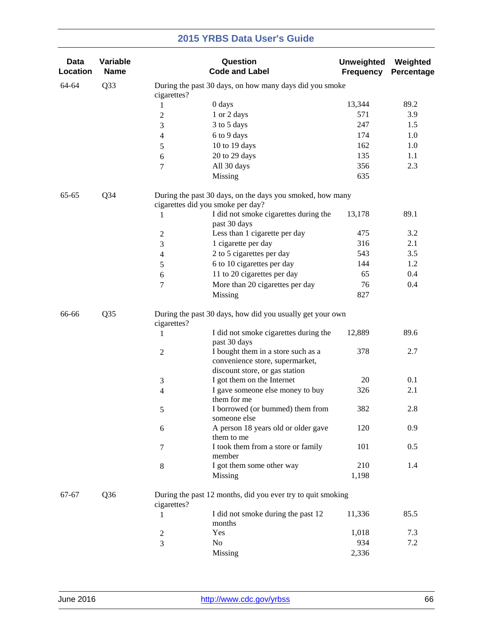| Data<br>Location | Variable<br><b>Name</b> |                          | Question<br><b>Code and Label</b>                                                                       | <b>Unweighted</b><br><b>Frequency</b> | Weighted<br>Percentage |
|------------------|-------------------------|--------------------------|---------------------------------------------------------------------------------------------------------|---------------------------------------|------------------------|
| 64-64            | Q <sub>3</sub> 3        | cigarettes?              | During the past 30 days, on how many days did you smoke                                                 |                                       |                        |
|                  |                         | 1                        | 0 days                                                                                                  | 13,344                                | 89.2                   |
|                  |                         | $\overline{c}$           | 1 or 2 days                                                                                             | 571                                   | 3.9                    |
|                  |                         | 3                        | 3 to 5 days                                                                                             | 247                                   | 1.5                    |
|                  |                         | 4                        | 6 to 9 days                                                                                             | 174                                   | 1.0                    |
|                  |                         | 5                        | 10 to 19 days                                                                                           | 162                                   | 1.0                    |
|                  |                         | 6                        | 20 to 29 days                                                                                           | 135                                   | 1.1                    |
|                  |                         | 7                        | All 30 days                                                                                             | 356                                   | 2.3                    |
|                  |                         |                          | Missing                                                                                                 | 635                                   |                        |
| 65-65            | Q34                     |                          | During the past 30 days, on the days you smoked, how many<br>cigarettes did you smoke per day?          |                                       |                        |
|                  |                         | 1                        | I did not smoke cigarettes during the<br>past 30 days                                                   | 13,178                                | 89.1                   |
|                  |                         | $\overline{c}$           | Less than 1 cigarette per day                                                                           | 475                                   | 3.2                    |
|                  |                         | 3                        | 1 cigarette per day                                                                                     | 316                                   | 2.1                    |
|                  |                         | $\overline{\mathcal{L}}$ | 2 to 5 cigarettes per day                                                                               | 543                                   | 3.5                    |
|                  |                         | 5                        | 6 to 10 cigarettes per day                                                                              | 144                                   | 1.2                    |
|                  |                         | 6                        | 11 to 20 cigarettes per day                                                                             | 65                                    | 0.4                    |
|                  |                         | 7                        | More than 20 cigarettes per day                                                                         | 76                                    | 0.4                    |
|                  |                         |                          | Missing                                                                                                 | 827                                   |                        |
| 66-66            | Q <sub>35</sub>         | cigarettes?              | During the past 30 days, how did you usually get your own                                               |                                       |                        |
|                  |                         | 1                        | I did not smoke cigarettes during the<br>past 30 days                                                   | 12,889                                | 89.6                   |
|                  |                         | $\mathbf{2}$             | I bought them in a store such as a<br>convenience store, supermarket,<br>discount store, or gas station | 378                                   | 2.7                    |
|                  |                         | 3                        | I got them on the Internet                                                                              | 20                                    | 0.1                    |
|                  |                         | $\overline{\mathbf{4}}$  | I gave someone else money to buy                                                                        | 326                                   | 2.1                    |
|                  |                         |                          | them for me                                                                                             |                                       |                        |
|                  |                         | 5                        | I borrowed (or bummed) them from<br>someone else                                                        | 382                                   | 2.8                    |
|                  |                         | 6                        | A person 18 years old or older gave<br>them to me                                                       | 120                                   | 0.9                    |
|                  |                         | 7                        | I took them from a store or family<br>member                                                            | 101                                   | 0.5                    |
|                  |                         | $\,8\,$                  | I got them some other way                                                                               | 210                                   | 1.4                    |
|                  |                         |                          | Missing                                                                                                 | 1,198                                 |                        |
| 67-67            | Q <sub>36</sub>         | cigarettes?              | During the past 12 months, did you ever try to quit smoking                                             |                                       |                        |
|                  |                         | 1                        | I did not smoke during the past 12<br>months                                                            | 11,336                                | 85.5                   |
|                  |                         | 2                        | Yes                                                                                                     | 1,018                                 | 7.3                    |
|                  |                         | 3                        | No                                                                                                      | 934                                   | 7.2                    |
|                  |                         |                          | Missing                                                                                                 | 2,336                                 |                        |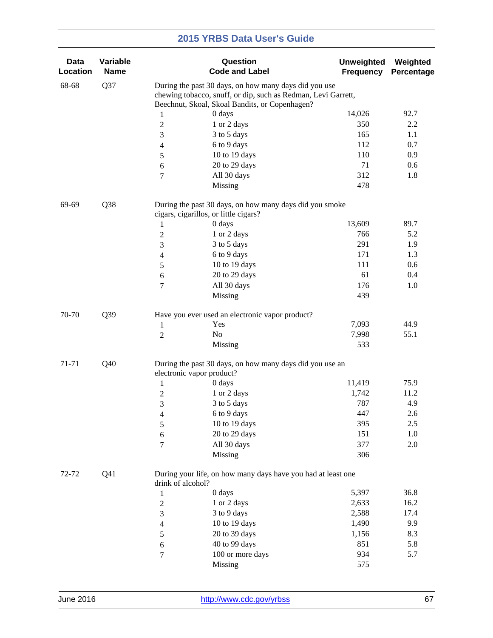| <b>Data</b><br>Location | Variable<br><b>Name</b> |                                  | Question<br><b>Code and Label</b>                                                                                      | <b>Unweighted</b><br><b>Frequency</b> | Weighted<br>Percentage |
|-------------------------|-------------------------|----------------------------------|------------------------------------------------------------------------------------------------------------------------|---------------------------------------|------------------------|
| 68-68                   | Q37                     |                                  | During the past 30 days, on how many days did you use<br>chewing tobacco, snuff, or dip, such as Redman, Levi Garrett, |                                       |                        |
|                         |                         |                                  | Beechnut, Skoal, Skoal Bandits, or Copenhagen?<br>0 days                                                               | 14,026                                | 92.7                   |
|                         |                         | $\mathbf{1}$<br>$\boldsymbol{2}$ | 1 or 2 days                                                                                                            | 350                                   | 2.2                    |
|                         |                         | 3                                | 3 to 5 days                                                                                                            | 165                                   | 1.1                    |
|                         |                         | $\overline{\mathbf{4}}$          | 6 to 9 days                                                                                                            | 112                                   | 0.7                    |
|                         |                         | 5                                | 10 to 19 days                                                                                                          | 110                                   | 0.9                    |
|                         |                         | 6                                | 20 to 29 days                                                                                                          | 71                                    | 0.6                    |
|                         |                         | 7                                | All 30 days                                                                                                            | 312                                   | 1.8                    |
|                         |                         |                                  | Missing                                                                                                                | 478                                   |                        |
| 69-69                   | Q38                     |                                  | During the past 30 days, on how many days did you smoke<br>cigars, cigarillos, or little cigars?                       |                                       |                        |
|                         |                         | 1                                | 0 days                                                                                                                 | 13,609                                | 89.7                   |
|                         |                         | $\overline{c}$                   | 1 or 2 days                                                                                                            | 766                                   | 5.2                    |
|                         |                         | 3                                | 3 to 5 days                                                                                                            | 291                                   | 1.9                    |
|                         |                         | 4                                | 6 to 9 days                                                                                                            | 171                                   | 1.3                    |
|                         |                         | 5                                | 10 to 19 days                                                                                                          | 111                                   | 0.6                    |
|                         |                         | 6                                | 20 to 29 days                                                                                                          | 61                                    | 0.4                    |
|                         |                         | 7                                | All 30 days                                                                                                            | 176                                   | 1.0                    |
|                         |                         |                                  | Missing                                                                                                                | 439                                   |                        |
| 70-70                   | Q39                     |                                  | Have you ever used an electronic vapor product?                                                                        |                                       |                        |
|                         |                         | 1                                | Yes                                                                                                                    | 7,093                                 | 44.9                   |
|                         |                         | $\overline{c}$                   | No                                                                                                                     | 7,998                                 | 55.1                   |
|                         |                         |                                  | Missing                                                                                                                | 533                                   |                        |
| 71-71                   | Q40                     |                                  | During the past 30 days, on how many days did you use an<br>electronic vapor product?                                  |                                       |                        |
|                         |                         | $\mathbf{1}$                     | 0 days                                                                                                                 | 11,419                                | 75.9                   |
|                         |                         | $\mathbf{2}$                     | 1 or 2 days                                                                                                            | 1,742                                 | 11.2                   |
|                         |                         | 3                                | 3 to 5 days                                                                                                            | 787                                   | 4.9                    |
|                         |                         | $\overline{\mathcal{A}}$         | 6 to 9 days                                                                                                            | 447                                   | 2.6                    |
|                         |                         | 5                                | 10 to 19 days                                                                                                          | 395                                   | 2.5                    |
|                         |                         | $\sqrt{6}$                       | 20 to 29 days                                                                                                          | 151                                   | 1.0                    |
|                         |                         | 7                                | All 30 days                                                                                                            | 377                                   | 2.0                    |
|                         |                         |                                  | Missing                                                                                                                | 306                                   |                        |
| 72-72                   | Q <sub>41</sub>         | drink of alcohol?                | During your life, on how many days have you had at least one                                                           |                                       |                        |
|                         |                         | 1                                | 0 days                                                                                                                 | 5,397                                 | 36.8                   |
|                         |                         | $\overline{c}$                   | 1 or 2 days                                                                                                            | 2,633                                 | 16.2                   |
|                         |                         | 3                                | 3 to 9 days                                                                                                            | 2,588                                 | 17.4                   |
|                         |                         | 4                                | 10 to 19 days                                                                                                          | 1,490                                 | 9.9                    |
|                         |                         | 5                                | 20 to 39 days                                                                                                          | 1,156                                 | 8.3                    |
|                         |                         | 6                                | 40 to 99 days                                                                                                          | 851                                   | 5.8                    |
|                         |                         | $\tau$                           | 100 or more days                                                                                                       | 934                                   | 5.7                    |
|                         |                         |                                  | Missing                                                                                                                | 575                                   |                        |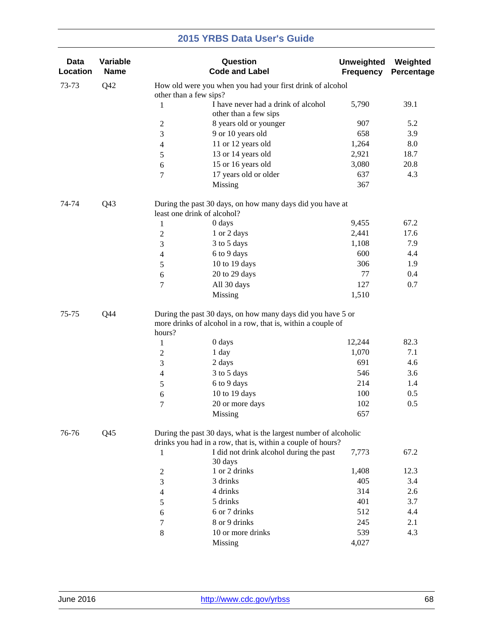| <b>Data</b><br>Location | Variable<br><b>Name</b> |                             | Question<br><b>Code and Label</b>                                                                                               | <b>Unweighted</b><br><b>Frequency</b> | Weighted<br>Percentage |
|-------------------------|-------------------------|-----------------------------|---------------------------------------------------------------------------------------------------------------------------------|---------------------------------------|------------------------|
| 73-73                   | Q42                     | other than a few sips?      | How old were you when you had your first drink of alcohol                                                                       |                                       |                        |
|                         |                         | $\mathbf{1}$                | I have never had a drink of alcohol<br>other than a few sips                                                                    | 5,790                                 | 39.1                   |
|                         |                         | $\overline{c}$              | 8 years old or younger                                                                                                          | 907                                   | 5.2                    |
|                         |                         | 3                           | 9 or 10 years old                                                                                                               | 658                                   | 3.9                    |
|                         |                         | 4                           | 11 or 12 years old                                                                                                              | 1,264                                 | 8.0                    |
|                         |                         | 5                           | 13 or 14 years old                                                                                                              | 2,921                                 | 18.7                   |
|                         |                         | 6                           | 15 or 16 years old                                                                                                              | 3,080                                 | 20.8                   |
|                         |                         | 7                           | 17 years old or older                                                                                                           | 637                                   | 4.3                    |
|                         |                         |                             | Missing                                                                                                                         | 367                                   |                        |
| 74-74                   | Q <sub>43</sub>         | least one drink of alcohol? | During the past 30 days, on how many days did you have at                                                                       |                                       |                        |
|                         |                         | $\mathbf{1}$                | 0 days                                                                                                                          | 9,455                                 | 67.2                   |
|                         |                         | $\overline{2}$              | 1 or 2 days                                                                                                                     | 2,441                                 | 17.6                   |
|                         |                         | 3                           | 3 to 5 days                                                                                                                     | 1,108                                 | 7.9                    |
|                         |                         | 4                           | 6 to 9 days                                                                                                                     | 600                                   | 4.4                    |
|                         |                         | 5                           | 10 to 19 days                                                                                                                   | 306                                   | 1.9                    |
|                         |                         | 6                           | 20 to 29 days                                                                                                                   | 77                                    | 0.4                    |
|                         |                         | 7                           | All 30 days                                                                                                                     | 127                                   | 0.7                    |
|                         |                         |                             | Missing                                                                                                                         | 1,510                                 |                        |
| 75-75                   | Q44                     | hours?                      | During the past 30 days, on how many days did you have 5 or<br>more drinks of alcohol in a row, that is, within a couple of     |                                       |                        |
|                         |                         | $\mathbf{1}$                | 0 days                                                                                                                          | 12,244                                | 82.3                   |
|                         |                         | 1 day<br>$\overline{c}$     |                                                                                                                                 | 1,070                                 | 7.1                    |
|                         |                         | 3                           | 2 days                                                                                                                          | 691                                   | 4.6                    |
|                         |                         | $\overline{4}$              | 3 to 5 days                                                                                                                     | 546                                   | 3.6                    |
|                         |                         | 5                           | 6 to 9 days                                                                                                                     | 214                                   | 1.4                    |
|                         |                         | 6                           | 10 to 19 days                                                                                                                   | 100                                   | 0.5                    |
|                         |                         | 7                           | 20 or more days                                                                                                                 | 102                                   | 0.5                    |
|                         |                         |                             | Missing                                                                                                                         | 657                                   |                        |
| 76-76                   | Q <sub>45</sub>         |                             | During the past 30 days, what is the largest number of alcoholic<br>drinks you had in a row, that is, within a couple of hours? |                                       |                        |
|                         |                         | 1                           | I did not drink alcohol during the past<br>30 days                                                                              | 7,773                                 | 67.2                   |
|                         |                         | 2                           | 1 or 2 drinks                                                                                                                   | 1,408                                 | 12.3                   |
|                         |                         | 3                           | 3 drinks                                                                                                                        | 405                                   | 3.4                    |
|                         |                         | 4                           | 4 drinks                                                                                                                        | 314                                   | 2.6                    |
|                         |                         | 5                           | 5 drinks                                                                                                                        | 401                                   | 3.7                    |
|                         |                         | 6                           | 6 or 7 drinks                                                                                                                   | 512                                   | 4.4                    |
|                         |                         | 7                           | 8 or 9 drinks                                                                                                                   | 245                                   | 2.1                    |
|                         |                         | 8                           | 10 or more drinks                                                                                                               | 539                                   | 4.3                    |
|                         |                         |                             | Missing                                                                                                                         | 4,027                                 |                        |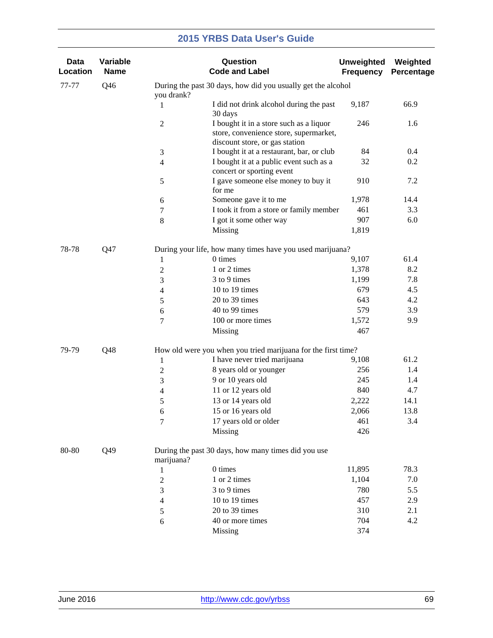| <b>Data</b><br>Location | Variable<br><b>Name</b> |                  | Question<br><b>Code and Label</b>                                                                                   | <b>Unweighted</b><br><b>Frequency</b> | Weighted<br>Percentage |
|-------------------------|-------------------------|------------------|---------------------------------------------------------------------------------------------------------------------|---------------------------------------|------------------------|
| 77-77                   | Q46                     | you drank?       | During the past 30 days, how did you usually get the alcohol                                                        |                                       |                        |
|                         |                         | 1                | I did not drink alcohol during the past<br>30 days                                                                  | 9,187                                 | 66.9                   |
|                         |                         | $\boldsymbol{2}$ | I bought it in a store such as a liquor<br>store, convenience store, supermarket,<br>discount store, or gas station | 246                                   | 1.6                    |
|                         |                         | 3                | I bought it at a restaurant, bar, or club                                                                           | 84                                    | 0.4                    |
|                         |                         | $\overline{4}$   | I bought it at a public event such as a<br>concert or sporting event                                                | 32                                    | 0.2                    |
|                         |                         | 5                | I gave someone else money to buy it<br>for me                                                                       | 910                                   | 7.2                    |
|                         |                         | 6                | Someone gave it to me                                                                                               | 1,978                                 | 14.4                   |
|                         |                         | 7                | I took it from a store or family member                                                                             | 461                                   | 3.3                    |
|                         |                         | $\,8\,$          | I got it some other way                                                                                             | 907                                   | 6.0                    |
|                         |                         |                  | Missing                                                                                                             | 1,819                                 |                        |
| 78-78                   | Q47                     |                  | During your life, how many times have you used marijuana?                                                           |                                       |                        |
|                         |                         | 1                | 0 times                                                                                                             | 9,107                                 | 61.4                   |
|                         |                         | $\boldsymbol{2}$ | 1 or 2 times                                                                                                        | 1,378                                 | 8.2                    |
|                         |                         | 3                | 3 to 9 times                                                                                                        | 1,199                                 | 7.8                    |
|                         |                         | $\overline{4}$   | 10 to 19 times                                                                                                      | 679                                   | 4.5                    |
|                         |                         | $\sqrt{5}$       | 20 to 39 times                                                                                                      | 643                                   | 4.2                    |
|                         |                         | 6                | 40 to 99 times                                                                                                      | 579                                   | 3.9                    |
|                         |                         | 7                | 100 or more times                                                                                                   | 1,572                                 | 9.9                    |
|                         |                         |                  | Missing                                                                                                             | 467                                   |                        |
| 79-79                   | Q48                     |                  | How old were you when you tried marijuana for the first time?                                                       |                                       |                        |
|                         |                         | 1                | I have never tried marijuana                                                                                        | 9,108                                 | 61.2                   |
|                         |                         | $\boldsymbol{2}$ | 8 years old or younger                                                                                              | 256                                   | 1.4                    |
|                         |                         | 3                | 9 or 10 years old                                                                                                   | 245                                   | 1.4                    |
|                         |                         | $\overline{4}$   | 11 or 12 years old                                                                                                  | 840                                   | 4.7                    |
|                         |                         | 5                | 13 or 14 years old                                                                                                  | 2,222                                 | 14.1                   |
|                         |                         | 6                | 15 or 16 years old                                                                                                  | 2,066                                 | 13.8                   |
|                         |                         | $\tau$           | 17 years old or older                                                                                               | 461                                   | 3.4                    |
|                         |                         |                  | Missing                                                                                                             | 426                                   |                        |
| 80-80                   | Q49                     | marijuana?       | During the past 30 days, how many times did you use                                                                 |                                       |                        |
|                         |                         | 1                | 0 times                                                                                                             | 11,895                                | 78.3                   |
|                         |                         | $\boldsymbol{2}$ | 1 or 2 times                                                                                                        | 1,104                                 | 7.0                    |
|                         |                         | 3                | 3 to 9 times                                                                                                        | 780                                   | 5.5                    |
|                         |                         | 4                | 10 to 19 times                                                                                                      | 457                                   | 2.9                    |
|                         |                         | 5                | 20 to 39 times                                                                                                      | 310                                   | 2.1                    |
|                         |                         | 6                | 40 or more times                                                                                                    | 704                                   | 4.2                    |
|                         |                         |                  | <b>Missing</b>                                                                                                      | 374                                   |                        |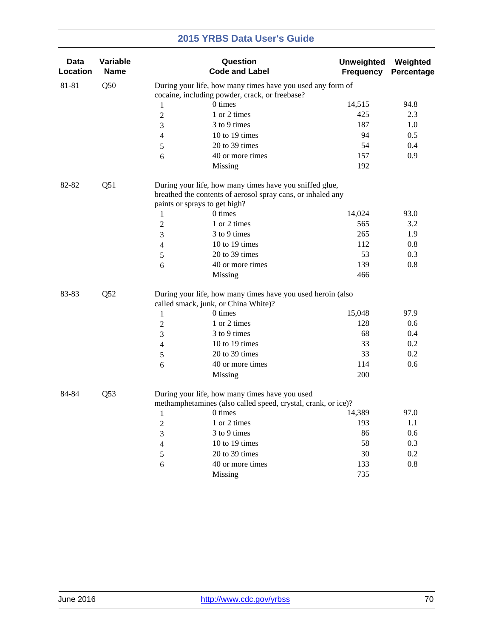| <b>Data</b><br>Location | Variable<br><b>Name</b> |                | Question<br><b>Code and Label</b>                                                                                      | <b>Unweighted</b><br><b>Frequency</b> | Weighted<br>Percentage |
|-------------------------|-------------------------|----------------|------------------------------------------------------------------------------------------------------------------------|---------------------------------------|------------------------|
| 81-81                   | Q50                     |                | During your life, how many times have you used any form of                                                             |                                       |                        |
|                         |                         |                | cocaine, including powder, crack, or freebase?                                                                         |                                       |                        |
|                         |                         | 1              | 0 times                                                                                                                | 14,515                                | 94.8                   |
|                         |                         | $\overline{2}$ | 1 or 2 times                                                                                                           | 425                                   | 2.3                    |
|                         |                         | 3              | 3 to 9 times                                                                                                           | 187                                   | 1.0                    |
|                         |                         | 4              | 10 to 19 times                                                                                                         | 94                                    | 0.5                    |
|                         |                         | 5              | 20 to 39 times                                                                                                         | 54                                    | 0.4                    |
|                         |                         | 6              | 40 or more times                                                                                                       | 157                                   | 0.9                    |
|                         |                         |                | Missing                                                                                                                | 192                                   |                        |
| 82-82                   | Q51                     |                | During your life, how many times have you sniffed glue,<br>breathed the contents of aerosol spray cans, or inhaled any |                                       |                        |
|                         |                         |                | paints or sprays to get high?                                                                                          |                                       |                        |
|                         |                         | 1              | 0 times                                                                                                                | 14,024                                | 93.0                   |
|                         |                         | $\overline{2}$ | 1 or 2 times                                                                                                           | 565                                   | 3.2                    |
|                         |                         | 3              | 3 to 9 times                                                                                                           | 265                                   | 1.9                    |
|                         |                         | 4              | 10 to 19 times                                                                                                         | 112                                   | 0.8                    |
|                         |                         | 5              | 20 to 39 times                                                                                                         | 53                                    | 0.3                    |
|                         |                         | 6              | 40 or more times                                                                                                       | 139                                   | 0.8                    |
|                         |                         |                | Missing                                                                                                                | 466                                   |                        |
| 83-83                   | Q52                     |                | During your life, how many times have you used heroin (also                                                            |                                       |                        |
|                         |                         |                | called smack, junk, or China White)?                                                                                   |                                       |                        |
|                         |                         | $\mathbf{1}$   | 0 times                                                                                                                | 15,048                                | 97.9                   |
|                         |                         | $\overline{c}$ | 1 or 2 times                                                                                                           | 128                                   | 0.6                    |
|                         |                         | 3              | 3 to 9 times                                                                                                           | 68                                    | 0.4                    |
|                         |                         | 4              | 10 to 19 times                                                                                                         | 33                                    | 0.2                    |
|                         |                         | 5              | 20 to 39 times                                                                                                         | 33                                    | 0.2                    |
|                         |                         | 6              | 40 or more times                                                                                                       | 114                                   | 0.6                    |
|                         |                         |                | Missing                                                                                                                | 200                                   |                        |
| 84-84                   | Q <sub>53</sub>         |                | During your life, how many times have you used<br>methamphetamines (also called speed, crystal, crank, or ice)?        |                                       |                        |
|                         |                         |                | 0 times                                                                                                                | 14,389                                | 97.0                   |
|                         |                         | 1              | 1 or 2 times                                                                                                           | 193                                   | 1.1                    |
|                         |                         | 2              | 3 to 9 times                                                                                                           | 86                                    | 0.6                    |
|                         |                         | 3              | 10 to 19 times                                                                                                         |                                       |                        |
|                         |                         | 4              |                                                                                                                        | 58                                    | 0.3                    |
|                         |                         | 5              | 20 to 39 times                                                                                                         | 30                                    | 0.2                    |
|                         |                         | 6              | 40 or more times                                                                                                       | 133                                   | $0.8\,$                |
|                         |                         |                | Missing                                                                                                                | 735                                   |                        |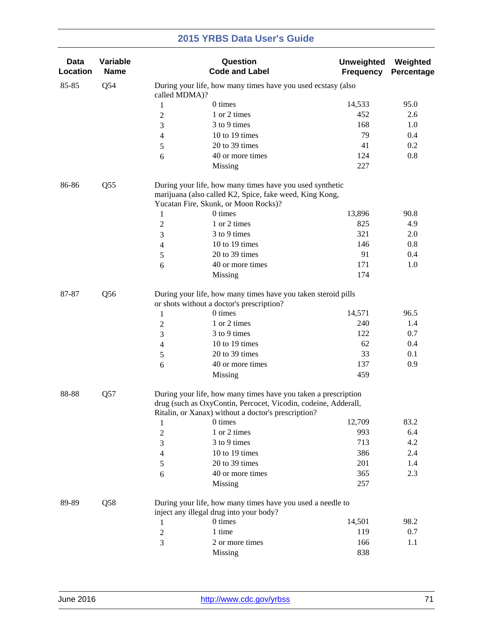| Data<br>Location | Variable<br><b>Name</b> |                  | Question<br><b>Code and Label</b>                                                                                                                                                       | <b>Unweighted</b><br><b>Frequency</b> | Weighted<br>Percentage |
|------------------|-------------------------|------------------|-----------------------------------------------------------------------------------------------------------------------------------------------------------------------------------------|---------------------------------------|------------------------|
| 85-85            | Q54                     | called MDMA)?    | During your life, how many times have you used ecstasy (also                                                                                                                            |                                       |                        |
|                  |                         | 1                | 0 times                                                                                                                                                                                 | 14,533                                | 95.0                   |
|                  |                         | 2                | 1 or 2 times                                                                                                                                                                            | 452                                   | 2.6                    |
|                  |                         | 3                | 3 to 9 times                                                                                                                                                                            | 168                                   | 1.0                    |
|                  |                         | 4                | 10 to 19 times                                                                                                                                                                          | 79                                    | 0.4                    |
|                  |                         | 5                | 20 to 39 times                                                                                                                                                                          | 41                                    | 0.2                    |
|                  |                         | 6                | 40 or more times                                                                                                                                                                        | 124                                   | 0.8                    |
|                  |                         |                  | Missing                                                                                                                                                                                 | 227                                   |                        |
| 86-86            | Q <sub>55</sub>         |                  | During your life, how many times have you used synthetic<br>marijuana (also called K2, Spice, fake weed, King Kong,<br>Yucatan Fire, Skunk, or Moon Rocks)?                             |                                       |                        |
|                  |                         | $\mathbf{1}$     | 0 times                                                                                                                                                                                 | 13,896                                | 90.8                   |
|                  |                         | $\overline{2}$   | 1 or 2 times                                                                                                                                                                            | 825                                   | 4.9                    |
|                  |                         | 3                | 3 to 9 times                                                                                                                                                                            | 321                                   | 2.0                    |
|                  |                         | 4                | 10 to 19 times                                                                                                                                                                          | 146                                   | 0.8                    |
|                  |                         | 5                | 20 to 39 times                                                                                                                                                                          | 91                                    | 0.4                    |
|                  |                         | 6                | 40 or more times                                                                                                                                                                        | 171                                   | 1.0                    |
|                  |                         |                  | Missing                                                                                                                                                                                 | 174                                   |                        |
| 87-87            | Q <sub>56</sub>         |                  | During your life, how many times have you taken steroid pills<br>or shots without a doctor's prescription?                                                                              |                                       |                        |
|                  |                         | $\mathbf{1}$     | 0 times                                                                                                                                                                                 | 14,571                                | 96.5                   |
|                  |                         | $\boldsymbol{2}$ | 1 or 2 times                                                                                                                                                                            | 240                                   | 1.4                    |
|                  |                         | 3                | 3 to 9 times                                                                                                                                                                            | 122                                   | 0.7                    |
|                  |                         | 4                | 10 to 19 times                                                                                                                                                                          | 62                                    | 0.4                    |
|                  |                         | 5                | 20 to 39 times                                                                                                                                                                          | 33                                    | 0.1                    |
|                  |                         | 6                | 40 or more times                                                                                                                                                                        | 137                                   | 0.9                    |
|                  |                         |                  | Missing                                                                                                                                                                                 | 459                                   |                        |
| 88-88            | Q57                     |                  | During your life, how many times have you taken a prescription<br>drug (such as OxyContin, Percocet, Vicodin, codeine, Adderall,<br>Ritalin, or Xanax) without a doctor's prescription? |                                       |                        |
|                  |                         | 1                | 0 times                                                                                                                                                                                 | 12,709                                | 83.2                   |
|                  |                         | 2                | 1 or 2 times                                                                                                                                                                            | 993                                   | 6.4                    |
|                  |                         | 3                | 3 to 9 times                                                                                                                                                                            | 713                                   | 4.2                    |
|                  |                         | 4                | 10 to 19 times                                                                                                                                                                          | 386                                   | 2.4                    |
|                  |                         | 5                | 20 to 39 times                                                                                                                                                                          | 201                                   | 1.4                    |
|                  |                         | 6                | 40 or more times                                                                                                                                                                        | 365                                   | 2.3                    |
|                  |                         |                  | Missing                                                                                                                                                                                 | 257                                   |                        |
| 89-89            | Q58                     |                  | During your life, how many times have you used a needle to<br>inject any illegal drug into your body?                                                                                   |                                       |                        |
|                  |                         | 1                | 0 times                                                                                                                                                                                 | 14,501                                | 98.2                   |
|                  |                         | $\overline{2}$   | 1 time                                                                                                                                                                                  | 119                                   | 0.7                    |
|                  |                         | 3                | 2 or more times                                                                                                                                                                         | 166                                   | 1.1                    |
|                  |                         |                  | Missing                                                                                                                                                                                 | 838                                   |                        |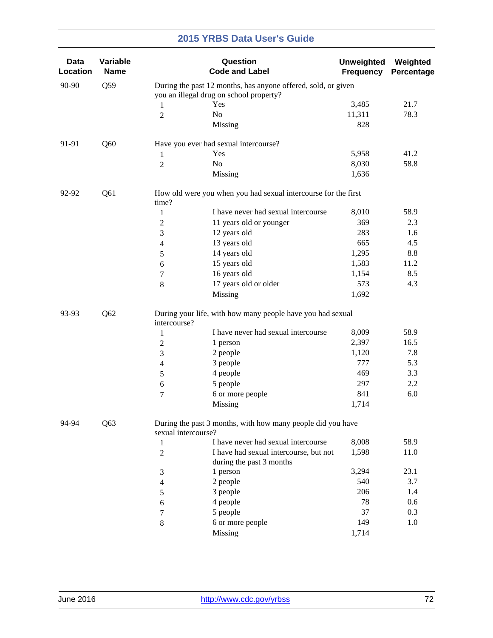| Data<br>Location | Variable<br><b>Name</b> |                     | Question<br><b>Code and Label</b>                              | <b>Unweighted</b><br><b>Frequency</b> | Weighted<br>Percentage |
|------------------|-------------------------|---------------------|----------------------------------------------------------------|---------------------------------------|------------------------|
| 90-90            | Q59                     |                     | During the past 12 months, has anyone offered, sold, or given  |                                       |                        |
|                  |                         |                     | you an illegal drug on school property?                        |                                       | 21.7                   |
|                  |                         | 1                   | Yes<br>No                                                      | 3,485                                 | 78.3                   |
|                  |                         | $\overline{2}$      | Missing                                                        | 11,311<br>828                         |                        |
|                  |                         |                     |                                                                |                                       |                        |
| 91-91            | Q60                     |                     | Have you ever had sexual intercourse?                          |                                       |                        |
|                  |                         | 1                   | Yes                                                            | 5,958                                 | 41.2                   |
|                  |                         | $\overline{2}$      | No                                                             | 8,030                                 | 58.8                   |
|                  |                         |                     | Missing                                                        | 1,636                                 |                        |
| 92-92            | Q61                     | time?               | How old were you when you had sexual intercourse for the first |                                       |                        |
|                  |                         | $\mathbf{1}$        | I have never had sexual intercourse                            | 8,010                                 | 58.9                   |
|                  |                         | $\mathbf{2}$        | 11 years old or younger                                        | 369                                   | 2.3                    |
|                  |                         | 3                   | 12 years old                                                   | 283                                   | 1.6                    |
|                  |                         | 4                   | 13 years old                                                   | 665                                   | 4.5                    |
|                  |                         | 5                   | 14 years old                                                   | 1,295                                 | 8.8                    |
|                  |                         | 6                   | 15 years old                                                   | 1,583                                 | 11.2                   |
|                  |                         | 7                   | 16 years old                                                   | 1,154                                 | 8.5                    |
|                  |                         | 8                   | 17 years old or older                                          | 573                                   | 4.3                    |
|                  |                         |                     | Missing                                                        | 1,692                                 |                        |
| 93-93            | Q <sub>62</sub>         | intercourse?        | During your life, with how many people have you had sexual     |                                       |                        |
|                  |                         | $\mathbf{1}$        | I have never had sexual intercourse                            | 8,009                                 | 58.9                   |
|                  |                         | $\mathbf{2}$        | 1 person                                                       | 2,397                                 | 16.5                   |
|                  |                         | 3                   | 2 people                                                       | 1,120                                 | 7.8                    |
|                  |                         | 4                   | 3 people                                                       | 777                                   | 5.3                    |
|                  |                         | 5                   | 4 people                                                       | 469                                   | 3.3                    |
|                  |                         | 6                   | 5 people                                                       | 297                                   | 2.2                    |
|                  |                         | 7                   | 6 or more people                                               | 841                                   | 6.0                    |
|                  |                         |                     | Missing                                                        | 1,714                                 |                        |
| 94-94            | Q63                     | sexual intercourse? | During the past 3 months, with how many people did you have    |                                       |                        |
|                  |                         | 1                   | I have never had sexual intercourse                            | 8,008                                 | 58.9                   |
|                  |                         | $\overline{2}$      | I have had sexual intercourse, but not                         | 1,598                                 | 11.0                   |
|                  |                         |                     | during the past 3 months                                       |                                       |                        |
|                  |                         | 3                   | 1 person                                                       | 3,294                                 | 23.1                   |
|                  |                         | 4                   | 2 people                                                       | 540                                   | 3.7                    |
|                  |                         | 5                   | 3 people                                                       | 206                                   | 1.4                    |
|                  |                         | 6                   | 4 people                                                       | 78                                    | 0.6                    |
|                  |                         | 7                   | 5 people                                                       | 37                                    | 0.3                    |
|                  |                         | 8                   | 6 or more people                                               | 149                                   | 1.0                    |
|                  |                         |                     | Missing                                                        | 1,714                                 |                        |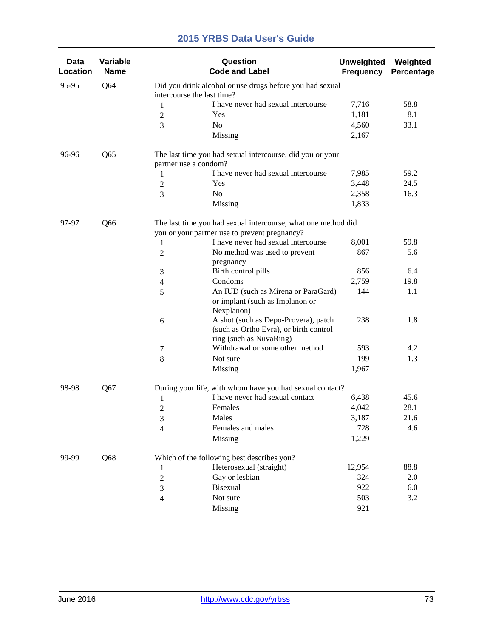| Data<br>Location | Variable<br><b>Name</b> |                                                                                        | Question<br><b>Code and Label</b>                                                                              | <b>Unweighted</b><br><b>Frequency</b> | Weighted<br>Percentage |  |  |
|------------------|-------------------------|----------------------------------------------------------------------------------------|----------------------------------------------------------------------------------------------------------------|---------------------------------------|------------------------|--|--|
| 95-95            | Q64                     | Did you drink alcohol or use drugs before you had sexual<br>intercourse the last time? |                                                                                                                |                                       |                        |  |  |
|                  |                         | 1                                                                                      | I have never had sexual intercourse                                                                            | 7,716                                 | 58.8                   |  |  |
|                  |                         | $\boldsymbol{2}$                                                                       | Yes                                                                                                            | 1,181                                 | 8.1                    |  |  |
|                  |                         | No<br>3                                                                                |                                                                                                                | 4,560                                 | 33.1                   |  |  |
|                  |                         |                                                                                        | Missing                                                                                                        | 2,167                                 |                        |  |  |
| 96-96            | Q65                     | partner use a condom?                                                                  | The last time you had sexual intercourse, did you or your                                                      |                                       |                        |  |  |
|                  |                         | 1                                                                                      | I have never had sexual intercourse                                                                            | 7,985                                 | 59.2                   |  |  |
|                  |                         | $\overline{2}$                                                                         | Yes                                                                                                            | 3,448                                 | 24.5                   |  |  |
|                  |                         | N <sub>0</sub><br>3                                                                    |                                                                                                                | 2,358                                 | 16.3                   |  |  |
|                  |                         |                                                                                        | Missing                                                                                                        | 1,833                                 |                        |  |  |
| 97-97            | Q66                     |                                                                                        | The last time you had sexual intercourse, what one method did<br>you or your partner use to prevent pregnancy? |                                       |                        |  |  |
|                  |                         | 1                                                                                      | I have never had sexual intercourse                                                                            | 8,001                                 | 59.8                   |  |  |
|                  |                         | $\boldsymbol{2}$                                                                       | No method was used to prevent                                                                                  | 867                                   | 5.6                    |  |  |
|                  |                         |                                                                                        | pregnancy                                                                                                      |                                       |                        |  |  |
|                  |                         | 3                                                                                      | Birth control pills                                                                                            | 856                                   | 6.4                    |  |  |
|                  |                         | $\overline{4}$                                                                         | Condoms                                                                                                        | 2,759                                 | 19.8                   |  |  |
|                  |                         | 5                                                                                      | An IUD (such as Mirena or ParaGard)<br>or implant (such as Implanon or<br>Nexplanon)                           | 144                                   | 1.1                    |  |  |
|                  |                         | 6                                                                                      | A shot (such as Depo-Provera), patch<br>(such as Ortho Evra), or birth control<br>ring (such as NuvaRing)      | 238                                   | 1.8                    |  |  |
|                  |                         | $\tau$                                                                                 | Withdrawal or some other method                                                                                | 593                                   | 4.2                    |  |  |
|                  |                         | 8                                                                                      | Not sure                                                                                                       | 199                                   | 1.3                    |  |  |
|                  |                         |                                                                                        | Missing                                                                                                        | 1,967                                 |                        |  |  |
| 98-98            | Q67                     |                                                                                        | During your life, with whom have you had sexual contact?                                                       |                                       |                        |  |  |
|                  |                         | 1                                                                                      | I have never had sexual contact                                                                                | 6,438                                 | 45.6                   |  |  |
|                  |                         | $\overline{2}$                                                                         | Females                                                                                                        | 4,042                                 | 28.1                   |  |  |
|                  |                         | 3                                                                                      | Males                                                                                                          | 3,187                                 | 21.6                   |  |  |
|                  |                         | 4                                                                                      | Females and males                                                                                              | 728                                   | 4.6                    |  |  |
|                  |                         |                                                                                        | Missing                                                                                                        | 1,229                                 |                        |  |  |
| 99-99            | Q68                     |                                                                                        | Which of the following best describes you?                                                                     |                                       |                        |  |  |
|                  |                         | 1                                                                                      | Heterosexual (straight)                                                                                        | 12,954                                | 88.8                   |  |  |
|                  |                         | $\boldsymbol{2}$                                                                       | Gay or lesbian                                                                                                 | 324                                   | 2.0                    |  |  |
|                  |                         | 3                                                                                      | Bisexual                                                                                                       | 922                                   | 6.0                    |  |  |
|                  |                         | $\overline{4}$                                                                         | Not sure                                                                                                       | 503                                   | 3.2                    |  |  |
|                  |                         |                                                                                        | Missing                                                                                                        | 921                                   |                        |  |  |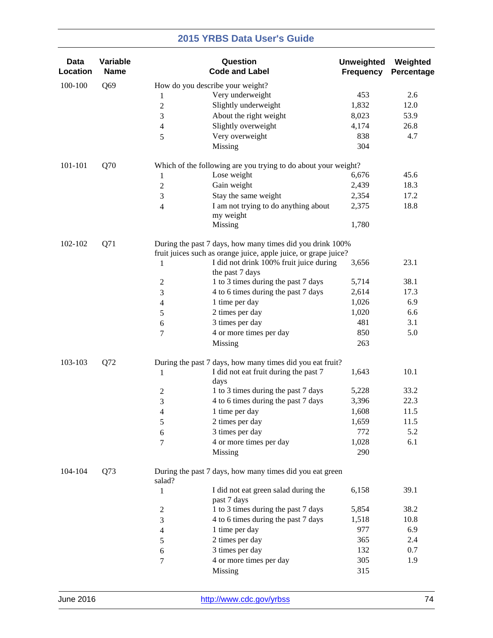| Data<br>Location | Variable<br><b>Name</b> |                                  | Question<br><b>Code and Label</b>                               | <b>Unweighted</b><br><b>Frequency</b> | Weighted<br>Percentage |
|------------------|-------------------------|----------------------------------|-----------------------------------------------------------------|---------------------------------------|------------------------|
| 100-100          | Q69                     | How do you describe your weight? |                                                                 |                                       |                        |
|                  |                         | 1                                | Very underweight                                                | 453                                   | 2.6                    |
|                  |                         | $\sqrt{2}$                       | Slightly underweight                                            | 1,832                                 | 12.0                   |
|                  |                         | 3                                | About the right weight                                          | 8,023                                 | 53.9                   |
|                  |                         | 4                                | Slightly overweight                                             | 4,174                                 | 26.8                   |
|                  |                         | 5                                | Very overweight                                                 | 838                                   | 4.7                    |
|                  |                         |                                  | Missing                                                         | 304                                   |                        |
| 101-101          | Q70                     |                                  | Which of the following are you trying to do about your weight?  |                                       |                        |
|                  |                         | 1                                | Lose weight                                                     | 6,676                                 | 45.6                   |
|                  |                         | $\sqrt{2}$                       | Gain weight                                                     | 2,439                                 | 18.3                   |
|                  |                         | $\mathfrak{Z}$                   | Stay the same weight                                            | 2,354                                 | 17.2                   |
|                  |                         | $\overline{4}$                   | I am not trying to do anything about<br>my weight               | 2,375                                 | 18.8                   |
|                  |                         |                                  | Missing                                                         | 1,780                                 |                        |
| 102-102          | Q71                     |                                  | During the past 7 days, how many times did you drink 100%       |                                       |                        |
|                  |                         |                                  | fruit juices such as orange juice, apple juice, or grape juice? |                                       |                        |
|                  |                         | 1                                | I did not drink 100% fruit juice during                         | 3,656                                 | 23.1                   |
|                  |                         |                                  | the past 7 days                                                 |                                       |                        |
|                  |                         | $\overline{c}$                   | 1 to 3 times during the past 7 days                             | 5,714                                 | 38.1                   |
|                  |                         | 3                                | 4 to 6 times during the past 7 days                             | 2,614                                 | 17.3                   |
|                  |                         | 4                                | 1 time per day                                                  | 1,026                                 | 6.9                    |
|                  |                         | 5                                | 2 times per day                                                 | 1,020                                 | 6.6                    |
|                  |                         | 6                                | 3 times per day                                                 | 481                                   | 3.1                    |
|                  |                         | 7                                | 4 or more times per day                                         | 850                                   | 5.0                    |
|                  |                         |                                  | Missing                                                         | 263                                   |                        |
| 103-103          | Q72                     |                                  | During the past 7 days, how many times did you eat fruit?       |                                       |                        |
|                  |                         | 1<br>days                        | I did not eat fruit during the past 7                           | 1,643                                 | 10.1                   |
|                  |                         | $\overline{c}$                   | 1 to 3 times during the past 7 days                             | 5,228                                 | 33.2                   |
|                  |                         | $\ensuremath{\mathfrak{Z}}$      | 4 to 6 times during the past 7 days                             | 3,396                                 | 22.3                   |
|                  |                         | $\overline{4}$                   | 1 time per day                                                  | 1,608                                 | 11.5                   |
|                  |                         | $\sqrt{5}$                       | 2 times per day                                                 | 1,659                                 | 11.5                   |
|                  |                         | 6                                | 3 times per day                                                 | 772                                   | 5.2                    |
|                  |                         | $\overline{7}$                   | 4 or more times per day                                         | 1,028                                 | 6.1                    |
|                  |                         |                                  | Missing                                                         | 290                                   |                        |
| 104-104          | Q73                     | salad?                           | During the past 7 days, how many times did you eat green        |                                       |                        |
|                  |                         | 1                                | I did not eat green salad during the<br>past 7 days             | 6,158                                 | 39.1                   |
|                  |                         | $\mathfrak{2}$                   | 1 to 3 times during the past 7 days                             | 5,854                                 | 38.2                   |
|                  |                         | 3                                | 4 to 6 times during the past 7 days                             | 1,518                                 | 10.8                   |
|                  |                         | $\overline{4}$                   | 1 time per day                                                  | 977                                   | 6.9                    |
|                  |                         | 5                                | 2 times per day                                                 | 365                                   | 2.4                    |
|                  |                         | 6                                | 3 times per day                                                 | 132                                   | 0.7                    |
|                  |                         | $\tau$                           | 4 or more times per day                                         | 305                                   | 1.9                    |
|                  |                         |                                  | Missing                                                         | 315                                   |                        |
|                  |                         |                                  |                                                                 |                                       |                        |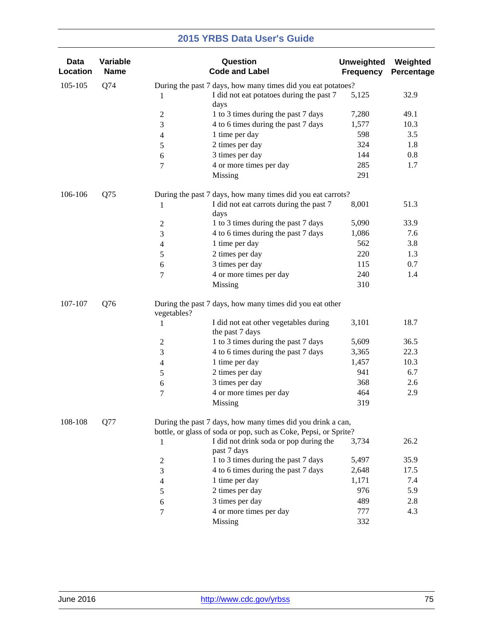| <b>Data</b><br>Location | Variable<br><b>Name</b> | Question<br><b>Code and Label</b>                                       |                                          | <b>Unweighted</b><br><b>Frequency</b> | Weighted<br>Percentage |
|-------------------------|-------------------------|-------------------------------------------------------------------------|------------------------------------------|---------------------------------------|------------------------|
| 105-105                 | Q74                     | During the past 7 days, how many times did you eat potatoes?            |                                          |                                       |                        |
|                         |                         | 1<br>days                                                               | I did not eat potatoes during the past 7 | 5,125                                 | 32.9                   |
|                         |                         | $\overline{c}$                                                          | 1 to 3 times during the past 7 days      | 7,280                                 | 49.1                   |
|                         |                         | $\mathfrak{Z}$                                                          | 4 to 6 times during the past 7 days      | 1,577                                 | 10.3                   |
|                         |                         | 1 time per day<br>$\overline{4}$                                        |                                          | 598                                   | 3.5                    |
|                         |                         | 2 times per day<br>$\sqrt{5}$                                           |                                          | 324                                   | 1.8                    |
|                         |                         | 3 times per day<br>6                                                    |                                          | 144                                   | 0.8                    |
|                         |                         | $\tau$                                                                  | 4 or more times per day                  | 285                                   | 1.7                    |
|                         |                         | Missing                                                                 |                                          | 291                                   |                        |
| 106-106                 | Q75                     | During the past 7 days, how many times did you eat carrots?             |                                          |                                       |                        |
|                         |                         | 1<br>days                                                               | I did not eat carrots during the past 7  | 8,001                                 | 51.3                   |
|                         |                         | $\mathbf{2}$                                                            | 1 to 3 times during the past 7 days      | 5,090                                 | 33.9                   |
|                         |                         | $\mathfrak{Z}$                                                          | 4 to 6 times during the past 7 days      | 1,086                                 | 7.6                    |
|                         |                         | 1 time per day<br>4                                                     |                                          | 562                                   | 3.8                    |
|                         |                         | 2 times per day<br>$\sqrt{5}$                                           |                                          | 220                                   | 1.3                    |
|                         |                         | 3 times per day<br>6                                                    |                                          | 115                                   | 0.7                    |
|                         |                         | $\tau$                                                                  | 4 or more times per day                  | 240                                   | 1.4                    |
|                         |                         | Missing                                                                 |                                          | 310                                   |                        |
| 107-107                 | Q76                     | During the past 7 days, how many times did you eat other<br>vegetables? |                                          |                                       |                        |
|                         |                         | 1<br>the past 7 days                                                    | I did not eat other vegetables during    | 3,101                                 | 18.7                   |
|                         |                         | $\overline{c}$                                                          | 1 to 3 times during the past 7 days      | 5,609                                 | 36.5                   |
|                         |                         | $\mathfrak{Z}$                                                          | 4 to 6 times during the past 7 days      | 3,365                                 | 22.3                   |
|                         |                         | 1 time per day<br>$\overline{4}$                                        |                                          | 1,457                                 | 10.3                   |
|                         |                         | 2 times per day<br>$\sqrt{5}$                                           |                                          | 941                                   | 6.7                    |
|                         |                         | 3 times per day<br>6                                                    |                                          | 368                                   | 2.6                    |
|                         |                         | $\boldsymbol{7}$                                                        | 4 or more times per day                  | 464                                   | 2.9                    |
|                         |                         | Missing                                                                 |                                          | 319                                   |                        |
| 108-108                 | Q77                     | During the past 7 days, how many times did you drink a can,             |                                          |                                       |                        |
|                         |                         | bottle, or glass of soda or pop, such as Coke, Pepsi, or Sprite?        |                                          |                                       |                        |
|                         |                         | 1<br>past 7 days                                                        | I did not drink soda or pop during the   | 3,734                                 | 26.2                   |
|                         |                         | $\boldsymbol{2}$                                                        | 1 to 3 times during the past 7 days      | 5,497                                 | 35.9                   |
|                         |                         | $\mathfrak{Z}$                                                          | 4 to 6 times during the past 7 days      | 2,648                                 | 17.5                   |
|                         |                         | 1 time per day<br>$\overline{4}$                                        |                                          | 1,171                                 | 7.4                    |
|                         |                         | 2 times per day<br>5                                                    |                                          | 976                                   | 5.9                    |
|                         |                         | 3 times per day<br>6                                                    |                                          | 489                                   | 2.8                    |
|                         |                         | $\boldsymbol{7}$                                                        | 4 or more times per day                  | 777                                   | 4.3                    |
|                         |                         | Missing                                                                 |                                          | 332                                   |                        |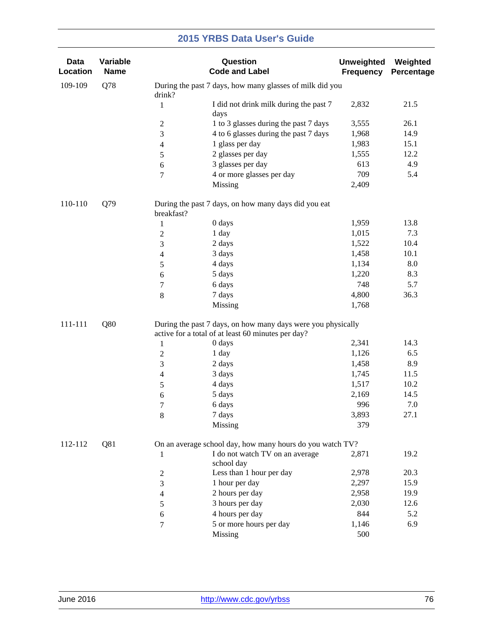| <b>Data</b><br>Location | Variable<br><b>Name</b> |                           | Question<br><b>Code and Label</b>                                                                                  | <b>Unweighted</b><br><b>Frequency</b> | Weighted<br>Percentage |
|-------------------------|-------------------------|---------------------------|--------------------------------------------------------------------------------------------------------------------|---------------------------------------|------------------------|
| 109-109                 | Q78                     | drink?                    | During the past 7 days, how many glasses of milk did you                                                           |                                       |                        |
|                         |                         | $\mathbf{1}$<br>days      | I did not drink milk during the past 7                                                                             | 2,832                                 | 21.5                   |
|                         |                         | $\boldsymbol{2}$          | 1 to 3 glasses during the past 7 days                                                                              | 3,555                                 | 26.1                   |
|                         |                         | 3                         | 4 to 6 glasses during the past 7 days                                                                              | 1,968                                 | 14.9                   |
|                         |                         | $\overline{4}$            | 1 glass per day                                                                                                    | 1,983                                 | 15.1                   |
|                         |                         | 5                         | 2 glasses per day                                                                                                  | 1,555                                 | 12.2                   |
|                         |                         | 6                         | 3 glasses per day                                                                                                  | 613                                   | 4.9                    |
|                         |                         | $\tau$                    | 4 or more glasses per day                                                                                          | 709                                   | 5.4                    |
|                         |                         |                           | Missing                                                                                                            | 2,409                                 |                        |
| 110-110                 | Q79                     | breakfast?                | During the past 7 days, on how many days did you eat                                                               |                                       |                        |
|                         |                         | 0 days<br>1               |                                                                                                                    | 1,959                                 | 13.8                   |
|                         |                         | 1 day<br>$\sqrt{2}$       |                                                                                                                    | 1,015                                 | 7.3                    |
|                         |                         | 2 days<br>3               |                                                                                                                    | 1,522                                 | 10.4                   |
|                         |                         | 3 days<br>$\overline{4}$  |                                                                                                                    | 1,458                                 | 10.1                   |
|                         |                         | $\sqrt{5}$<br>4 days      |                                                                                                                    | 1,134                                 | 8.0                    |
|                         |                         | 5 days<br>6               |                                                                                                                    | 1,220                                 | 8.3                    |
|                         |                         | 6 days<br>$\tau$          |                                                                                                                    | 748                                   | 5.7                    |
|                         |                         | 7 days<br>$\,8\,$         |                                                                                                                    | 4,800                                 | 36.3                   |
|                         |                         |                           | Missing                                                                                                            | 1,768                                 |                        |
| 111-111                 | Q80                     |                           | During the past 7 days, on how many days were you physically<br>active for a total of at least 60 minutes per day? |                                       |                        |
|                         |                         | 0 days<br>$\mathbf{1}$    |                                                                                                                    | 2,341                                 | 14.3                   |
|                         |                         | 1 day<br>$\boldsymbol{2}$ |                                                                                                                    | 1,126                                 | 6.5                    |
|                         |                         | 2 days<br>$\mathfrak{Z}$  |                                                                                                                    | 1,458                                 | 8.9                    |
|                         |                         | 3 days<br>$\overline{4}$  |                                                                                                                    | 1,745                                 | 11.5                   |
|                         |                         | 4 days<br>$\sqrt{5}$      |                                                                                                                    | 1,517                                 | 10.2                   |
|                         |                         | 5 days<br>6               |                                                                                                                    | 2,169                                 | 14.5                   |
|                         |                         | 6 days<br>7               |                                                                                                                    | 996                                   | 7.0                    |
|                         |                         | 7 days<br>8               |                                                                                                                    | 3,893                                 | 27.1                   |
|                         |                         |                           | Missing                                                                                                            | 379                                   |                        |
| 112-112                 | Q81                     |                           | On an average school day, how many hours do you watch TV?                                                          |                                       |                        |
|                         |                         | 1                         | I do not watch TV on an average<br>school day                                                                      | 2,871                                 | 19.2                   |
|                         |                         | $\boldsymbol{2}$          | Less than 1 hour per day                                                                                           | 2,978                                 | 20.3                   |
|                         |                         | $\mathfrak{Z}$            | 1 hour per day                                                                                                     | 2,297                                 | 15.9                   |
|                         |                         | $\overline{4}$            | 2 hours per day                                                                                                    | 2,958                                 | 19.9                   |
|                         |                         | 5                         | 3 hours per day                                                                                                    | 2,030                                 | 12.6                   |
|                         |                         | 6                         | 4 hours per day                                                                                                    | 844                                   | 5.2                    |
|                         |                         | $\tau$                    | 5 or more hours per day                                                                                            | 1,146                                 | 6.9                    |
|                         |                         |                           | Missing                                                                                                            | 500                                   |                        |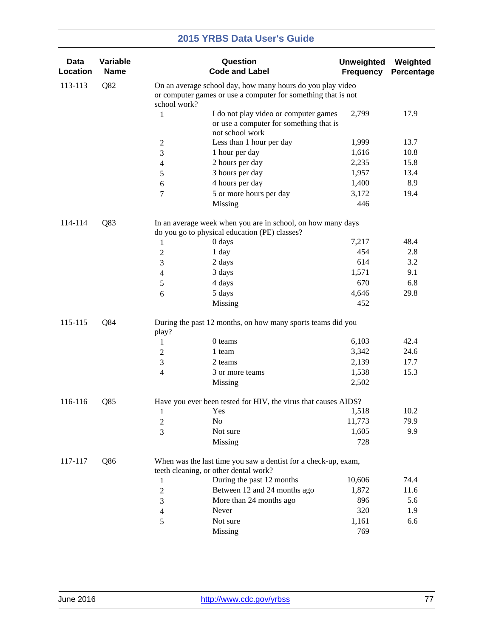| <b>Data</b><br>Location | Variable<br><b>Name</b> |                                                                                                                                             | Question<br><b>Code and Label</b>                                                                            | <b>Unweighted</b><br><b>Frequency</b> | Weighted<br>Percentage |  |  |
|-------------------------|-------------------------|---------------------------------------------------------------------------------------------------------------------------------------------|--------------------------------------------------------------------------------------------------------------|---------------------------------------|------------------------|--|--|
| 113-113                 | Q82                     | On an average school day, how many hours do you play video<br>or computer games or use a computer for something that is not<br>school work? |                                                                                                              |                                       |                        |  |  |
|                         |                         | $\mathbf{1}$                                                                                                                                | I do not play video or computer games<br>or use a computer for something that is<br>not school work          | 2,799                                 | 17.9                   |  |  |
|                         |                         | $\overline{c}$                                                                                                                              | Less than 1 hour per day                                                                                     | 1,999                                 | 13.7                   |  |  |
|                         |                         | 3                                                                                                                                           | 1 hour per day                                                                                               | 1,616                                 | 10.8                   |  |  |
|                         |                         | 4                                                                                                                                           | 2 hours per day                                                                                              | 2,235                                 | 15.8                   |  |  |
|                         |                         | 5                                                                                                                                           | 3 hours per day                                                                                              | 1,957                                 | 13.4                   |  |  |
|                         |                         | 6                                                                                                                                           | 4 hours per day                                                                                              | 1,400                                 | 8.9                    |  |  |
|                         |                         | 7                                                                                                                                           | 5 or more hours per day                                                                                      | 3,172                                 | 19.4                   |  |  |
|                         |                         |                                                                                                                                             | Missing                                                                                                      | 446                                   |                        |  |  |
| 114-114                 | Q83                     |                                                                                                                                             | In an average week when you are in school, on how many days<br>do you go to physical education (PE) classes? |                                       |                        |  |  |
|                         |                         | 1                                                                                                                                           | 0 days                                                                                                       | 7,217                                 | 48.4                   |  |  |
|                         |                         | $\overline{2}$                                                                                                                              | 1 day                                                                                                        | 454                                   | 2.8                    |  |  |
|                         |                         | 3                                                                                                                                           | 2 days                                                                                                       | 614                                   | 3.2                    |  |  |
|                         |                         | 4                                                                                                                                           | 3 days                                                                                                       | 1,571                                 | 9.1                    |  |  |
|                         |                         | 5                                                                                                                                           | 4 days                                                                                                       | 670                                   | 6.8                    |  |  |
|                         |                         | 6                                                                                                                                           | 5 days                                                                                                       | 4,646                                 | 29.8                   |  |  |
|                         |                         |                                                                                                                                             | Missing                                                                                                      | 452                                   |                        |  |  |
| 115-115                 | Q84                     | play?                                                                                                                                       | During the past 12 months, on how many sports teams did you                                                  |                                       |                        |  |  |
|                         |                         | 1                                                                                                                                           | 0 teams                                                                                                      | 6,103                                 | 42.4                   |  |  |
|                         |                         | $\overline{c}$                                                                                                                              | 1 team                                                                                                       | 3,342                                 | 24.6                   |  |  |
|                         |                         | 3                                                                                                                                           | 2 teams                                                                                                      | 2,139                                 | 17.7                   |  |  |
|                         |                         | $\overline{\mathcal{L}}$                                                                                                                    | 3 or more teams                                                                                              | 1,538                                 | 15.3                   |  |  |
|                         |                         |                                                                                                                                             | Missing                                                                                                      | 2,502                                 |                        |  |  |
| 116-116                 | Q85                     |                                                                                                                                             | Have you ever been tested for HIV, the virus that causes AIDS?                                               |                                       |                        |  |  |
|                         |                         | 1                                                                                                                                           | Yes                                                                                                          | 1,518                                 | 10.2                   |  |  |
|                         |                         | 2                                                                                                                                           | No                                                                                                           | 11,773                                | 79.9                   |  |  |
|                         |                         | 3                                                                                                                                           | Not sure                                                                                                     | 1,605                                 | 9.9                    |  |  |
|                         |                         |                                                                                                                                             | Missing                                                                                                      | 728                                   |                        |  |  |
| 117-117                 | Q86                     |                                                                                                                                             | When was the last time you saw a dentist for a check-up, exam,<br>teeth cleaning, or other dental work?      |                                       |                        |  |  |
|                         |                         | 1                                                                                                                                           | During the past 12 months                                                                                    | 10,606                                | 74.4                   |  |  |
|                         |                         | $\overline{c}$                                                                                                                              | Between 12 and 24 months ago                                                                                 | 1,872                                 | 11.6                   |  |  |
|                         |                         | 3                                                                                                                                           | More than 24 months ago                                                                                      | 896                                   | 5.6                    |  |  |
|                         |                         | 4                                                                                                                                           | Never                                                                                                        | 320                                   | 1.9                    |  |  |
|                         |                         | 5                                                                                                                                           | Not sure                                                                                                     | 1,161                                 | 6.6                    |  |  |
|                         |                         |                                                                                                                                             | <b>Missing</b>                                                                                               | 769                                   |                        |  |  |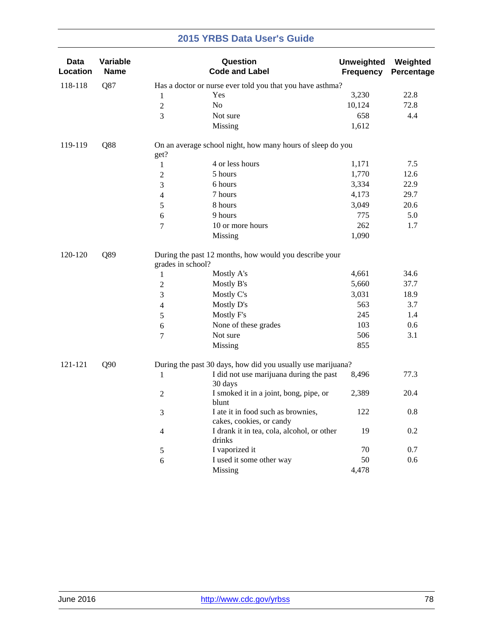| Data<br>Location | Variable<br><b>Name</b> |                   | Question<br><b>Code and Label</b>                              | <b>Unweighted</b><br><b>Frequency</b> | Weighted<br>Percentage |
|------------------|-------------------------|-------------------|----------------------------------------------------------------|---------------------------------------|------------------------|
| 118-118          | Q87                     |                   | Has a doctor or nurse ever told you that you have asthma?      |                                       |                        |
|                  |                         | 1                 | Yes                                                            | 3,230                                 | 22.8                   |
|                  |                         | $\boldsymbol{2}$  | No                                                             | 10,124                                | 72.8                   |
|                  |                         | $\overline{3}$    | Not sure                                                       | 658                                   | 4.4                    |
|                  |                         |                   | Missing                                                        | 1,612                                 |                        |
| 119-119          | Q88                     | get?              | On an average school night, how many hours of sleep do you     |                                       |                        |
|                  |                         | 1                 | 4 or less hours                                                | 1,171                                 | 7.5                    |
|                  |                         | 2                 | 5 hours                                                        | 1,770                                 | 12.6                   |
|                  |                         | 3                 | 6 hours                                                        | 3,334                                 | 22.9                   |
|                  |                         | 4                 | 7 hours                                                        | 4,173                                 | 29.7                   |
|                  |                         | 5                 | 8 hours                                                        | 3,049                                 | 20.6                   |
|                  |                         | 6                 | 9 hours                                                        | 775                                   | 5.0                    |
|                  |                         | $\tau$            | 10 or more hours                                               | 262                                   | 1.7                    |
|                  |                         |                   | Missing                                                        | 1,090                                 |                        |
| Q89<br>120-120   |                         | grades in school? | During the past 12 months, how would you describe your         |                                       |                        |
|                  |                         | $\mathbf{1}$      | Mostly A's                                                     | 4,661                                 | 34.6                   |
|                  |                         | $\overline{c}$    | Mostly B's                                                     | 5,660                                 | 37.7                   |
|                  |                         | 3                 | Mostly C's                                                     | 3,031                                 | 18.9                   |
|                  |                         | 4                 | Mostly D's                                                     | 563                                   | 3.7                    |
|                  |                         | 5                 | Mostly F's                                                     | 245                                   | 1.4                    |
|                  |                         | 6                 | None of these grades                                           | 103                                   | 0.6                    |
|                  |                         | 7                 | Not sure                                                       | 506                                   | 3.1                    |
|                  |                         |                   | Missing                                                        | 855                                   |                        |
| 121-121          | Q90                     |                   | During the past 30 days, how did you usually use marijuana?    |                                       |                        |
|                  |                         | $\mathbf{1}$      | I did not use marijuana during the past<br>30 days             | 8,496                                 | 77.3                   |
|                  |                         | $\overline{c}$    | I smoked it in a joint, bong, pipe, or<br>blunt                | 2,389                                 | 20.4                   |
|                  |                         | 3                 | I ate it in food such as brownies,<br>cakes, cookies, or candy | 122                                   | 0.8                    |
|                  |                         | $\overline{4}$    | I drank it in tea, cola, alcohol, or other<br>drinks           | 19                                    | 0.2                    |
|                  |                         | 5                 | I vaporized it                                                 | 70                                    | 0.7                    |
|                  |                         | 6                 | I used it some other way                                       | 50                                    | $0.6\,$                |
|                  |                         |                   | Missing                                                        | 4,478                                 |                        |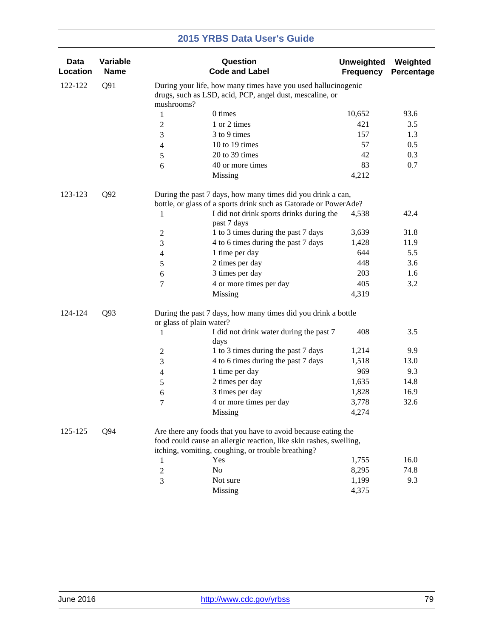| <b>Data</b><br>Location | Variable<br><b>Name</b> |                          | Question<br><b>Code and Label</b>                                                                                                                                                         | <b>Unweighted</b><br><b>Frequency</b> | Weighted<br>Percentage |
|-------------------------|-------------------------|--------------------------|-------------------------------------------------------------------------------------------------------------------------------------------------------------------------------------------|---------------------------------------|------------------------|
| 122-122                 | Q91                     | mushrooms?               | During your life, how many times have you used hallucinogenic<br>drugs, such as LSD, acid, PCP, angel dust, mescaline, or                                                                 |                                       |                        |
|                         |                         | 1                        | 0 times                                                                                                                                                                                   | 10,652                                | 93.6                   |
|                         |                         | $\overline{c}$           | 1 or 2 times                                                                                                                                                                              | 421                                   | 3.5                    |
|                         |                         | 3                        | 3 to 9 times                                                                                                                                                                              | 157                                   | 1.3                    |
|                         |                         | 4                        | 10 to 19 times                                                                                                                                                                            | 57                                    | 0.5                    |
|                         |                         | 5                        | 20 to 39 times                                                                                                                                                                            | 42                                    | 0.3                    |
|                         |                         | 6                        | 40 or more times                                                                                                                                                                          | 83                                    | 0.7                    |
|                         |                         |                          | Missing                                                                                                                                                                                   | 4,212                                 |                        |
| 123-123                 | Q <sub>92</sub>         |                          | During the past 7 days, how many times did you drink a can,                                                                                                                               |                                       |                        |
|                         |                         |                          | bottle, or glass of a sports drink such as Gatorade or PowerAde?                                                                                                                          |                                       |                        |
|                         |                         | 1                        | I did not drink sports drinks during the<br>past 7 days                                                                                                                                   | 4,538                                 | 42.4                   |
|                         |                         | $\overline{c}$           | 1 to 3 times during the past 7 days                                                                                                                                                       | 3,639                                 | 31.8                   |
|                         |                         | 3                        | 4 to 6 times during the past 7 days                                                                                                                                                       | 1,428                                 | 11.9                   |
|                         |                         | 4                        | 1 time per day                                                                                                                                                                            | 644                                   | 5.5                    |
|                         |                         | 5                        | 2 times per day                                                                                                                                                                           | 448                                   | 3.6                    |
|                         |                         | 6                        | 3 times per day                                                                                                                                                                           | 203                                   | 1.6                    |
|                         |                         | 7                        | 4 or more times per day                                                                                                                                                                   | 405                                   | 3.2                    |
|                         |                         |                          | Missing                                                                                                                                                                                   | 4,319                                 |                        |
| 124-124                 | Q93                     | or glass of plain water? | During the past 7 days, how many times did you drink a bottle                                                                                                                             |                                       |                        |
|                         |                         | 1                        | I did not drink water during the past 7<br>days                                                                                                                                           | 408                                   | 3.5                    |
|                         |                         | $\overline{c}$           | 1 to 3 times during the past 7 days                                                                                                                                                       | 1,214                                 | 9.9                    |
|                         |                         | 3                        | 4 to 6 times during the past 7 days                                                                                                                                                       | 1,518                                 | 13.0                   |
|                         |                         | 4                        | 1 time per day                                                                                                                                                                            | 969                                   | 9.3                    |
|                         |                         | $\mathfrak s$            | 2 times per day                                                                                                                                                                           | 1,635                                 | 14.8                   |
|                         |                         | 6                        | 3 times per day                                                                                                                                                                           | 1,828                                 | 16.9                   |
|                         |                         | 7                        | 4 or more times per day                                                                                                                                                                   | 3,778                                 | 32.6                   |
|                         |                         |                          | Missing                                                                                                                                                                                   | 4,274                                 |                        |
| 125-125                 | Q94                     |                          | Are there any foods that you have to avoid because eating the<br>food could cause an allergic reaction, like skin rashes, swelling,<br>itching, vomiting, coughing, or trouble breathing? |                                       |                        |
|                         |                         | 1                        | Yes                                                                                                                                                                                       | 1,755                                 | 16.0                   |
|                         |                         | 2                        | No                                                                                                                                                                                        | 8,295                                 | 74.8                   |
|                         |                         | 3                        | Not sure                                                                                                                                                                                  | 1,199                                 | 9.3                    |
|                         |                         |                          | <b>Missing</b>                                                                                                                                                                            | 4,375                                 |                        |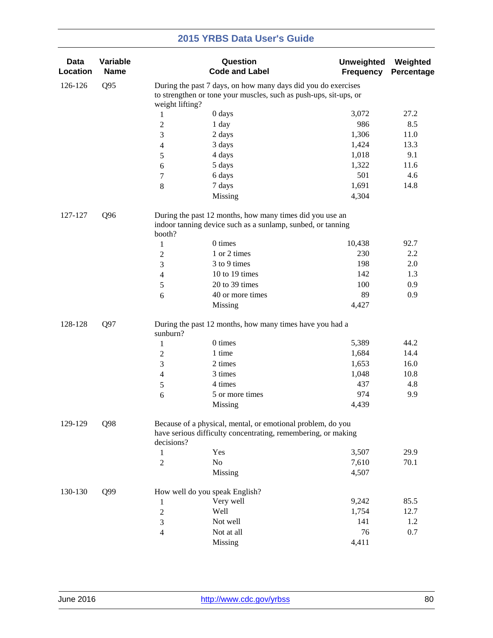| <b>Data</b><br>Location | Variable<br><b>Name</b> |                                                               | Question<br><b>Code and Label</b>                                                                                            | <b>Unweighted</b><br><b>Frequency</b> | Weighted<br>Percentage |  |  |
|-------------------------|-------------------------|---------------------------------------------------------------|------------------------------------------------------------------------------------------------------------------------------|---------------------------------------|------------------------|--|--|
| 126-126                 | Q95                     | During the past 7 days, on how many days did you do exercises |                                                                                                                              |                                       |                        |  |  |
|                         |                         | weight lifting?                                               | to strengthen or tone your muscles, such as push-ups, sit-ups, or                                                            |                                       |                        |  |  |
|                         |                         | 1                                                             | 0 days                                                                                                                       | 3,072                                 | 27.2                   |  |  |
|                         |                         | $\overline{c}$                                                | 1 day                                                                                                                        | 986                                   | 8.5                    |  |  |
|                         |                         | 3                                                             | 2 days                                                                                                                       | 1,306                                 | 11.0                   |  |  |
|                         |                         | 4                                                             | 3 days                                                                                                                       | 1,424                                 | 13.3                   |  |  |
|                         |                         | 5                                                             | 4 days                                                                                                                       | 1,018                                 | 9.1                    |  |  |
|                         |                         | 6                                                             | 5 days                                                                                                                       | 1,322                                 | 11.6                   |  |  |
|                         |                         | 7                                                             | 6 days                                                                                                                       | 501                                   | 4.6                    |  |  |
|                         |                         | $\,8\,$                                                       | 7 days                                                                                                                       | 1,691                                 | 14.8                   |  |  |
|                         |                         |                                                               | Missing                                                                                                                      | 4,304                                 |                        |  |  |
| 127-127                 | Q <sub>96</sub>         |                                                               | During the past 12 months, how many times did you use an                                                                     |                                       |                        |  |  |
|                         |                         | booth?                                                        | indoor tanning device such as a sunlamp, sunbed, or tanning                                                                  |                                       |                        |  |  |
|                         |                         | $\mathbf{1}$                                                  | 0 times                                                                                                                      | 10,438                                | 92.7                   |  |  |
|                         |                         | $\overline{2}$                                                | 1 or 2 times                                                                                                                 | 230                                   | 2.2                    |  |  |
|                         |                         | 3                                                             | 3 to 9 times                                                                                                                 | 198                                   | 2.0                    |  |  |
|                         |                         | 4                                                             | 10 to 19 times                                                                                                               | 142                                   | 1.3                    |  |  |
|                         |                         | 5                                                             | 20 to 39 times                                                                                                               | 100                                   | 0.9                    |  |  |
|                         |                         | 6                                                             | 40 or more times                                                                                                             | 89                                    | 0.9                    |  |  |
|                         |                         |                                                               | Missing                                                                                                                      | 4,427                                 |                        |  |  |
| 128-128                 | Q97                     | sunburn?                                                      | During the past 12 months, how many times have you had a                                                                     |                                       |                        |  |  |
|                         |                         |                                                               | 0 times                                                                                                                      | 5,389                                 | 44.2                   |  |  |
|                         |                         | $\mathbf{1}$<br>$\mathbf{2}$                                  | 1 time                                                                                                                       | 1,684                                 | 14.4                   |  |  |
|                         |                         | 3                                                             | 2 times                                                                                                                      | 1,653                                 | 16.0                   |  |  |
|                         |                         |                                                               | 3 times                                                                                                                      | 1,048                                 | 10.8                   |  |  |
|                         |                         | $\overline{4}$                                                | 4 times                                                                                                                      | 437                                   | 4.8                    |  |  |
|                         |                         | 5                                                             | 5 or more times                                                                                                              | 974                                   | 9.9                    |  |  |
|                         |                         | 6                                                             | Missing                                                                                                                      | 4,439                                 |                        |  |  |
|                         |                         |                                                               |                                                                                                                              |                                       |                        |  |  |
| 129-129                 | Q98                     | decisions?                                                    | Because of a physical, mental, or emotional problem, do you<br>have serious difficulty concentrating, remembering, or making |                                       |                        |  |  |
|                         |                         | 1                                                             | Yes                                                                                                                          | 3,507                                 | 29.9                   |  |  |
|                         |                         | $\overline{2}$                                                | No                                                                                                                           | 7,610                                 | 70.1                   |  |  |
|                         |                         |                                                               | Missing                                                                                                                      | 4,507                                 |                        |  |  |
| 130-130                 | Q99                     |                                                               | How well do you speak English?                                                                                               |                                       |                        |  |  |
|                         |                         | 1                                                             | Very well                                                                                                                    | 9,242                                 | 85.5                   |  |  |
|                         |                         | $\overline{c}$                                                | Well                                                                                                                         | 1,754                                 | 12.7                   |  |  |
|                         |                         | 3                                                             | Not well                                                                                                                     | 141                                   | 1.2                    |  |  |
|                         |                         | 4                                                             | Not at all                                                                                                                   | 76                                    | 0.7                    |  |  |
|                         |                         |                                                               | Missing                                                                                                                      | 4,411                                 |                        |  |  |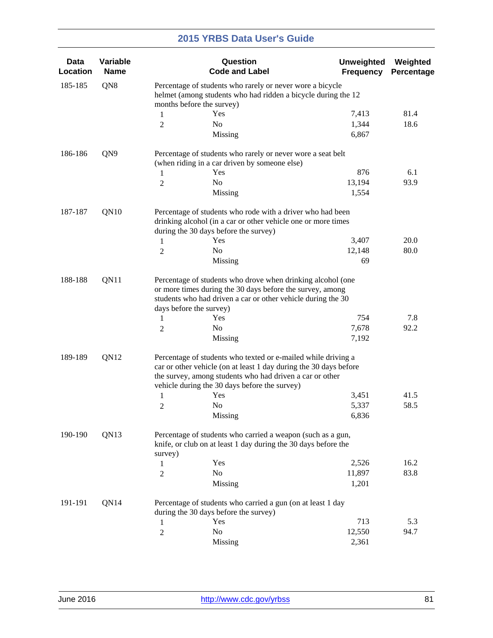| Data<br>Location | Variable<br><b>Name</b> |                | Question<br><b>Code and Label</b>                                                                                                                                                                                                                                        | <b>Unweighted</b><br><b>Frequency</b> | Weighted<br>Percentage |  |  |  |
|------------------|-------------------------|----------------|--------------------------------------------------------------------------------------------------------------------------------------------------------------------------------------------------------------------------------------------------------------------------|---------------------------------------|------------------------|--|--|--|
| 185-185          | QN8                     |                | Percentage of students who rarely or never wore a bicycle<br>helmet (among students who had ridden a bicycle during the 12<br>months before the survey)                                                                                                                  |                                       |                        |  |  |  |
|                  |                         | 1              | Yes                                                                                                                                                                                                                                                                      | 7,413                                 | 81.4                   |  |  |  |
|                  |                         | $\overline{2}$ | No                                                                                                                                                                                                                                                                       | 1,344                                 | 18.6                   |  |  |  |
|                  |                         |                | Missing                                                                                                                                                                                                                                                                  | 6,867                                 |                        |  |  |  |
| 186-186          | QN9                     |                | Percentage of students who rarely or never wore a seat belt                                                                                                                                                                                                              |                                       |                        |  |  |  |
|                  |                         |                | (when riding in a car driven by someone else)                                                                                                                                                                                                                            |                                       |                        |  |  |  |
|                  |                         | $\mathbf{1}$   | Yes                                                                                                                                                                                                                                                                      | 876                                   | 6.1                    |  |  |  |
|                  |                         | $\overline{c}$ | N <sub>o</sub>                                                                                                                                                                                                                                                           | 13,194                                | 93.9                   |  |  |  |
|                  |                         |                | Missing                                                                                                                                                                                                                                                                  | 1,554                                 |                        |  |  |  |
| 187-187          | QN10                    |                | Percentage of students who rode with a driver who had been<br>drinking alcohol (in a car or other vehicle one or more times                                                                                                                                              |                                       |                        |  |  |  |
|                  |                         |                | during the 30 days before the survey)                                                                                                                                                                                                                                    |                                       |                        |  |  |  |
|                  |                         | 1              | Yes                                                                                                                                                                                                                                                                      | 3,407                                 | 20.0                   |  |  |  |
|                  |                         | 2              | No                                                                                                                                                                                                                                                                       | 12,148                                | 80.0                   |  |  |  |
|                  |                         |                | Missing                                                                                                                                                                                                                                                                  | 69                                    |                        |  |  |  |
| 188-188          | QN11                    | 1<br>2         | Percentage of students who drove when drinking alcohol (one<br>or more times during the 30 days before the survey, among<br>students who had driven a car or other vehicle during the 30<br>days before the survey)<br>Yes<br>No<br>Missing                              | 754<br>7,678<br>7,192                 | 7.8<br>92.2            |  |  |  |
| 189-189          | QN12                    | 1<br>2         | Percentage of students who texted or e-mailed while driving a<br>car or other vehicle (on at least 1 day during the 30 days before<br>the survey, among students who had driven a car or other<br>vehicle during the 30 days before the survey)<br>Yes<br>N <sub>o</sub> | 3,451<br>5,337                        | 41.5<br>58.5           |  |  |  |
| 190-190          | QN13                    | survey)        | Missing<br>Percentage of students who carried a weapon (such as a gun,<br>knife, or club on at least 1 day during the 30 days before the                                                                                                                                 | 6,836                                 |                        |  |  |  |
|                  |                         | 1              | Yes                                                                                                                                                                                                                                                                      | 2,526                                 | 16.2                   |  |  |  |
|                  |                         | $\overline{c}$ | No                                                                                                                                                                                                                                                                       | 11,897                                | 83.8                   |  |  |  |
|                  |                         |                | Missing                                                                                                                                                                                                                                                                  | 1,201                                 |                        |  |  |  |
| 191-191          | QN14                    |                | Percentage of students who carried a gun (on at least 1 day<br>during the 30 days before the survey)                                                                                                                                                                     |                                       |                        |  |  |  |
|                  |                         | 1              | Yes                                                                                                                                                                                                                                                                      | 713                                   | 5.3                    |  |  |  |
|                  |                         | $\overline{c}$ | No                                                                                                                                                                                                                                                                       | 12,550                                | 94.7                   |  |  |  |
|                  |                         |                | Missing                                                                                                                                                                                                                                                                  | 2,361                                 |                        |  |  |  |
|                  |                         |                |                                                                                                                                                                                                                                                                          |                                       |                        |  |  |  |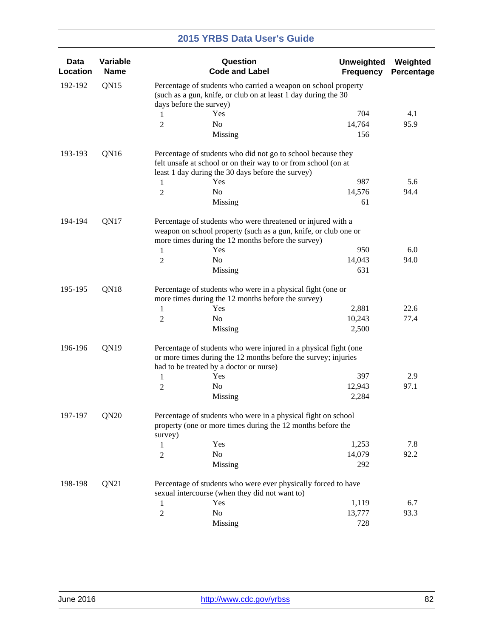| <b>Data</b><br>Location | Variable<br><b>Name</b> |                                                                                                                                                             | Question<br><b>Code and Label</b>                                                                                                                                                          | <b>Unweighted</b><br><b>Frequency</b> | Weighted<br>Percentage |  |  |
|-------------------------|-------------------------|-------------------------------------------------------------------------------------------------------------------------------------------------------------|--------------------------------------------------------------------------------------------------------------------------------------------------------------------------------------------|---------------------------------------|------------------------|--|--|
| 192-192                 | QN15                    | Percentage of students who carried a weapon on school property<br>(such as a gun, knife, or club on at least 1 day during the 30<br>days before the survey) |                                                                                                                                                                                            |                                       |                        |  |  |
|                         |                         | 1                                                                                                                                                           | Yes                                                                                                                                                                                        | 704                                   | 4.1                    |  |  |
|                         |                         |                                                                                                                                                             | No                                                                                                                                                                                         | 14,764                                | 95.9                   |  |  |
|                         |                         | 2                                                                                                                                                           | Missing                                                                                                                                                                                    | 156                                   |                        |  |  |
| 193-193                 | QN16                    | 1                                                                                                                                                           | Percentage of students who did not go to school because they<br>felt unsafe at school or on their way to or from school (on at<br>least 1 day during the 30 days before the survey)<br>Yes | 987                                   | 5.6                    |  |  |
|                         |                         | 2                                                                                                                                                           | No                                                                                                                                                                                         | 14,576                                | 94.4                   |  |  |
|                         |                         |                                                                                                                                                             | Missing                                                                                                                                                                                    | 61                                    |                        |  |  |
| 194-194                 | QN17                    |                                                                                                                                                             | Percentage of students who were threatened or injured with a<br>weapon on school property (such as a gun, knife, or club one or<br>more times during the 12 months before the survey)      |                                       |                        |  |  |
|                         |                         | 1                                                                                                                                                           | Yes                                                                                                                                                                                        | 950                                   | 6.0                    |  |  |
|                         |                         | 2                                                                                                                                                           | No                                                                                                                                                                                         | 14,043                                | 94.0                   |  |  |
|                         |                         |                                                                                                                                                             | Missing                                                                                                                                                                                    | 631                                   |                        |  |  |
| QN18<br>195-195         |                         | Percentage of students who were in a physical fight (one or<br>more times during the 12 months before the survey)                                           |                                                                                                                                                                                            |                                       |                        |  |  |
|                         |                         | 1                                                                                                                                                           | Yes                                                                                                                                                                                        | 2,881                                 | 22.6                   |  |  |
|                         |                         | 2                                                                                                                                                           | No                                                                                                                                                                                         | 10,243                                | 77.4                   |  |  |
|                         |                         |                                                                                                                                                             | Missing                                                                                                                                                                                    | 2,500                                 |                        |  |  |
| 196-196                 | QN19                    |                                                                                                                                                             | Percentage of students who were injured in a physical fight (one<br>or more times during the 12 months before the survey; injuries<br>had to be treated by a doctor or nurse)              |                                       |                        |  |  |
|                         |                         | 1                                                                                                                                                           | Yes                                                                                                                                                                                        | 397                                   | 2.9                    |  |  |
|                         |                         | 2                                                                                                                                                           | No                                                                                                                                                                                         | 12,943                                | 97.1                   |  |  |
|                         |                         |                                                                                                                                                             | Missing                                                                                                                                                                                    | 2,284                                 |                        |  |  |
| 197-197                 | QN20                    | survey)                                                                                                                                                     | Percentage of students who were in a physical fight on school<br>property (one or more times during the 12 months before the                                                               |                                       |                        |  |  |
|                         |                         | 1                                                                                                                                                           | Yes                                                                                                                                                                                        | 1,253                                 | 7.8                    |  |  |
|                         |                         | $\overline{c}$                                                                                                                                              | No                                                                                                                                                                                         | 14,079                                | 92.2                   |  |  |
|                         |                         |                                                                                                                                                             | Missing                                                                                                                                                                                    | 292                                   |                        |  |  |
| 198-198                 | QN21                    |                                                                                                                                                             | Percentage of students who were ever physically forced to have<br>sexual intercourse (when they did not want to)                                                                           |                                       |                        |  |  |
|                         |                         | 1                                                                                                                                                           | Yes                                                                                                                                                                                        | 1,119                                 | 6.7                    |  |  |
|                         |                         | $\overline{2}$                                                                                                                                              | No                                                                                                                                                                                         | 13,777                                | 93.3                   |  |  |
|                         |                         |                                                                                                                                                             | Missing                                                                                                                                                                                    | 728                                   |                        |  |  |
|                         |                         |                                                                                                                                                             |                                                                                                                                                                                            |                                       |                        |  |  |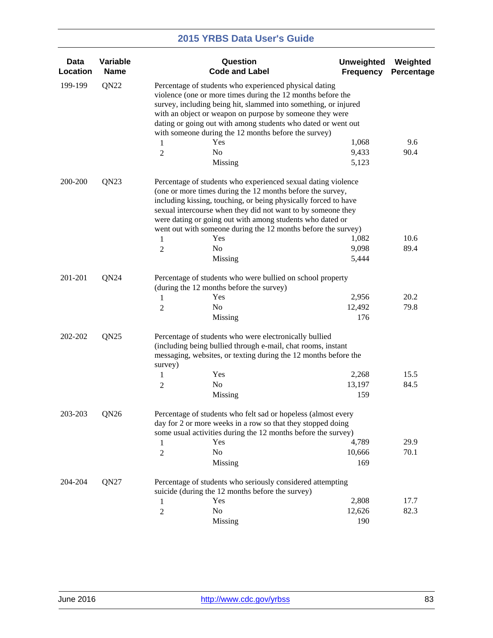| <b>Data</b><br>Location | Variable<br><b>Name</b> |                     | Question<br><b>Code and Label</b>                                                                                                                                                                                                                                                                                                                                                                                    | <b>Unweighted</b><br><b>Frequency</b> | Weighted<br>Percentage |
|-------------------------|-------------------------|---------------------|----------------------------------------------------------------------------------------------------------------------------------------------------------------------------------------------------------------------------------------------------------------------------------------------------------------------------------------------------------------------------------------------------------------------|---------------------------------------|------------------------|
| 199-199                 | QN <sub>22</sub>        | 1                   | Percentage of students who experienced physical dating<br>violence (one or more times during the 12 months before the<br>survey, including being hit, slammed into something, or injured<br>with an object or weapon on purpose by someone they were<br>dating or going out with among students who dated or went out<br>with someone during the 12 months before the survey)<br>Yes                                 | 1,068                                 | 9.6                    |
|                         |                         | 2                   | N <sub>o</sub><br>Missing                                                                                                                                                                                                                                                                                                                                                                                            | 9,433<br>5,123                        | 90.4                   |
| 200-200                 | QN23                    | 1<br>$\overline{2}$ | Percentage of students who experienced sexual dating violence<br>(one or more times during the 12 months before the survey,<br>including kissing, touching, or being physically forced to have<br>sexual intercourse when they did not want to by someone they<br>were dating or going out with among students who dated or<br>went out with someone during the 12 months before the survey)<br>Yes<br>No<br>Missing | 1,082<br>9,098<br>5,444               | 10.6<br>89.4           |
|                         |                         |                     |                                                                                                                                                                                                                                                                                                                                                                                                                      |                                       |                        |
| 201-201                 | QN24                    | 1<br>2              | Percentage of students who were bullied on school property<br>(during the 12 months before the survey)<br>Yes<br>No<br>Missing                                                                                                                                                                                                                                                                                       | 2,956<br>12,492<br>176                | 20.2<br>79.8           |
| 202-202                 | QN <sub>25</sub>        | survey)<br>1<br>2   | Percentage of students who were electronically bullied<br>(including being bullied through e-mail, chat rooms, instant<br>messaging, websites, or texting during the 12 months before the<br>Yes<br>No<br>Missing                                                                                                                                                                                                    | 2,268<br>13,197<br>159                | 15.5<br>84.5           |
| 203-203                 | QN26                    | 1<br>$\overline{c}$ | Percentage of students who felt sad or hopeless (almost every<br>day for 2 or more weeks in a row so that they stopped doing<br>some usual activities during the 12 months before the survey)<br>Yes<br>No<br>Missing                                                                                                                                                                                                | 4,789<br>10,666<br>169                | 29.9<br>70.1           |
| 204-204                 | QN27                    |                     | Percentage of students who seriously considered attempting                                                                                                                                                                                                                                                                                                                                                           |                                       |                        |
|                         |                         |                     | suicide (during the 12 months before the survey)                                                                                                                                                                                                                                                                                                                                                                     |                                       |                        |
|                         |                         | 1                   | Yes<br>N <sub>o</sub>                                                                                                                                                                                                                                                                                                                                                                                                | 2,808<br>12,626                       | 17.7<br>82.3           |
|                         |                         | $\boldsymbol{2}$    | Missing                                                                                                                                                                                                                                                                                                                                                                                                              | 190                                   |                        |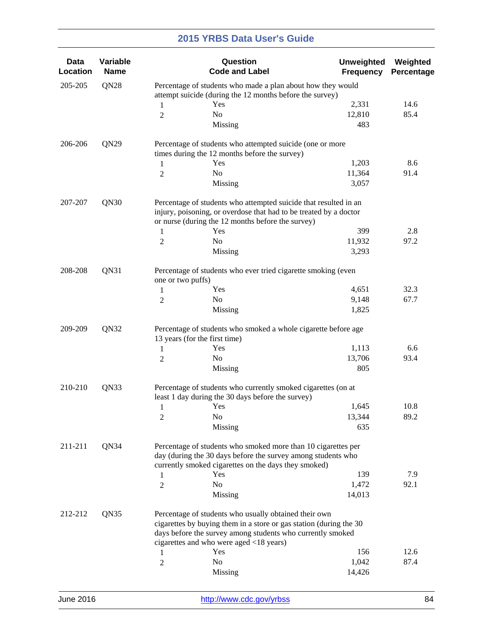| <b>Data</b><br>Location | Variable<br><b>Name</b> |                                                                                                                               | Question<br><b>Code and Label</b>                                                                                                                                                                                                    | <b>Unweighted</b><br><b>Frequency</b> | Weighted<br>Percentage |  |  |
|-------------------------|-------------------------|-------------------------------------------------------------------------------------------------------------------------------|--------------------------------------------------------------------------------------------------------------------------------------------------------------------------------------------------------------------------------------|---------------------------------------|------------------------|--|--|
| 205-205                 | QN <sub>28</sub>        |                                                                                                                               | Percentage of students who made a plan about how they would<br>attempt suicide (during the 12 months before the survey)                                                                                                              |                                       |                        |  |  |
|                         |                         | $\mathbf{1}$                                                                                                                  | Yes                                                                                                                                                                                                                                  | 2,331                                 | 14.6                   |  |  |
|                         |                         | $\overline{2}$                                                                                                                | No                                                                                                                                                                                                                                   | 12,810                                | 85.4                   |  |  |
|                         |                         |                                                                                                                               | Missing                                                                                                                                                                                                                              | 483                                   |                        |  |  |
| 206-206                 | QN29                    |                                                                                                                               | Percentage of students who attempted suicide (one or more                                                                                                                                                                            |                                       |                        |  |  |
|                         |                         |                                                                                                                               | times during the 12 months before the survey)                                                                                                                                                                                        |                                       |                        |  |  |
|                         |                         | $\mathbf{1}$                                                                                                                  | Yes<br>N <sub>o</sub>                                                                                                                                                                                                                | 1,203<br>11,364                       | 8.6<br>91.4            |  |  |
|                         |                         | 2                                                                                                                             | Missing                                                                                                                                                                                                                              | 3,057                                 |                        |  |  |
| 207-207                 | QN30                    |                                                                                                                               | Percentage of students who attempted suicide that resulted in an<br>injury, poisoning, or overdose that had to be treated by a doctor                                                                                                |                                       |                        |  |  |
|                         |                         |                                                                                                                               | or nurse (during the 12 months before the survey)<br>Yes                                                                                                                                                                             | 399                                   | 2.8                    |  |  |
|                         |                         | $\mathbf{1}$                                                                                                                  | No                                                                                                                                                                                                                                   |                                       | 97.2                   |  |  |
|                         |                         | 2                                                                                                                             | Missing                                                                                                                                                                                                                              | 11,932<br>3,293                       |                        |  |  |
|                         |                         |                                                                                                                               |                                                                                                                                                                                                                                      |                                       |                        |  |  |
| 208-208                 | QN31                    | one or two puffs)                                                                                                             | Percentage of students who ever tried cigarette smoking (even                                                                                                                                                                        |                                       |                        |  |  |
|                         |                         | 1                                                                                                                             | Yes                                                                                                                                                                                                                                  | 4,651                                 | 32.3                   |  |  |
|                         |                         | 2                                                                                                                             | No                                                                                                                                                                                                                                   | 9,148                                 | 67.7                   |  |  |
|                         |                         |                                                                                                                               | Missing                                                                                                                                                                                                                              | 1,825                                 |                        |  |  |
| 209-209<br>QN32         |                         | Percentage of students who smoked a whole cigarette before age<br>13 years (for the first time)                               |                                                                                                                                                                                                                                      |                                       |                        |  |  |
|                         |                         | 1                                                                                                                             | Yes                                                                                                                                                                                                                                  | 1,113                                 | 6.6                    |  |  |
|                         |                         | 2                                                                                                                             | No                                                                                                                                                                                                                                   | 13,706                                | 93.4                   |  |  |
|                         |                         |                                                                                                                               | Missing                                                                                                                                                                                                                              | 805                                   |                        |  |  |
| 210-210<br>QN33         |                         | Percentage of students who currently smoked cigarettes (on at<br>least 1 day during the 30 days before the survey)            |                                                                                                                                                                                                                                      |                                       |                        |  |  |
|                         |                         | $\mathbf{1}$                                                                                                                  | Yes                                                                                                                                                                                                                                  | 1,645                                 | 10.8                   |  |  |
|                         |                         | $\overline{c}$                                                                                                                | No                                                                                                                                                                                                                                   | 13,344                                | 89.2                   |  |  |
|                         |                         |                                                                                                                               | Missing                                                                                                                                                                                                                              | 635                                   |                        |  |  |
| 211-211                 | QN34                    | Percentage of students who smoked more than 10 cigarettes per<br>day (during the 30 days before the survey among students who |                                                                                                                                                                                                                                      |                                       |                        |  |  |
|                         |                         |                                                                                                                               | currently smoked cigarettes on the days they smoked)                                                                                                                                                                                 |                                       |                        |  |  |
|                         |                         | 1                                                                                                                             | Yes                                                                                                                                                                                                                                  | 139                                   | 7.9                    |  |  |
|                         |                         | $\overline{2}$                                                                                                                | No<br>Missing                                                                                                                                                                                                                        | 1,472<br>14,013                       | 92.1                   |  |  |
|                         |                         |                                                                                                                               |                                                                                                                                                                                                                                      |                                       |                        |  |  |
| 212-212                 | QN35                    |                                                                                                                               | Percentage of students who usually obtained their own<br>cigarettes by buying them in a store or gas station (during the 30<br>days before the survey among students who currently smoked<br>cigarettes and who were aged <18 years) |                                       |                        |  |  |
|                         |                         | 1                                                                                                                             | Yes                                                                                                                                                                                                                                  | 156                                   | 12.6                   |  |  |
|                         |                         | $\overline{2}$                                                                                                                | No                                                                                                                                                                                                                                   | 1,042                                 | 87.4                   |  |  |
|                         |                         |                                                                                                                               | Missing                                                                                                                                                                                                                              | 14,426                                |                        |  |  |
|                         |                         |                                                                                                                               |                                                                                                                                                                                                                                      |                                       |                        |  |  |

| June 2016 |  |
|-----------|--|
|-----------|--|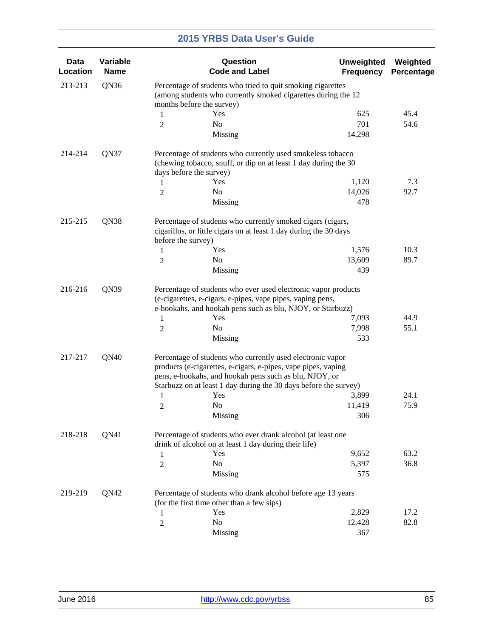| <b>Data</b><br>Location | Variable<br><b>Name</b> |                | Question<br><b>Code and Label</b>                                                                                                                                                                                                                         | <b>Unweighted</b><br><b>Frequency</b> | Weighted<br>Percentage |  |  |
|-------------------------|-------------------------|----------------|-----------------------------------------------------------------------------------------------------------------------------------------------------------------------------------------------------------------------------------------------------------|---------------------------------------|------------------------|--|--|
| 213-213                 | QN36                    |                | Percentage of students who tried to quit smoking cigarettes<br>(among students who currently smoked cigarettes during the 12<br>months before the survey)                                                                                                 |                                       |                        |  |  |
|                         |                         |                | Yes                                                                                                                                                                                                                                                       | 625                                   | 45.4                   |  |  |
|                         |                         | 1              | No                                                                                                                                                                                                                                                        | 701                                   | 54.6                   |  |  |
|                         |                         | $\overline{2}$ | Missing                                                                                                                                                                                                                                                   | 14,298                                |                        |  |  |
| 214-214                 | QN37                    |                | Percentage of students who currently used smokeless tobacco<br>(chewing tobacco, snuff, or dip on at least 1 day during the 30<br>days before the survey)                                                                                                 |                                       |                        |  |  |
|                         |                         | 1              | Yes                                                                                                                                                                                                                                                       | 1,120                                 | 7.3                    |  |  |
|                         |                         | 2              | No                                                                                                                                                                                                                                                        | 14,026                                | 92.7                   |  |  |
|                         |                         |                | Missing                                                                                                                                                                                                                                                   | 478                                   |                        |  |  |
| 215-215                 | QN38                    |                | Percentage of students who currently smoked cigars (cigars,<br>cigarillos, or little cigars on at least 1 day during the 30 days<br>before the survey)                                                                                                    |                                       |                        |  |  |
|                         |                         | 1              | Yes                                                                                                                                                                                                                                                       | 1,576                                 | 10.3                   |  |  |
|                         |                         | 2              | No                                                                                                                                                                                                                                                        | 13,609                                | 89.7                   |  |  |
|                         |                         |                | Missing                                                                                                                                                                                                                                                   | 439                                   |                        |  |  |
| 216-216                 | QN39                    | 1<br>2         | Percentage of students who ever used electronic vapor products<br>(e-cigarettes, e-cigars, e-pipes, vape pipes, vaping pens,<br>e-hookahs, and hookah pens such as blu, NJOY, or Starbuzz)<br>Yes<br>No                                                   | 7,093<br>7,998                        | 44.9<br>55.1           |  |  |
|                         |                         |                | Missing                                                                                                                                                                                                                                                   | 533                                   |                        |  |  |
| 217-217                 | QN40                    |                | Percentage of students who currently used electronic vapor<br>products (e-cigarettes, e-cigars, e-pipes, vape pipes, vaping<br>pens, e-hookahs, and hookah pens such as blu, NJOY, or<br>Starbuzz on at least 1 day during the 30 days before the survey) |                                       |                        |  |  |
|                         |                         | 1              | Yes                                                                                                                                                                                                                                                       | 3,899                                 | 24.1                   |  |  |
|                         |                         | 2              | No                                                                                                                                                                                                                                                        | 11,419                                | 75.9                   |  |  |
|                         |                         |                | Missing                                                                                                                                                                                                                                                   | 306                                   |                        |  |  |
| 218-218                 | QN41                    |                | Percentage of students who ever drank alcohol (at least one<br>drink of alcohol on at least 1 day during their life)                                                                                                                                      |                                       |                        |  |  |
|                         |                         | 1              | Yes                                                                                                                                                                                                                                                       | 9,652                                 | 63.2                   |  |  |
|                         |                         | $\overline{2}$ | No                                                                                                                                                                                                                                                        | 5,397                                 | 36.8                   |  |  |
|                         |                         |                | Missing                                                                                                                                                                                                                                                   | 575                                   |                        |  |  |
| 219-219                 | QN42                    |                | Percentage of students who drank alcohol before age 13 years<br>(for the first time other than a few sips)                                                                                                                                                |                                       |                        |  |  |
|                         |                         | 1              | Yes                                                                                                                                                                                                                                                       | 2,829                                 | 17.2                   |  |  |
|                         |                         | $\overline{c}$ | No                                                                                                                                                                                                                                                        | 12,428                                | 82.8                   |  |  |
|                         |                         |                | Missing                                                                                                                                                                                                                                                   | 367                                   |                        |  |  |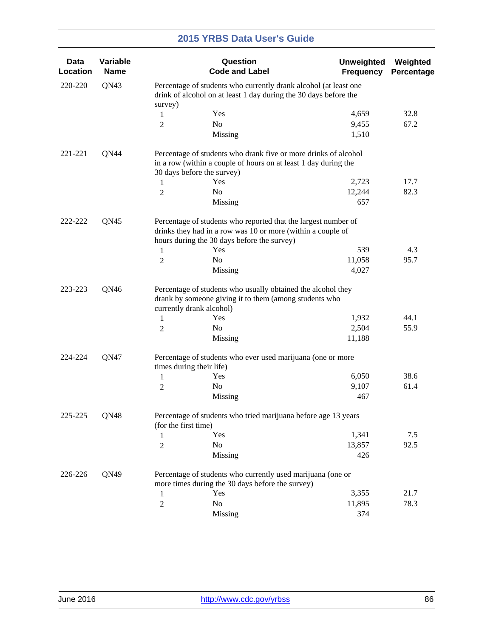| Data<br>Location | Variable<br><b>Name</b> |                                                                                                                                                                              | Question<br><b>Code and Label</b>                                                                                                                                | <b>Unweighted</b><br><b>Frequency</b> | Weighted<br>Percentage |  |
|------------------|-------------------------|------------------------------------------------------------------------------------------------------------------------------------------------------------------------------|------------------------------------------------------------------------------------------------------------------------------------------------------------------|---------------------------------------|------------------------|--|
| 220-220          | QN43                    |                                                                                                                                                                              | Percentage of students who currently drank alcohol (at least one<br>drink of alcohol on at least 1 day during the 30 days before the                             |                                       |                        |  |
|                  |                         | survey)                                                                                                                                                                      | Yes                                                                                                                                                              | 4,659                                 | 32.8                   |  |
|                  |                         | $\mathbf{1}$<br>$\overline{2}$                                                                                                                                               | No                                                                                                                                                               | 9,455                                 | 67.2                   |  |
|                  |                         |                                                                                                                                                                              | Missing                                                                                                                                                          | 1,510                                 |                        |  |
| 221-221          | QN44                    |                                                                                                                                                                              | Percentage of students who drank five or more drinks of alcohol<br>in a row (within a couple of hours on at least 1 day during the<br>30 days before the survey) |                                       |                        |  |
|                  |                         | $\mathbf{1}$                                                                                                                                                                 | Yes                                                                                                                                                              | 2,723                                 | 17.7                   |  |
|                  |                         | $\overline{2}$                                                                                                                                                               | No                                                                                                                                                               | 12,244                                | 82.3                   |  |
|                  |                         |                                                                                                                                                                              | Missing                                                                                                                                                          | 657                                   |                        |  |
| 222-222          | QN45                    | Percentage of students who reported that the largest number of<br>drinks they had in a row was 10 or more (within a couple of<br>hours during the 30 days before the survey) |                                                                                                                                                                  |                                       |                        |  |
|                  |                         | 1                                                                                                                                                                            | Yes                                                                                                                                                              | 539                                   | 4.3                    |  |
|                  |                         | $\overline{2}$                                                                                                                                                               | N <sub>o</sub>                                                                                                                                                   | 11,058                                | 95.7                   |  |
|                  |                         |                                                                                                                                                                              | Missing                                                                                                                                                          | 4,027                                 |                        |  |
| QN46<br>223-223  |                         |                                                                                                                                                                              | Percentage of students who usually obtained the alcohol they<br>drank by someone giving it to them (among students who<br>currently drank alcohol)               |                                       |                        |  |
|                  |                         | $\mathbf{1}$                                                                                                                                                                 | Yes                                                                                                                                                              | 1,932                                 | 44.1                   |  |
|                  |                         | $\overline{2}$                                                                                                                                                               | N <sub>o</sub>                                                                                                                                                   | 2,504                                 | 55.9                   |  |
|                  |                         |                                                                                                                                                                              | Missing                                                                                                                                                          | 11,188                                |                        |  |
| 224-224          | QN47                    | Percentage of students who ever used marijuana (one or more<br>times during their life)                                                                                      |                                                                                                                                                                  |                                       |                        |  |
|                  |                         | 1                                                                                                                                                                            | Yes                                                                                                                                                              | 6,050                                 | 38.6                   |  |
|                  |                         | 2                                                                                                                                                                            | No                                                                                                                                                               | 9,107                                 | 61.4                   |  |
|                  |                         |                                                                                                                                                                              | Missing                                                                                                                                                          | 467                                   |                        |  |
| 225-225          | QN48                    | (for the first time)                                                                                                                                                         | Percentage of students who tried marijuana before age 13 years                                                                                                   |                                       |                        |  |
|                  |                         | 1                                                                                                                                                                            | Yes                                                                                                                                                              | 1,341                                 | 7.5                    |  |
|                  |                         | $\overline{2}$                                                                                                                                                               | No                                                                                                                                                               | 13,857                                | 92.5                   |  |
|                  |                         |                                                                                                                                                                              | Missing                                                                                                                                                          | 426                                   |                        |  |
| 226-226          | QN49                    |                                                                                                                                                                              | Percentage of students who currently used marijuana (one or<br>more times during the 30 days before the survey)                                                  |                                       |                        |  |
|                  |                         | $\mathbf{1}$                                                                                                                                                                 | Yes                                                                                                                                                              | 3,355                                 | 21.7                   |  |
|                  |                         | $\overline{2}$                                                                                                                                                               | No                                                                                                                                                               | 11,895                                | 78.3                   |  |
|                  |                         |                                                                                                                                                                              | Missing                                                                                                                                                          | 374                                   |                        |  |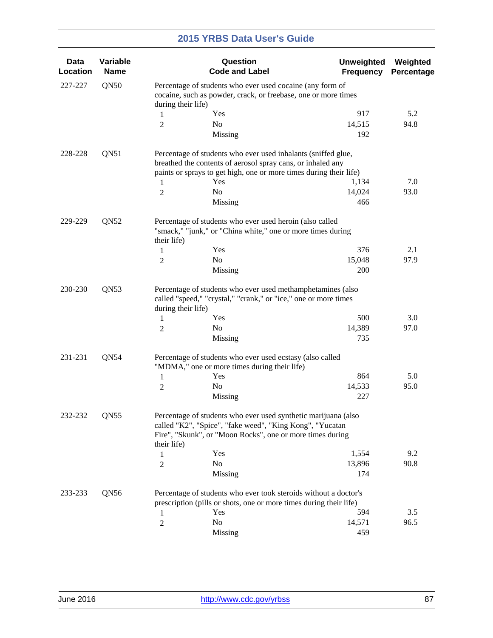| <b>Data</b><br>Location | Variable<br><b>Name</b> |                                                                                                                                                      | Question<br><b>Code and Label</b>                                                                                                                                                                         | <b>Unweighted</b><br><b>Frequency</b> | Weighted<br>Percentage |  |  |
|-------------------------|-------------------------|------------------------------------------------------------------------------------------------------------------------------------------------------|-----------------------------------------------------------------------------------------------------------------------------------------------------------------------------------------------------------|---------------------------------------|------------------------|--|--|
| 227-227                 | QN50                    | during their life)                                                                                                                                   | Percentage of students who ever used cocaine (any form of<br>cocaine, such as powder, crack, or freebase, one or more times                                                                               |                                       |                        |  |  |
|                         |                         | 1                                                                                                                                                    | Yes                                                                                                                                                                                                       | 917                                   | 5.2                    |  |  |
|                         |                         | $\overline{2}$                                                                                                                                       | No                                                                                                                                                                                                        | 14,515                                | 94.8                   |  |  |
|                         |                         |                                                                                                                                                      | Missing                                                                                                                                                                                                   | 192                                   |                        |  |  |
| 228-228                 | QN51                    | 1                                                                                                                                                    | Percentage of students who ever used inhalants (sniffed glue,<br>breathed the contents of aerosol spray cans, or inhaled any<br>paints or sprays to get high, one or more times during their life)<br>Yes | 1,134                                 | 7.0                    |  |  |
|                         |                         | $\mathfrak{2}$                                                                                                                                       | No                                                                                                                                                                                                        | 14,024                                | 93.0                   |  |  |
|                         |                         |                                                                                                                                                      | Missing                                                                                                                                                                                                   | 466                                   |                        |  |  |
| 229-229                 | QN52                    | their life)                                                                                                                                          | Percentage of students who ever used heroin (also called<br>"smack," "junk," or "China white," one or more times during                                                                                   |                                       |                        |  |  |
|                         |                         | 1                                                                                                                                                    | Yes                                                                                                                                                                                                       | 376                                   | 2.1                    |  |  |
|                         |                         | 2                                                                                                                                                    | No                                                                                                                                                                                                        | 15,048                                | 97.9                   |  |  |
|                         |                         |                                                                                                                                                      | Missing                                                                                                                                                                                                   | 200                                   |                        |  |  |
| QN53<br>230-230         |                         | Percentage of students who ever used methamphetamines (also<br>called "speed," "crystal," "crank," or "ice," one or more times<br>during their life) |                                                                                                                                                                                                           |                                       |                        |  |  |
|                         |                         | 1                                                                                                                                                    | Yes                                                                                                                                                                                                       | 500                                   | 3.0                    |  |  |
|                         |                         | $\mathfrak{2}$                                                                                                                                       | No                                                                                                                                                                                                        | 14,389                                | 97.0                   |  |  |
|                         |                         |                                                                                                                                                      | Missing                                                                                                                                                                                                   | 735                                   |                        |  |  |
| 231-231                 | QN54                    |                                                                                                                                                      | Percentage of students who ever used ecstasy (also called<br>"MDMA," one or more times during their life)                                                                                                 |                                       |                        |  |  |
|                         |                         | 1                                                                                                                                                    | Yes                                                                                                                                                                                                       | 864                                   | 5.0                    |  |  |
|                         |                         | $\overline{c}$                                                                                                                                       | No                                                                                                                                                                                                        | 14,533                                | 95.0                   |  |  |
|                         |                         |                                                                                                                                                      | Missing                                                                                                                                                                                                   | 227                                   |                        |  |  |
| 232-232                 | QN55                    | their life)                                                                                                                                          | Percentage of students who ever used synthetic marijuana (also<br>called "K2", "Spice", "fake weed", "King Kong", "Yucatan<br>Fire", "Skunk", or "Moon Rocks", one or more times during                   |                                       |                        |  |  |
|                         |                         | 1                                                                                                                                                    | Yes                                                                                                                                                                                                       | 1,554                                 | 9.2                    |  |  |
|                         |                         | $\mathfrak{2}$                                                                                                                                       | No                                                                                                                                                                                                        | 13,896                                | 90.8                   |  |  |
|                         |                         |                                                                                                                                                      | Missing                                                                                                                                                                                                   | 174                                   |                        |  |  |
| 233-233                 | QN56                    |                                                                                                                                                      | Percentage of students who ever took steroids without a doctor's<br>prescription (pills or shots, one or more times during their life)                                                                    |                                       |                        |  |  |
|                         |                         | 1                                                                                                                                                    | Yes                                                                                                                                                                                                       | 594                                   | 3.5                    |  |  |
|                         |                         | $\mathfrak{2}$                                                                                                                                       | No                                                                                                                                                                                                        | 14,571                                | 96.5                   |  |  |
|                         |                         |                                                                                                                                                      | Missing                                                                                                                                                                                                   | 459                                   |                        |  |  |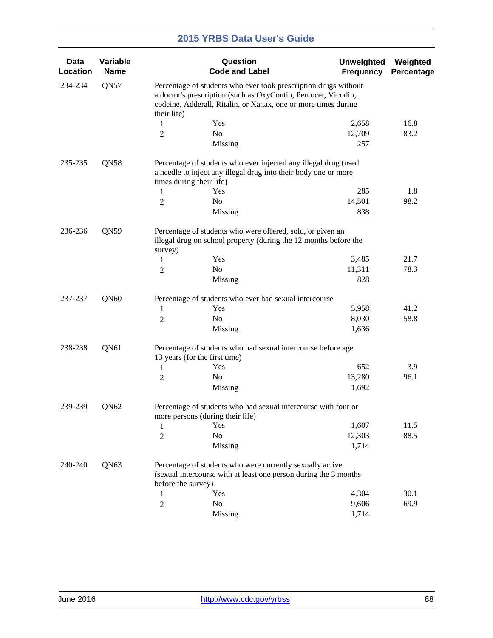| <b>Data</b><br>Location | Variable<br><b>Name</b> |                                                                                                                                                                                                     | Question<br><b>Code and Label</b>                                                                                                  | <b>Unweighted</b><br><b>Frequency</b> | Weighted<br>Percentage |  |  |
|-------------------------|-------------------------|-----------------------------------------------------------------------------------------------------------------------------------------------------------------------------------------------------|------------------------------------------------------------------------------------------------------------------------------------|---------------------------------------|------------------------|--|--|
| 234-234                 | QN57                    | Percentage of students who ever took prescription drugs without<br>a doctor's prescription (such as OxyContin, Percocet, Vicodin,<br>codeine, Adderall, Ritalin, or Xanax, one or more times during |                                                                                                                                    |                                       |                        |  |  |
|                         |                         | their life)<br>$\mathbf{1}$                                                                                                                                                                         | Yes                                                                                                                                | 2,658                                 | 16.8                   |  |  |
|                         |                         | $\mathfrak{2}$                                                                                                                                                                                      | N <sub>o</sub>                                                                                                                     | 12,709                                | 83.2                   |  |  |
|                         |                         |                                                                                                                                                                                                     | Missing                                                                                                                            | 257                                   |                        |  |  |
| 235-235                 | QN58                    | times during their life)                                                                                                                                                                            | Percentage of students who ever injected any illegal drug (used<br>a needle to inject any illegal drug into their body one or more |                                       |                        |  |  |
|                         |                         | 1                                                                                                                                                                                                   | Yes                                                                                                                                | 285                                   | 1.8                    |  |  |
|                         |                         | 2                                                                                                                                                                                                   | No                                                                                                                                 | 14,501                                | 98.2                   |  |  |
|                         |                         |                                                                                                                                                                                                     | Missing                                                                                                                            | 838                                   |                        |  |  |
| QN59<br>236-236         |                         | survey)                                                                                                                                                                                             | Percentage of students who were offered, sold, or given an<br>illegal drug on school property (during the 12 months before the     |                                       |                        |  |  |
|                         |                         | 1                                                                                                                                                                                                   | Yes                                                                                                                                | 3,485                                 | 21.7                   |  |  |
|                         |                         | $\overline{c}$                                                                                                                                                                                      | No                                                                                                                                 | 11,311                                | 78.3                   |  |  |
|                         |                         |                                                                                                                                                                                                     | Missing                                                                                                                            | 828                                   |                        |  |  |
| 237-237                 | QN60                    |                                                                                                                                                                                                     | Percentage of students who ever had sexual intercourse                                                                             |                                       |                        |  |  |
|                         |                         | 1                                                                                                                                                                                                   | Yes                                                                                                                                | 5,958                                 | 41.2                   |  |  |
|                         |                         | $\mathfrak{2}$                                                                                                                                                                                      | No                                                                                                                                 | 8,030                                 | 58.8                   |  |  |
|                         |                         |                                                                                                                                                                                                     | Missing                                                                                                                            | 1,636                                 |                        |  |  |
| 238-238                 | QN61                    | 13 years (for the first time)                                                                                                                                                                       | Percentage of students who had sexual intercourse before age                                                                       |                                       |                        |  |  |
|                         |                         | 1                                                                                                                                                                                                   | Yes                                                                                                                                | 652                                   | 3.9                    |  |  |
|                         |                         | $\mathfrak{2}$                                                                                                                                                                                      | No                                                                                                                                 | 13,280                                | 96.1                   |  |  |
|                         |                         |                                                                                                                                                                                                     | Missing                                                                                                                            | 1,692                                 |                        |  |  |
| 239-239                 | QN62                    |                                                                                                                                                                                                     | Percentage of students who had sexual intercourse with four or<br>more persons (during their life)                                 |                                       |                        |  |  |
|                         |                         | 1                                                                                                                                                                                                   | Yes                                                                                                                                | 1,607                                 | 11.5                   |  |  |
|                         |                         | $\overline{2}$                                                                                                                                                                                      | No                                                                                                                                 | 12,303                                | 88.5                   |  |  |
|                         |                         |                                                                                                                                                                                                     | Missing                                                                                                                            | 1,714                                 |                        |  |  |
| 240-240                 | QN63                    |                                                                                                                                                                                                     | Percentage of students who were currently sexually active<br>(sexual intercourse with at least one person during the 3 months      |                                       |                        |  |  |
|                         |                         | before the survey)                                                                                                                                                                                  | Yes                                                                                                                                | 4,304                                 | 30.1                   |  |  |
|                         |                         | $\mathbf{1}$                                                                                                                                                                                        | No                                                                                                                                 | 9,606                                 | 69.9                   |  |  |
|                         |                         | $\overline{2}$                                                                                                                                                                                      | Missing                                                                                                                            | 1,714                                 |                        |  |  |
|                         |                         |                                                                                                                                                                                                     |                                                                                                                                    |                                       |                        |  |  |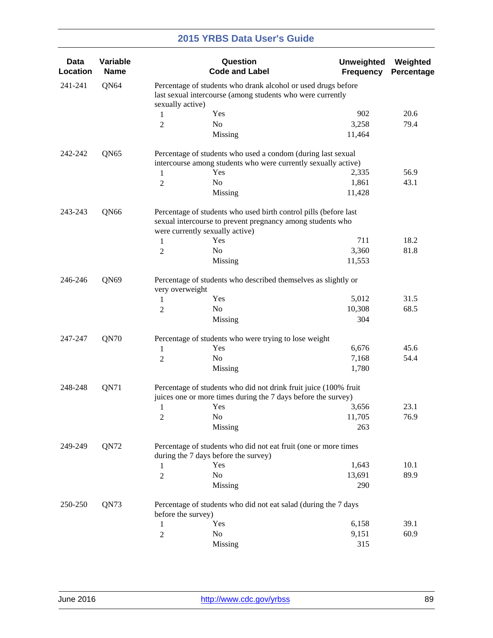| <b>Data</b><br>Location | Variable<br><b>Name</b> |                                                                                                                                | Question<br><b>Code and Label</b>                                                                                                 | <b>Unweighted</b><br><b>Frequency</b> | Weighted<br>Percentage |  |  |
|-------------------------|-------------------------|--------------------------------------------------------------------------------------------------------------------------------|-----------------------------------------------------------------------------------------------------------------------------------|---------------------------------------|------------------------|--|--|
| 241-241                 | QN64                    | sexually active)                                                                                                               | Percentage of students who drank alcohol or used drugs before<br>last sexual intercourse (among students who were currently       |                                       |                        |  |  |
|                         |                         | 1                                                                                                                              | Yes                                                                                                                               | 902                                   | 20.6                   |  |  |
|                         |                         | $\overline{c}$                                                                                                                 | N <sub>o</sub>                                                                                                                    | 3,258                                 | 79.4                   |  |  |
|                         |                         |                                                                                                                                | Missing                                                                                                                           | 11,464                                |                        |  |  |
| 242-242                 | QN65                    |                                                                                                                                | Percentage of students who used a condom (during last sexual                                                                      |                                       |                        |  |  |
|                         |                         |                                                                                                                                | intercourse among students who were currently sexually active)                                                                    |                                       |                        |  |  |
|                         |                         | $\mathbf{1}$                                                                                                                   | Yes                                                                                                                               | 2,335                                 | 56.9                   |  |  |
|                         |                         | 2                                                                                                                              | N <sub>o</sub>                                                                                                                    | 1,861                                 | 43.1                   |  |  |
|                         |                         |                                                                                                                                | Missing                                                                                                                           | 11,428                                |                        |  |  |
| 243-243                 | QN66                    | Percentage of students who used birth control pills (before last<br>sexual intercourse to prevent pregnancy among students who |                                                                                                                                   |                                       |                        |  |  |
|                         |                         |                                                                                                                                | were currently sexually active)<br>Yes                                                                                            | 711                                   | 18.2                   |  |  |
|                         |                         | $\mathbf{1}$                                                                                                                   | N <sub>o</sub>                                                                                                                    | 3,360                                 |                        |  |  |
|                         |                         | 2                                                                                                                              |                                                                                                                                   |                                       | 81.8                   |  |  |
|                         |                         |                                                                                                                                | Missing                                                                                                                           | 11,553                                |                        |  |  |
| 246-246<br>QN69         |                         | Percentage of students who described themselves as slightly or<br>very overweight                                              |                                                                                                                                   |                                       |                        |  |  |
|                         |                         | 1                                                                                                                              | Yes                                                                                                                               | 5,012                                 | 31.5                   |  |  |
|                         |                         | 2                                                                                                                              | N <sub>o</sub>                                                                                                                    | 10,308                                | 68.5                   |  |  |
|                         |                         |                                                                                                                                | Missing                                                                                                                           | 304                                   |                        |  |  |
| 247-247                 | QN70                    |                                                                                                                                | Percentage of students who were trying to lose weight                                                                             |                                       |                        |  |  |
|                         |                         | 1                                                                                                                              | Yes                                                                                                                               | 6,676                                 | 45.6                   |  |  |
|                         |                         | $\overline{c}$                                                                                                                 | No                                                                                                                                | 7,168                                 | 54.4                   |  |  |
|                         |                         |                                                                                                                                | Missing                                                                                                                           | 1,780                                 |                        |  |  |
| 248-248                 | QN71                    |                                                                                                                                | Percentage of students who did not drink fruit juice (100% fruit<br>juices one or more times during the 7 days before the survey) |                                       |                        |  |  |
|                         |                         | 1                                                                                                                              | Yes                                                                                                                               | 3,656                                 | 23.1                   |  |  |
|                         |                         | $\overline{c}$                                                                                                                 | $\rm No$                                                                                                                          | 11,705                                | 76.9                   |  |  |
|                         |                         |                                                                                                                                | Missing                                                                                                                           | 263                                   |                        |  |  |
| 249-249                 | QN72                    |                                                                                                                                | Percentage of students who did not eat fruit (one or more times<br>during the 7 days before the survey)                           |                                       |                        |  |  |
|                         |                         |                                                                                                                                | Yes                                                                                                                               | 1,643                                 | 10.1                   |  |  |
|                         |                         | 1                                                                                                                              | N <sub>o</sub>                                                                                                                    | 13,691                                | 89.9                   |  |  |
|                         |                         | $\overline{2}$                                                                                                                 | Missing                                                                                                                           | 290                                   |                        |  |  |
| 250-250                 | QN73                    |                                                                                                                                | Percentage of students who did not eat salad (during the 7 days                                                                   |                                       |                        |  |  |
|                         |                         | before the survey)                                                                                                             |                                                                                                                                   |                                       |                        |  |  |
|                         |                         | 1                                                                                                                              | Yes                                                                                                                               | 6,158                                 | 39.1                   |  |  |
|                         |                         | 2                                                                                                                              | No                                                                                                                                | 9,151                                 | 60.9                   |  |  |
|                         |                         |                                                                                                                                | Missing                                                                                                                           | 315                                   |                        |  |  |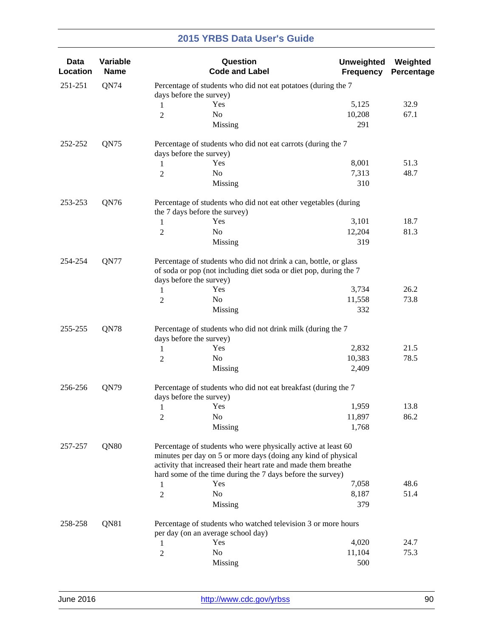| <b>Data</b><br>Location | Variable<br><b>Name</b> |                                                                                                                                       | Question<br><b>Code and Label</b>                                                                                                                                                                                                                              | <b>Unweighted</b><br><b>Frequency</b> | Weighted<br>Percentage |  |
|-------------------------|-------------------------|---------------------------------------------------------------------------------------------------------------------------------------|----------------------------------------------------------------------------------------------------------------------------------------------------------------------------------------------------------------------------------------------------------------|---------------------------------------|------------------------|--|
| 251-251                 | QN74                    |                                                                                                                                       | Percentage of students who did not eat potatoes (during the 7<br>days before the survey)                                                                                                                                                                       |                                       |                        |  |
|                         |                         | 1                                                                                                                                     | Yes                                                                                                                                                                                                                                                            | 5,125                                 | 32.9                   |  |
|                         |                         | $\overline{2}$                                                                                                                        | No                                                                                                                                                                                                                                                             | 10,208                                | 67.1                   |  |
|                         |                         |                                                                                                                                       | Missing                                                                                                                                                                                                                                                        | 291                                   |                        |  |
| 252-252                 | QN75                    |                                                                                                                                       | Percentage of students who did not eat carrots (during the 7<br>days before the survey)                                                                                                                                                                        |                                       |                        |  |
|                         |                         | 1                                                                                                                                     | Yes                                                                                                                                                                                                                                                            | 8,001                                 | 51.3                   |  |
|                         |                         | $\overline{2}$                                                                                                                        | No                                                                                                                                                                                                                                                             | 7,313                                 | 48.7                   |  |
|                         |                         |                                                                                                                                       | Missing                                                                                                                                                                                                                                                        | 310                                   |                        |  |
| 253-253                 | QN76                    |                                                                                                                                       | Percentage of students who did not eat other vegetables (during<br>the 7 days before the survey)                                                                                                                                                               |                                       |                        |  |
|                         |                         | 1                                                                                                                                     | Yes                                                                                                                                                                                                                                                            | 3,101                                 | 18.7                   |  |
|                         |                         | $\overline{2}$                                                                                                                        | No                                                                                                                                                                                                                                                             | 12,204                                | 81.3                   |  |
|                         |                         |                                                                                                                                       | Missing                                                                                                                                                                                                                                                        | 319                                   |                        |  |
| QN77<br>254-254         |                         | Percentage of students who did not drink a can, bottle, or glass<br>of soda or pop (not including diet soda or diet pop, during the 7 |                                                                                                                                                                                                                                                                |                                       |                        |  |
|                         |                         |                                                                                                                                       | days before the survey)                                                                                                                                                                                                                                        |                                       |                        |  |
|                         |                         | 1                                                                                                                                     | Yes                                                                                                                                                                                                                                                            | 3,734                                 | 26.2                   |  |
|                         |                         | 2                                                                                                                                     | No                                                                                                                                                                                                                                                             | 11,558                                | 73.8                   |  |
|                         |                         |                                                                                                                                       | Missing                                                                                                                                                                                                                                                        | 332                                   |                        |  |
| QN78<br>255-255         |                         |                                                                                                                                       | Percentage of students who did not drink milk (during the 7<br>days before the survey)                                                                                                                                                                         |                                       |                        |  |
|                         |                         | 1                                                                                                                                     | Yes                                                                                                                                                                                                                                                            | 2,832                                 | 21.5                   |  |
|                         |                         | $\overline{2}$                                                                                                                        | No                                                                                                                                                                                                                                                             | 10,383                                | 78.5                   |  |
|                         |                         |                                                                                                                                       | Missing                                                                                                                                                                                                                                                        | 2,409                                 |                        |  |
| 256-256                 | QN79                    |                                                                                                                                       | Percentage of students who did not eat breakfast (during the 7<br>days before the survey)                                                                                                                                                                      |                                       |                        |  |
|                         |                         | 1                                                                                                                                     | Yes                                                                                                                                                                                                                                                            | 1,959                                 | 13.8                   |  |
|                         |                         | $\sqrt{2}$                                                                                                                            | No                                                                                                                                                                                                                                                             | 11,897                                | 86.2                   |  |
|                         |                         |                                                                                                                                       | Missing                                                                                                                                                                                                                                                        | 1,768                                 |                        |  |
| 257-257                 | QN80                    |                                                                                                                                       | Percentage of students who were physically active at least 60<br>minutes per day on 5 or more days (doing any kind of physical<br>activity that increased their heart rate and made them breathe<br>hard some of the time during the 7 days before the survey) |                                       |                        |  |
|                         |                         |                                                                                                                                       | Yes                                                                                                                                                                                                                                                            | 7,058                                 | 48.6                   |  |
|                         |                         | 1                                                                                                                                     | No                                                                                                                                                                                                                                                             | 8,187                                 | 51.4                   |  |
|                         |                         | $\overline{2}$                                                                                                                        | Missing                                                                                                                                                                                                                                                        | 379                                   |                        |  |
| 258-258                 | QN81                    |                                                                                                                                       | Percentage of students who watched television 3 or more hours                                                                                                                                                                                                  |                                       |                        |  |
|                         |                         |                                                                                                                                       | per day (on an average school day)<br>Yes                                                                                                                                                                                                                      | 4,020                                 | 24.7                   |  |
|                         |                         | 1                                                                                                                                     | No                                                                                                                                                                                                                                                             | 11,104                                | 75.3                   |  |
|                         |                         | $\overline{c}$                                                                                                                        | Missing                                                                                                                                                                                                                                                        | 500                                   |                        |  |
|                         |                         |                                                                                                                                       |                                                                                                                                                                                                                                                                |                                       |                        |  |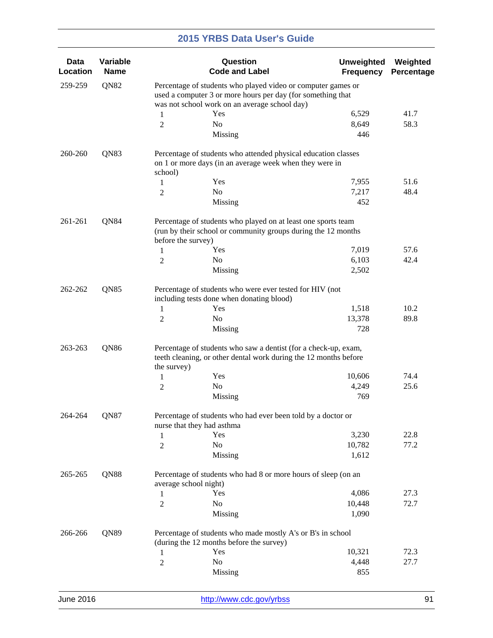| Data<br>Location | Variable<br><b>Name</b> |                                                                                                                                                                              | Question<br><b>Code and Label</b>                                                                                              | <b>Unweighted</b><br><b>Frequency</b> | Weighted<br>Percentage |  |  |
|------------------|-------------------------|------------------------------------------------------------------------------------------------------------------------------------------------------------------------------|--------------------------------------------------------------------------------------------------------------------------------|---------------------------------------|------------------------|--|--|
| 259-259          | QN82                    | Percentage of students who played video or computer games or<br>used a computer 3 or more hours per day (for something that<br>was not school work on an average school day) |                                                                                                                                |                                       |                        |  |  |
|                  |                         | $\mathbf{1}$                                                                                                                                                                 | Yes                                                                                                                            | 6,529                                 | 41.7                   |  |  |
|                  |                         | $\overline{2}$                                                                                                                                                               | No                                                                                                                             | 8,649                                 | 58.3                   |  |  |
|                  |                         |                                                                                                                                                                              | Missing                                                                                                                        | 446                                   |                        |  |  |
| 260-260          | QN83                    | school)                                                                                                                                                                      | Percentage of students who attended physical education classes<br>on 1 or more days (in an average week when they were in      |                                       |                        |  |  |
|                  |                         | $\mathbf{1}$                                                                                                                                                                 | Yes                                                                                                                            | 7,955                                 | 51.6                   |  |  |
|                  |                         | $\overline{2}$                                                                                                                                                               | No                                                                                                                             | 7,217                                 | 48.4                   |  |  |
|                  |                         |                                                                                                                                                                              | Missing                                                                                                                        | 452                                   |                        |  |  |
| 261-261          | QN84                    | before the survey)                                                                                                                                                           | Percentage of students who played on at least one sports team<br>(run by their school or community groups during the 12 months |                                       |                        |  |  |
|                  |                         | 1                                                                                                                                                                            | Yes                                                                                                                            | 7,019                                 | 57.6                   |  |  |
|                  |                         | $\overline{2}$                                                                                                                                                               | N <sub>o</sub>                                                                                                                 | 6,103                                 | 42.4                   |  |  |
|                  |                         |                                                                                                                                                                              | Missing                                                                                                                        | 2,502                                 |                        |  |  |
| QN85<br>262-262  |                         | Percentage of students who were ever tested for HIV (not<br>including tests done when donating blood)                                                                        |                                                                                                                                |                                       |                        |  |  |
|                  |                         | 1                                                                                                                                                                            | Yes                                                                                                                            | 1,518                                 | 10.2                   |  |  |
|                  |                         | 2                                                                                                                                                                            | No                                                                                                                             | 13,378                                | 89.8                   |  |  |
|                  |                         |                                                                                                                                                                              | Missing                                                                                                                        | 728                                   |                        |  |  |
| QN86<br>263-263  |                         | Percentage of students who saw a dentist (for a check-up, exam,<br>teeth cleaning, or other dental work during the 12 months before<br>the survey)                           |                                                                                                                                |                                       |                        |  |  |
|                  |                         | 1                                                                                                                                                                            | Yes                                                                                                                            | 10,606                                | 74.4                   |  |  |
|                  |                         | 2                                                                                                                                                                            | No                                                                                                                             | 4,249                                 | 25.6                   |  |  |
|                  |                         |                                                                                                                                                                              | Missing                                                                                                                        | 769                                   |                        |  |  |
| 264-264          | QN87                    | Percentage of students who had ever been told by a doctor or<br>nurse that they had asthma                                                                                   |                                                                                                                                |                                       |                        |  |  |
|                  |                         | 1                                                                                                                                                                            | Yes                                                                                                                            | 3,230                                 | 22.8                   |  |  |
|                  |                         | $\overline{2}$                                                                                                                                                               | No                                                                                                                             | 10,782                                | 77.2                   |  |  |
|                  |                         |                                                                                                                                                                              | Missing                                                                                                                        | 1,612                                 |                        |  |  |
| 265-265          | QN88                    | Percentage of students who had 8 or more hours of sleep (on an<br>average school night)                                                                                      |                                                                                                                                |                                       |                        |  |  |
|                  |                         | $\mathbf{1}$                                                                                                                                                                 | Yes                                                                                                                            | 4,086                                 | 27.3                   |  |  |
|                  |                         | $\overline{2}$                                                                                                                                                               | No                                                                                                                             | 10,448                                | 72.7                   |  |  |
|                  |                         |                                                                                                                                                                              | Missing                                                                                                                        | 1,090                                 |                        |  |  |
| 266-266          | QN89                    |                                                                                                                                                                              | Percentage of students who made mostly A's or B's in school<br>(during the 12 months before the survey)                        |                                       |                        |  |  |
|                  |                         | $\mathbf{1}$                                                                                                                                                                 | Yes                                                                                                                            | 10,321                                | 72.3                   |  |  |
|                  |                         | $\overline{2}$                                                                                                                                                               | No                                                                                                                             | 4,448                                 | 27.7                   |  |  |
|                  |                         |                                                                                                                                                                              | Missing                                                                                                                        | 855                                   |                        |  |  |
|                  |                         |                                                                                                                                                                              |                                                                                                                                |                                       |                        |  |  |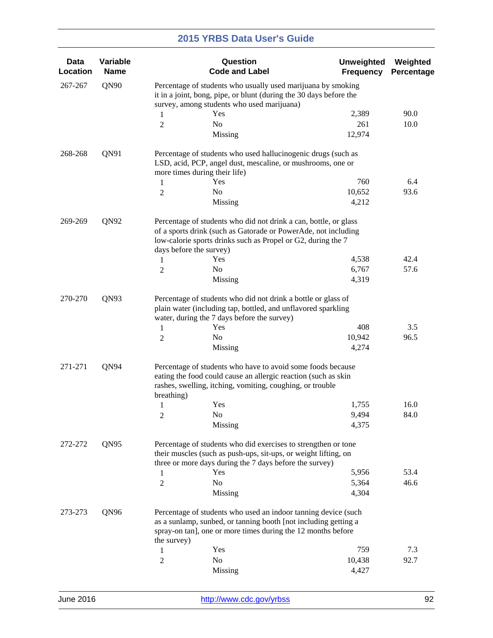| <b>Data</b><br>Location | Variable<br><b>Name</b> |                                                                                                                                                                                                                               | Question<br><b>Code and Label</b>                                                                                                                                                                 | <b>Unweighted</b><br><b>Frequency</b> | Weighted<br>Percentage |  |
|-------------------------|-------------------------|-------------------------------------------------------------------------------------------------------------------------------------------------------------------------------------------------------------------------------|---------------------------------------------------------------------------------------------------------------------------------------------------------------------------------------------------|---------------------------------------|------------------------|--|
| 267-267                 | QN90                    |                                                                                                                                                                                                                               | Percentage of students who usually used marijuana by smoking<br>it in a joint, bong, pipe, or blunt (during the 30 days before the<br>survey, among students who used marijuana)                  |                                       |                        |  |
|                         |                         | 1                                                                                                                                                                                                                             | Yes                                                                                                                                                                                               | 2,389                                 | 90.0                   |  |
|                         |                         | $\overline{2}$                                                                                                                                                                                                                | No                                                                                                                                                                                                | 261                                   | 10.0                   |  |
|                         |                         |                                                                                                                                                                                                                               | Missing                                                                                                                                                                                           | 12,974                                |                        |  |
| 268-268                 | QN91                    | Percentage of students who used hallucinogenic drugs (such as<br>LSD, acid, PCP, angel dust, mescaline, or mushrooms, one or<br>more times during their life)                                                                 |                                                                                                                                                                                                   |                                       |                        |  |
|                         |                         | 1                                                                                                                                                                                                                             | Yes                                                                                                                                                                                               | 760                                   | 6.4                    |  |
|                         |                         | $\overline{c}$                                                                                                                                                                                                                | N <sub>0</sub>                                                                                                                                                                                    | 10,652                                | 93.6                   |  |
|                         |                         |                                                                                                                                                                                                                               | Missing                                                                                                                                                                                           | 4,212                                 |                        |  |
| 269-269                 | QN92                    | Percentage of students who did not drink a can, bottle, or glass<br>of a sports drink (such as Gatorade or PowerAde, not including<br>low-calorie sports drinks such as Propel or G2, during the 7<br>days before the survey) |                                                                                                                                                                                                   |                                       |                        |  |
|                         |                         | 1                                                                                                                                                                                                                             | Yes                                                                                                                                                                                               | 4,538                                 | 42.4                   |  |
|                         |                         | 2                                                                                                                                                                                                                             | No                                                                                                                                                                                                | 6,767                                 | 57.6                   |  |
|                         |                         |                                                                                                                                                                                                                               | Missing                                                                                                                                                                                           | 4,319                                 |                        |  |
| QN93<br>270-270         |                         | Percentage of students who did not drink a bottle or glass of<br>plain water (including tap, bottled, and unflavored sparkling<br>water, during the 7 days before the survey)                                                 |                                                                                                                                                                                                   |                                       |                        |  |
|                         |                         | 1                                                                                                                                                                                                                             | Yes                                                                                                                                                                                               | 408                                   | 3.5                    |  |
|                         |                         | $\overline{c}$                                                                                                                                                                                                                | No                                                                                                                                                                                                | 10,942                                | 96.5                   |  |
|                         |                         |                                                                                                                                                                                                                               | Missing                                                                                                                                                                                           | 4,274                                 |                        |  |
| QN94<br>271-271         |                         | Percentage of students who have to avoid some foods because<br>eating the food could cause an allergic reaction (such as skin<br>rashes, swelling, itching, vomiting, coughing, or trouble<br>breathing)                      |                                                                                                                                                                                                   |                                       |                        |  |
|                         |                         | 1                                                                                                                                                                                                                             | Yes                                                                                                                                                                                               | 1,755                                 | 16.0                   |  |
|                         |                         | $\overline{c}$                                                                                                                                                                                                                | No                                                                                                                                                                                                | 9,494                                 | 84.0                   |  |
|                         |                         |                                                                                                                                                                                                                               | Missing                                                                                                                                                                                           | 4,375                                 |                        |  |
| 272-272                 | QN95                    |                                                                                                                                                                                                                               | Percentage of students who did exercises to strengthen or tone<br>their muscles (such as push-ups, sit-ups, or weight lifting, on<br>three or more days during the 7 days before the survey)      |                                       |                        |  |
|                         |                         | 1                                                                                                                                                                                                                             | Yes                                                                                                                                                                                               | 5,956                                 | 53.4                   |  |
|                         |                         | $\overline{2}$                                                                                                                                                                                                                | No                                                                                                                                                                                                | 5,364                                 | 46.6                   |  |
|                         |                         |                                                                                                                                                                                                                               | Missing                                                                                                                                                                                           | 4,304                                 |                        |  |
| 273-273                 | QN96                    | the survey)                                                                                                                                                                                                                   | Percentage of students who used an indoor tanning device (such<br>as a sunlamp, sunbed, or tanning booth [not including getting a<br>spray-on tan], one or more times during the 12 months before |                                       |                        |  |
|                         |                         | 1                                                                                                                                                                                                                             | Yes                                                                                                                                                                                               | 759                                   | 7.3                    |  |
|                         |                         | $\overline{2}$                                                                                                                                                                                                                | No                                                                                                                                                                                                | 10,438                                | 92.7                   |  |
|                         |                         |                                                                                                                                                                                                                               | Missing                                                                                                                                                                                           | 4,427                                 |                        |  |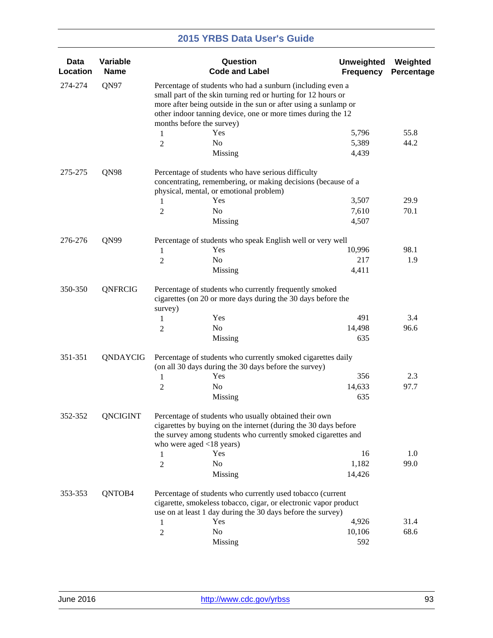| Data<br>Location | Variable<br><b>Name</b> |                                                                                                                                                                                                                                                                                             | Question<br><b>Code and Label</b>                                                                                                                                                                                     | <b>Unweighted</b><br><b>Frequency</b> | Weighted<br>Percentage |  |  |
|------------------|-------------------------|---------------------------------------------------------------------------------------------------------------------------------------------------------------------------------------------------------------------------------------------------------------------------------------------|-----------------------------------------------------------------------------------------------------------------------------------------------------------------------------------------------------------------------|---------------------------------------|------------------------|--|--|
| 274-274          | QN97                    | Percentage of students who had a sunburn (including even a<br>small part of the skin turning red or hurting for 12 hours or<br>more after being outside in the sun or after using a sunlamp or<br>other indoor tanning device, one or more times during the 12<br>months before the survey) |                                                                                                                                                                                                                       |                                       |                        |  |  |
|                  |                         | 1                                                                                                                                                                                                                                                                                           | Yes                                                                                                                                                                                                                   | 5,796                                 | 55.8                   |  |  |
|                  |                         | $\overline{2}$                                                                                                                                                                                                                                                                              | N <sub>0</sub>                                                                                                                                                                                                        | 5,389                                 | 44.2                   |  |  |
|                  |                         |                                                                                                                                                                                                                                                                                             | Missing                                                                                                                                                                                                               | 4,439                                 |                        |  |  |
| 275-275          | QN98                    |                                                                                                                                                                                                                                                                                             | Percentage of students who have serious difficulty<br>concentrating, remembering, or making decisions (because of a<br>physical, mental, or emotional problem)                                                        |                                       |                        |  |  |
|                  |                         | 1                                                                                                                                                                                                                                                                                           | Yes                                                                                                                                                                                                                   | 3,507                                 | 29.9                   |  |  |
|                  |                         | $\overline{c}$                                                                                                                                                                                                                                                                              | No                                                                                                                                                                                                                    | 7,610                                 | 70.1                   |  |  |
|                  |                         |                                                                                                                                                                                                                                                                                             | Missing                                                                                                                                                                                                               | 4,507                                 |                        |  |  |
| 276-276          | QN99                    |                                                                                                                                                                                                                                                                                             | Percentage of students who speak English well or very well                                                                                                                                                            |                                       |                        |  |  |
|                  |                         | 1                                                                                                                                                                                                                                                                                           | Yes                                                                                                                                                                                                                   | 10,996                                | 98.1                   |  |  |
|                  |                         | $\overline{c}$                                                                                                                                                                                                                                                                              | N <sub>o</sub>                                                                                                                                                                                                        | 217                                   | 1.9                    |  |  |
|                  |                         |                                                                                                                                                                                                                                                                                             | Missing                                                                                                                                                                                                               | 4,411                                 |                        |  |  |
| 350-350          | QNFRCIG                 | Percentage of students who currently frequently smoked<br>cigarettes (on 20 or more days during the 30 days before the<br>survey)                                                                                                                                                           |                                                                                                                                                                                                                       |                                       |                        |  |  |
|                  |                         | 1                                                                                                                                                                                                                                                                                           | Yes                                                                                                                                                                                                                   | 491                                   | 3.4                    |  |  |
|                  |                         | 2                                                                                                                                                                                                                                                                                           | No                                                                                                                                                                                                                    | 14,498                                | 96.6                   |  |  |
|                  |                         |                                                                                                                                                                                                                                                                                             | Missing                                                                                                                                                                                                               | 635                                   |                        |  |  |
| 351-351          | QNDAYCIG                |                                                                                                                                                                                                                                                                                             | Percentage of students who currently smoked cigarettes daily<br>(on all 30 days during the 30 days before the survey)                                                                                                 |                                       |                        |  |  |
|                  |                         | 1                                                                                                                                                                                                                                                                                           | Yes                                                                                                                                                                                                                   | 356                                   | 2.3                    |  |  |
|                  |                         | 2                                                                                                                                                                                                                                                                                           | No                                                                                                                                                                                                                    | 14,633                                | 97.7                   |  |  |
|                  |                         |                                                                                                                                                                                                                                                                                             | Missing                                                                                                                                                                                                               | 635                                   |                        |  |  |
| 352-352          | QNCIGINT                |                                                                                                                                                                                                                                                                                             | Percentage of students who usually obtained their own<br>cigarettes by buying on the internet (during the 30 days before<br>the survey among students who currently smoked cigarettes and<br>who were aged <18 years) |                                       |                        |  |  |
|                  |                         | 1                                                                                                                                                                                                                                                                                           | Yes                                                                                                                                                                                                                   | 16                                    | 1.0                    |  |  |
|                  |                         | $\overline{2}$                                                                                                                                                                                                                                                                              | No                                                                                                                                                                                                                    | 1,182                                 | 99.0                   |  |  |
|                  |                         |                                                                                                                                                                                                                                                                                             | Missing                                                                                                                                                                                                               | 14,426                                |                        |  |  |
| 353-353          | QNTOB4                  | Percentage of students who currently used tobacco (current<br>cigarette, smokeless tobacco, cigar, or electronic vapor product<br>use on at least 1 day during the 30 days before the survey)                                                                                               |                                                                                                                                                                                                                       |                                       |                        |  |  |
|                  |                         | 1                                                                                                                                                                                                                                                                                           | Yes                                                                                                                                                                                                                   | 4,926                                 | 31.4                   |  |  |
|                  |                         | $\overline{2}$                                                                                                                                                                                                                                                                              | No                                                                                                                                                                                                                    | 10,106                                | 68.6                   |  |  |
|                  |                         |                                                                                                                                                                                                                                                                                             | <b>Missing</b>                                                                                                                                                                                                        | 592                                   |                        |  |  |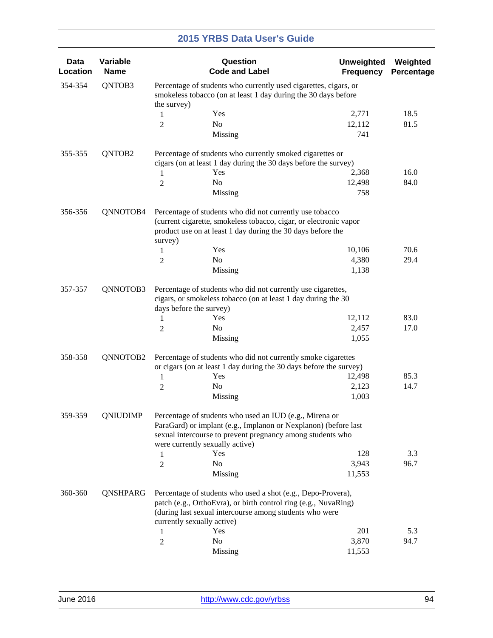| Data<br>Location | Variable<br><b>Name</b> |                                                                                                                                                   | Question<br><b>Code and Label</b>                                                                                                                                                                                           | <b>Unweighted</b><br><b>Frequency</b> | Weighted<br>Percentage |  |
|------------------|-------------------------|---------------------------------------------------------------------------------------------------------------------------------------------------|-----------------------------------------------------------------------------------------------------------------------------------------------------------------------------------------------------------------------------|---------------------------------------|------------------------|--|
| 354-354          | QNTOB3                  | Percentage of students who currently used cigarettes, cigars, or<br>smokeless tobacco (on at least 1 day during the 30 days before<br>the survey) |                                                                                                                                                                                                                             |                                       |                        |  |
|                  |                         | 1                                                                                                                                                 | Yes                                                                                                                                                                                                                         | 2,771                                 | 18.5                   |  |
|                  |                         | 2                                                                                                                                                 | No                                                                                                                                                                                                                          | 12,112                                | 81.5                   |  |
|                  |                         |                                                                                                                                                   | Missing                                                                                                                                                                                                                     | 741                                   |                        |  |
| 355-355          | QNTOB2                  |                                                                                                                                                   | Percentage of students who currently smoked cigarettes or<br>cigars (on at least 1 day during the 30 days before the survey)                                                                                                |                                       |                        |  |
|                  |                         | 1                                                                                                                                                 | Yes                                                                                                                                                                                                                         | 2,368                                 | 16.0                   |  |
|                  |                         | 2                                                                                                                                                 | No                                                                                                                                                                                                                          | 12,498                                | 84.0                   |  |
|                  |                         |                                                                                                                                                   | Missing                                                                                                                                                                                                                     | 758                                   |                        |  |
| 356-356          | QNNOTOB4                |                                                                                                                                                   | Percentage of students who did not currently use tobacco                                                                                                                                                                    |                                       |                        |  |
|                  |                         | survey)                                                                                                                                           | (current cigarette, smokeless tobacco, cigar, or electronic vapor<br>product use on at least 1 day during the 30 days before the                                                                                            |                                       |                        |  |
|                  |                         | 1                                                                                                                                                 | Yes                                                                                                                                                                                                                         | 10,106                                | 70.6                   |  |
|                  |                         | 2                                                                                                                                                 | No                                                                                                                                                                                                                          | 4,380                                 | 29.4                   |  |
|                  |                         |                                                                                                                                                   | Missing                                                                                                                                                                                                                     | 1,138                                 |                        |  |
| 357-357          | QNNOTOB3                | days before the survey)                                                                                                                           | Percentage of students who did not currently use cigarettes,<br>cigars, or smokeless tobacco (on at least 1 day during the 30                                                                                               |                                       |                        |  |
|                  |                         | 1                                                                                                                                                 | Yes                                                                                                                                                                                                                         | 12,112                                | 83.0                   |  |
|                  |                         | 2                                                                                                                                                 | No                                                                                                                                                                                                                          | 2,457                                 | 17.0                   |  |
|                  |                         |                                                                                                                                                   | Missing                                                                                                                                                                                                                     | 1,055                                 |                        |  |
| 358-358          | QNNOTOB2                |                                                                                                                                                   | Percentage of students who did not currently smoke cigarettes                                                                                                                                                               |                                       |                        |  |
|                  |                         | 1                                                                                                                                                 | or cigars (on at least 1 day during the 30 days before the survey)<br>Yes                                                                                                                                                   | 12,498                                | 85.3                   |  |
|                  |                         | 2                                                                                                                                                 | No                                                                                                                                                                                                                          | 2,123                                 | 14.7                   |  |
|                  |                         |                                                                                                                                                   | Missing                                                                                                                                                                                                                     | 1,003                                 |                        |  |
| 359-359          | QNIUDIMP                |                                                                                                                                                   | Percentage of students who used an IUD (e.g., Mirena or<br>ParaGard) or implant (e.g., Implanon or Nexplanon) (before last<br>sexual intercourse to prevent pregnancy among students who<br>were currently sexually active) |                                       |                        |  |
|                  |                         | 1                                                                                                                                                 | Yes                                                                                                                                                                                                                         | 128                                   | 3.3                    |  |
|                  |                         | $\overline{c}$                                                                                                                                    | No                                                                                                                                                                                                                          | 3,943                                 | 96.7                   |  |
|                  |                         |                                                                                                                                                   | Missing                                                                                                                                                                                                                     | 11,553                                |                        |  |
| 360-360          | QNSHPARG                |                                                                                                                                                   | Percentage of students who used a shot (e.g., Depo-Provera),<br>patch (e.g., OrthoEvra), or birth control ring (e.g., NuvaRing)<br>(during last sexual intercourse among students who were<br>currently sexually active)    |                                       |                        |  |
|                  |                         | 1                                                                                                                                                 | Yes                                                                                                                                                                                                                         | 201                                   | 5.3                    |  |
|                  |                         | $\overline{c}$                                                                                                                                    | No                                                                                                                                                                                                                          | 3,870                                 | 94.7                   |  |
|                  |                         |                                                                                                                                                   | Missing                                                                                                                                                                                                                     | 11,553                                |                        |  |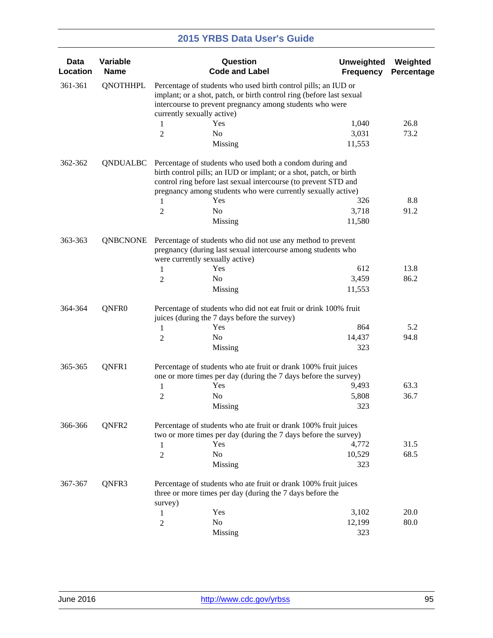| Data<br>Location | Variable<br><b>Name</b> |                                                                                                                                                                                                    | Question<br><b>Code and Label</b>                                                                                                                                                                 | <b>Unweighted</b><br><b>Frequency</b> | Weighted<br>Percentage |  |  |
|------------------|-------------------------|----------------------------------------------------------------------------------------------------------------------------------------------------------------------------------------------------|---------------------------------------------------------------------------------------------------------------------------------------------------------------------------------------------------|---------------------------------------|------------------------|--|--|
| 361-361          | <b>QNOTHHPL</b>         | Percentage of students who used birth control pills; an IUD or<br>implant; or a shot, patch, or birth control ring (before last sexual<br>intercourse to prevent pregnancy among students who were |                                                                                                                                                                                                   |                                       |                        |  |  |
|                  |                         | currently sexually active)                                                                                                                                                                         |                                                                                                                                                                                                   |                                       |                        |  |  |
|                  |                         | 1                                                                                                                                                                                                  | Yes                                                                                                                                                                                               | 1,040                                 | 26.8                   |  |  |
|                  |                         | $\overline{2}$                                                                                                                                                                                     | N <sub>0</sub>                                                                                                                                                                                    | 3,031                                 | 73.2                   |  |  |
|                  |                         |                                                                                                                                                                                                    | Missing                                                                                                                                                                                           | 11,553                                |                        |  |  |
| 362-362          | QNDUALBC                |                                                                                                                                                                                                    | Percentage of students who used both a condom during and<br>birth control pills; an IUD or implant; or a shot, patch, or birth<br>control ring before last sexual intercourse (to prevent STD and |                                       |                        |  |  |
|                  |                         |                                                                                                                                                                                                    | pregnancy among students who were currently sexually active)                                                                                                                                      |                                       |                        |  |  |
|                  |                         | 1                                                                                                                                                                                                  | Yes                                                                                                                                                                                               | 326                                   | 8.8                    |  |  |
|                  |                         | $\overline{2}$                                                                                                                                                                                     | N <sub>0</sub>                                                                                                                                                                                    | 3,718                                 | 91.2                   |  |  |
|                  |                         |                                                                                                                                                                                                    | Missing                                                                                                                                                                                           | 11,580                                |                        |  |  |
| 363-363          | <b>QNBCNONE</b>         |                                                                                                                                                                                                    | Percentage of students who did not use any method to prevent<br>pregnancy (during last sexual intercourse among students who<br>were currently sexually active)                                   |                                       |                        |  |  |
|                  |                         | 1                                                                                                                                                                                                  | Yes                                                                                                                                                                                               | 612                                   | 13.8                   |  |  |
|                  |                         | $\overline{2}$                                                                                                                                                                                     | No                                                                                                                                                                                                | 3,459                                 | 86.2                   |  |  |
|                  |                         |                                                                                                                                                                                                    | Missing                                                                                                                                                                                           | 11,553                                |                        |  |  |
| 364-364          | QNFR <sub>0</sub>       |                                                                                                                                                                                                    | Percentage of students who did not eat fruit or drink 100% fruit<br>juices (during the 7 days before the survey)                                                                                  |                                       |                        |  |  |
|                  |                         | 1                                                                                                                                                                                                  | Yes                                                                                                                                                                                               | 864                                   | 5.2                    |  |  |
|                  |                         | $\overline{2}$                                                                                                                                                                                     | N <sub>0</sub>                                                                                                                                                                                    | 14,437                                | 94.8                   |  |  |
|                  |                         |                                                                                                                                                                                                    | Missing                                                                                                                                                                                           | 323                                   |                        |  |  |
| 365-365          | QNFR1                   |                                                                                                                                                                                                    | Percentage of students who ate fruit or drank 100% fruit juices                                                                                                                                   |                                       |                        |  |  |
|                  |                         |                                                                                                                                                                                                    | one or more times per day (during the 7 days before the survey)<br>Yes                                                                                                                            | 9,493                                 | 63.3                   |  |  |
|                  |                         | 1                                                                                                                                                                                                  | No                                                                                                                                                                                                | 5,808                                 | 36.7                   |  |  |
|                  |                         | $\overline{2}$                                                                                                                                                                                     | Missing                                                                                                                                                                                           | 323                                   |                        |  |  |
| 366-366          | QNFR2                   |                                                                                                                                                                                                    | Percentage of students who ate fruit or drank 100% fruit juices<br>two or more times per day (during the 7 days before the survey)                                                                |                                       |                        |  |  |
|                  |                         | 1                                                                                                                                                                                                  | Yes                                                                                                                                                                                               | 4,772                                 | 31.5                   |  |  |
|                  |                         | $\overline{2}$                                                                                                                                                                                     | No                                                                                                                                                                                                | 10,529                                | 68.5                   |  |  |
|                  |                         |                                                                                                                                                                                                    | <b>Missing</b>                                                                                                                                                                                    | 323                                   |                        |  |  |
| 367-367          | QNFR3                   |                                                                                                                                                                                                    | Percentage of students who ate fruit or drank 100% fruit juices<br>three or more times per day (during the 7 days before the                                                                      |                                       |                        |  |  |
|                  |                         | survey)                                                                                                                                                                                            | Yes                                                                                                                                                                                               | 3,102                                 | 20.0                   |  |  |
|                  |                         | 1                                                                                                                                                                                                  | No                                                                                                                                                                                                | 12,199                                | 80.0                   |  |  |
|                  |                         | $\boldsymbol{2}$                                                                                                                                                                                   |                                                                                                                                                                                                   | 323                                   |                        |  |  |
|                  |                         |                                                                                                                                                                                                    | <b>Missing</b>                                                                                                                                                                                    |                                       |                        |  |  |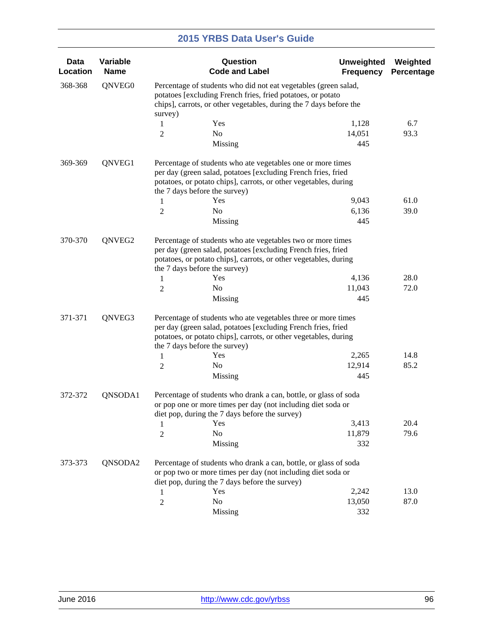| <b>Data</b><br>Location | Variable<br><b>Name</b> |                                                                                                                                                                                                                 | Question<br><b>Code and Label</b>                                                                                                                                                                                                                           | <b>Unweighted</b><br><b>Frequency</b> | Weighted<br>Percentage |  |  |
|-------------------------|-------------------------|-----------------------------------------------------------------------------------------------------------------------------------------------------------------------------------------------------------------|-------------------------------------------------------------------------------------------------------------------------------------------------------------------------------------------------------------------------------------------------------------|---------------------------------------|------------------------|--|--|
| 368-368                 | QNVEG0                  | Percentage of students who did not eat vegetables (green salad,<br>potatoes [excluding French fries, fried potatoes, or potato<br>chips], carrots, or other vegetables, during the 7 days before the<br>survey) |                                                                                                                                                                                                                                                             |                                       |                        |  |  |
|                         |                         | 1                                                                                                                                                                                                               | Yes                                                                                                                                                                                                                                                         | 1,128                                 | 6.7                    |  |  |
|                         |                         | 2                                                                                                                                                                                                               | No                                                                                                                                                                                                                                                          | 14,051                                | 93.3                   |  |  |
|                         |                         |                                                                                                                                                                                                                 | Missing                                                                                                                                                                                                                                                     | 445                                   |                        |  |  |
| 369-369                 | QNVEG1                  |                                                                                                                                                                                                                 | Percentage of students who ate vegetables one or more times<br>per day (green salad, potatoes [excluding French fries, fried<br>potatoes, or potato chips], carrots, or other vegetables, during<br>the 7 days before the survey)                           |                                       |                        |  |  |
|                         |                         | 1                                                                                                                                                                                                               | Yes                                                                                                                                                                                                                                                         | 9,043                                 | 61.0                   |  |  |
|                         |                         | 2                                                                                                                                                                                                               | N <sub>0</sub>                                                                                                                                                                                                                                              | 6,136                                 | 39.0                   |  |  |
|                         |                         |                                                                                                                                                                                                                 | Missing                                                                                                                                                                                                                                                     | 445                                   |                        |  |  |
| 370-370<br>QNVEG2       |                         | 1                                                                                                                                                                                                               | Percentage of students who ate vegetables two or more times<br>per day (green salad, potatoes [excluding French fries, fried<br>potatoes, or potato chips], carrots, or other vegetables, during<br>the 7 days before the survey)<br>Yes                    | 4,136                                 | 28.0                   |  |  |
|                         |                         | 2                                                                                                                                                                                                               | N <sub>0</sub>                                                                                                                                                                                                                                              | 11,043                                | 72.0                   |  |  |
|                         |                         |                                                                                                                                                                                                                 | Missing                                                                                                                                                                                                                                                     | 445                                   |                        |  |  |
| 371-371                 | QNVEG3                  | 1<br>2                                                                                                                                                                                                          | Percentage of students who ate vegetables three or more times<br>per day (green salad, potatoes [excluding French fries, fried<br>potatoes, or potato chips], carrots, or other vegetables, during<br>the 7 days before the survey)<br>Yes<br>No<br>Missing | 2,265<br>12,914<br>445                | 14.8<br>85.2           |  |  |
| 372-372                 | QNSODA1                 |                                                                                                                                                                                                                 | Percentage of students who drank a can, bottle, or glass of soda<br>or pop one or more times per day (not including diet soda or<br>diet pop, during the 7 days before the survey)                                                                          |                                       |                        |  |  |
|                         |                         | 1                                                                                                                                                                                                               | Yes                                                                                                                                                                                                                                                         | 3,413                                 | 20.4                   |  |  |
|                         |                         | 2                                                                                                                                                                                                               | N <sub>o</sub>                                                                                                                                                                                                                                              | 11,879                                | 79.6                   |  |  |
|                         |                         |                                                                                                                                                                                                                 | Missing                                                                                                                                                                                                                                                     | 332                                   |                        |  |  |
| 373-373                 | QNSODA2                 |                                                                                                                                                                                                                 | Percentage of students who drank a can, bottle, or glass of soda<br>or pop two or more times per day (not including diet soda or<br>diet pop, during the 7 days before the survey)                                                                          |                                       |                        |  |  |
|                         |                         | 1                                                                                                                                                                                                               | Yes                                                                                                                                                                                                                                                         | 2,242                                 | 13.0                   |  |  |
|                         |                         | $\overline{c}$                                                                                                                                                                                                  | No                                                                                                                                                                                                                                                          | 13,050                                | 87.0                   |  |  |
|                         |                         |                                                                                                                                                                                                                 | <b>Missing</b>                                                                                                                                                                                                                                              | 332                                   |                        |  |  |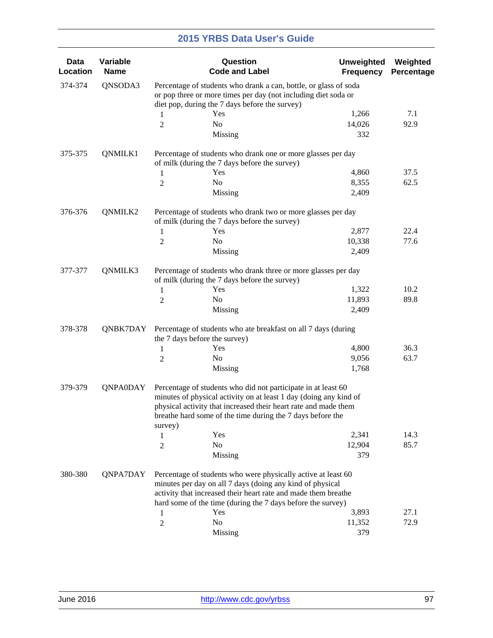| <b>Data</b><br>Location | Variable<br><b>Name</b> |                                                                                                                                    | Question<br><b>Code and Label</b>                                                                                                                                                                                                                                   | <b>Unweighted</b><br><b>Frequency</b> | Weighted<br>Percentage |  |  |
|-------------------------|-------------------------|------------------------------------------------------------------------------------------------------------------------------------|---------------------------------------------------------------------------------------------------------------------------------------------------------------------------------------------------------------------------------------------------------------------|---------------------------------------|------------------------|--|--|
| 374-374                 | QNSODA3                 | Percentage of students who drank a can, bottle, or glass of soda<br>or pop three or more times per day (not including diet soda or |                                                                                                                                                                                                                                                                     |                                       |                        |  |  |
|                         |                         |                                                                                                                                    | diet pop, during the 7 days before the survey)                                                                                                                                                                                                                      |                                       |                        |  |  |
|                         |                         | 1                                                                                                                                  | Yes                                                                                                                                                                                                                                                                 | 1,266                                 | 7.1<br>92.9            |  |  |
|                         |                         | $\overline{2}$                                                                                                                     | No<br>Missing                                                                                                                                                                                                                                                       | 14,026<br>332                         |                        |  |  |
| 375-375                 | QNMILK1                 |                                                                                                                                    | Percentage of students who drank one or more glasses per day                                                                                                                                                                                                        |                                       |                        |  |  |
|                         |                         | of milk (during the 7 days before the survey)                                                                                      |                                                                                                                                                                                                                                                                     |                                       |                        |  |  |
|                         |                         | 1                                                                                                                                  | Yes                                                                                                                                                                                                                                                                 | 4,860                                 | 37.5                   |  |  |
|                         |                         | 2                                                                                                                                  | No                                                                                                                                                                                                                                                                  | 8,355                                 | 62.5                   |  |  |
|                         |                         |                                                                                                                                    | Missing                                                                                                                                                                                                                                                             | 2,409                                 |                        |  |  |
| 376-376                 | QNMILK2                 |                                                                                                                                    | Percentage of students who drank two or more glasses per day<br>of milk (during the 7 days before the survey)                                                                                                                                                       |                                       |                        |  |  |
|                         |                         | 1                                                                                                                                  | Yes                                                                                                                                                                                                                                                                 | 2,877                                 | 22.4                   |  |  |
|                         |                         | 2                                                                                                                                  | No                                                                                                                                                                                                                                                                  | 10,338                                | 77.6                   |  |  |
|                         |                         |                                                                                                                                    | Missing                                                                                                                                                                                                                                                             | 2,409                                 |                        |  |  |
| 377-377                 | QNMILK3                 | Percentage of students who drank three or more glasses per day<br>of milk (during the 7 days before the survey)                    |                                                                                                                                                                                                                                                                     |                                       |                        |  |  |
|                         |                         | 1                                                                                                                                  | Yes                                                                                                                                                                                                                                                                 | 1,322                                 | 10.2                   |  |  |
|                         |                         | 2                                                                                                                                  | No                                                                                                                                                                                                                                                                  | 11,893                                | 89.8                   |  |  |
|                         |                         |                                                                                                                                    | Missing                                                                                                                                                                                                                                                             | 2,409                                 |                        |  |  |
| 378-378                 | QNBK7DAY                | the 7 days before the survey)                                                                                                      | Percentage of students who ate breakfast on all 7 days (during                                                                                                                                                                                                      |                                       |                        |  |  |
|                         |                         | 1                                                                                                                                  | Yes                                                                                                                                                                                                                                                                 | 4,800                                 | 36.3                   |  |  |
|                         |                         | 2                                                                                                                                  | No                                                                                                                                                                                                                                                                  | 9,056                                 | 63.7                   |  |  |
|                         |                         |                                                                                                                                    | Missing                                                                                                                                                                                                                                                             | 1,768                                 |                        |  |  |
| 379-379                 | <b>ONPAODAY</b>         | survey)                                                                                                                            | Percentage of students who did not participate in at least 60<br>minutes of physical activity on at least 1 day (doing any kind of<br>physical activity that increased their heart rate and made them<br>breathe hard some of the time during the 7 days before the |                                       |                        |  |  |
|                         |                         | 1                                                                                                                                  | Yes                                                                                                                                                                                                                                                                 | 2,341                                 | 14.3                   |  |  |
|                         |                         | 2                                                                                                                                  | No                                                                                                                                                                                                                                                                  | 12,904                                | 85.7                   |  |  |
|                         |                         |                                                                                                                                    | Missing                                                                                                                                                                                                                                                             | 379                                   |                        |  |  |
| 380-380                 | QNPA7DAY                |                                                                                                                                    | Percentage of students who were physically active at least 60<br>minutes per day on all 7 days (doing any kind of physical<br>activity that increased their heart rate and made them breathe<br>hard some of the time (during the 7 days before the survey)         |                                       |                        |  |  |
|                         |                         | 1                                                                                                                                  | Yes                                                                                                                                                                                                                                                                 | 3,893                                 | 27.1                   |  |  |
|                         |                         | $\overline{c}$                                                                                                                     | No                                                                                                                                                                                                                                                                  | 11,352                                | 72.9                   |  |  |
|                         |                         |                                                                                                                                    | Missing                                                                                                                                                                                                                                                             | 379                                   |                        |  |  |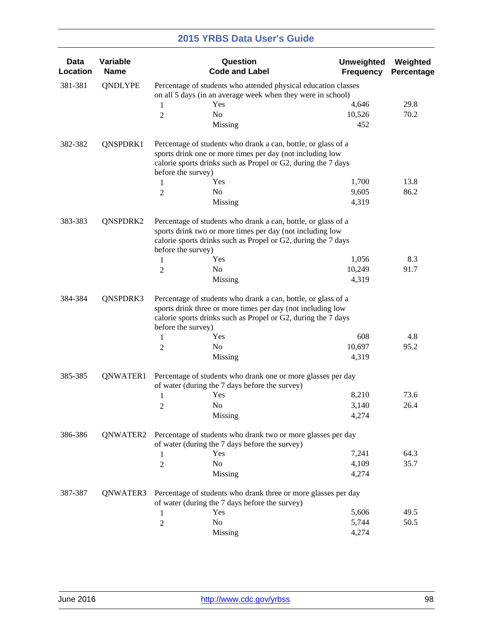| Data<br>Location | Variable<br><b>Name</b>                                                                                                    |                                                                                                                                                                                             | Question<br><b>Code and Label</b>                                                                                                                                                                    | <b>Unweighted</b><br><b>Frequency</b> | Weighted<br>Percentage |  |
|------------------|----------------------------------------------------------------------------------------------------------------------------|---------------------------------------------------------------------------------------------------------------------------------------------------------------------------------------------|------------------------------------------------------------------------------------------------------------------------------------------------------------------------------------------------------|---------------------------------------|------------------------|--|
| 381-381          | QNDLYPE                                                                                                                    | Percentage of students who attended physical education classes                                                                                                                              |                                                                                                                                                                                                      |                                       |                        |  |
|                  |                                                                                                                            |                                                                                                                                                                                             | on all 5 days (in an average week when they were in school)                                                                                                                                          |                                       |                        |  |
|                  |                                                                                                                            | 1                                                                                                                                                                                           | Yes                                                                                                                                                                                                  | 4,646                                 | 29.8                   |  |
|                  |                                                                                                                            | 2                                                                                                                                                                                           | No                                                                                                                                                                                                   | 10,526                                | 70.2                   |  |
|                  |                                                                                                                            |                                                                                                                                                                                             | Missing                                                                                                                                                                                              | 452                                   |                        |  |
| 382-382          | QNSPDRK1                                                                                                                   | Percentage of students who drank a can, bottle, or glass of a<br>sports drink one or more times per day (not including low<br>calorie sports drinks such as Propel or G2, during the 7 days |                                                                                                                                                                                                      |                                       |                        |  |
|                  |                                                                                                                            | before the survey)                                                                                                                                                                          |                                                                                                                                                                                                      |                                       |                        |  |
|                  |                                                                                                                            | 1                                                                                                                                                                                           | Yes                                                                                                                                                                                                  | 1,700                                 | 13.8                   |  |
|                  |                                                                                                                            | 2                                                                                                                                                                                           | No                                                                                                                                                                                                   | 9,605                                 | 86.2                   |  |
|                  |                                                                                                                            |                                                                                                                                                                                             | Missing                                                                                                                                                                                              | 4,319                                 |                        |  |
| 383-383          | QNSPDRK2                                                                                                                   | before the survey)                                                                                                                                                                          | Percentage of students who drank a can, bottle, or glass of a<br>sports drink two or more times per day (not including low<br>calorie sports drinks such as Propel or G2, during the 7 days          |                                       |                        |  |
|                  |                                                                                                                            | 1                                                                                                                                                                                           | Yes                                                                                                                                                                                                  | 1,056                                 | 8.3                    |  |
|                  |                                                                                                                            | 2                                                                                                                                                                                           | No                                                                                                                                                                                                   | 10,249                                | 91.7                   |  |
|                  |                                                                                                                            |                                                                                                                                                                                             | Missing                                                                                                                                                                                              | 4,319                                 |                        |  |
| 384-384          | QNSPDRK3                                                                                                                   | before the survey)<br>1                                                                                                                                                                     | Percentage of students who drank a can, bottle, or glass of a<br>sports drink three or more times per day (not including low<br>calorie sports drinks such as Propel or G2, during the 7 days<br>Yes | 608                                   | 4.8                    |  |
|                  |                                                                                                                            | 2                                                                                                                                                                                           | No                                                                                                                                                                                                   | 10,697                                | 95.2                   |  |
|                  |                                                                                                                            |                                                                                                                                                                                             | Missing                                                                                                                                                                                              | 4,319                                 |                        |  |
| 385-385          | QNWATER1                                                                                                                   |                                                                                                                                                                                             | Percentage of students who drank one or more glasses per day<br>of water (during the 7 days before the survey)                                                                                       |                                       |                        |  |
|                  |                                                                                                                            | 1                                                                                                                                                                                           | Yes                                                                                                                                                                                                  | 8,210                                 | 73.6                   |  |
|                  |                                                                                                                            | 2                                                                                                                                                                                           | No                                                                                                                                                                                                   | 3,140                                 | 26.4                   |  |
|                  |                                                                                                                            |                                                                                                                                                                                             | Missing                                                                                                                                                                                              | 4,274                                 |                        |  |
| 386-386          | QNWATER2<br>Percentage of students who drank two or more glasses per day<br>of water (during the 7 days before the survey) |                                                                                                                                                                                             |                                                                                                                                                                                                      |                                       |                        |  |
|                  |                                                                                                                            | 1                                                                                                                                                                                           | Yes                                                                                                                                                                                                  | 7,241                                 | 64.3                   |  |
|                  |                                                                                                                            | $\overline{c}$                                                                                                                                                                              | No                                                                                                                                                                                                   | 4,109                                 | 35.7                   |  |
|                  |                                                                                                                            |                                                                                                                                                                                             | Missing                                                                                                                                                                                              | 4,274                                 |                        |  |
| 387-387          | QNWATER3                                                                                                                   |                                                                                                                                                                                             | Percentage of students who drank three or more glasses per day<br>of water (during the 7 days before the survey)                                                                                     |                                       |                        |  |
|                  |                                                                                                                            | 1                                                                                                                                                                                           | Yes                                                                                                                                                                                                  | 5,606                                 | 49.5                   |  |
|                  |                                                                                                                            | $\overline{c}$                                                                                                                                                                              | No                                                                                                                                                                                                   | 5,744                                 | 50.5                   |  |
|                  |                                                                                                                            |                                                                                                                                                                                             | Missing                                                                                                                                                                                              | 4,274                                 |                        |  |
|                  |                                                                                                                            |                                                                                                                                                                                             |                                                                                                                                                                                                      |                                       |                        |  |